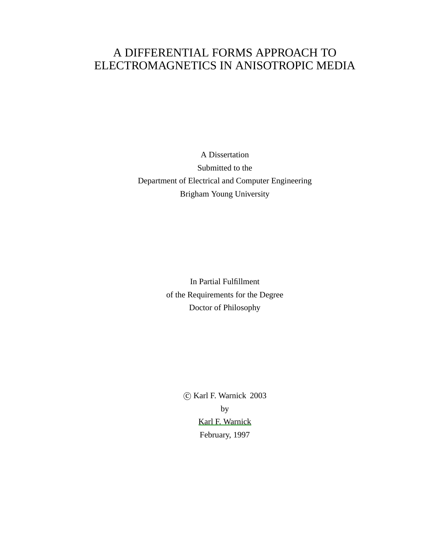# A DIFFERENTIAL FORMS APPROACH TO ELECTROMAGNETICS IN ANISOTROPIC MEDIA

A Dissertation Submitted to the Department of Electrical and Computer Engineering Brigham Young University

> In Partial Fulfillment of the Requirements for the Degree Doctor of Philosophy

> > °c [Karl F. Warnick 2003](http://www.ee.byu.edu/faculty/warnick) by Karl F. Warnick February, 1997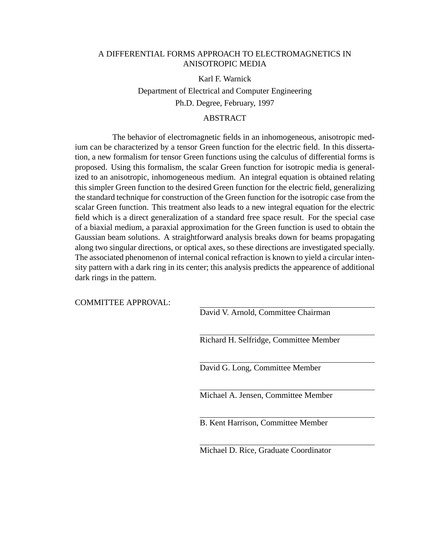## A DIFFERENTIAL FORMS APPROACH TO ELECTROMAGNETICS IN ANISOTROPIC MEDIA

#### Karl F. Warnick

## Department of Electrical and Computer Engineering Ph.D. Degree, February, 1997

#### ABSTRACT

The behavior of electromagnetic fields in an inhomogeneous, anisotropic medium can be characterized by a tensor Green function for the electric field. In this dissertation, a new formalism for tensor Green functions using the calculus of differential forms is proposed. Using this formalism, the scalar Green function for isotropic media is generalized to an anisotropic, inhomogeneous medium. An integral equation is obtained relating this simpler Green function to the desired Green function for the electric field, generalizing the standard technique for construction of the Green function for the isotropic case from the scalar Green function. This treatment also leads to a new integral equation for the electric field which is a direct generalization of a standard free space result. For the special case of a biaxial medium, a paraxial approximation for the Green function is used to obtain the Gaussian beam solutions. A straightforward analysis breaks down for beams propagating along two singular directions, or optical axes, so these directions are investigated specially. The associated phenomenon of internal conical refraction is known to yield a circular intensity pattern with a dark ring in its center; this analysis predicts the appearence of additional dark rings in the pattern.

COMMITTEE APPROVAL:

David V. Arnold, Committee Chairman

Richard H. Selfridge, Committee Member

David G. Long, Committee Member

Michael A. Jensen, Committee Member

B. Kent Harrison, Committee Member

Michael D. Rice, Graduate Coordinator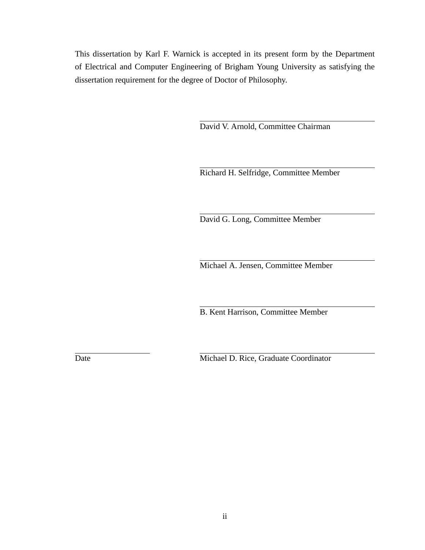This dissertation by Karl F. Warnick is accepted in its present form by the Department of Electrical and Computer Engineering of Brigham Young University as satisfying the dissertation requirement for the degree of Doctor of Philosophy.

David V. Arnold, Committee Chairman

Richard H. Selfridge, Committee Member

David G. Long, Committee Member

Michael A. Jensen, Committee Member

B. Kent Harrison, Committee Member

Date Michael D. Rice, Graduate Coordinator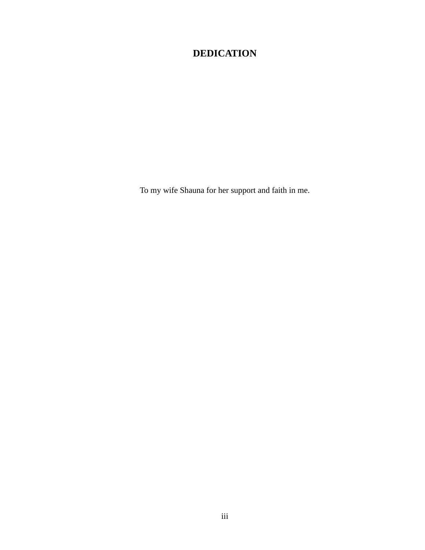# **DEDICATION**

To my wife Shauna for her support and faith in me.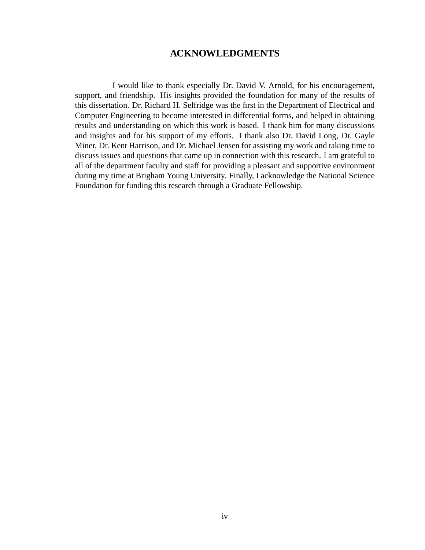## **ACKNOWLEDGMENTS**

I would like to thank especially Dr. David V. Arnold, for his encouragement, support, and friendship. His insights provided the foundation for many of the results of this dissertation. Dr. Richard H. Selfridge was the first in the Department of Electrical and Computer Engineering to become interested in differential forms, and helped in obtaining results and understanding on which this work is based. I thank him for many discussions and insights and for his support of my efforts. I thank also Dr. David Long, Dr. Gayle Miner, Dr. Kent Harrison, and Dr. Michael Jensen for assisting my work and taking time to discuss issues and questions that came up in connection with this research. I am grateful to all of the department faculty and staff for providing a pleasant and supportive environment during my time at Brigham Young University. Finally, I acknowledge the National Science Foundation for funding this research through a Graduate Fellowship.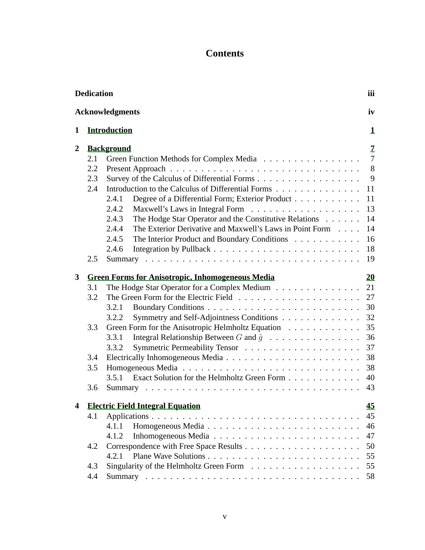# **Contents**

|              | <b>Dedication</b>   |                                                                   | iii            |  |  |  |
|--------------|---------------------|-------------------------------------------------------------------|----------------|--|--|--|
|              |                     | <b>Acknowledgments</b>                                            | iv             |  |  |  |
| 1            | <b>Introduction</b> |                                                                   |                |  |  |  |
| 2            |                     | <b>Background</b>                                                 | $\overline{1}$ |  |  |  |
|              | 2.1                 | Green Function Methods for Complex Media                          | $\overline{7}$ |  |  |  |
|              | 2.2                 |                                                                   | 8              |  |  |  |
|              | 2.3                 |                                                                   | 9              |  |  |  |
|              | 2.4                 | Introduction to the Calculus of Differential Forms                | 11             |  |  |  |
|              |                     | Degree of a Differential Form; Exterior Product<br>2.4.1          | 11             |  |  |  |
|              |                     | 2.4.2                                                             | 13             |  |  |  |
|              |                     | The Hodge Star Operator and the Constitutive Relations<br>2.4.3   | 14             |  |  |  |
|              |                     | The Exterior Derivative and Maxwell's Laws in Point Form<br>2.4.4 | 14             |  |  |  |
|              |                     | 2.4.5<br>The Interior Product and Boundary Conditions             | 16             |  |  |  |
|              |                     | 2.4.6                                                             | 18             |  |  |  |
|              | 2.5                 |                                                                   | 19             |  |  |  |
| $\mathbf{3}$ |                     | <b>Green Forms for Anisotropic, Inhomogeneous Media</b>           | <u>20</u>      |  |  |  |
|              | 3.1                 | The Hodge Star Operator for a Complex Medium                      | 21             |  |  |  |
|              | 3.2                 |                                                                   | 27             |  |  |  |
|              |                     | 3.2.1                                                             | 30             |  |  |  |
|              |                     | Symmetry and Self-Adjointness Conditions<br>3.2.2                 | 32             |  |  |  |
|              | 3.3                 | Green Form for the Anisotropic Helmholtz Equation                 | 35             |  |  |  |
|              |                     | Integral Relationship Between G and $\tilde{g}$<br>3.3.1          | 36             |  |  |  |
|              |                     | 3.3.2                                                             | 37             |  |  |  |
|              | 3.4                 |                                                                   | 38             |  |  |  |
|              | 3.5                 |                                                                   | 38             |  |  |  |
|              |                     | 3.5.1 Exact Solution for the Helmholtz Green Form                 | 40             |  |  |  |
|              | 3.6                 |                                                                   | 43             |  |  |  |
| 4            |                     | <b>Electric Field Integral Equation</b>                           | <u>45</u>      |  |  |  |
|              | 4.1                 |                                                                   | 45             |  |  |  |
|              |                     | 4.1.1                                                             | 46             |  |  |  |
|              |                     | 4.1.2                                                             | 47             |  |  |  |
|              | 4.2                 |                                                                   | 50             |  |  |  |
|              |                     | 4.2.1                                                             | 55             |  |  |  |
|              | 4.3                 |                                                                   | 55             |  |  |  |
|              | 4.4                 |                                                                   | 58             |  |  |  |
|              |                     |                                                                   |                |  |  |  |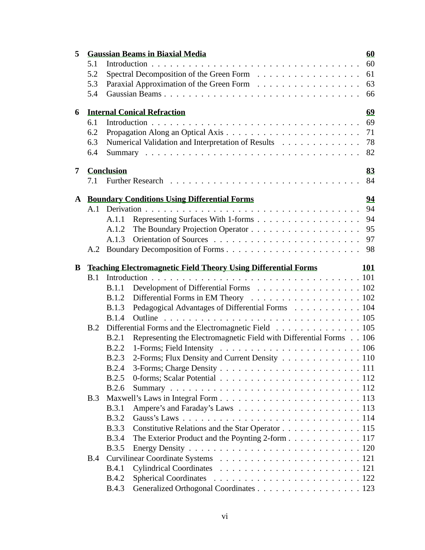| 5 |     | <b>Gaussian Beams in Biaxial Media</b>              |                                                                       | 60         |
|---|-----|-----------------------------------------------------|-----------------------------------------------------------------------|------------|
|   | 5.1 |                                                     |                                                                       | 60         |
|   | 5.2 |                                                     |                                                                       | 61         |
|   | 5.3 |                                                     |                                                                       | 63         |
|   | 5.4 |                                                     |                                                                       | 66         |
| 6 |     | <b>Internal Conical Refraction</b>                  |                                                                       | 69         |
|   | 6.1 |                                                     |                                                                       | 69         |
|   | 6.2 |                                                     |                                                                       | 71         |
|   | 6.3 |                                                     | Numerical Validation and Interpretation of Results                    | 78         |
|   | 6.4 |                                                     |                                                                       | 82         |
| 7 |     | <b>Conclusion</b>                                   |                                                                       | <u>83</u>  |
|   | 7.1 |                                                     |                                                                       | 84         |
| A |     | <b>Boundary Conditions Using Differential Forms</b> |                                                                       | 94         |
|   | A.1 |                                                     |                                                                       | 94         |
|   |     | A.1.1                                               |                                                                       | 94         |
|   |     | A.1.2                                               |                                                                       | 95         |
|   |     | A.1.3                                               |                                                                       | 97         |
|   |     |                                                     | A.2 Boundary Decomposition of Forms                                   | 98         |
|   |     |                                                     |                                                                       |            |
| B |     |                                                     | <b>Teaching Electromagnetic Field Theory Using Differential Forms</b> | <b>101</b> |
|   | B.1 |                                                     |                                                                       |            |
|   |     | <b>B.1.1</b>                                        | Development of Differential Forms 102                                 |            |
|   |     | B.1.2                                               | Differential Forms in EM Theory 102                                   |            |
|   |     | <b>B.1.3</b>                                        | Pedagogical Advantages of Differential Forms 104                      |            |
|   |     | <b>B.1.4</b>                                        |                                                                       |            |
|   | B.2 |                                                     | Differential Forms and the Electromagnetic Field 105                  |            |
|   |     | B.2.1                                               | Representing the Electromagnetic Field with Differential Forms 106    |            |
|   |     | B.2.2                                               |                                                                       |            |
|   |     | B.2.3                                               | 2-Forms; Flux Density and Current Density 110                         |            |
|   |     | B.2.4                                               |                                                                       |            |
|   |     | B.2.5                                               |                                                                       |            |
|   |     | B.2.6                                               |                                                                       |            |
|   | B.3 |                                                     |                                                                       |            |
|   |     | <b>B.3.1</b>                                        |                                                                       |            |
|   |     | <b>B.3.2</b>                                        |                                                                       |            |
|   |     | <b>B.3.3</b>                                        | Constitutive Relations and the Star Operator 115                      |            |
|   |     | <b>B.3.4</b>                                        |                                                                       |            |
|   |     | <b>B.3.5</b>                                        |                                                                       |            |
|   | B.4 |                                                     |                                                                       |            |
|   |     | B.4.1                                               |                                                                       |            |
|   |     | <b>B.4.2</b>                                        |                                                                       |            |
|   |     | <b>B.4.3</b>                                        | Generalized Orthogonal Coordinates 123                                |            |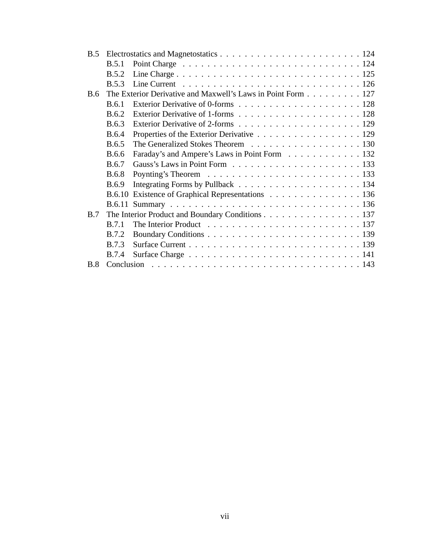| <b>B.5</b> |              |                                                                                         |
|------------|--------------|-----------------------------------------------------------------------------------------|
|            | <b>B.5.1</b> |                                                                                         |
|            | B.5.2        |                                                                                         |
|            | B.5.3        |                                                                                         |
| B.6        |              | The Exterior Derivative and Maxwell's Laws in Point Form 127                            |
|            | <b>B.6.1</b> |                                                                                         |
|            | <b>B.6.2</b> |                                                                                         |
|            | <b>B.6.3</b> |                                                                                         |
|            | <b>B.6.4</b> | Properties of the Exterior Derivative 129                                               |
|            | B.6.5        |                                                                                         |
|            | <b>B.6.6</b> | Faraday's and Ampere's Laws in Point Form 132                                           |
|            | <b>B.6.7</b> |                                                                                         |
|            | <b>B.6.8</b> | Poynting's Theorem $\ldots \ldots \ldots \ldots \ldots \ldots \ldots \ldots \ldots 133$ |
|            | <b>B.6.9</b> |                                                                                         |
|            |              | B.6.10 Existence of Graphical Representations 136                                       |
|            |              |                                                                                         |
| B.7        |              | The Interior Product and Boundary Conditions 137                                        |
|            | <b>B.7.1</b> | The Interior Product $\ldots \ldots \ldots \ldots \ldots \ldots \ldots \ldots \ldots$   |
|            | <b>B.7.2</b> |                                                                                         |
|            | <b>B.7.3</b> |                                                                                         |
|            | B.7.4        |                                                                                         |
| <b>B.8</b> | Conclusion   |                                                                                         |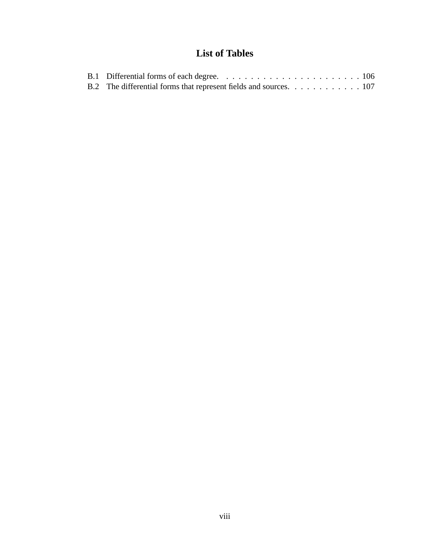## **List of Tables**

| B.2 The differential forms that represent fields and sources. 107 |  |  |  |  |  |  |
|-------------------------------------------------------------------|--|--|--|--|--|--|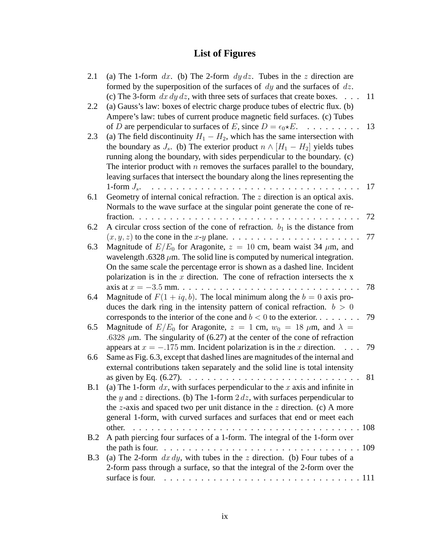# **List of Figures**

| 2.1 | (a) The 1-form dx. (b) The 2-form $dy\,dz$ . Tubes in the z direction are                          |    |
|-----|----------------------------------------------------------------------------------------------------|----|
|     | formed by the superposition of the surfaces of $dy$ and the surfaces of $dz$ .                     |    |
|     | (c) The 3-form $dx dy dz$ , with three sets of surfaces that create boxes.                         | 11 |
| 2.2 | (a) Gauss's law: boxes of electric charge produce tubes of electric flux. (b)                      |    |
|     | Ampere's law: tubes of current produce magnetic field surfaces. (c) Tubes                          |    |
|     | of D are perpendicular to surfaces of E, since $D = \epsilon_0 \star E$ .                          | 13 |
| 2.3 | (a) The field discontinuity $H_1 - H_2$ , which has the same intersection with                     |    |
|     | the boundary as $J_s$ . (b) The exterior product $n \wedge [H_1 - H_2]$ yields tubes               |    |
|     | running along the boundary, with sides perpendicular to the boundary. (c)                          |    |
|     | The interior product with $n$ removes the surfaces parallel to the boundary,                       |    |
|     | leaving surfaces that intersect the boundary along the lines representing the                      |    |
|     | 1-form $J_s$ .                                                                                     | 17 |
| 6.1 | Geometry of internal conical refraction. The $z$ direction is an optical axis.                     |    |
|     | Normals to the wave surface at the singular point generate the cone of re-                         |    |
|     | fraction                                                                                           | 72 |
| 6.2 | A circular cross section of the cone of refraction. $b_1$ is the distance from                     |    |
|     |                                                                                                    | 77 |
| 6.3 | Magnitude of $E/E_0$ for Aragonite, $z = 10$ cm, beam waist 34 $\mu$ m, and                        |    |
|     | wavelength .6328 $\mu$ m. The solid line is computed by numerical integration.                     |    |
|     | On the same scale the percentage error is shown as a dashed line. Incident                         |    |
|     | polarization is in the $x$ direction. The cone of refraction intersects the $x$                    |    |
|     |                                                                                                    | 78 |
| 6.4 | Magnitude of $F(1 + iq, b)$ . The local minimum along the $b = 0$ axis pro-                        |    |
|     | duces the dark ring in the intensity pattern of conical refraction. $b > 0$                        |    |
|     | corresponds to the interior of the cone and $b < 0$ to the exterior.                               | 79 |
| 6.5 | Magnitude of $E/E_0$ for Aragonite, $z = 1$ cm, $w_0 = 18 \mu$ m, and $\lambda =$                  |    |
|     | .6328 $\mu$ m. The singularity of (6.27) at the center of the cone of refraction                   |    |
|     | appears at $x = -0.175$ mm. Incident polarization is in the x direction.                           | 79 |
| 6.6 | Same as Fig. 6.3, except that dashed lines are magnitudes of the internal and                      |    |
|     | external contributions taken separately and the solid line is total intensity                      |    |
|     | as given by Eq. $(6.27)$ . $\ldots$ $\ldots$ $\ldots$ $\ldots$ $\ldots$ $\ldots$ $\ldots$ $\ldots$ | 81 |
| B.1 | (a) The 1-form $dx$ , with surfaces perpendicular to the x axis and infinite in                    |    |
|     | the y and z directions. (b) The 1-form $2 dz$ , with surfaces perpendicular to                     |    |
|     | the $z$ -axis and spaced two per unit distance in the $z$ direction. (c) A more                    |    |
|     | general 1-form, with curved surfaces and surfaces that end or meet each                            |    |
|     | other.                                                                                             |    |
| B.2 | A path piercing four surfaces of a 1-form. The integral of the 1-form over                         |    |
|     |                                                                                                    |    |
| B.3 | (a) The 2-form $dx dy$ , with tubes in the z direction. (b) Four tubes of a                        |    |
|     | 2-form pass through a surface, so that the integral of the 2-form over the                         |    |
|     | surface is four.                                                                                   |    |
|     |                                                                                                    |    |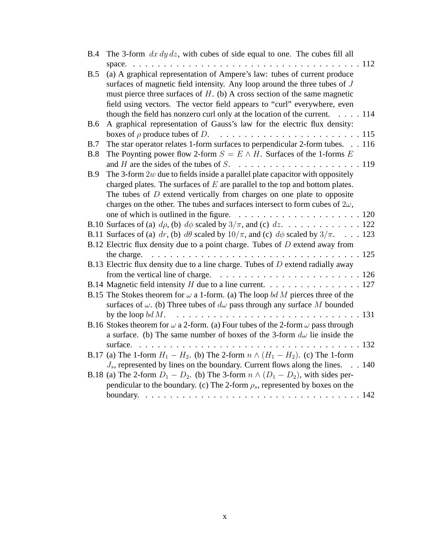| B.4        | The 3-form $dx dy dz$ , with cubes of side equal to one. The cubes fill all                                     |              |
|------------|-----------------------------------------------------------------------------------------------------------------|--------------|
|            | space.<br><u>and a straight and a straight</u>                                                                  | $\ldots$ 112 |
| B.5        | (a) A graphical representation of Ampere's law: tubes of current produce                                        |              |
|            | surfaces of magnetic field intensity. Any loop around the three tubes of $J$                                    |              |
|            | must pierce three surfaces of $H$ . (b) A cross section of the same magnetic                                    |              |
|            | field using vectors. The vector field appears to "curl" everywhere, even                                        |              |
|            | though the field has nonzero curl only at the location of the current.<br>$\ldots$ . 114                        |              |
| <b>B.6</b> | A graphical representation of Gauss's law for the electric flux density:                                        |              |
|            |                                                                                                                 |              |
| B.7        | The star operator relates 1-form surfaces to perpendicular 2-form tubes. 116                                    |              |
| B.8        | The Poynting power flow 2-form $S = E \wedge H$ . Surfaces of the 1-forms E                                     |              |
|            | and $H$ are the sides of the tubes of $S$ .                                                                     |              |
| B.9        | The 3-form $2w$ due to fields inside a parallel plate capacitor with oppositely                                 |              |
|            | charged plates. The surfaces of $E$ are parallel to the top and bottom plates.                                  |              |
|            | The tubes of $D$ extend vertically from charges on one plate to opposite                                        |              |
|            | charges on the other. The tubes and surfaces intersect to form cubes of $2\omega$ ,                             |              |
|            | one of which is outlined in the figure.                                                                         |              |
|            | B.10 Surfaces of (a) $d\rho$ , (b) $d\phi$ scaled by $3/\pi$ , and (c) $dz$ . 122                               |              |
|            | B.11 Surfaces of (a) dr, (b) $d\theta$ scaled by $10/\pi$ , and (c) $d\phi$ scaled by $3/\pi$ . 123             |              |
|            | B.12 Electric flux density due to a point charge. Tubes of $D$ extend away from                                 |              |
|            | the charge.                                                                                                     |              |
|            | B.13 Electric flux density due to a line charge. Tubes of $D$ extend radially away                              |              |
|            | from the vertical line of charge.                                                                               |              |
|            | B.14 Magnetic field intensity $H$ due to a line current. 127                                                    |              |
|            | B.15 The Stokes theorem for $\omega$ a 1-form. (a) The loop bd M pierces three of the                           |              |
|            | surfaces of $\omega$ . (b) Three tubes of $d\omega$ pass through any surface M bounded                          |              |
|            | by the loop $bd M$ .                                                                                            |              |
|            | B.16 Stokes theorem for $\omega$ a 2-form. (a) Four tubes of the 2-form $\omega$ pass through                   |              |
|            | a surface. (b) The same number of boxes of the 3-form $d\omega$ lie inside the                                  |              |
|            | surface. $\ldots$<br>$\ldots$ . 132<br>.<br>$\sim 10^{-1}$<br>$\mathbf{L}$<br>$\mathbb{R}^2$ and $\mathbb{R}^2$ |              |
|            | B.17 (a) The 1-form $H_1 - H_2$ . (b) The 2-form $n \wedge (H_1 - H_2)$ . (c) The 1-form                        |              |
|            | $J_s$ , represented by lines on the boundary. Current flows along the lines. 140                                |              |
|            | B.18 (a) The 2-form $D_1 - D_2$ . (b) The 3-form $n \wedge (D_1 - D_2)$ , with sides per-                       |              |
|            | pendicular to the boundary. (c) The 2-form $\rho_s$ , represented by boxes on the                               |              |
|            |                                                                                                                 |              |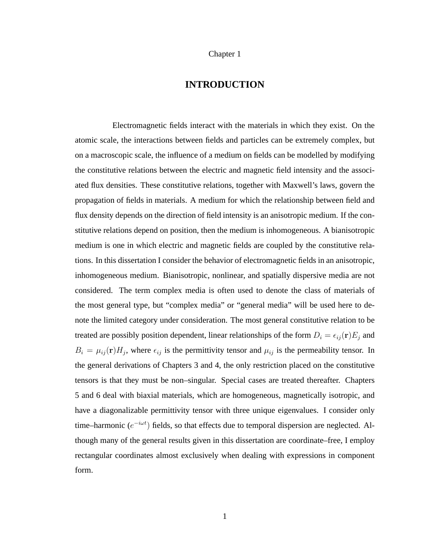#### Chapter 1

## **INTRODUCTION**

<span id="page-11-0"></span>Electromagnetic fields interact with the materials in which they exist. On the atomic scale, the interactions between fields and particles can be extremely complex, but on a macroscopic scale, the influence of a medium on fields can be modelled by modifying the constitutive relations between the electric and magnetic field intensity and the associated flux densities. These constitutive relations, together with Maxwell's laws, govern the propagation of fields in materials. A medium for which the relationship between field and flux density depends on the direction of field intensity is an anisotropic medium. If the constitutive relations depend on position, then the medium is inhomogeneous. A bianisotropic medium is one in which electric and magnetic fields are coupled by the constitutive relations. In this dissertation I consider the behavior of electromagnetic fields in an anisotropic, inhomogeneous medium. Bianisotropic, nonlinear, and spatially dispersive media are not considered. The term complex media is often used to denote the class of materials of the most general type, but "complex media" or "general media" will be used here to denote the limited category under consideration. The most general constitutive relation to be treated are possibly position dependent, linear relationships of the form  $D_i = \epsilon_{ij}(\mathbf{r})E_j$  and  $B_i = \mu_{ij}(\mathbf{r})H_j$ , where  $\epsilon_{ij}$  is the permittivity tensor and  $\mu_{ij}$  is the permeability tensor. In the general derivations of Chapters 3 and 4, the only restriction placed on the constitutive tensors is that they must be non–singular. Special cases are treated thereafter. Chapters 5 and 6 deal with biaxial materials, which are homogeneous, magnetically isotropic, and have a diagonalizable permittivity tensor with three unique eigenvalues. I consider only time–harmonic  $(e^{-i\omega t})$  fields, so that effects due to temporal dispersion are neglected. Although many of the general results given in this dissertation are coordinate–free, I employ rectangular coordinates almost exclusively when dealing with expressions in component form.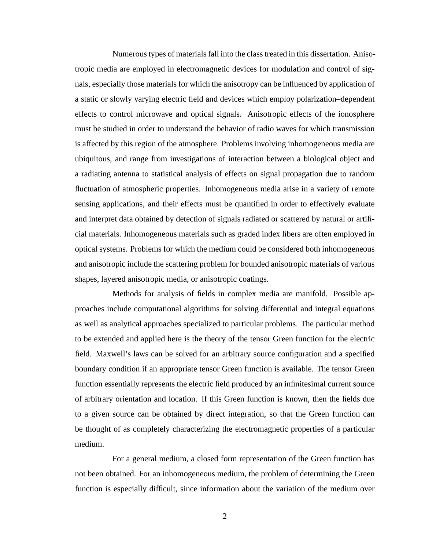Numerous types of materials fall into the class treated in this dissertation. Anisotropic media are employed in electromagnetic devices for modulation and control of signals, especially those materials for which the anisotropy can be influenced by application of a static or slowly varying electric field and devices which employ polarization–dependent effects to control microwave and optical signals. Anisotropic effects of the ionosphere must be studied in order to understand the behavior of radio waves for which transmission is affected by this region of the atmosphere. Problems involving inhomogeneous media are ubiquitous, and range from investigations of interaction between a biological object and a radiating antenna to statistical analysis of effects on signal propagation due to random fluctuation of atmospheric properties. Inhomogeneous media arise in a variety of remote sensing applications, and their effects must be quantified in order to effectively evaluate and interpret data obtained by detection of signals radiated or scattered by natural or artificial materials. Inhomogeneous materials such as graded index fibers are often employed in optical systems. Problems for which the medium could be considered both inhomogeneous and anisotropic include the scattering problem for bounded anisotropic materials of various shapes, layered anisotropic media, or anisotropic coatings.

Methods for analysis of fields in complex media are manifold. Possible approaches include computational algorithms for solving differential and integral equations as well as analytical approaches specialized to particular problems. The particular method to be extended and applied here is the theory of the tensor Green function for the electric field. Maxwell's laws can be solved for an arbitrary source configuration and a specified boundary condition if an appropriate tensor Green function is available. The tensor Green function essentially represents the electric field produced by an infinitesimal current source of arbitrary orientation and location. If this Green function is known, then the fields due to a given source can be obtained by direct integration, so that the Green function can be thought of as completely characterizing the electromagnetic properties of a particular medium.

For a general medium, a closed form representation of the Green function has not been obtained. For an inhomogeneous medium, the problem of determining the Green function is especially difficult, since information about the variation of the medium over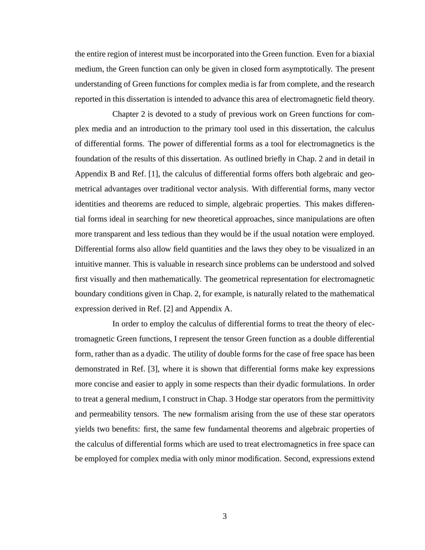the entire region of interest must be incorporated into the Green function. Even for a biaxial medium, the Green function can only be given in closed form asymptotically. The present understanding of Green functions for complex media is far from complete, and the research reported in this dissertation is intended to advance this area of electromagnetic field theory.

Chapter 2 is devoted to a study of previous work on Green functions for complex media and an introduction to the primary tool used in this dissertation, the calculus of differential forms. The power of differential forms as a tool for electromagnetics is the foundation of the results of this dissertation. As outlined briefly in Chap. 2 and in detail in Appendix B and Ref. [1], the calculus of differential forms offers both algebraic and geometrical advantages over traditional vector analysis. With differential forms, many vector identities and theorems are reduced to simple, algebraic properties. This makes differential forms ideal in searching for new theoretical approaches, since manipulations are often more transparent and less tedious than they would be if the usual notation were employed. Differential forms also allow field quantities and the laws they obey to be visualized in an intuitive manner. This is valuable in research since problems can be understood and solved first visually and then mathematically. The geometrical representation for electromagnetic boundary conditions given in Chap. 2, for example, is naturally related to the mathematical expression derived in Ref. [2] and Appendix A.

In order to employ the calculus of differential forms to treat the theory of electromagnetic Green functions, I represent the tensor Green function as a double differential form, rather than as a dyadic. The utility of double forms for the case of free space has been demonstrated in Ref. [3], where it is shown that differential forms make key expressions more concise and easier to apply in some respects than their dyadic formulations. In order to treat a general medium, I construct in Chap. 3 Hodge star operators from the permittivity and permeability tensors. The new formalism arising from the use of these star operators yields two benefits: first, the same few fundamental theorems and algebraic properties of the calculus of differential forms which are used to treat electromagnetics in free space can be employed for complex media with only minor modification. Second, expressions extend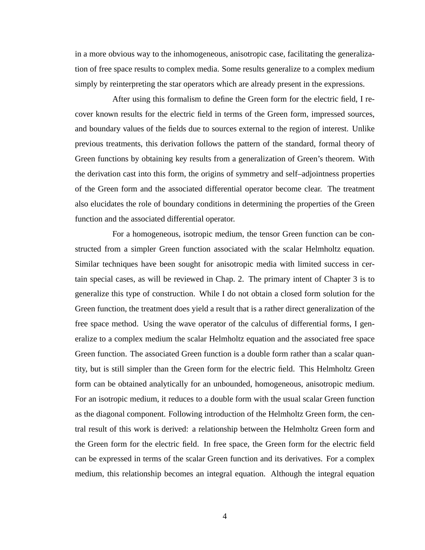in a more obvious way to the inhomogeneous, anisotropic case, facilitating the generalization of free space results to complex media. Some results generalize to a complex medium simply by reinterpreting the star operators which are already present in the expressions.

After using this formalism to define the Green form for the electric field, I recover known results for the electric field in terms of the Green form, impressed sources, and boundary values of the fields due to sources external to the region of interest. Unlike previous treatments, this derivation follows the pattern of the standard, formal theory of Green functions by obtaining key results from a generalization of Green's theorem. With the derivation cast into this form, the origins of symmetry and self–adjointness properties of the Green form and the associated differential operator become clear. The treatment also elucidates the role of boundary conditions in determining the properties of the Green function and the associated differential operator.

For a homogeneous, isotropic medium, the tensor Green function can be constructed from a simpler Green function associated with the scalar Helmholtz equation. Similar techniques have been sought for anisotropic media with limited success in certain special cases, as will be reviewed in Chap. 2. The primary intent of Chapter 3 is to generalize this type of construction. While I do not obtain a closed form solution for the Green function, the treatment does yield a result that is a rather direct generalization of the free space method. Using the wave operator of the calculus of differential forms, I generalize to a complex medium the scalar Helmholtz equation and the associated free space Green function. The associated Green function is a double form rather than a scalar quantity, but is still simpler than the Green form for the electric field. This Helmholtz Green form can be obtained analytically for an unbounded, homogeneous, anisotropic medium. For an isotropic medium, it reduces to a double form with the usual scalar Green function as the diagonal component. Following introduction of the Helmholtz Green form, the central result of this work is derived: a relationship between the Helmholtz Green form and the Green form for the electric field. In free space, the Green form for the electric field can be expressed in terms of the scalar Green function and its derivatives. For a complex medium, this relationship becomes an integral equation. Although the integral equation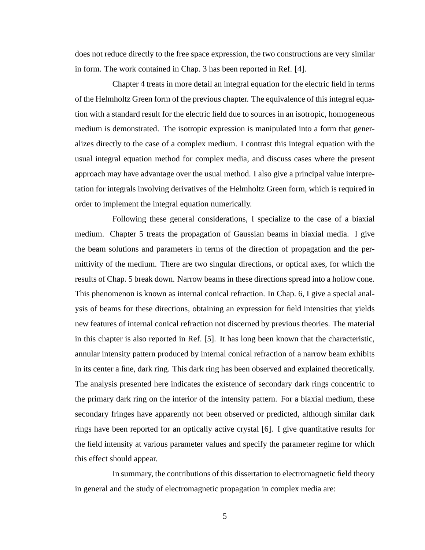does not reduce directly to the free space expression, the two constructions are very similar in form. The work contained in Chap. 3 has been reported in Ref. [4].

Chapter 4 treats in more detail an integral equation for the electric field in terms of the Helmholtz Green form of the previous chapter. The equivalence of this integral equation with a standard result for the electric field due to sources in an isotropic, homogeneous medium is demonstrated. The isotropic expression is manipulated into a form that generalizes directly to the case of a complex medium. I contrast this integral equation with the usual integral equation method for complex media, and discuss cases where the present approach may have advantage over the usual method. I also give a principal value interpretation for integrals involving derivatives of the Helmholtz Green form, which is required in order to implement the integral equation numerically.

Following these general considerations, I specialize to the case of a biaxial medium. Chapter 5 treats the propagation of Gaussian beams in biaxial media. I give the beam solutions and parameters in terms of the direction of propagation and the permittivity of the medium. There are two singular directions, or optical axes, for which the results of Chap. 5 break down. Narrow beams in these directions spread into a hollow cone. This phenomenon is known as internal conical refraction. In Chap. 6, I give a special analysis of beams for these directions, obtaining an expression for field intensities that yields new features of internal conical refraction not discerned by previous theories. The material in this chapter is also reported in Ref. [5]. It has long been known that the characteristic, annular intensity pattern produced by internal conical refraction of a narrow beam exhibits in its center a fine, dark ring. This dark ring has been observed and explained theoretically. The analysis presented here indicates the existence of secondary dark rings concentric to the primary dark ring on the interior of the intensity pattern. For a biaxial medium, these secondary fringes have apparently not been observed or predicted, although similar dark rings have been reported for an optically active crystal [6]. I give quantitative results for the field intensity at various parameter values and specify the parameter regime for which this effect should appear.

In summary, the contributions of this dissertation to electromagnetic field theory in general and the study of electromagnetic propagation in complex media are: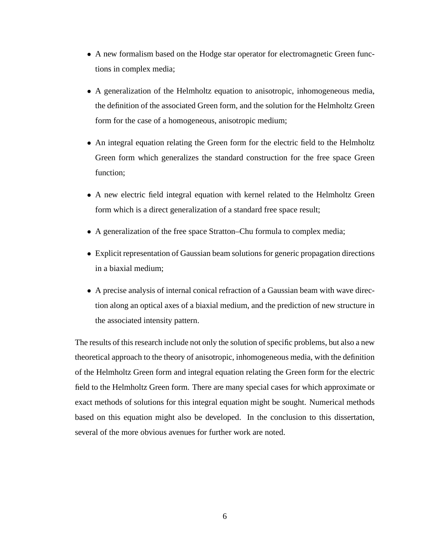- A new formalism based on the Hodge star operator for electromagnetic Green functions in complex media;
- A generalization of the Helmholtz equation to anisotropic, inhomogeneous media, the definition of the associated Green form, and the solution for the Helmholtz Green form for the case of a homogeneous, anisotropic medium;
- An integral equation relating the Green form for the electric field to the Helmholtz Green form which generalizes the standard construction for the free space Green function;
- A new electric field integral equation with kernel related to the Helmholtz Green form which is a direct generalization of a standard free space result;
- A generalization of the free space Stratton–Chu formula to complex media;
- Explicit representation of Gaussian beam solutions for generic propagation directions in a biaxial medium;
- A precise analysis of internal conical refraction of a Gaussian beam with wave direction along an optical axes of a biaxial medium, and the prediction of new structure in the associated intensity pattern.

The results of this research include not only the solution of specific problems, but also a new theoretical approach to the theory of anisotropic, inhomogeneous media, with the definition of the Helmholtz Green form and integral equation relating the Green form for the electric field to the Helmholtz Green form. There are many special cases for which approximate or exact methods of solutions for this integral equation might be sought. Numerical methods based on this equation might also be developed. In the conclusion to this dissertation, several of the more obvious avenues for further work are noted.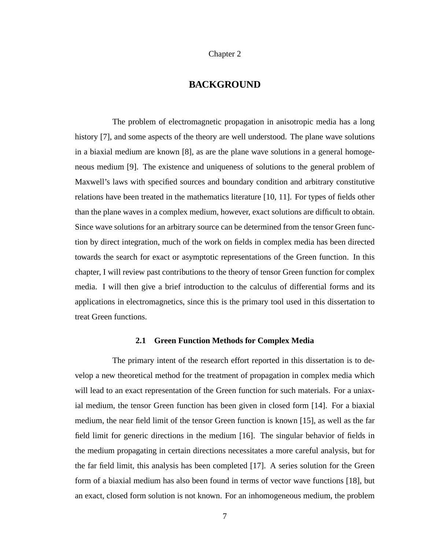Chapter 2

## **BACKGROUND**

<span id="page-17-0"></span>The problem of electromagnetic propagation in anisotropic media has a long history [7], and some aspects of the theory are well understood. The plane wave solutions in a biaxial medium are known [8], as are the plane wave solutions in a general homogeneous medium [9]. The existence and uniqueness of solutions to the general problem of Maxwell's laws with specified sources and boundary condition and arbitrary constitutive relations have been treated in the mathematics literature [10, 11]. For types of fields other than the plane waves in a complex medium, however, exact solutions are difficult to obtain. Since wave solutions for an arbitrary source can be determined from the tensor Green function by direct integration, much of the work on fields in complex media has been directed towards the search for exact or asymptotic representations of the Green function. In this chapter, I will review past contributions to the theory of tensor Green function for complex media. I will then give a brief introduction to the calculus of differential forms and its applications in electromagnetics, since this is the primary tool used in this dissertation to treat Green functions.

#### **2.1 Green Function Methods for Complex Media**

The primary intent of the research effort reported in this dissertation is to develop a new theoretical method for the treatment of propagation in complex media which will lead to an exact representation of the Green function for such materials. For a uniaxial medium, the tensor Green function has been given in closed form [14]. For a biaxial medium, the near field limit of the tensor Green function is known [15], as well as the far field limit for generic directions in the medium [16]. The singular behavior of fields in the medium propagating in certain directions necessitates a more careful analysis, but for the far field limit, this analysis has been completed [17]. A series solution for the Green form of a biaxial medium has also been found in terms of vector wave functions [18], but an exact, closed form solution is not known. For an inhomogeneous medium, the problem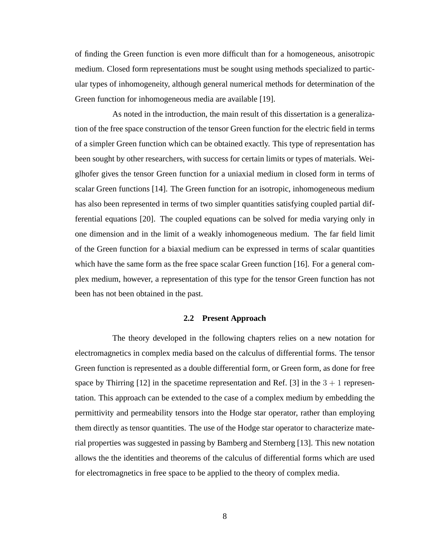of finding the Green function is even more difficult than for a homogeneous, anisotropic medium. Closed form representations must be sought using methods specialized to particular types of inhomogeneity, although general numerical methods for determination of the Green function for inhomogeneous media are available [19].

As noted in the introduction, the main result of this dissertation is a generalization of the free space construction of the tensor Green function for the electric field in terms of a simpler Green function which can be obtained exactly. This type of representation has been sought by other researchers, with success for certain limits or types of materials. Weiglhofer gives the tensor Green function for a uniaxial medium in closed form in terms of scalar Green functions [14]. The Green function for an isotropic, inhomogeneous medium has also been represented in terms of two simpler quantities satisfying coupled partial differential equations [20]. The coupled equations can be solved for media varying only in one dimension and in the limit of a weakly inhomogeneous medium. The far field limit of the Green function for a biaxial medium can be expressed in terms of scalar quantities which have the same form as the free space scalar Green function [16]. For a general complex medium, however, a representation of this type for the tensor Green function has not been has not been obtained in the past.

#### **2.2 Present Approach**

The theory developed in the following chapters relies on a new notation for electromagnetics in complex media based on the calculus of differential forms. The tensor Green function is represented as a double differential form, or Green form, as done for free space by Thirring [12] in the spacetime representation and Ref. [3] in the  $3 + 1$  representation. This approach can be extended to the case of a complex medium by embedding the permittivity and permeability tensors into the Hodge star operator, rather than employing them directly as tensor quantities. The use of the Hodge star operator to characterize material properties was suggested in passing by Bamberg and Sternberg [13]. This new notation allows the the identities and theorems of the calculus of differential forms which are used for electromagnetics in free space to be applied to the theory of complex media.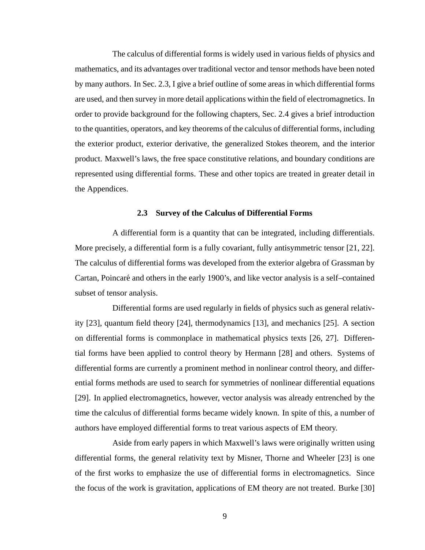The calculus of differential forms is widely used in various fields of physics and mathematics, and its advantages over traditional vector and tensor methods have been noted by many authors. In Sec. 2.3, I give a brief outline of some areas in which differential forms are used, and then survey in more detail applications within the field of electromagnetics. In order to provide background for the following chapters, Sec. 2.4 gives a brief introduction to the quantities, operators, and key theorems of the calculus of differential forms, including the exterior product, exterior derivative, the generalized Stokes theorem, and the interior product. Maxwell's laws, the free space constitutive relations, and boundary conditions are represented using differential forms. These and other topics are treated in greater detail in the Appendices.

#### **2.3 Survey of the Calculus of Differential Forms**

A differential form is a quantity that can be integrated, including differentials. More precisely, a differential form is a fully covariant, fully antisymmetric tensor [21, 22]. The calculus of differential forms was developed from the exterior algebra of Grassman by Cartan, Poincaré and others in the early 1900's, and like vector analysis is a self–contained subset of tensor analysis.

Differential forms are used regularly in fields of physics such as general relativity [23], quantum field theory [24], thermodynamics [13], and mechanics [25]. A section on differential forms is commonplace in mathematical physics texts [26, 27]. Differential forms have been applied to control theory by Hermann [28] and others. Systems of differential forms are currently a prominent method in nonlinear control theory, and differential forms methods are used to search for symmetries of nonlinear differential equations [29]. In applied electromagnetics, however, vector analysis was already entrenched by the time the calculus of differential forms became widely known. In spite of this, a number of authors have employed differential forms to treat various aspects of EM theory.

Aside from early papers in which Maxwell's laws were originally written using differential forms, the general relativity text by Misner, Thorne and Wheeler [23] is one of the first works to emphasize the use of differential forms in electromagnetics. Since the focus of the work is gravitation, applications of EM theory are not treated. Burke [30]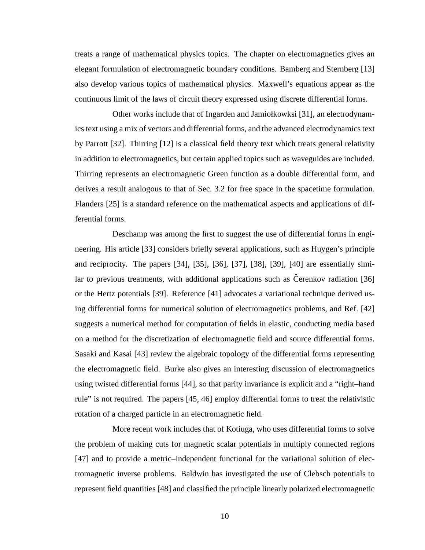treats a range of mathematical physics topics. The chapter on electromagnetics gives an elegant formulation of electromagnetic boundary conditions. Bamberg and Sternberg [13] also develop various topics of mathematical physics. Maxwell's equations appear as the continuous limit of the laws of circuit theory expressed using discrete differential forms.

Other works include that of Ingarden and Jamiołkowksi [31], an electrodynamics text using a mix of vectors and differential forms, and the advanced electrodynamics text by Parrott [32]. Thirring [12] is a classical field theory text which treats general relativity in addition to electromagnetics, but certain applied topics such as waveguides are included. Thirring represents an electromagnetic Green function as a double differential form, and derives a result analogous to that of Sec. 3.2 for free space in the spacetime formulation. Flanders [25] is a standard reference on the mathematical aspects and applications of differential forms.

Deschamp was among the first to suggest the use of differential forms in engineering. His article [33] considers briefly several applications, such as Huygen's principle and reciprocity. The papers [34], [35], [36], [37], [38], [39], [40] are essentially similar to previous treatments, with additional applications such as Čerenkov radiation  $[36]$ or the Hertz potentials [39]. Reference [41] advocates a variational technique derived using differential forms for numerical solution of electromagnetics problems, and Ref. [42] suggests a numerical method for computation of fields in elastic, conducting media based on a method for the discretization of electromagnetic field and source differential forms. Sasaki and Kasai [43] review the algebraic topology of the differential forms representing the electromagnetic field. Burke also gives an interesting discussion of electromagnetics using twisted differential forms [44], so that parity invariance is explicit and a "right–hand rule" is not required. The papers [45, 46] employ differential forms to treat the relativistic rotation of a charged particle in an electromagnetic field.

More recent work includes that of Kotiuga, who uses differential forms to solve the problem of making cuts for magnetic scalar potentials in multiply connected regions [47] and to provide a metric–independent functional for the variational solution of electromagnetic inverse problems. Baldwin has investigated the use of Clebsch potentials to represent field quantities [48] and classified the principle linearly polarized electromagnetic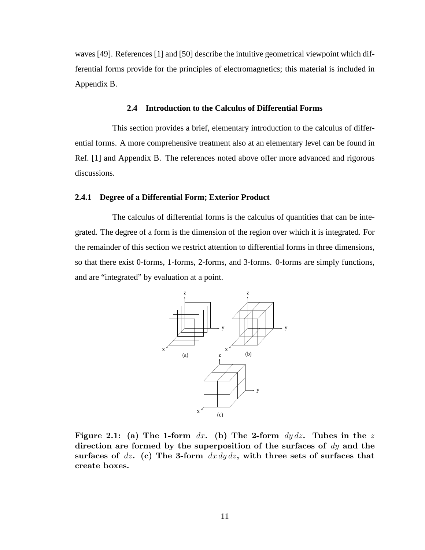waves [49]. References [1] and [50] describe the intuitive geometrical viewpoint which differential forms provide for the principles of electromagnetics; this material is included in Appendix B.

#### **2.4 Introduction to the Calculus of Differential Forms**

This section provides a brief, elementary introduction to the calculus of differential forms. A more comprehensive treatment also at an elementary level can be found in Ref. [1] and Appendix B. The references noted above offer more advanced and rigorous discussions.

#### **2.4.1 Degree of a Differential Form; Exterior Product**

The calculus of differential forms is the calculus of quantities that can be integrated. The degree of a form is the dimension of the region over which it is integrated. For the remainder of this section we restrict attention to differential forms in three dimensions, so that there exist 0-forms, 1-forms, 2-forms, and 3-forms. 0-forms are simply functions, and are "integrated" by evaluation at a point.



Figure 2.1: (a) The 1-form dx. (b) The 2-form  $dy\,dz$ . Tubes in the z direction are formed by the superposition of the surfaces of  $dy$  and the surfaces of dz. (c) The 3-form  $dx dy dz$ , with three sets of surfaces that create boxes.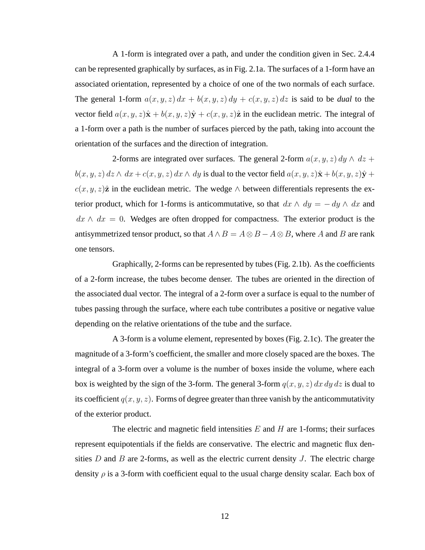A 1-form is integrated over a path, and under the condition given in Sec. 2.4.4 can be represented graphically by surfaces, as in Fig. 2.1a. The surfaces of a 1-form have an associated orientation, represented by a choice of one of the two normals of each surface. The general 1-form  $a(x, y, z) dx + b(x, y, z) dy + c(x, y, z) dz$  is said to be *dual* to the vector field  $a(x, y, z)\hat{\mathbf{x}} + b(x, y, z)\hat{\mathbf{y}} + c(x, y, z)\hat{\mathbf{z}}$  in the euclidean metric. The integral of a 1-form over a path is the number of surfaces pierced by the path, taking into account the orientation of the surfaces and the direction of integration.

2-forms are integrated over surfaces. The general 2-form  $a(x, y, z) dy \wedge dz +$  $b(x, y, z) dz \wedge dx + c(x, y, z) dx \wedge dy$  is dual to the vector field  $a(x, y, z)\hat{\mathbf{x}} + b(x, y, z)\hat{\mathbf{y}} +$  $c(x, y, z)\hat{z}$  in the euclidean metric. The wedge  $\wedge$  between differentials represents the exterior product, which for 1-forms is anticommutative, so that  $dx \wedge dy = -dy \wedge dx$  and  $dx \wedge dx = 0$ . Wedges are often dropped for compactness. The exterior product is the antisymmetrized tensor product, so that  $A \wedge B = A \otimes B - A \otimes B$ , where A and B are rank one tensors.

Graphically, 2-forms can be represented by tubes (Fig. 2.1b). As the coefficients of a 2-form increase, the tubes become denser. The tubes are oriented in the direction of the associated dual vector. The integral of a 2-form over a surface is equal to the number of tubes passing through the surface, where each tube contributes a positive or negative value depending on the relative orientations of the tube and the surface.

A 3-form is a volume element, represented by boxes (Fig. 2.1c). The greater the magnitude of a 3-form's coefficient, the smaller and more closely spaced are the boxes. The integral of a 3-form over a volume is the number of boxes inside the volume, where each box is weighted by the sign of the 3-form. The general 3-form  $q(x, y, z) dx dy dz$  is dual to its coefficient  $q(x, y, z)$ . Forms of degree greater than three vanish by the anticommutativity of the exterior product.

The electric and magnetic field intensities  $E$  and  $H$  are 1-forms; their surfaces represent equipotentials if the fields are conservative. The electric and magnetic flux densities  $D$  and  $B$  are 2-forms, as well as the electric current density  $J$ . The electric charge density  $\rho$  is a 3-form with coefficient equal to the usual charge density scalar. Each box of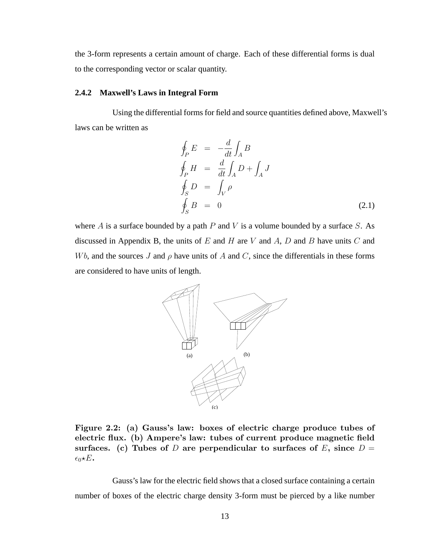the 3-form represents a certain amount of charge. Each of these differential forms is dual to the corresponding vector or scalar quantity.

#### **2.4.2 Maxwell's Laws in Integral Form**

Using the differential forms for field and source quantities defined above, Maxwell's laws can be written as

$$
\oint_{P} E = -\frac{d}{dt} \int_{A} B
$$
\n
$$
\oint_{P} H = \frac{d}{dt} \int_{A} D + \int_{A} J
$$
\n
$$
\oint_{S} D = \int_{V} \rho
$$
\n
$$
\oint_{S} B = 0
$$
\n(2.1)

where  $A$  is a surface bounded by a path  $P$  and  $V$  is a volume bounded by a surface  $S$ . As discussed in Appendix B, the units of  $E$  and  $H$  are  $V$  and  $A$ ,  $D$  and  $B$  have units  $C$  and Wb, and the sources J and  $\rho$  have units of A and C, since the differentials in these forms are considered to have units of length.



Figure 2.2: (a) Gauss's law: boxes of electric charge produce tubes of electric flux. (b) Ampere's law: tubes of current produce magnetic field surfaces. (c) Tubes of D are perpendicular to surfaces of E, since  $D =$  $\epsilon_0 \star E$ .

Gauss's law for the electric field shows that a closed surface containing a certain number of boxes of the electric charge density 3-form must be pierced by a like number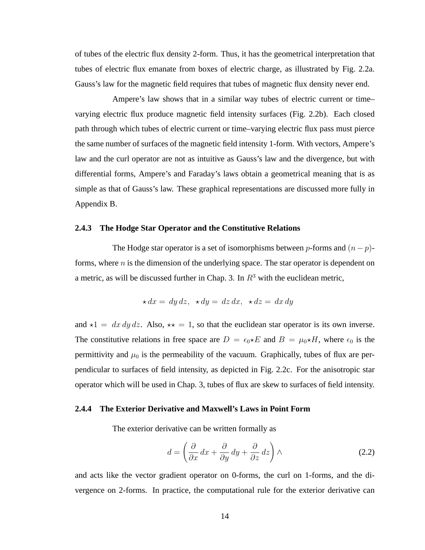of tubes of the electric flux density 2-form. Thus, it has the geometrical interpretation that tubes of electric flux emanate from boxes of electric charge, as illustrated by Fig. 2.2a. Gauss's law for the magnetic field requires that tubes of magnetic flux density never end.

Ampere's law shows that in a similar way tubes of electric current or time– varying electric flux produce magnetic field intensity surfaces (Fig. 2.2b). Each closed path through which tubes of electric current or time–varying electric flux pass must pierce the same number of surfaces of the magnetic field intensity 1-form. With vectors, Ampere's law and the curl operator are not as intuitive as Gauss's law and the divergence, but with differential forms, Ampere's and Faraday's laws obtain a geometrical meaning that is as simple as that of Gauss's law. These graphical representations are discussed more fully in Appendix B.

#### **2.4.3 The Hodge Star Operator and the Constitutive Relations**

The Hodge star operator is a set of isomorphisms between p-forms and  $(n-p)$ forms, where  $n$  is the dimension of the underlying space. The star operator is dependent on a metric, as will be discussed further in Chap. 3. In  $R<sup>3</sup>$  with the euclidean metric,

$$
\star dx = dy dz, \ \star dy = dz dx, \ \star dz = dx dy
$$

and  $\star 1 = dx dy dz$ . Also,  $\star \star = 1$ , so that the euclidean star operator is its own inverse. The constitutive relations in free space are  $D = \epsilon_0 \star E$  and  $B = \mu_0 \star H$ , where  $\epsilon_0$  is the permittivity and  $\mu_0$  is the permeability of the vacuum. Graphically, tubes of flux are perpendicular to surfaces of field intensity, as depicted in Fig. 2.2c. For the anisotropic star operator which will be used in Chap. 3, tubes of flux are skew to surfaces of field intensity.

#### **2.4.4 The Exterior Derivative and Maxwell's Laws in Point Form**

The exterior derivative can be written formally as

$$
d = \left(\frac{\partial}{\partial x} dx + \frac{\partial}{\partial y} dy + \frac{\partial}{\partial z} dz\right) \wedge \tag{2.2}
$$

and acts like the vector gradient operator on 0-forms, the curl on 1-forms, and the divergence on 2-forms. In practice, the computational rule for the exterior derivative can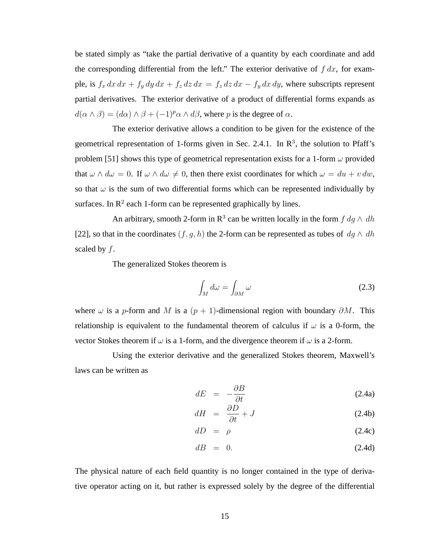be stated simply as "take the partial derivative of a quantity by each coordinate and add the corresponding differential from the left." The exterior derivative of  $f dx$ , for example, is  $f_x dx dx + f_y dy dx + f_z dz dx = f_z dz dx - f_y dx dy$ , where subscripts represent partial derivatives. The exterior derivative of a product of differential forms expands as  $d(\alpha \wedge \beta) = (d\alpha) \wedge \beta + (-1)^p \alpha \wedge d\beta$ , where p is the degree of  $\alpha$ .

The exterior derivative allows a condition to be given for the existence of the geometrical representation of 1-forms given in Sec. 2.4.1. In  $\mathbb{R}^3$ , the solution to Pfaff's problem [51] shows this type of geometrical representation exists for a 1-form  $\omega$  provided that  $\omega \wedge d\omega = 0$ . If  $\omega \wedge d\omega \neq 0$ , then there exist coordinates for which  $\omega = du + v dw$ , so that  $\omega$  is the sum of two differential forms which can be represented individually by surfaces. In  $\mathbb{R}^2$  each 1-form can be represented graphically by lines.

An arbitrary, smooth 2-form in R<sup>3</sup> can be written locally in the form  $f dg \wedge dh$ [22], so that in the coordinates  $(f, g, h)$  the 2-form can be represented as tubes of  $dg \wedge dh$ scaled by  $f$ .

The generalized Stokes theorem is

$$
\int_{M} d\omega = \int_{\partial M} \omega \tag{2.3}
$$

where  $\omega$  is a p-form and M is a  $(p + 1)$ -dimensional region with boundary  $\partial M$ . This relationship is equivalent to the fundamental theorem of calculus if  $\omega$  is a 0-form, the vector Stokes theorem if  $\omega$  is a 1-form, and the divergence theorem if  $\omega$  is a 2-form.

Using the exterior derivative and the generalized Stokes theorem, Maxwell's laws can be written as

$$
dE = -\frac{\partial B}{\partial t} \tag{2.4a}
$$

$$
dH = \frac{\partial D}{\partial t} + J \tag{2.4b}
$$

$$
dD = \rho \tag{2.4c}
$$

$$
dB = 0. \t(2.4d)
$$

The physical nature of each field quantity is no longer contained in the type of derivative operator acting on it, but rather is expressed solely by the degree of the differential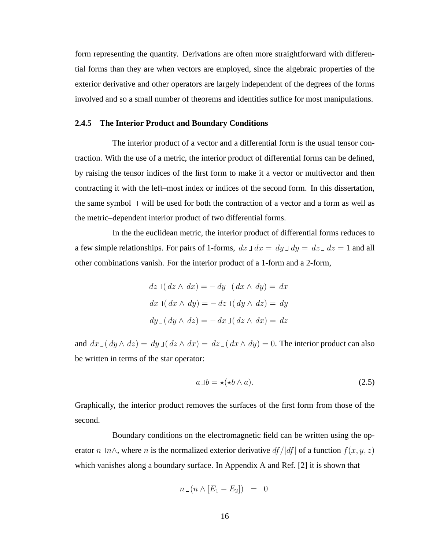form representing the quantity. Derivations are often more straightforward with differential forms than they are when vectors are employed, since the algebraic properties of the exterior derivative and other operators are largely independent of the degrees of the forms involved and so a small number of theorems and identities suffice for most manipulations.

#### **2.4.5 The Interior Product and Boundary Conditions**

The interior product of a vector and a differential form is the usual tensor contraction. With the use of a metric, the interior product of differential forms can be defined, by raising the tensor indices of the first form to make it a vector or multivector and then contracting it with the left–most index or indices of the second form. In this dissertation, the same symbol  $\perp$  will be used for both the contraction of a vector and a form as well as the metric–dependent interior product of two differential forms.

In the the euclidean metric, the interior product of differential forms reduces to a few simple relationships. For pairs of 1-forms,  $dx \perp dx = dy \perp dy = dz \perp dz = 1$  and all other combinations vanish. For the interior product of a 1-form and a 2-form,

$$
dz \Box (dz \wedge dx) = -dy \Box (dx \wedge dy) = dx
$$

$$
dx \Box (dx \wedge dy) = -dz \Box (dy \wedge dz) = dy
$$

$$
dy \Box (dy \wedge dz) = -dx \Box (dz \wedge dx) = dz
$$

and  $dx \perp ( dy \wedge dz ) = dy \perp ( dz \wedge dx ) = dz \perp ( dx \wedge dy ) = 0$ . The interior product can also be written in terms of the star operator:

$$
a \,\exists b = \star(\star b \land a). \tag{2.5}
$$

Graphically, the interior product removes the surfaces of the first form from those of the second.

Boundary conditions on the electromagnetic field can be written using the operator  $n \ln \wedge$ , where n is the normalized exterior derivative  $df/|df|$  of a function  $f(x, y, z)$ which vanishes along a boundary surface. In Appendix A and Ref. [2] it is shown that

$$
n \,\mathsf{J}(n \wedge [E_1 - E_2]) = 0
$$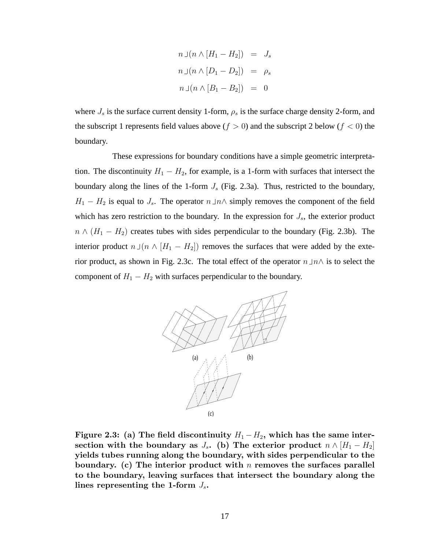$$
n \mathbin{\sqcup} (n \land [H_1 - H_2]) = J_s
$$
  

$$
n \mathbin{\sqcup} (n \land [D_1 - D_2]) = \rho_s
$$
  

$$
n \mathbin{\sqcup} (n \land [B_1 - B_2]) = 0
$$

where  $J_s$  is the surface current density 1-form,  $\rho_s$  is the surface charge density 2-form, and the subscript 1 represents field values above  $(f > 0)$  and the subscript 2 below  $(f < 0)$  the boundary.

These expressions for boundary conditions have a simple geometric interpretation. The discontinuity  $H_1 - H_2$ , for example, is a 1-form with surfaces that intersect the boundary along the lines of the 1-form  $J_s$  (Fig. 2.3a). Thus, restricted to the boundary,  $H_1 - H_2$  is equal to  $J_s$ . The operator  $n \ln \wedge$  simply removes the component of the field which has zero restriction to the boundary. In the expression for  $J_s$ , the exterior product  $n \wedge (H_1 - H_2)$  creates tubes with sides perpendicular to the boundary (Fig. 2.3b). The interior product  $n \ln \left(\frac{n}{1 - H_2}\right)$  removes the surfaces that were added by the exterior product, as shown in Fig. 2.3c. The total effect of the operator  $n \ln \wedge$  is to select the component of  $H_1 - H_2$  with surfaces perpendicular to the boundary.



Figure 2.3: (a) The field discontinuity  $H_1 - H_2$ , which has the same intersection with the boundary as  $J_s$ . (b) The exterior product  $n \wedge [H_1 - H_2]$ yields tubes running along the boundary, with sides perpendicular to the boundary. (c) The interior product with  $n$  removes the surfaces parallel to the boundary, leaving surfaces that intersect the boundary along the lines representing the 1-form  $J_s$ .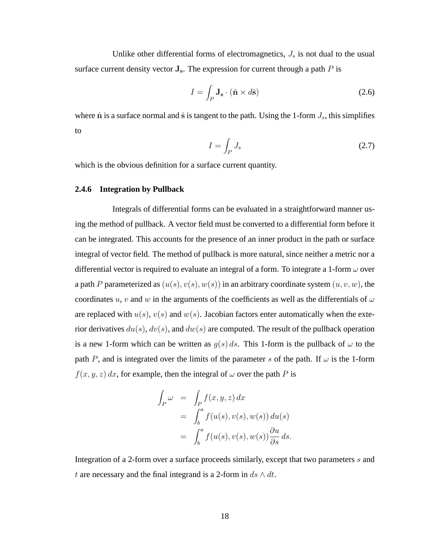Unlike other differential forms of electromagnetics,  $J_s$  is not dual to the usual surface current density vector  $J_s$ . The expression for current through a path P is

$$
I = \int_{P} \mathbf{J}_{\mathbf{s}} \cdot (\hat{\mathbf{n}} \times d\hat{\mathbf{s}})
$$
 (2.6)

where  $\hat{\bf n}$  is a surface normal and  $\hat{\bf s}$  is tangent to the path. Using the 1-form  $J_s$ , this simplifies to

$$
I = \int_{P} J_s \tag{2.7}
$$

which is the obvious definition for a surface current quantity.

#### **2.4.6 Integration by Pullback**

Integrals of differential forms can be evaluated in a straightforward manner using the method of pullback. A vector field must be converted to a differential form before it can be integrated. This accounts for the presence of an inner product in the path or surface integral of vector field. The method of pullback is more natural, since neither a metric nor a differential vector is required to evaluate an integral of a form. To integrate a 1-form  $\omega$  over a path P parameterized as  $(u(s), v(s), w(s))$  in an arbitrary coordinate system  $(u, v, w)$ , the coordinates u, v and w in the arguments of the coefficients as well as the differentials of  $\omega$ are replaced with  $u(s)$ ,  $v(s)$  and  $w(s)$ . Jacobian factors enter automatically when the exterior derivatives  $du(s)$ ,  $dv(s)$ , and  $dw(s)$  are computed. The result of the pullback operation is a new 1-form which can be written as  $q(s) ds$ . This 1-form is the pullback of  $\omega$  to the path P, and is integrated over the limits of the parameter s of the path. If  $\omega$  is the 1-form  $f(x, y, z) dx$ , for example, then the integral of  $\omega$  over the path P is

$$
\int_{P} \omega = \int_{P} f(x, y, z) dx
$$
  
= 
$$
\int_{b}^{a} f(u(s), v(s), w(s)) du(s)
$$
  
= 
$$
\int_{b}^{a} f(u(s), v(s), w(s)) \frac{\partial u}{\partial s} ds.
$$

Integration of a 2-form over a surface proceeds similarly, except that two parameters s and t are necessary and the final integrand is a 2-form in  $ds \wedge dt$ .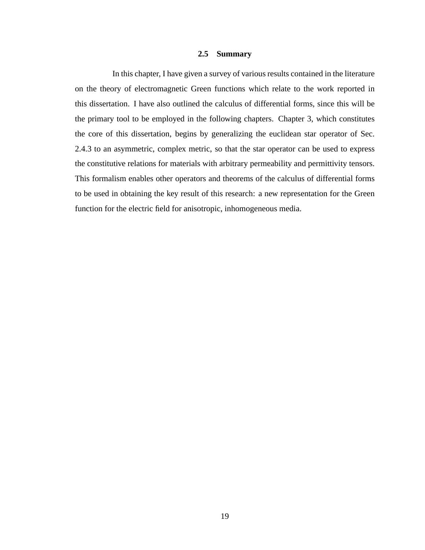#### **2.5 Summary**

In this chapter, I have given a survey of various results contained in the literature on the theory of electromagnetic Green functions which relate to the work reported in this dissertation. I have also outlined the calculus of differential forms, since this will be the primary tool to be employed in the following chapters. Chapter 3, which constitutes the core of this dissertation, begins by generalizing the euclidean star operator of Sec. 2.4.3 to an asymmetric, complex metric, so that the star operator can be used to express the constitutive relations for materials with arbitrary permeability and permittivity tensors. This formalism enables other operators and theorems of the calculus of differential forms to be used in obtaining the key result of this research: a new representation for the Green function for the electric field for anisotropic, inhomogeneous media.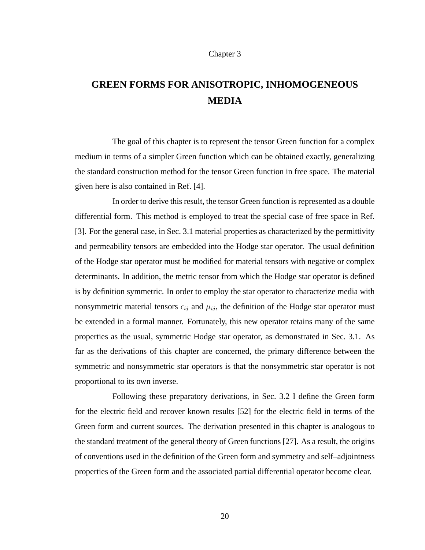#### Chapter 3

# <span id="page-30-0"></span>**GREEN FORMS FOR ANISOTROPIC, INHOMOGENEOUS MEDIA**

The goal of this chapter is to represent the tensor Green function for a complex medium in terms of a simpler Green function which can be obtained exactly, generalizing the standard construction method for the tensor Green function in free space. The material given here is also contained in Ref. [4].

In order to derive this result, the tensor Green function is represented as a double differential form. This method is employed to treat the special case of free space in Ref. [3]. For the general case, in Sec. 3.1 material properties as characterized by the permittivity and permeability tensors are embedded into the Hodge star operator. The usual definition of the Hodge star operator must be modified for material tensors with negative or complex determinants. In addition, the metric tensor from which the Hodge star operator is defined is by definition symmetric. In order to employ the star operator to characterize media with nonsymmetric material tensors  $\epsilon_{ij}$  and  $\mu_{ij}$ , the definition of the Hodge star operator must be extended in a formal manner. Fortunately, this new operator retains many of the same properties as the usual, symmetric Hodge star operator, as demonstrated in Sec. 3.1. As far as the derivations of this chapter are concerned, the primary difference between the symmetric and nonsymmetric star operators is that the nonsymmetric star operator is not proportional to its own inverse.

Following these preparatory derivations, in Sec. 3.2 I define the Green form for the electric field and recover known results [52] for the electric field in terms of the Green form and current sources. The derivation presented in this chapter is analogous to the standard treatment of the general theory of Green functions [27]. As a result, the origins of conventions used in the definition of the Green form and symmetry and self–adjointness properties of the Green form and the associated partial differential operator become clear.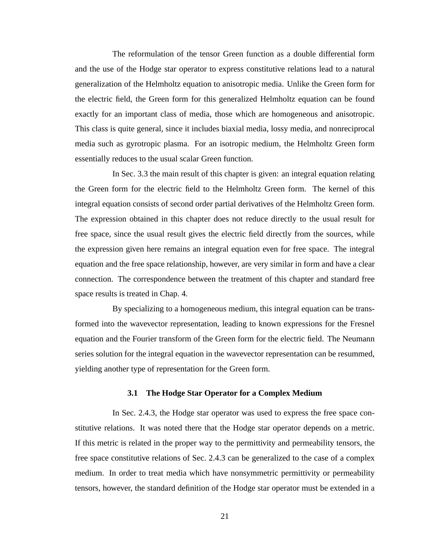The reformulation of the tensor Green function as a double differential form and the use of the Hodge star operator to express constitutive relations lead to a natural generalization of the Helmholtz equation to anisotropic media. Unlike the Green form for the electric field, the Green form for this generalized Helmholtz equation can be found exactly for an important class of media, those which are homogeneous and anisotropic. This class is quite general, since it includes biaxial media, lossy media, and nonreciprocal media such as gyrotropic plasma. For an isotropic medium, the Helmholtz Green form essentially reduces to the usual scalar Green function.

In Sec. 3.3 the main result of this chapter is given: an integral equation relating the Green form for the electric field to the Helmholtz Green form. The kernel of this integral equation consists of second order partial derivatives of the Helmholtz Green form. The expression obtained in this chapter does not reduce directly to the usual result for free space, since the usual result gives the electric field directly from the sources, while the expression given here remains an integral equation even for free space. The integral equation and the free space relationship, however, are very similar in form and have a clear connection. The correspondence between the treatment of this chapter and standard free space results is treated in Chap. 4.

By specializing to a homogeneous medium, this integral equation can be transformed into the wavevector representation, leading to known expressions for the Fresnel equation and the Fourier transform of the Green form for the electric field. The Neumann series solution for the integral equation in the wavevector representation can be resummed, yielding another type of representation for the Green form.

#### **3.1 The Hodge Star Operator for a Complex Medium**

In Sec. 2.4.3, the Hodge star operator was used to express the free space constitutive relations. It was noted there that the Hodge star operator depends on a metric. If this metric is related in the proper way to the permittivity and permeability tensors, the free space constitutive relations of Sec. 2.4.3 can be generalized to the case of a complex medium. In order to treat media which have nonsymmetric permittivity or permeability tensors, however, the standard definition of the Hodge star operator must be extended in a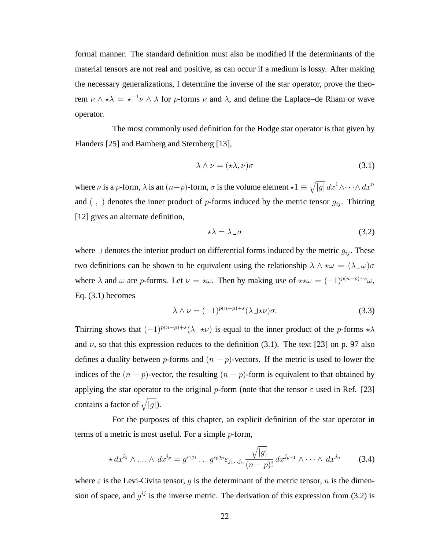formal manner. The standard definition must also be modified if the determinants of the material tensors are not real and positive, as can occur if a medium is lossy. After making the necessary generalizations, I determine the inverse of the star operator, prove the theorem  $\nu \wedge \star \lambda = \star^{-1} \nu \wedge \lambda$  for *p*-forms  $\nu$  and  $\lambda$ , and define the Laplace–de Rham or wave operator.

The most commonly used definition for the Hodge star operator is that given by Flanders [25] and Bamberg and Sternberg [13],

$$
\lambda \wedge \nu = (\star \lambda, \nu)\sigma \tag{3.1}
$$

where  $\nu$  is a p-form,  $\lambda$  is an  $(n-p)$ -form,  $\sigma$  is the volume element  $\star 1 \equiv$  $\mathcal{L}_{\mathcal{A}}$  $|g| dx^1 \wedge \cdots \wedge dx^n$ and  $($ ,  $)$  denotes the inner product of p-forms induced by the metric tensor  $g_{ij}$ . Thirring [12] gives an alternate definition,

$$
\star \lambda = \lambda \, \text{for} \tag{3.2}
$$

where  $\perp$  denotes the interior product on differential forms induced by the metric  $g_{ij}$ . These two definitions can be shown to be equivalent using the relationship  $\lambda \wedge \star \omega = (\lambda \perp \omega) \sigma$ where  $\lambda$  and  $\omega$  are p-forms. Let  $\nu = \star \omega$ . Then by making use of  $\star \star \omega = (-1)^{p(n-p)+s} \omega$ , Eq. (3.1) becomes

$$
\lambda \wedge \nu = (-1)^{p(n-p)+s} (\lambda \perp \star \nu) \sigma. \tag{3.3}
$$

Thirring shows that  $(-1)^{p(n-p)+s}(\lambda \perp \star \nu)$  is equal to the inner product of the p-forms  $\star \lambda$ and  $\nu$ , so that this expression reduces to the definition (3.1). The text [23] on p. 97 also defines a duality between p-forms and  $(n - p)$ -vectors. If the metric is used to lower the indices of the  $(n - p)$ -vector, the resulting  $(n - p)$ -form is equivalent to that obtained by applying the star operator to the original p-form (note that the tensor  $\varepsilon$  used in Ref. [23] contains a factor of  $\sqrt{|g|}$ ).

For the purposes of this chapter, an explicit definition of the star operator in terms of a metric is most useful. For a simple  $p$ -form,

$$
\star dx^{i_1} \wedge \ldots \wedge dx^{i_p} = g^{i_1 j_1} \ldots g^{i_p j_p} \varepsilon_{j_1 \ldots j_n} \frac{\sqrt{|g|}}{(n-p)!} dx^{j_{p+1}} \wedge \cdots \wedge dx^{j_n}
$$
 (3.4)

where  $\varepsilon$  is the Levi-Civita tensor, g is the determinant of the metric tensor, n is the dimension of space, and  $g^{ij}$  is the inverse metric. The derivation of this expression from (3.2) is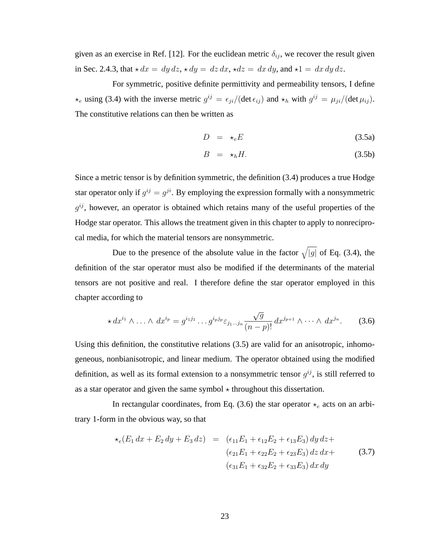given as an exercise in Ref. [12]. For the euclidean metric  $\delta_{ij}$ , we recover the result given in Sec. 2.4.3, that  $\star dx = dy dz$ ,  $\star dy = dz dx$ ,  $\star dz = dx dy$ , and  $\star 1 = dx dy dz$ .

For symmetric, positive definite permittivity and permeability tensors, I define  $\star_e$  using (3.4) with the inverse metric  $g^{ij} = \epsilon_{ji}/(\det \epsilon_{ij})$  and  $\star_h$  with  $g^{ij} = \mu_{ji}/(\det \mu_{ij})$ . The constitutive relations can then be written as

$$
D = \star_e E \tag{3.5a}
$$

$$
B = \star_h H. \tag{3.5b}
$$

Since a metric tensor is by definition symmetric, the definition (3.4) produces a true Hodge star operator only if  $g^{ij} = g^{ji}$ . By employing the expression formally with a nonsymmetric  $g^{ij}$ , however, an operator is obtained which retains many of the useful properties of the Hodge star operator. This allows the treatment given in this chapter to apply to nonreciprocal media, for which the material tensors are nonsymmetric.

Due to the presence of the absolute value in the factor  $\sqrt{|g|}$  of Eq. (3.4), the definition of the star operator must also be modified if the determinants of the material tensors are not positive and real. I therefore define the star operator employed in this chapter according to

$$
\star dx^{i_1} \wedge \ldots \wedge dx^{i_p} = g^{i_1 j_1} \ldots g^{i_p j_p} \varepsilon_{j_1 \ldots j_n} \frac{\sqrt{g}}{(n-p)!} dx^{j_{p+1}} \wedge \cdots \wedge dx^{j_n}.
$$
 (3.6)

Using this definition, the constitutive relations  $(3.5)$  are valid for an anisotropic, inhomogeneous, nonbianisotropic, and linear medium. The operator obtained using the modified definition, as well as its formal extension to a nonsymmetric tensor  $g^{ij}$ , is still referred to as a star operator and given the same symbol  $\star$  throughout this dissertation.

In rectangular coordinates, from Eq. (3.6) the star operator  $\star_e$  acts on an arbitrary 1-form in the obvious way, so that

$$
\star_e(E_1 dx + E_2 dy + E_3 dz) = (\epsilon_{11} E_1 + \epsilon_{12} E_2 + \epsilon_{13} E_3) dy dz +
$$
  
\n
$$
(\epsilon_{21} E_1 + \epsilon_{22} E_2 + \epsilon_{23} E_3) dz dx +
$$
  
\n
$$
(\epsilon_{31} E_1 + \epsilon_{32} E_2 + \epsilon_{33} E_3) dx dy
$$
\n(3.7)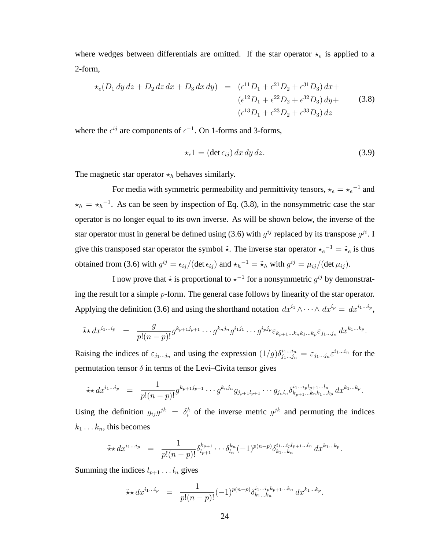where wedges between differentials are omitted. If the star operator  $\star_e$  is applied to a 2-form,

$$
\star_e(D_1 dy dz + D_2 dz dx + D_3 dx dy) = (\epsilon^{11} D_1 + \epsilon^{21} D_2 + \epsilon^{31} D_3) dx +
$$
  
\n
$$
(\epsilon^{12} D_1 + \epsilon^{22} D_2 + \epsilon^{32} D_3) dy +
$$
  
\n
$$
(\epsilon^{13} D_1 + \epsilon^{23} D_2 + \epsilon^{33} D_3) dz
$$
\n(3.8)

where the  $\epsilon^{ij}$  are components of  $\epsilon^{-1}$ . On 1-forms and 3-forms,

$$
\star_e 1 = (\det \epsilon_{ij}) dx dy dz.
$$
 (3.9)

The magnetic star operator  $\star_h$  behaves similarly.

For media with symmetric permeability and permittivity tensors,  $\star_e = \star_e^{-1}$  and  $\star_h = \star_h^{-1}$ . As can be seen by inspection of Eq. (3.8), in the nonsymmetric case the star operator is no longer equal to its own inverse. As will be shown below, the inverse of the star operator must in general be defined using (3.6) with  $g^{ij}$  replaced by its transpose  $g^{ji}$ . I give this transposed star operator the symbol  $\tilde{\star}$ . The inverse star operator  $\star_e^{-1} = \tilde{\star}_e$  is thus obtained from (3.6) with  $g^{ij} = \epsilon_{ij}/(\det \epsilon_{ij})$  and  $\star_h^{-1} = \tilde{\star}_h$  with  $g^{ij} = \mu_{ij}/(\det \mu_{ij})$ .

I now prove that  $\tilde{\star}$  is proportional to  $\star^{-1}$  for a nonsymmetric  $g^{ij}$  by demonstrating the result for a simple  $p$ -form. The general case follows by linearity of the star operator. Applying the definition (3.6) and using the shorthand notation  $dx^{i_1} \wedge \cdots \wedge dx^{i_p} = dx^{i_1...i_p}$ ,

$$
\tilde{\star} \star dx^{i_1...i_p} = \frac{g}{p!(n-p)!} g^{k_{p+1}j_{p+1}} \cdots g^{k_n j_n} g^{i_1 j_1} \cdots g^{i_p j_p} \varepsilon_{k_{p+1}...k_n k_1...k_p} \varepsilon_{j_1...j_n} dx^{k_1...k_p}.
$$

Raising the indices of  $\varepsilon_{j_1...j_n}$  and using the expression  $(1/g)\delta^{i_1...i_n}_{j_1...j_n} = \varepsilon_{j_1...j_n}\varepsilon^{i_1...i_n}$  for the permutation tensor  $\delta$  in terms of the Levi–Civita tensor gives

$$
\tilde{\star} \star dx^{i_1...i_p} = \frac{1}{p!(n-p)!} g^{k_{p+1}j_{p+1}} \cdots g^{k_n j_n} g_{j_{p+1}l_{p+1}} \cdots g_{j_n l_n} \delta^{i_1...i_p l_{p+1}...l_n}_{k_{p+1}...k_n} dx^{k_1...k_p}.
$$

Using the definition  $g_{ij}g^{jk} = \delta_i^k$  of the inverse metric  $g^{jk}$  and permuting the indices  $k_1 \ldots k_n$ , this becomes

$$
\tilde{\star} \star dx^{i_1...i_p} = \frac{1}{p!(n-p)!} \delta_{l_{p+1}}^{k_{p+1}} \cdots \delta_{l_n}^{k_n} (-1)^{p(n-p)} \delta_{k_1...k_n}^{i_1...i_p l_{p+1}...l_n} dx^{k_1...k_p}.
$$

Summing the indices  $l_{p+1} \ldots l_n$  gives

$$
\tilde{\star} \star dx^{i_1...i_p} = \frac{1}{p!(n-p)!} (-1)^{p(n-p)} \delta_{k_1...k_n}^{i_1...i_p k_{p+1}...k_n} dx^{k_1...k_p}.
$$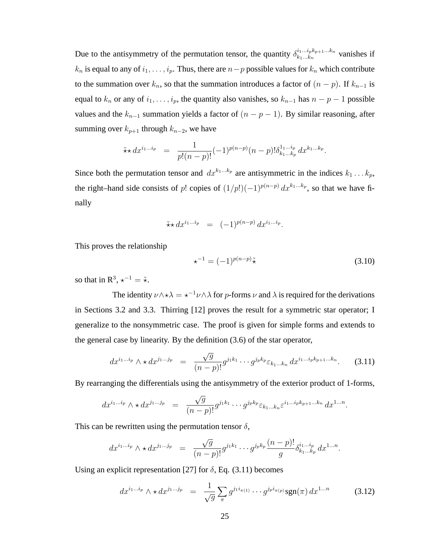Due to the antisymmetry of the permutation tensor, the quantity  $\delta_{k_1...k_n}^{i_1...i_p k_{p+1}...k_n}$  $a_1...a_p$ <sub> $k_1...k_n$ </sub> vanishes if  $k_n$  is equal to any of  $i_1, \ldots, i_p$ . Thus, there are  $n-p$  possible values for  $k_n$  which contribute to the summation over  $k_n$ , so that the summation introduces a factor of  $(n - p)$ . If  $k_{n-1}$  is equal to  $k_n$  or any of  $i_1, \ldots, i_p$ , the quantity also vanishes, so  $k_{n-1}$  has  $n - p - 1$  possible values and the  $k_{n-1}$  summation yields a factor of  $(n - p - 1)$ . By similar reasoning, after summing over  $k_{p+1}$  through  $k_{n-2}$ , we have

$$
\tilde{\star} \star dx^{i_1...i_p} = \frac{1}{p!(n-p)!} (-1)^{p(n-p)} (n-p)! \delta_{k_1...k_p}^{1_1...i_p} dx^{k_1...k_p}.
$$

Since both the permutation tensor and  $dx^{k_1...k_p}$  are antisymmetric in the indices  $k_1...k_p$ , the right–hand side consists of p! copies of  $(1/p!)(-1)^{p(n-p)} dx^{k_1...k_p}$ , so that we have finally

$$
\tilde{\star}\star dx^{i_1...i_p} = (-1)^{p(n-p)} dx^{i_1...i_p}.
$$

This proves the relationship

$$
\star^{-1} = (-1)^{p(n-p)} \tilde{\star} \tag{3.10}
$$

so that in  $\mathbb{R}^3$ ,  $\star^{-1} = \tilde{\star}$ .

The identity  $\nu \wedge \star \lambda = \star^{-1} \nu \wedge \lambda$  for *p*-forms  $\nu$  and  $\lambda$  is required for the derivations in Sections 3.2 and 3.3. Thirring [12] proves the result for a symmetric star operator; I generalize to the nonsymmetric case. The proof is given for simple forms and extends to the general case by linearity. By the definition (3.6) of the star operator,

$$
dx^{i_1...i_p} \wedge \star dx^{j_1...j_p} = \frac{\sqrt{g}}{(n-p)!} g^{j_1k_1} \cdots g^{j_p k_p} \varepsilon_{k_1...k_n} dx^{i_1...i_p k_{p+1}...k_n}.
$$
 (3.11)

By rearranging the differentials using the antisymmetry of the exterior product of 1-forms,

$$
dx^{i_1\ldots i_p} \wedge \star dx^{j_1\ldots j_p} = \frac{\sqrt{g}}{(n-p)!} g^{j_1k_1}\cdots g^{j_pk_p} \varepsilon_{k_1\ldots k_n} \varepsilon^{i_1\ldots i_p k_{p+1}\ldots k_n} dx^{1\ldots n}.
$$

This can be rewritten using the permutation tensor  $\delta$ ,

$$
dx^{i_1...i_p} \wedge \star dx^{j_1...j_p} = \frac{\sqrt{g}}{(n-p)!} g^{j_1k_1} \cdots g^{j_p k_p} \frac{(n-p)!}{g} \delta^{i_1...i_p}_{k_1...k_p} dx^{1...n}.
$$

Using an explicit representation [27] for  $\delta$ , Eq. (3.11) becomes

$$
dx^{i_1...i_p} \wedge \star dx^{j_1...j_p} = \frac{1}{\sqrt{g}} \sum_{\pi} g^{j_1 i_{\pi(1)}} \cdots g^{j_p i_{\pi(p)}} \text{sgn}(\pi) dx^{1...n}
$$
 (3.12)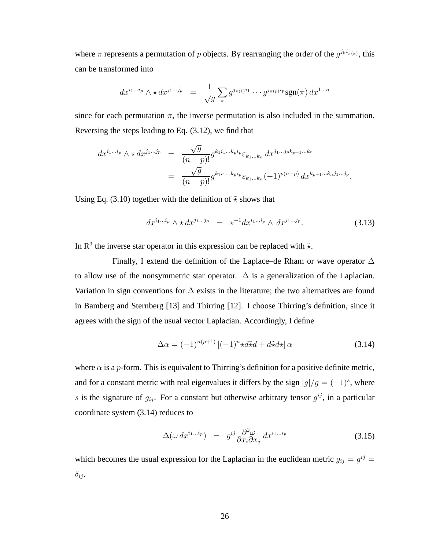where  $\pi$  represents a permutation of p objects. By rearranging the order of the  $g^{j_k i_{\pi(k)}}$ , this can be transformed into

$$
dx^{i_1...i_p} \wedge \star dx^{j_1...j_p} = \frac{1}{\sqrt{g}} \sum_{\pi} g^{j_{\pi(1)}i_1} \cdots g^{j_{\pi(p)}i_p} \text{sgn}(\pi) dx^{1...n}
$$

since for each permutation  $\pi$ , the inverse permutation is also included in the summation. Reversing the steps leading to Eq. (3.12), we find that

$$
dx^{i_1...i_p} \wedge \star dx^{j_1...j_p} = \frac{\sqrt{g}}{(n-p)!} g^{k_1 i_1...k_p i_p} \varepsilon_{k_1...k_n} dx^{j_1...j_p k_{p+1}...k_n}
$$
  

$$
= \frac{\sqrt{g}}{(n-p)!} g^{k_1 i_1...k_p i_p} \varepsilon_{k_1...k_n} (-1)^{p(n-p)} dx^{k_{p+1}...k_n j_1...j_p}.
$$

Using Eq. (3.10) together with the definition of  $\tilde{\star}$  shows that

$$
dx^{i_1...i_p} \wedge \star dx^{j_1...j_p} = \star^{-1} dx^{i_1...i_p} \wedge dx^{j_1...j_p}.
$$
 (3.13)

In R<sup>3</sup> the inverse star operator in this expression can be replaced with  $\tilde{\star}$ .

Finally, I extend the definition of the Laplace–de Rham or wave operator  $\Delta$ to allow use of the nonsymmetric star operator.  $\Delta$  is a generalization of the Laplacian. Variation in sign conventions for  $\Delta$  exists in the literature; the two alternatives are found in Bamberg and Sternberg [13] and Thirring [12]. I choose Thirring's definition, since it agrees with the sign of the usual vector Laplacian. Accordingly, I define

$$
\Delta \alpha = (-1)^{n(p+1)} \left[ (-1)^n \star d \tilde{\star} d + d \tilde{\star} d \star \right] \alpha \tag{3.14}
$$

where  $\alpha$  is a p-form. This is equivalent to Thirring's definition for a positive definite metric, and for a constant metric with real eigenvalues it differs by the sign  $|g|/g = (-1)^s$ , where s is the signature of  $g_{ij}$ . For a constant but otherwise arbitrary tensor  $g^{ij}$ , in a particular coordinate system (3.14) reduces to

$$
\Delta(\omega \, dx^{i_1 \dots i_p}) = g^{ij} \frac{\partial^2 \omega}{\partial x_i \partial x_j} \, dx^{i_1 \dots i_p} \tag{3.15}
$$

which becomes the usual expression for the Laplacian in the euclidean metric  $g_{ij} = g^{ij} =$  $\delta_{ij}$ .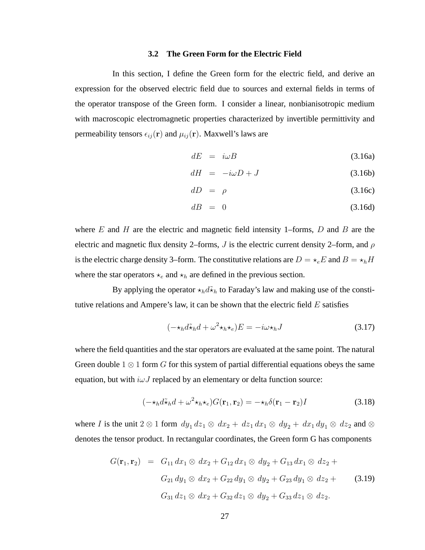### **3.2 The Green Form for the Electric Field**

In this section, I define the Green form for the electric field, and derive an expression for the observed electric field due to sources and external fields in terms of the operator transpose of the Green form. I consider a linear, nonbianisotropic medium with macroscopic electromagnetic properties characterized by invertible permittivity and permeability tensors  $\epsilon_{ij}(\mathbf{r})$  and  $\mu_{ij}(\mathbf{r})$ . Maxwell's laws are

$$
dE = i\omega B \tag{3.16a}
$$

$$
dH = -i\omega D + J \tag{3.16b}
$$

$$
dD = \rho \tag{3.16c}
$$

$$
dB = 0 \tag{3.16d}
$$

where  $E$  and  $H$  are the electric and magnetic field intensity 1–forms,  $D$  and  $B$  are the electric and magnetic flux density 2–forms, J is the electric current density 2–form, and  $\rho$ is the electric charge density 3–form. The constitutive relations are  $D = \star_e E$  and  $B = \star_h H$ where the star operators  $\star_e$  and  $\star_h$  are defined in the previous section.

By applying the operator  $\star_h d\tilde{\star}_h$  to Faraday's law and making use of the constitutive relations and Ampere's law, it can be shown that the electric field  $E$  satisfies

$$
(-\star_h d\tilde{\star}_h d + \omega^2 \star_h \star_e) E = -i\omega \star_h J \tag{3.17}
$$

where the field quantities and the star operators are evaluated at the same point. The natural Green double  $1 \otimes 1$  form G for this system of partial differential equations obeys the same equation, but with  $i\omega J$  replaced by an elementary or delta function source:

$$
(-\star_h d\tilde{\star}_h d + \omega^2 \star_h \star_e) G(\mathbf{r}_1, \mathbf{r}_2) = -\star_h \delta(\mathbf{r}_1 - \mathbf{r}_2) I
$$
\n(3.18)

where I is the unit 2  $\otimes$  1 form  $dy_1 dz_1 \otimes dx_2 + dz_1 dx_1 \otimes dy_2 + dx_1 dy_1 \otimes dz_2$  and  $\otimes$ denotes the tensor product. In rectangular coordinates, the Green form G has components

$$
G(\mathbf{r}_1, \mathbf{r}_2) = G_{11} dx_1 \otimes dx_2 + G_{12} dx_1 \otimes dy_2 + G_{13} dx_1 \otimes dz_2 +
$$
  
\n
$$
G_{21} dy_1 \otimes dx_2 + G_{22} dy_1 \otimes dy_2 + G_{23} dy_1 \otimes dz_2 +
$$
  
\n
$$
G_{31} dz_1 \otimes dx_2 + G_{32} dz_1 \otimes dy_2 + G_{33} dz_1 \otimes dz_2.
$$
\n(3.19)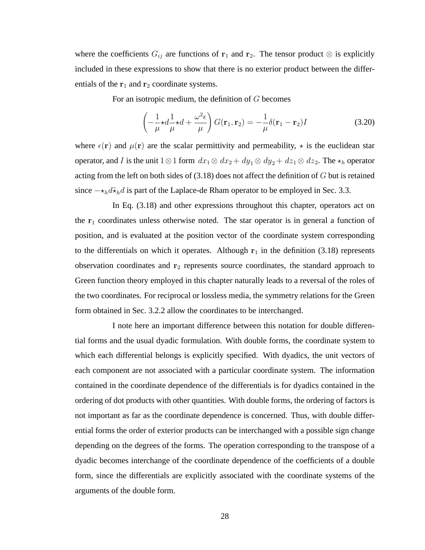where the coefficients  $G_{ij}$  are functions of  $\mathbf{r}_1$  and  $\mathbf{r}_2$ . The tensor product ⊗ is explicitly included in these expressions to show that there is no exterior product between the differentials of the  $r_1$  and  $r_2$  coordinate systems.

For an isotropic medium, the definition of  $G$  becomes

$$
\left(-\frac{1}{\mu}\star d\frac{1}{\mu}\star d + \frac{\omega^2\epsilon}{\mu}\right)G(\mathbf{r}_1, \mathbf{r}_2) = -\frac{1}{\mu}\delta(\mathbf{r}_1 - \mathbf{r}_2)I\tag{3.20}
$$

where  $\epsilon(\mathbf{r})$  and  $\mu(\mathbf{r})$  are the scalar permittivity and permeability,  $\star$  is the euclidean star operator, and I is the unit 1⊗1 form  $dx_1 \otimes dx_2 + dy_1 \otimes dy_2 + dz_1 \otimes dz_2$ . The  $\star_h$  operator acting from the left on both sides of  $(3.18)$  does not affect the definition of  $G$  but is retained since  $-\star_h d\tilde{\star}_h d$  is part of the Laplace-de Rham operator to be employed in Sec. 3.3.

In Eq.  $(3.18)$  and other expressions throughout this chapter, operators act on the  $r_1$  coordinates unless otherwise noted. The star operator is in general a function of position, and is evaluated at the position vector of the coordinate system corresponding to the differentials on which it operates. Although  $r_1$  in the definition (3.18) represents observation coordinates and  $r<sub>2</sub>$  represents source coordinates, the standard approach to Green function theory employed in this chapter naturally leads to a reversal of the roles of the two coordinates. For reciprocal or lossless media, the symmetry relations for the Green form obtained in Sec. 3.2.2 allow the coordinates to be interchanged.

I note here an important difference between this notation for double differential forms and the usual dyadic formulation. With double forms, the coordinate system to which each differential belongs is explicitly specified. With dyadics, the unit vectors of each component are not associated with a particular coordinate system. The information contained in the coordinate dependence of the differentials is for dyadics contained in the ordering of dot products with other quantities. With double forms, the ordering of factors is not important as far as the coordinate dependence is concerned. Thus, with double differential forms the order of exterior products can be interchanged with a possible sign change depending on the degrees of the forms. The operation corresponding to the transpose of a dyadic becomes interchange of the coordinate dependence of the coefficients of a double form, since the differentials are explicitly associated with the coordinate systems of the arguments of the double form.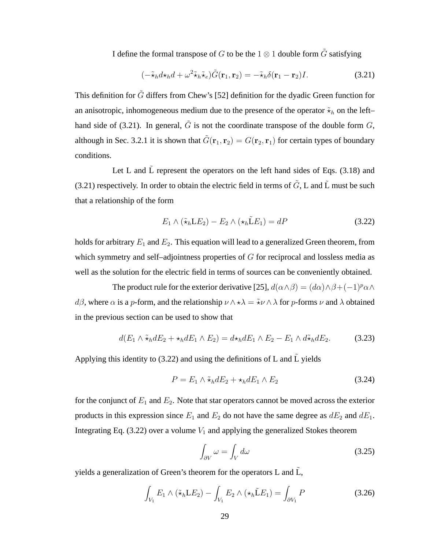I define the formal transpose of G to be the 1  $\otimes$  1 double form  $\tilde{G}$  satisfying

$$
(-\tilde{\star}_h d\star_h d + \omega^2 \tilde{\star}_h \tilde{\star}_e) \tilde{G}(\mathbf{r}_1, \mathbf{r}_2) = -\tilde{\star}_h \delta(\mathbf{r}_1 - \mathbf{r}_2) I.
$$
 (3.21)

This definition for  $\tilde{G}$  differs from Chew's [52] definition for the dyadic Green function for an anisotropic, inhomogeneous medium due to the presence of the operator  $\tilde{\star}_h$  on the left– hand side of (3.21). In general,  $\tilde{G}$  is not the coordinate transpose of the double form  $G$ , although in Sec. 3.2.1 it is shown that  $\tilde{G}(\mathbf{r}_1, \mathbf{r}_2) = G(\mathbf{r}_2, \mathbf{r}_1)$  for certain types of boundary conditions.

Let L and  $\tilde{L}$  represent the operators on the left hand sides of Eqs. (3.18) and (3.21) respectively. In order to obtain the electric field in terms of  $\tilde{G}$ , L and  $\tilde{L}$  must be such that a relationship of the form

$$
E_1 \wedge (\tilde{\star}_h \mathcal{L} E_2) - E_2 \wedge (\star_h \tilde{\mathcal{L}} E_1) = dP \tag{3.22}
$$

holds for arbitrary  $E_1$  and  $E_2$ . This equation will lead to a generalized Green theorem, from which symmetry and self–adjointness properties of  $G$  for reciprocal and lossless media as well as the solution for the electric field in terms of sources can be conveniently obtained.

The product rule for the exterior derivative [25],  $d(\alpha \wedge \beta) = (d\alpha) \wedge \beta + (-1)^p \alpha \wedge$  $d\beta$ , where  $\alpha$  is a p-form, and the relationship  $\nu \wedge \star \lambda = \tilde{\star} \nu \wedge \lambda$  for p-forms  $\nu$  and  $\lambda$  obtained in the previous section can be used to show that

$$
d(E_1 \wedge \tilde{\star}_h dE_2 + \star_h dE_1 \wedge E_2) = d\star_h dE_1 \wedge E_2 - E_1 \wedge d\tilde{\star}_h dE_2. \tag{3.23}
$$

Applying this identity to  $(3.22)$  and using the definitions of L and  $\tilde{L}$  yields

$$
P = E_1 \wedge \tilde{\star}_h dE_2 + \star_h dE_1 \wedge E_2 \tag{3.24}
$$

for the conjunct of  $E_1$  and  $E_2$ . Note that star operators cannot be moved across the exterior products in this expression since  $E_1$  and  $E_2$  do not have the same degree as  $dE_2$  and  $dE_1$ . Integrating Eq.  $(3.22)$  over a volume  $V_1$  and applying the generalized Stokes theorem

$$
\int_{\partial V} \omega = \int_{V} d\omega \tag{3.25}
$$

yields a generalization of Green's theorem for the operators  $L$  and  $\tilde{L}$ ,

$$
\int_{V_1} E_1 \wedge (\tilde{\star}_h L E_2) - \int_{V_1} E_2 \wedge (\star_h \tilde{L} E_1) = \int_{\partial V_1} P \tag{3.26}
$$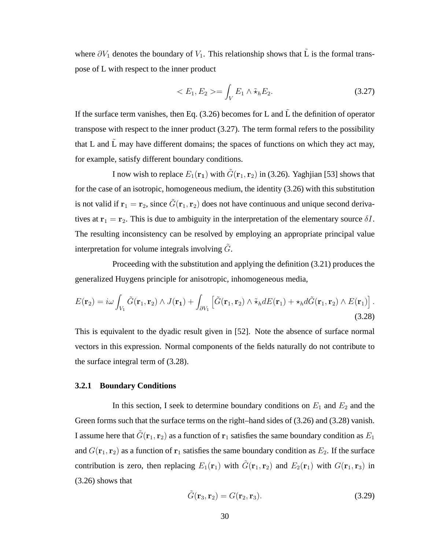where  $\partial V_1$  denotes the boundary of  $V_1$ . This relationship shows that  $\tilde{L}$  is the formal transpose of L with respect to the inner product

$$
\langle E_1, E_2 \rangle = \int_V E_1 \wedge \tilde{\star}_h E_2. \tag{3.27}
$$

If the surface term vanishes, then Eq.  $(3.26)$  becomes for L and  $\tilde{L}$  the definition of operator transpose with respect to the inner product  $(3.27)$ . The term formal refers to the possibility that  $L$  and  $L$  may have different domains; the spaces of functions on which they act may, for example, satisfy different boundary conditions.

I now wish to replace  $E_1(\mathbf{r}_1)$  with  $\tilde{G}(\mathbf{r}_1, \mathbf{r}_2)$  in (3.26). Yaghjian [53] shows that for the case of an isotropic, homogeneous medium, the identity (3.26) with this substitution is not valid if  $r_1 = r_2$ , since  $\tilde{G}(r_1, r_2)$  does not have continuous and unique second derivatives at  $r_1 = r_2$ . This is due to ambiguity in the interpretation of the elementary source  $\delta I$ . The resulting inconsistency can be resolved by employing an appropriate principal value interpretation for volume integrals involving  $\tilde{G}$ .

Proceeding with the substitution and applying the definition (3.21) produces the generalized Huygens principle for anisotropic, inhomogeneous media,

$$
E(\mathbf{r}_2) = i\omega \int_{V_1} \tilde{G}(\mathbf{r}_1, \mathbf{r}_2) \wedge J(\mathbf{r}_1) + \int_{\partial V_1} \left[ \tilde{G}(\mathbf{r}_1, \mathbf{r}_2) \wedge \tilde{\star}_h dE(\mathbf{r}_1) + \star_h d\tilde{G}(\mathbf{r}_1, \mathbf{r}_2) \wedge E(\mathbf{r}_1) \right].
$$
\n(3.28)

This is equivalent to the dyadic result given in [52]. Note the absence of surface normal vectors in this expression. Normal components of the fields naturally do not contribute to the surface integral term of (3.28).

### **3.2.1 Boundary Conditions**

In this section, I seek to determine boundary conditions on  $E_1$  and  $E_2$  and the Green forms such that the surface terms on the right–hand sides of (3.26) and (3.28) vanish. I assume here that  $G(\mathbf{r}_1, \mathbf{r}_2)$  as a function of  $\mathbf{r}_1$  satisfies the same boundary condition as  $E_1$ and  $G(\mathbf{r}_1, \mathbf{r}_2)$  as a function of  $\mathbf{r}_1$  satisfies the same boundary condition as  $E_2$ . If the surface contribution is zero, then replacing  $E_1(\mathbf{r}_1)$  with  $\tilde{G}(\mathbf{r}_1, \mathbf{r}_2)$  and  $E_2(\mathbf{r}_1)$  with  $G(\mathbf{r}_1, \mathbf{r}_3)$  in (3.26) shows that

$$
\tilde{G}(\mathbf{r}_3, \mathbf{r}_2) = G(\mathbf{r}_2, \mathbf{r}_3). \tag{3.29}
$$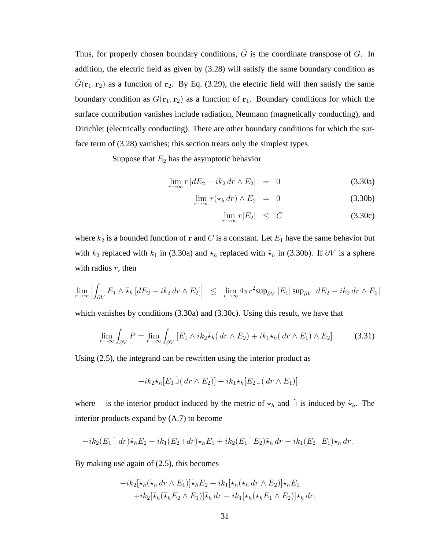Thus, for properly chosen boundary conditions,  $\tilde{G}$  is the coordinate transpose of G. In addition, the electric field as given by (3.28) will satisfy the same boundary condition as  $\tilde{G}(\mathbf{r}_1, \mathbf{r}_2)$  as a function of  $\mathbf{r}_2$ . By Eq. (3.29), the electric field will then satisfy the same boundary condition as  $G(\mathbf{r}_1, \mathbf{r}_2)$  as a function of  $\mathbf{r}_1$ . Boundary conditions for which the surface contribution vanishes include radiation, Neumann (magnetically conducting), and Dirichlet (electrically conducting). There are other boundary conditions for which the surface term of (3.28) vanishes; this section treats only the simplest types.

Suppose that  $E_2$  has the asymptotic behavior

$$
\lim_{r \to \infty} r \left[ dE_2 - ik_2 dr \wedge E_2 \right] = 0 \tag{3.30a}
$$

$$
\lim_{r \to \infty} r(\star_h dr) \wedge E_2 = 0 \tag{3.30b}
$$

$$
\lim_{r \to \infty} r |E_2| \leq C \tag{3.30c}
$$

where  $k_2$  is a bounded function of r and C is a constant. Let  $E_1$  have the same behavior but with  $k_2$  replaced with  $k_1$  in (3.30a) and  $\star_h$  replaced with  $\tilde{\star}_h$  in (3.30b). If ∂V is a sphere with radius  $r$ , then

$$
\lim_{r \to \infty} \left| \int_{\partial V} E_1 \wedge \tilde{\star}_h \left[ dE_2 - ik_2 dr \wedge E_2 \right] \right| \leq \lim_{r \to \infty} 4\pi r^2 \sup_{\partial V} |E_1| \sup_{\partial V} |dE_2 - ik_2 dr \wedge E_2|
$$

which vanishes by conditions (3.30a) and (3.30c). Using this result, we have that

$$
\lim_{r \to \infty} \int_{\partial V} P = \lim_{r \to \infty} \int_{\partial V} \left[ E_1 \wedge ik_2 \tilde{\star}_h \left( dr \wedge E_2 \right) + ik_1 \star_h \left( dr \wedge E_1 \right) \wedge E_2 \right]. \tag{3.31}
$$

Using (2.5), the integrand can be rewritten using the interior product as

$$
-ik_2\tilde{\star}_h[E_1\tilde{\mathbf{I}}(dr\wedge E_2)] + ik_1\star_h[E_2\mathbf{I}(dr\wedge E_1)]
$$

where  $\perp$  is the interior product induced by the metric of  $\star_h$  and  $\tilde{\perp}$  is induced by  $\tilde{\star}_h$ . The interior products expand by (A.7) to become

$$
-ik_2(E_1\tilde{\mathbf{I}}\,dr)\tilde{\star}_hE_2+ik_1(E_2\mathbf{I}\,dr)\star_hE_1+ik_2(E_1\tilde{\mathbf{I}}E_2)\tilde{\star}_h\,dr-ik_1(E_2\mathbf{I}E_1)\star_hdr.
$$

By making use again of (2.5), this becomes

$$
-ik_2[\tilde{\star}_h(\tilde{\star}_h dr \wedge E_1)]\tilde{\star}_h E_2 + ik_1[\star_h(\star_h dr \wedge E_2)]\star_h E_1
$$
  
+
$$
+ik_2[\tilde{\star}_h(\tilde{\star}_h E_2 \wedge E_1)]\tilde{\star}_h dr - ik_1[\star_h(\star_h E_1 \wedge E_2)]\star_h dr.
$$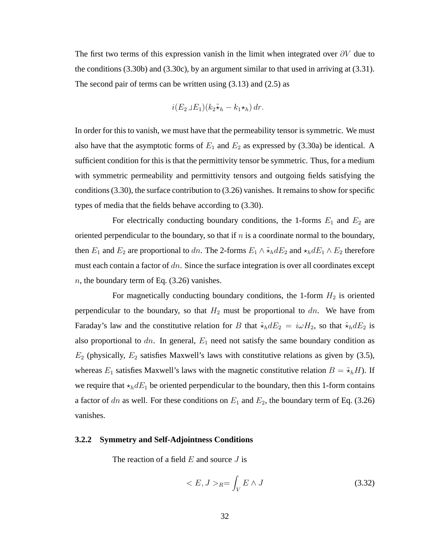The first two terms of this expression vanish in the limit when integrated over  $\partial V$  due to the conditions  $(3.30b)$  and  $(3.30c)$ , by an argument similar to that used in arriving at  $(3.31)$ . The second pair of terms can be written using (3.13) and (2.5) as

$$
i(E_2 \,\lrcorner\, E_1)(k_2 \tilde{\star}_h - k_1 \star_h) \, dr.
$$

In order for this to vanish, we must have that the permeability tensor is symmetric. We must also have that the asymptotic forms of  $E_1$  and  $E_2$  as expressed by (3.30a) be identical. A sufficient condition for this is that the permittivity tensor be symmetric. Thus, for a medium with symmetric permeability and permittivity tensors and outgoing fields satisfying the conditions (3.30), the surface contribution to (3.26) vanishes. It remains to show for specific types of media that the fields behave according to (3.30).

For electrically conducting boundary conditions, the 1-forms  $E_1$  and  $E_2$  are oriented perpendicular to the boundary, so that if  $n$  is a coordinate normal to the boundary, then  $E_1$  and  $E_2$  are proportional to dn. The 2-forms  $E_1 \wedge \tilde{\star}_h dE_2$  and  $\star_h dE_1 \wedge E_2$  therefore must each contain a factor of  $dn$ . Since the surface integration is over all coordinates except  $n$ , the boundary term of Eq. (3.26) vanishes.

For magnetically conducting boundary conditions, the 1-form  $H_2$  is oriented perpendicular to the boundary, so that  $H_2$  must be proportional to  $dn$ . We have from Faraday's law and the constitutive relation for B that  $\tilde{\star}_h dE_2 = i\omega H_2$ , so that  $\tilde{\star}_h dE_2$  is also proportional to dn. In general,  $E_1$  need not satisfy the same boundary condition as  $E_2$  (physically,  $E_2$  satisfies Maxwell's laws with constitutive relations as given by (3.5), whereas  $E_1$  satisfies Maxwell's laws with the magnetic constitutive relation  $B = \tilde{\star}_h H$ ). If we require that  $\star_h dE_1$  be oriented perpendicular to the boundary, then this 1-form contains a factor of dn as well. For these conditions on  $E_1$  and  $E_2$ , the boundary term of Eq. (3.26) vanishes.

### **3.2.2 Symmetry and Self-Adjointness Conditions**

The reaction of a field  $E$  and source  $J$  is

$$
\langle E, J \rangle_R = \int_V E \wedge J \tag{3.32}
$$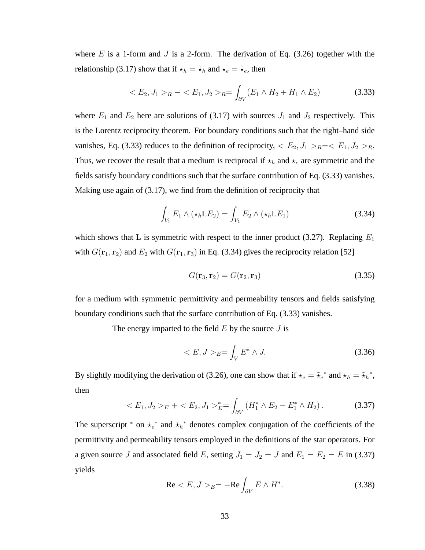where  $E$  is a 1-form and  $J$  is a 2-form. The derivation of Eq. (3.26) together with the relationship (3.17) show that if  $\star_h = \tilde{\star}_h$  and  $\star_e = \tilde{\star}_e$ , then

$$
\langle E_2, J_1 \rangle_R - \langle E_1, J_2 \rangle_R = \int_{\partial V} (E_1 \wedge H_2 + H_1 \wedge E_2) \tag{3.33}
$$

where  $E_1$  and  $E_2$  here are solutions of (3.17) with sources  $J_1$  and  $J_2$  respectively. This is the Lorentz reciprocity theorem. For boundary conditions such that the right–hand side vanishes, Eq. (3.33) reduces to the definition of reciprocity,  $\langle E_2, J_1 \rangle_R = \langle E_1, J_2 \rangle_R$ . Thus, we recover the result that a medium is reciprocal if  $\star_h$  and  $\star_e$  are symmetric and the fields satisfy boundary conditions such that the surface contribution of Eq. (3.33) vanishes. Making use again of (3.17), we find from the definition of reciprocity that

$$
\int_{V_1} E_1 \wedge (\star_h \mathcal{L} E_2) = \int_{V_1} E_2 \wedge (\star_h \mathcal{L} E_1)
$$
\n(3.34)

which shows that L is symmetric with respect to the inner product (3.27). Replacing  $E_1$ with  $G(\mathbf{r}_1, \mathbf{r}_2)$  and  $E_2$  with  $G(\mathbf{r}_1, \mathbf{r}_3)$  in Eq. (3.34) gives the reciprocity relation [52]

$$
G(\mathbf{r}_3, \mathbf{r}_2) = G(\mathbf{r}_2, \mathbf{r}_3) \tag{3.35}
$$

for a medium with symmetric permittivity and permeability tensors and fields satisfying boundary conditions such that the surface contribution of Eq. (3.33) vanishes.

The energy imparted to the field  $E$  by the source  $J$  is

$$
\langle E, J \rangle_E = \int_V E^* \wedge J. \tag{3.36}
$$

By slightly modifying the derivation of (3.26), one can show that if  $\star_e = \tilde{\star}_e^*$  and  $\star_h = \tilde{\star}_h^*$ , then

$$
\langle E_1, J_2 \rangle_E + \langle E_2, J_1 \rangle_E^* = \int_{\partial V} (H_1^* \wedge E_2 - E_1^* \wedge H_2).
$$
 (3.37)

The superscript \* on  $\tilde{\star}_e^*$  and  $\tilde{\star}_h^*$  denotes complex conjugation of the coefficients of the permittivity and permeability tensors employed in the definitions of the star operators. For a given source J and associated field E, setting  $J_1 = J_2 = J$  and  $E_1 = E_2 = E$  in (3.37) yields

$$
\text{Re} < E, J >_{E} = -\text{Re} \int_{\partial V} E \wedge H^*.
$$
\n(3.38)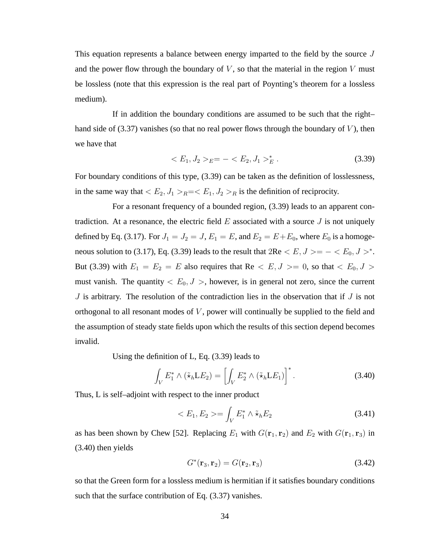This equation represents a balance between energy imparted to the field by the source J and the power flow through the boundary of  $V$ , so that the material in the region  $V$  must be lossless (note that this expression is the real part of Poynting's theorem for a lossless medium).

If in addition the boundary conditions are assumed to be such that the right– hand side of  $(3.37)$  vanishes (so that no real power flows through the boundary of V), then we have that

$$
\langle E_1, J_2 \rangle_E = -\langle E_2, J_1 \rangle_E^* \,. \tag{3.39}
$$

For boundary conditions of this type, (3.39) can be taken as the definition of losslessness, in the same way that  $\langle E_2, J_1 \rangle_R = \langle E_1, J_2 \rangle_R$  is the definition of reciprocity.

For a resonant frequency of a bounded region, (3.39) leads to an apparent contradiction. At a resonance, the electric field E associated with a source J is not uniquely defined by Eq. (3.17). For  $J_1 = J_2 = J$ ,  $E_1 = E$ , and  $E_2 = E + E_0$ , where  $E_0$  is a homogeneous solution to (3.17), Eq. (3.39) leads to the result that  $2\text{Re} < E$ ,  $J \ge -\frac{1}{2}$ ,  $J \ge -\frac{1}{2}$ . But (3.39) with  $E_1 = E_2 = E$  also requires that Re  $\lt E, J \gt 0$ , so that  $\lt E_0, J \gt 0$ must vanish. The quantity  $\langle E_0, J \rangle$ , however, is in general not zero, since the current  $J$  is arbitrary. The resolution of the contradiction lies in the observation that if  $J$  is not orthogonal to all resonant modes of  $V$ , power will continually be supplied to the field and the assumption of steady state fields upon which the results of this section depend becomes invalid.

Using the definition of L, Eq. (3.39) leads to

$$
\int_{V} E_1^* \wedge (\tilde{\star}_h \mathcal{L} E_2) = \left[ \int_{V} E_2^* \wedge (\tilde{\star}_h \mathcal{L} E_1) \right]^*.
$$
\n(3.40)

Thus, L is self–adjoint with respect to the inner product

$$
\langle E_1, E_2 \rangle = \int_V E_1^* \wedge \tilde{\star}_h E_2 \tag{3.41}
$$

as has been shown by Chew [52]. Replacing  $E_1$  with  $G(\mathbf{r}_1, \mathbf{r}_2)$  and  $E_2$  with  $G(\mathbf{r}_1, \mathbf{r}_3)$  in (3.40) then yields

$$
G^*(\mathbf{r}_3, \mathbf{r}_2) = G(\mathbf{r}_2, \mathbf{r}_3) \tag{3.42}
$$

so that the Green form for a lossless medium is hermitian if it satisfies boundary conditions such that the surface contribution of Eq. (3.37) vanishes.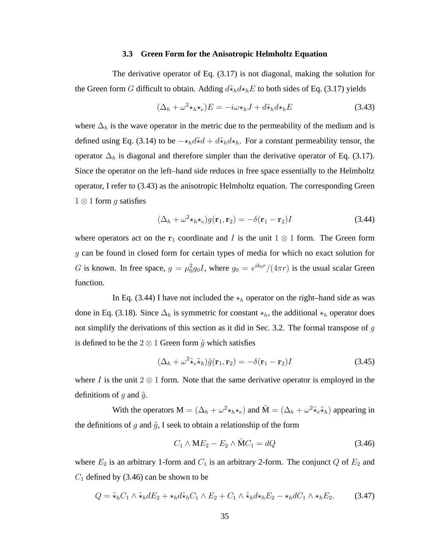### **3.3 Green Form for the Anisotropic Helmholtz Equation**

The derivative operator of Eq. (3.17) is not diagonal, making the solution for the Green form G difficult to obtain. Adding  $d\tilde{x}_h d\star_h E$  to both sides of Eq. (3.17) yields

$$
(\Delta_h + \omega^2 \star_h \star_e) E = -i\omega \star_h J + d\tilde{\star}_h d\star_h E \tag{3.43}
$$

where  $\Delta_h$  is the wave operator in the metric due to the permeability of the medium and is defined using Eq. (3.14) to be  $-\star_h d\tilde{\star} d + d\tilde{\star}_h d\star_h$ . For a constant permeability tensor, the operator  $\Delta_h$  is diagonal and therefore simpler than the derivative operator of Eq. (3.17). Since the operator on the left–hand side reduces in free space essentially to the Helmholtz operator, I refer to (3.43) as the anisotropic Helmholtz equation. The corresponding Green  $1 \otimes 1$  form q satisfies

$$
(\Delta_h + \omega^2 \star_h \star_e) g(\mathbf{r}_1, \mathbf{r}_2) = -\delta(\mathbf{r}_1 - \mathbf{r}_2) I
$$
\n(3.44)

where operators act on the  $r_1$  coordinate and I is the unit  $1 \otimes 1$  form. The Green form g can be found in closed form for certain types of media for which no exact solution for G is known. In free space,  $g = \mu_0^2 g_0 I$ , where  $g_0 = e^{ik_0 r}/(4\pi r)$  is the usual scalar Green function.

In Eq. (3.44) I have not included the  $\star_h$  operator on the right–hand side as was done in Eq. (3.18). Since  $\Delta_h$  is symmetric for constant  $\star_h$ , the additional  $\star_h$  operator does not simplify the derivations of this section as it did in Sec. 3.2. The formal transpose of  $q$ is defined to be the  $2 \otimes 1$  Green form  $\tilde{g}$  which satisfies

$$
(\Delta_h + \omega^2 \tilde{\star}_e \tilde{\star}_h) \tilde{g}(\mathbf{r}_1, \mathbf{r}_2) = -\delta(\mathbf{r}_1 - \mathbf{r}_2)I
$$
\n(3.45)

where I is the unit  $2 \otimes 1$  form. Note that the same derivative operator is employed in the definitions of g and  $\tilde{g}$ .

With the operators  $M = (\Delta_h + \omega^2 \star_h \star_e)$  and  $\tilde{M} = (\Delta_h + \omega^2 \tilde{\star}_e \tilde{\star}_h)$  appearing in the definitions of g and  $\tilde{q}$ , I seek to obtain a relationship of the form

$$
C_1 \wedge \mathbf{M} E_2 - E_2 \wedge \tilde{\mathbf{M}} C_1 = dQ \tag{3.46}
$$

where  $E_2$  is an arbitrary 1-form and  $C_1$  is an arbitrary 2-form. The conjunct Q of  $E_2$  and  $C_1$  defined by (3.46) can be shown to be

$$
Q = \tilde{\star}_h C_1 \wedge \tilde{\star}_h dE_2 + \star_h d\tilde{\star}_h C_1 \wedge E_2 + C_1 \wedge \tilde{\star}_h d\star_h E_2 - \star_h dC_1 \wedge \star_h E_2. \tag{3.47}
$$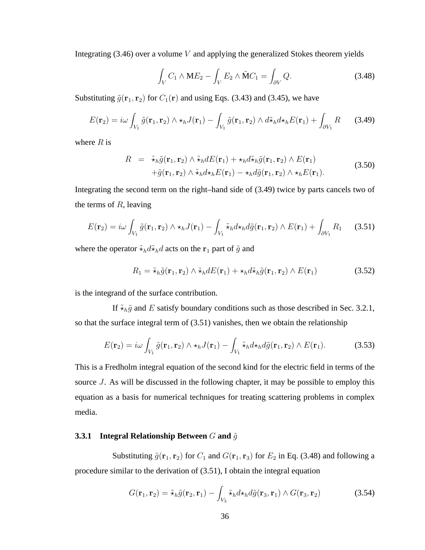Integrating  $(3.46)$  over a volume V and applying the generalized Stokes theorem yields

$$
\int_{V} C_1 \wedge \mathbf{M} E_2 - \int_{V} E_2 \wedge \tilde{\mathbf{M}} C_1 = \int_{\partial V} Q.
$$
\n(3.48)

Substituting  $\tilde{g}(\mathbf{r}_1, \mathbf{r}_2)$  for  $C_1(\mathbf{r})$  and using Eqs. (3.43) and (3.45), we have

$$
E(\mathbf{r}_2) = i\omega \int_{V_1} \tilde{g}(\mathbf{r}_1, \mathbf{r}_2) \wedge \star_h J(\mathbf{r}_1) - \int_{V_1} \tilde{g}(\mathbf{r}_1, \mathbf{r}_2) \wedge d\tilde{\star}_h d\star_h E(\mathbf{r}_1) + \int_{\partial V_1} R \qquad (3.49)
$$

where  $R$  is

$$
R = \tilde{\star}_{h}\tilde{g}(\mathbf{r}_{1},\mathbf{r}_{2}) \wedge \tilde{\star}_{h} dE(\mathbf{r}_{1}) + \star_{h} d\tilde{\star}_{h}\tilde{g}(\mathbf{r}_{1},\mathbf{r}_{2}) \wedge E(\mathbf{r}_{1}) + \tilde{g}(\mathbf{r}_{1},\mathbf{r}_{2}) \wedge \tilde{\star}_{h} d\star_{h} E(\mathbf{r}_{1}) - \star_{h} d\tilde{g}(\mathbf{r}_{1},\mathbf{r}_{2}) \wedge \star_{h} E(\mathbf{r}_{1}).
$$
\n(3.50)

Integrating the second term on the right–hand side of (3.49) twice by parts cancels two of the terms of  $R$ , leaving

$$
E(\mathbf{r}_2) = i\omega \int_{V_1} \tilde{g}(\mathbf{r}_1, \mathbf{r}_2) \wedge \star_h J(\mathbf{r}_1) - \int_{V_1} \tilde{\star}_h d\star_h d\tilde{g}(\mathbf{r}_1, \mathbf{r}_2) \wedge E(\mathbf{r}_1) + \int_{\partial V_1} R_1 \qquad (3.51)
$$

where the operator  $\tilde{\star}_{h}d\tilde{\star}_{h}d$  acts on the  $r_1$  part of  $\tilde{g}$  and

$$
R_1 = \tilde{\star}_h \tilde{g}(\mathbf{r}_1, \mathbf{r}_2) \wedge \tilde{\star}_h dE(\mathbf{r}_1) + \star_h d\tilde{\star}_h \tilde{g}(\mathbf{r}_1, \mathbf{r}_2) \wedge E(\mathbf{r}_1)
$$
(3.52)

is the integrand of the surface contribution.

If  $\tilde{\star}_{h} \tilde{g}$  and E satisfy boundary conditions such as those described in Sec. 3.2.1, so that the surface integral term of (3.51) vanishes, then we obtain the relationship

$$
E(\mathbf{r}_2) = i\omega \int_{V_1} \tilde{g}(\mathbf{r}_1, \mathbf{r}_2) \wedge \star_h J(\mathbf{r}_1) - \int_{V_1} \tilde{\star}_h d\star_h d\tilde{g}(\mathbf{r}_1, \mathbf{r}_2) \wedge E(\mathbf{r}_1).
$$
 (3.53)

This is a Fredholm integral equation of the second kind for the electric field in terms of the source J. As will be discussed in the following chapter, it may be possible to employ this equation as a basis for numerical techniques for treating scattering problems in complex media.

### **3.3.1 Integral Relationship Between** G and  $\tilde{q}$

Substituting  $\tilde{g}(\mathbf{r}_1, \mathbf{r}_2)$  for  $C_1$  and  $G(\mathbf{r}_1, \mathbf{r}_3)$  for  $E_2$  in Eq. (3.48) and following a procedure similar to the derivation of (3.51), I obtain the integral equation

$$
G(\mathbf{r}_1, \mathbf{r}_2) = \tilde{\star}_h \tilde{g}(\mathbf{r}_2, \mathbf{r}_1) - \int_{V_3} \tilde{\star}_h d\star_h d\tilde{g}(\mathbf{r}_3, \mathbf{r}_1) \wedge G(\mathbf{r}_3, \mathbf{r}_2)
$$
(3.54)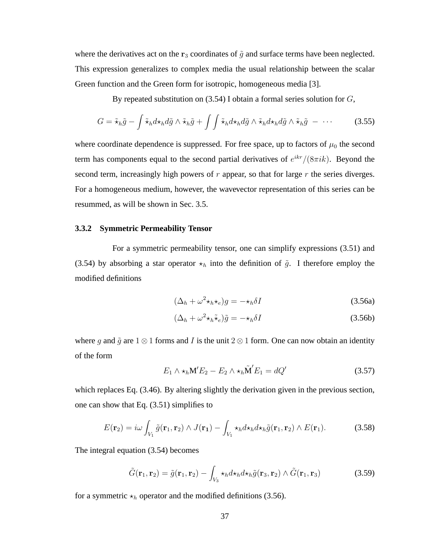where the derivatives act on the  $r_3$  coordinates of  $\tilde{g}$  and surface terms have been neglected. This expression generalizes to complex media the usual relationship between the scalar Green function and the Green form for isotropic, homogeneous media [3].

By repeated substitution on  $(3.54)$  I obtain a formal series solution for  $G$ ,

$$
G = \tilde{\star}_h \tilde{g} - \int \tilde{\star}_h d\star_h d\tilde{g} \wedge \tilde{\star}_h \tilde{g} + \int \int \tilde{\star}_h d\star_h d\tilde{g} \wedge \tilde{\star}_h d\star_h d\tilde{g} \wedge \tilde{\star}_h \tilde{g} - \cdots
$$
 (3.55)

where coordinate dependence is suppressed. For free space, up to factors of  $\mu_0$  the second term has components equal to the second partial derivatives of  $e^{ikr}/(8\pi i k)$ . Beyond the second term, increasingly high powers of  $r$  appear, so that for large  $r$  the series diverges. For a homogeneous medium, however, the wavevector representation of this series can be resummed, as will be shown in Sec. 3.5.

### **3.3.2 Symmetric Permeability Tensor**

For a symmetric permeability tensor, one can simplify expressions (3.51) and (3.54) by absorbing a star operator  $\star_h$  into the definition of  $\tilde{g}$ . I therefore employ the modified definitions

$$
(\Delta_h + \omega^2 \star_h \star_e)g = -\star_h \delta I \tag{3.56a}
$$

$$
(\Delta_h + \omega^2 \star_h \tilde{\star}_e) \tilde{g} = -\star_h \delta I \tag{3.56b}
$$

where q and  $\tilde{q}$  are  $1 \otimes 1$  forms and I is the unit  $2 \otimes 1$  form. One can now obtain an identity of the form

$$
E_1 \wedge \star_h \mathbf{M}' E_2 - E_2 \wedge \star_h \tilde{\mathbf{M}}' E_1 = dQ'
$$
 (3.57)

which replaces Eq.  $(3.46)$ . By altering slightly the derivation given in the previous section, one can show that Eq. (3.51) simplifies to

$$
E(\mathbf{r}_2) = i\omega \int_{V_1} \tilde{g}(\mathbf{r}_1, \mathbf{r}_2) \wedge J(\mathbf{r}_1) - \int_{V_1} \star_h d\star_h d\star_h \tilde{g}(\mathbf{r}_1, \mathbf{r}_2) \wedge E(\mathbf{r}_1).
$$
 (3.58)

The integral equation (3.54) becomes

$$
\tilde{G}(\mathbf{r}_1, \mathbf{r}_2) = \tilde{g}(\mathbf{r}_1, \mathbf{r}_2) - \int_{V_3} \star_h d\star_h d\star_h \tilde{g}(\mathbf{r}_3, \mathbf{r}_2) \wedge \tilde{G}(\mathbf{r}_1, \mathbf{r}_3)
$$
\n(3.59)

for a symmetric  $\star_h$  operator and the modified definitions (3.56).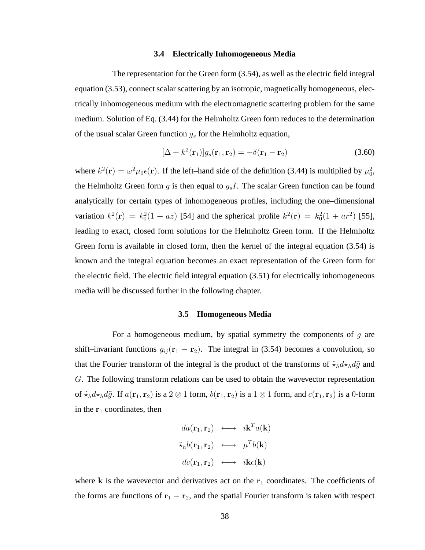#### **3.4 Electrically Inhomogeneous Media**

The representation for the Green form (3.54), as well as the electric field integral equation (3.53), connect scalar scattering by an isotropic, magnetically homogeneous, electrically inhomogeneous medium with the electromagnetic scattering problem for the same medium. Solution of Eq. (3.44) for the Helmholtz Green form reduces to the determination of the usual scalar Green function  $g_s$  for the Helmholtz equation,

$$
[\Delta + k^2(\mathbf{r}_1)]g_s(\mathbf{r}_1, \mathbf{r}_2) = -\delta(\mathbf{r}_1 - \mathbf{r}_2)
$$
\n(3.60)

where  $k^2(\mathbf{r}) = \omega^2 \mu_0 \epsilon(\mathbf{r})$ . If the left-hand side of the definition (3.44) is multiplied by  $\mu_0^2$ , the Helmholtz Green form g is then equal to  $g_sI$ . The scalar Green function can be found analytically for certain types of inhomogeneous profiles, including the one–dimensional variation  $k^2(\mathbf{r}) = k_0^2(1 + az)$  [54] and the spherical profile  $k^2(\mathbf{r}) = k_0^2(1 + ar^2)$  [55], leading to exact, closed form solutions for the Helmholtz Green form. If the Helmholtz Green form is available in closed form, then the kernel of the integral equation (3.54) is known and the integral equation becomes an exact representation of the Green form for the electric field. The electric field integral equation (3.51) for electrically inhomogeneous media will be discussed further in the following chapter.

### **3.5 Homogeneous Media**

For a homogeneous medium, by spatial symmetry the components of  $g$  are shift–invariant functions  $g_{ij}(\mathbf{r}_1 - \mathbf{r}_2)$ . The integral in (3.54) becomes a convolution, so that the Fourier transform of the integral is the product of the transforms of  $\tilde{\star}_h d\star_h d\tilde{g}$  and G. The following transform relations can be used to obtain the wavevector representation of  $\tilde{\star}_h d\star_h d\tilde{g}$ . If  $a(\mathbf{r}_1, \mathbf{r}_2)$  is a 2  $\otimes$  1 form,  $b(\mathbf{r}_1, \mathbf{r}_2)$  is a 1  $\otimes$  1 form, and  $c(\mathbf{r}_1, \mathbf{r}_2)$  is a 0-form in the  $r_1$  coordinates, then

$$
da(\mathbf{r}_1, \mathbf{r}_2) \longleftrightarrow ik^T a(\mathbf{k})
$$
  

$$
\tilde{\star}_h b(\mathbf{r}_1, \mathbf{r}_2) \longleftrightarrow \mu^T b(\mathbf{k})
$$
  

$$
dc(\mathbf{r}_1, \mathbf{r}_2) \longleftrightarrow ikc(\mathbf{k})
$$

where k is the wavevector and derivatives act on the  $r_1$  coordinates. The coefficients of the forms are functions of  $r_1 - r_2$ , and the spatial Fourier transform is taken with respect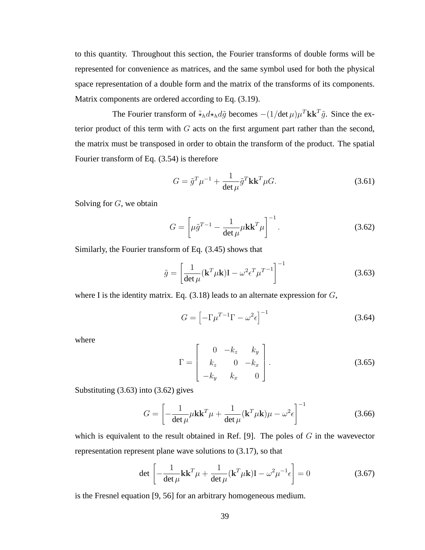to this quantity. Throughout this section, the Fourier transforms of double forms will be represented for convenience as matrices, and the same symbol used for both the physical space representation of a double form and the matrix of the transforms of its components. Matrix components are ordered according to Eq. (3.19).

The Fourier transform of  $\tilde{\star}_h d \star_h d\tilde{g}$  becomes  $-(1/\det \mu) \mu^T \mathbf{k} \mathbf{k}^T \tilde{g}$ . Since the exterior product of this term with  $G$  acts on the first argument part rather than the second, the matrix must be transposed in order to obtain the transform of the product. The spatial Fourier transform of Eq. (3.54) is therefore

$$
G = \tilde{g}^T \mu^{-1} + \frac{1}{\det \mu} \tilde{g}^T \mathbf{k} \mathbf{k}^T \mu G.
$$
 (3.61)

Solving for  $G$ , we obtain

$$
G = \left[\mu \tilde{g}^{T-1} - \frac{1}{\det \mu} \mu \mathbf{k} \mathbf{k}^T \mu\right]^{-1}.
$$
 (3.62)

Similarly, the Fourier transform of Eq. (3.45) shows that

$$
\tilde{g} = \left[\frac{1}{\det \mu} (\mathbf{k}^T \mu \mathbf{k}) \mathbf{I} - \omega^2 \epsilon^T \mu^{T-1}\right]^{-1}
$$
\n(3.63)

where I is the identity matrix. Eq.  $(3.18)$  leads to an alternate expression for  $G$ ,

$$
G = \left[ -\Gamma \mu^{T-1} \Gamma - \omega^2 \epsilon \right]^{-1} \tag{3.64}
$$

where

$$
\Gamma = \begin{bmatrix} 0 & -k_z & k_y \\ k_z & 0 & -k_x \\ -k_y & k_x & 0 \end{bmatrix} .
$$
 (3.65)

Substituting (3.63) into (3.62) gives

$$
G = \left[ -\frac{1}{\det \mu} \mu \mathbf{k} \mathbf{k}^T \mu + \frac{1}{\det \mu} (\mathbf{k}^T \mu \mathbf{k}) \mu - \omega^2 \epsilon \right]^{-1}
$$
(3.66)

which is equivalent to the result obtained in Ref. [9]. The poles of  $G$  in the wavevector representation represent plane wave solutions to (3.17), so that

$$
\det \left[ -\frac{1}{\det \mu} \mathbf{k} \mathbf{k}^T \mu + \frac{1}{\det \mu} (\mathbf{k}^T \mu \mathbf{k}) \mathbf{I} - \omega^2 \mu^{-1} \epsilon \right] = 0 \tag{3.67}
$$

is the Fresnel equation [9, 56] for an arbitrary homogeneous medium.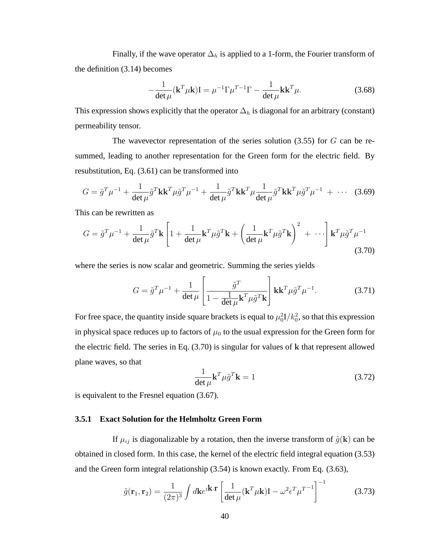Finally, if the wave operator  $\Delta_h$  is applied to a 1-form, the Fourier transform of the definition (3.14) becomes

$$
-\frac{1}{\det \mu}(\mathbf{k}^T \mu \mathbf{k})\mathbf{I} = \mu^{-1} \Gamma \mu^{T-1} \Gamma - \frac{1}{\det \mu} \mathbf{k} \mathbf{k}^T \mu.
$$
 (3.68)

This expression shows explicitly that the operator  $\Delta_h$  is diagonal for an arbitrary (constant) permeability tensor.

The wavevector representation of the series solution  $(3.55)$  for G can be resummed, leading to another representation for the Green form for the electric field. By resubstitution, Eq. (3.61) can be transformed into

$$
G = \tilde{g}^T \mu^{-1} + \frac{1}{\det \mu} \tilde{g}^T \mathbf{k} \mathbf{k}^T \mu \tilde{g}^T \mu^{-1} + \frac{1}{\det \mu} \tilde{g}^T \mathbf{k} \mathbf{k}^T \mu \frac{1}{\det \mu} \tilde{g}^T \mathbf{k} \mathbf{k}^T \mu \tilde{g}^T \mu^{-1} + \cdots
$$
 (3.69)

This can be rewritten as

$$
G = \tilde{g}^T \mu^{-1} + \frac{1}{\det \mu} \tilde{g}^T \mathbf{k} \left[ 1 + \frac{1}{\det \mu} \mathbf{k}^T \mu \tilde{g}^T \mathbf{k} + \left( \frac{1}{\det \mu} \mathbf{k}^T \mu \tilde{g}^T \mathbf{k} \right)^2 + \cdots \right] \mathbf{k}^T \mu \tilde{g}^T \mu^{-1}
$$
\n(3.70)

where the series is now scalar and geometric. Summing the series yields

$$
G = \tilde{g}^T \mu^{-1} + \frac{1}{\det \mu} \left[ \frac{\tilde{g}^T}{1 - \frac{1}{\det \mu} \mathbf{k}^T \mu \tilde{g}^T \mathbf{k}} \right] \mathbf{k} \mathbf{k}^T \mu \tilde{g}^T \mu^{-1}.
$$
 (3.71)

For free space, the quantity inside square brackets is equal to  $\mu_0^2 I/k_0^2$ , so that this expression in physical space reduces up to factors of  $\mu_0$  to the usual expression for the Green form for the electric field. The series in Eq.  $(3.70)$  is singular for values of k that represent allowed plane waves, so that

$$
\frac{1}{\det \mu} \mathbf{k}^T \mu \tilde{g}^T \mathbf{k} = 1 \tag{3.72}
$$

is equivalent to the Fresnel equation (3.67).

### **3.5.1 Exact Solution for the Helmholtz Green Form**

If  $\mu_{ij}$  is diagonalizable by a rotation, then the inverse transform of  $\tilde{g}(\mathbf{k})$  can be obtained in closed form. In this case, the kernel of the electric field integral equation (3.53) and the Green form integral relationship (3.54) is known exactly. From Eq. (3.63),

$$
\tilde{g}(\mathbf{r}_1, \mathbf{r}_2) = \frac{1}{(2\pi)^3} \int d\mathbf{k} e^{i\mathbf{k} \cdot \mathbf{r}} \left[ \frac{1}{\det \mu} (\mathbf{k}^T \mu \mathbf{k}) \mathbf{I} - \omega^2 \epsilon^T \mu^{T-1} \right]^{-1}
$$
(3.73)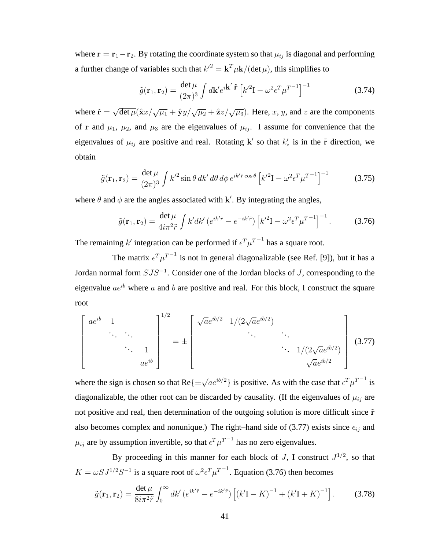where  $\mathbf{r} = \mathbf{r}_1 - \mathbf{r}_2$ . By rotating the coordinate system so that  $\mu_{ij}$  is diagonal and performing a further change of variables such that  $k'^2 = \mathbf{k}^T \mu \mathbf{k} / (\det \mu)$ , this simplifies to

$$
\tilde{g}(\mathbf{r}_1, \mathbf{r}_2) = \frac{\det \mu}{(2\pi)^3} \int d\mathbf{k}' e^{i\mathbf{k}' \cdot \tilde{\mathbf{r}}} \left[ k'^2 \mathbf{I} - \omega^2 \epsilon^T \mu^{T-1} \right]^{-1}
$$
(3.74)

where  $\tilde{\mathbf{r}} =$  $\sqrt{\det \mu} (\hat{\mathbf{x}}x/\sqrt{\mu_1} + \hat{\mathbf{y}}y/\sqrt{\mu_2} + \hat{\mathbf{z}}z/\sqrt{\mu_3})$ . Here, x, y, and z are the components of r and  $\mu_1$ ,  $\mu_2$ , and  $\mu_3$  are the eigenvalues of  $\mu_{ij}$ . I assume for convenience that the eigenvalues of  $\mu_{ij}$  are positive and real. Rotating k' so that  $k'_z$  is in the  $\tilde{\mathbf{r}}$  direction, we obtain

$$
\tilde{g}(\mathbf{r}_1, \mathbf{r}_2) = \frac{\det \mu}{(2\pi)^3} \int k'^2 \sin \theta \, dk' \, d\theta \, d\phi \, e^{ik'\tilde{r}\cos\theta} \left[ k'^2 \mathbf{I} - \omega^2 \epsilon^T \mu^{T-1} \right]^{-1} \tag{3.75}
$$

where  $\theta$  and  $\phi$  are the angles associated with **k**'. By integrating the angles,

$$
\tilde{g}(\mathbf{r}_1, \mathbf{r}_2) = \frac{\det \mu}{4i\pi^2 \tilde{r}} \int k' dk' \left( e^{ik'\tilde{r}} - e^{-ik'\tilde{r}} \right) \left[ k'^2 \mathbf{I} - \omega^2 \epsilon^T \mu^{T-1} \right]^{-1}.
$$
 (3.76)

The remaining k' integration can be performed if  $\epsilon^T \mu^{T-1}$  has a square root.

The matrix  $\epsilon^T \mu^{T-1}$  is not in general diagonalizable (see Ref. [9]), but it has a Jordan normal form  $SJS^{-1}$ . Consider one of the Jordan blocks of J, corresponding to the eigenvalue  $ae^{ib}$  where a and b are positive and real. For this block, I construct the square root

$$
\begin{bmatrix}\nae^{ib} & 1 & & & \\
& \ddots & \ddots & & \\
& & \ddots & 1 & \\
& & & ae^{ib}\n\end{bmatrix}^{1/2} = \pm \begin{bmatrix}\n\sqrt{a}e^{ib/2} & 1/(2\sqrt{a}e^{ib/2}) & & \\
& \ddots & \ddots & \ddots \\
& & & 1/(2\sqrt{a}e^{ib/2}) \\
& & & \sqrt{a}e^{ib/2}\n\end{bmatrix}
$$
\n(3.77)

where the sign is chosen so that Re $\{\pm\sqrt{a}e^{ib/2}\}\$ is positive. As with the case that  $\epsilon^T\mu^{T-1}$  is diagonalizable, the other root can be discarded by causality. (If the eigenvalues of  $\mu_{ij}$  are not positive and real, then determination of the outgoing solution is more difficult since  $\tilde{r}$ also becomes complex and nonunique.) The right–hand side of (3.77) exists since  $\epsilon_{ij}$  and  $\mu_{ij}$  are by assumption invertible, so that  $\epsilon^T \mu^{T-1}$  has no zero eigenvalues.

By proceeding in this manner for each block of  $J$ , I construct  $J^{1/2}$ , so that  $K = \omega SJ^{1/2}S^{-1}$  is a square root of  $\omega^2 \epsilon^T \mu^{T-1}$ . Equation (3.76) then becomes

$$
\tilde{g}(\mathbf{r}_1, \mathbf{r}_2) = \frac{\det \mu}{8i\pi^2 \tilde{r}} \int_0^\infty dk' \left( e^{ik'\tilde{r}} - e^{-ik'\tilde{r}} \right) \left[ \left( k'\mathbf{I} - K \right)^{-1} + \left( k'\mathbf{I} + K \right)^{-1} \right]. \tag{3.78}
$$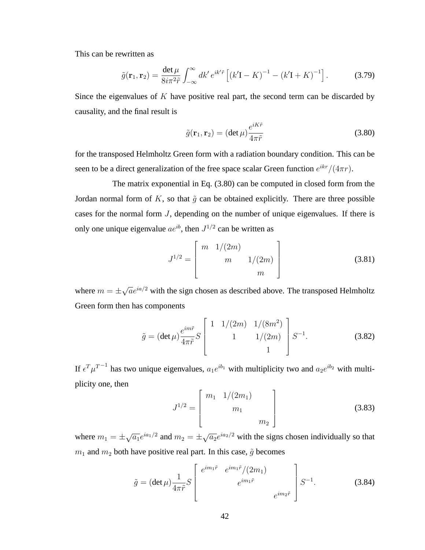This can be rewritten as

$$
\tilde{g}(\mathbf{r}_1, \mathbf{r}_2) = \frac{\det \mu}{8i\pi^2 \tilde{r}} \int_{-\infty}^{\infty} dk' e^{ik'\tilde{r}} \left[ \left( k'\mathbf{I} - K \right)^{-1} - \left( k'\mathbf{I} + K \right)^{-1} \right].
$$
 (3.79)

Since the eigenvalues of  $K$  have positive real part, the second term can be discarded by causality, and the final result is

$$
\tilde{g}(\mathbf{r}_1, \mathbf{r}_2) = (\det \mu) \frac{e^{iK\tilde{r}}}{4\pi\tilde{r}}
$$
\n(3.80)

for the transposed Helmholtz Green form with a radiation boundary condition. This can be seen to be a direct generalization of the free space scalar Green function  $e^{ikr}/(4\pi r)$ .

The matrix exponential in Eq. (3.80) can be computed in closed form from the Jordan normal form of K, so that  $\tilde{g}$  can be obtained explicitly. There are three possible cases for the normal form J, depending on the number of unique eigenvalues. If there is only one unique eigenvalue  $ae^{ib}$ , then  $J^{1/2}$  can be written as

$$
J^{1/2} = \begin{bmatrix} m & 1/(2m) \\ m & 1/(2m) \\ m \end{bmatrix}
$$
 (3.81)

where  $m = \pm$  $\sqrt{a}e^{ia/2}$  with the sign chosen as described above. The transposed Helmholtz Green form then has components

$$
\tilde{g} = (\det \mu) \frac{e^{im\tilde{r}}}{4\pi \tilde{r}} S \begin{bmatrix} 1 & 1/(2m) & 1/(8m^2) \\ & 1 & 1/(2m) \\ & & 1 \end{bmatrix} S^{-1}.
$$
 (3.82)

If  $\epsilon^T \mu^{T-1}$  has two unique eigenvalues,  $a_1 e^{ib_1}$  with multiplicity two and  $a_2 e^{ib_2}$  with multiplicity one, then  $\overline{r}$  $\overline{a}$ 

$$
J^{1/2} = \begin{bmatrix} m_1 & 1/(2m_1) \\ m_1 & \\ m_2 \end{bmatrix}
$$
 (3.83)

where  $m_1 = \pm \sqrt{a_1}e^{ia_1/2}$  and  $m_2 = \pm \sqrt{a_2}e^{ia_2/2}$  with the signs chosen individually so that  $m_1$  and  $m_2$  both have positive real part. In this case,  $\tilde{g}$  becomes

$$
\tilde{g} = (\det \mu) \frac{1}{4\pi \tilde{r}} S \left[ \begin{array}{ccc} e^{im_1 \tilde{r}} & e^{im_1 \tilde{r}} / (2m_1) \\ e^{im_1 \tilde{r}} & e^{im_2 \tilde{r}} \end{array} \right] S^{-1}.
$$
 (3.84)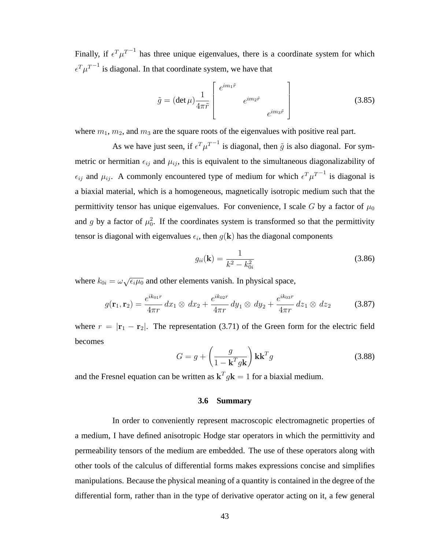Finally, if  $\epsilon^T \mu^{T-1}$  has three unique eigenvalues, there is a coordinate system for which  $\epsilon^T \mu^{T-1}$  is diagonal. In that coordinate system, we have that

$$
\tilde{g} = (\det \mu) \frac{1}{4\pi \tilde{r}} \begin{bmatrix} e^{im_1 \tilde{r}} & & \\ & e^{im_2 \tilde{r}} & \\ & & e^{im_3 \tilde{r}} \end{bmatrix} \tag{3.85}
$$

where  $m_1$ ,  $m_2$ , and  $m_3$  are the square roots of the eigenvalues with positive real part.

As we have just seen, if  $\epsilon^T \mu^{T-1}$  is diagonal, then  $\tilde{g}$  is also diagonal. For symmetric or hermitian  $\epsilon_{ij}$  and  $\mu_{ij}$ , this is equivalent to the simultaneous diagonalizability of  $\epsilon_{ij}$  and  $\mu_{ij}$ . A commonly encountered type of medium for which  $\epsilon^T \mu^{T-1}$  is diagonal is a biaxial material, which is a homogeneous, magnetically isotropic medium such that the permittivity tensor has unique eigenvalues. For convenience, I scale G by a factor of  $\mu_0$ and g by a factor of  $\mu_0^2$ . If the coordinates system is transformed so that the permittivity tensor is diagonal with eigenvalues  $\epsilon_i$ , then  $g(\mathbf{k})$  has the diagonal components

$$
g_{ii}(\mathbf{k}) = \frac{1}{k^2 - k_{0i}^2}
$$
 (3.86)

where  $k_{0i} = \omega \sqrt{\epsilon_i \mu_0}$  and other elements vanish. In physical space,

$$
g(\mathbf{r}_1, \mathbf{r}_2) = \frac{e^{ik_{01}r}}{4\pi r} dx_1 \otimes dx_2 + \frac{e^{ik_{02}r}}{4\pi r} dy_1 \otimes dy_2 + \frac{e^{ik_{03}r}}{4\pi r} dz_1 \otimes dz_2 \tag{3.87}
$$

where  $r = |\mathbf{r}_1 - \mathbf{r}_2|$ . The representation (3.71) of the Green form for the electric field becomes  $\overline{a}$ !<br>.

$$
G = g + \left(\frac{g}{1 - \mathbf{k}^T g \mathbf{k}}\right) \mathbf{k} \mathbf{k}^T g
$$
 (3.88)

and the Fresnel equation can be written as  $\mathbf{k}^T g \mathbf{k} = 1$  for a biaxial medium.

## **3.6 Summary**

In order to conveniently represent macroscopic electromagnetic properties of a medium, I have defined anisotropic Hodge star operators in which the permittivity and permeability tensors of the medium are embedded. The use of these operators along with other tools of the calculus of differential forms makes expressions concise and simplifies manipulations. Because the physical meaning of a quantity is contained in the degree of the differential form, rather than in the type of derivative operator acting on it, a few general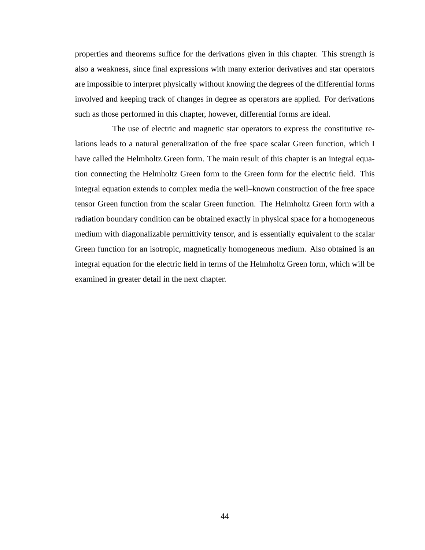properties and theorems suffice for the derivations given in this chapter. This strength is also a weakness, since final expressions with many exterior derivatives and star operators are impossible to interpret physically without knowing the degrees of the differential forms involved and keeping track of changes in degree as operators are applied. For derivations such as those performed in this chapter, however, differential forms are ideal.

The use of electric and magnetic star operators to express the constitutive relations leads to a natural generalization of the free space scalar Green function, which I have called the Helmholtz Green form. The main result of this chapter is an integral equation connecting the Helmholtz Green form to the Green form for the electric field. This integral equation extends to complex media the well–known construction of the free space tensor Green function from the scalar Green function. The Helmholtz Green form with a radiation boundary condition can be obtained exactly in physical space for a homogeneous medium with diagonalizable permittivity tensor, and is essentially equivalent to the scalar Green function for an isotropic, magnetically homogeneous medium. Also obtained is an integral equation for the electric field in terms of the Helmholtz Green form, which will be examined in greater detail in the next chapter.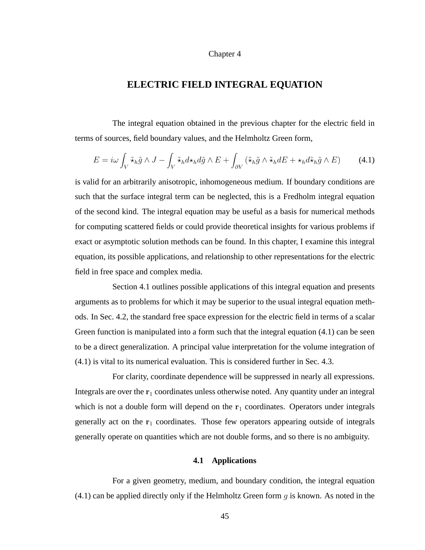### Chapter 4

# **ELECTRIC FIELD INTEGRAL EQUATION**

The integral equation obtained in the previous chapter for the electric field in terms of sources, field boundary values, and the Helmholtz Green form,

$$
E = i\omega \int_{V} \tilde{\star}_{h}\tilde{g} \wedge J - \int_{V} \tilde{\star}_{h}d\star_{h}d\tilde{g} \wedge E + \int_{\partial V} (\tilde{\star}_{h}\tilde{g} \wedge \tilde{\star}_{h}dE + \star_{h}d\tilde{\star}_{h}\tilde{g} \wedge E) \tag{4.1}
$$

is valid for an arbitrarily anisotropic, inhomogeneous medium. If boundary conditions are such that the surface integral term can be neglected, this is a Fredholm integral equation of the second kind. The integral equation may be useful as a basis for numerical methods for computing scattered fields or could provide theoretical insights for various problems if exact or asymptotic solution methods can be found. In this chapter, I examine this integral equation, its possible applications, and relationship to other representations for the electric field in free space and complex media.

Section 4.1 outlines possible applications of this integral equation and presents arguments as to problems for which it may be superior to the usual integral equation methods. In Sec. 4.2, the standard free space expression for the electric field in terms of a scalar Green function is manipulated into a form such that the integral equation (4.1) can be seen to be a direct generalization. A principal value interpretation for the volume integration of (4.1) is vital to its numerical evaluation. This is considered further in Sec. 4.3.

For clarity, coordinate dependence will be suppressed in nearly all expressions. Integrals are over the  $r_1$  coordinates unless otherwise noted. Any quantity under an integral which is not a double form will depend on the  $r_1$  coordinates. Operators under integrals generally act on the  $r_1$  coordinates. Those few operators appearing outside of integrals generally operate on quantities which are not double forms, and so there is no ambiguity.

## **4.1 Applications**

For a given geometry, medium, and boundary condition, the integral equation  $(4.1)$  can be applied directly only if the Helmholtz Green form g is known. As noted in the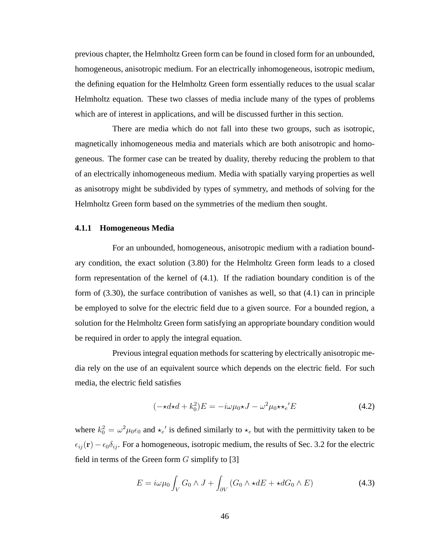previous chapter, the Helmholtz Green form can be found in closed form for an unbounded, homogeneous, anisotropic medium. For an electrically inhomogeneous, isotropic medium, the defining equation for the Helmholtz Green form essentially reduces to the usual scalar Helmholtz equation. These two classes of media include many of the types of problems which are of interest in applications, and will be discussed further in this section.

There are media which do not fall into these two groups, such as isotropic, magnetically inhomogeneous media and materials which are both anisotropic and homogeneous. The former case can be treated by duality, thereby reducing the problem to that of an electrically inhomogeneous medium. Media with spatially varying properties as well as anisotropy might be subdivided by types of symmetry, and methods of solving for the Helmholtz Green form based on the symmetries of the medium then sought.

### **4.1.1 Homogeneous Media**

For an unbounded, homogeneous, anisotropic medium with a radiation boundary condition, the exact solution (3.80) for the Helmholtz Green form leads to a closed form representation of the kernel of (4.1). If the radiation boundary condition is of the form of (3.30), the surface contribution of vanishes as well, so that (4.1) can in principle be employed to solve for the electric field due to a given source. For a bounded region, a solution for the Helmholtz Green form satisfying an appropriate boundary condition would be required in order to apply the integral equation.

Previous integral equation methods for scattering by electrically anisotropic media rely on the use of an equivalent source which depends on the electric field. For such media, the electric field satisfies

$$
(-\star d\star d + k_0^2)E = -i\omega\mu_0 \star J - \omega^2\mu_0 \star \star_e{}^{\prime}E
$$
\n(4.2)

where  $k_0^2 = \omega^2 \mu_0 \epsilon_0$  and  $\star_e'$  is defined similarly to  $\star_e$  but with the permittivity taken to be  $\epsilon_{ij}(\mathbf{r}) - \epsilon_0 \delta_{ij}$ . For a homogeneous, isotropic medium, the results of Sec. 3.2 for the electric field in terms of the Green form  $G$  simplify to [3]

$$
E = i\omega\mu_0 \int_V G_0 \wedge J + \int_{\partial V} (G_0 \wedge \star dE + \star dG_0 \wedge E) \tag{4.3}
$$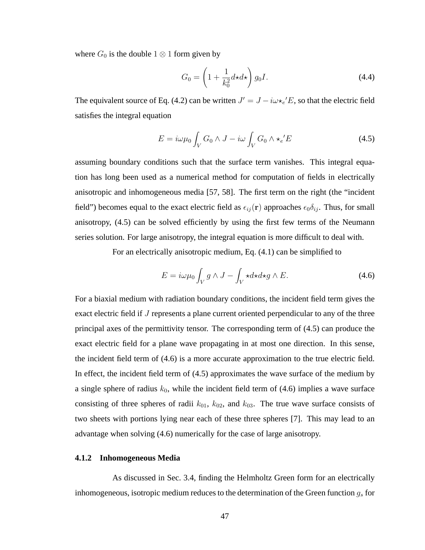where  $G_0$  is the double 1  $\otimes$  1 form given by

$$
G_0 = \left(1 + \frac{1}{k_0^2} d\star d\star\right) g_0 I. \tag{4.4}
$$

The equivalent source of Eq. (4.2) can be written  $J' = J - i\omega \star_e' E$ , so that the electric field satisfies the integral equation

$$
E = i\omega\mu_0 \int_V G_0 \wedge J - i\omega \int_V G_0 \wedge \star_e' E \tag{4.5}
$$

assuming boundary conditions such that the surface term vanishes. This integral equation has long been used as a numerical method for computation of fields in electrically anisotropic and inhomogeneous media [57, 58]. The first term on the right (the "incident field") becomes equal to the exact electric field as  $\epsilon_{ij}(\mathbf{r})$  approaches  $\epsilon_0 \delta_{ij}$ . Thus, for small anisotropy, (4.5) can be solved efficiently by using the first few terms of the Neumann series solution. For large anisotropy, the integral equation is more difficult to deal with.

For an electrically anisotropic medium, Eq. (4.1) can be simplified to

$$
E = i\omega\mu_0 \int_V g \wedge J - \int_V \star d\star d\star g \wedge E. \tag{4.6}
$$

For a biaxial medium with radiation boundary conditions, the incident field term gives the exact electric field if J represents a plane current oriented perpendicular to any of the three principal axes of the permittivity tensor. The corresponding term of (4.5) can produce the exact electric field for a plane wave propagating in at most one direction. In this sense, the incident field term of (4.6) is a more accurate approximation to the true electric field. In effect, the incident field term of (4.5) approximates the wave surface of the medium by a single sphere of radius  $k_0$ , while the incident field term of (4.6) implies a wave surface consisting of three spheres of radii  $k_{01}$ ,  $k_{02}$ , and  $k_{03}$ . The true wave surface consists of two sheets with portions lying near each of these three spheres [7]. This may lead to an advantage when solving (4.6) numerically for the case of large anisotropy.

### **4.1.2 Inhomogeneous Media**

As discussed in Sec. 3.4, finding the Helmholtz Green form for an electrically inhomogeneous, isotropic medium reduces to the determination of the Green function  $g_s$  for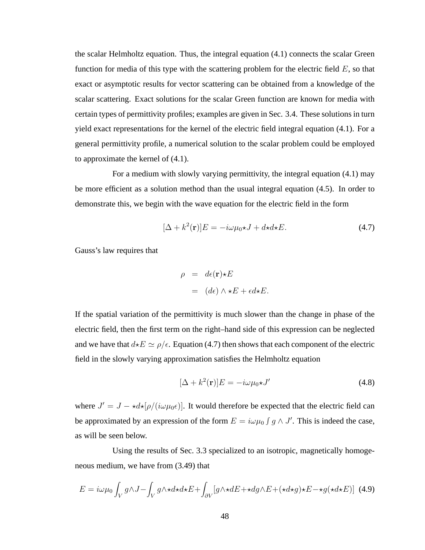the scalar Helmholtz equation. Thus, the integral equation (4.1) connects the scalar Green function for media of this type with the scattering problem for the electric field  $E$ , so that exact or asymptotic results for vector scattering can be obtained from a knowledge of the scalar scattering. Exact solutions for the scalar Green function are known for media with certain types of permittivity profiles; examples are given in Sec. 3.4. These solutions in turn yield exact representations for the kernel of the electric field integral equation (4.1). For a general permittivity profile, a numerical solution to the scalar problem could be employed to approximate the kernel of (4.1).

For a medium with slowly varying permittivity, the integral equation (4.1) may be more efficient as a solution method than the usual integral equation (4.5). In order to demonstrate this, we begin with the wave equation for the electric field in the form

$$
[\Delta + k^2(\mathbf{r})]E = -i\omega\mu_0 \star J + d\star d\star E. \tag{4.7}
$$

Gauss's law requires that

$$
\rho = d\epsilon(\mathbf{r}) \star E
$$
  
=  $(d\epsilon) \wedge \star E + \epsilon d \star E.$ 

If the spatial variation of the permittivity is much slower than the change in phase of the electric field, then the first term on the right–hand side of this expression can be neglected and we have that  $d \star E \simeq \rho/\epsilon$ . Equation (4.7) then shows that each component of the electric field in the slowly varying approximation satisfies the Helmholtz equation

$$
[\Delta + k^2(\mathbf{r})]E = -i\omega\mu_0 \star J'
$$
\n(4.8)

where  $J' = J - \star d \star [\rho/(\mathrm{i} \omega \mu_0 \epsilon)]$ . It would therefore be expected that the electric field can be approximated by an expression of the form  $E = i\omega\mu_0 \int g \wedge J'$ . This is indeed the case, as will be seen below.

Using the results of Sec. 3.3 specialized to an isotropic, magnetically homogeneous medium, we have from (3.49) that

$$
E = i\omega\mu_0 \int_V g \wedge J - \int_V g \wedge \star d\star d\star E + \int_{\partial V} [g \wedge \star dE + \star dg \wedge E + (\star d\star g) \star E - \star g (\star d\star E)] \tag{4.9}
$$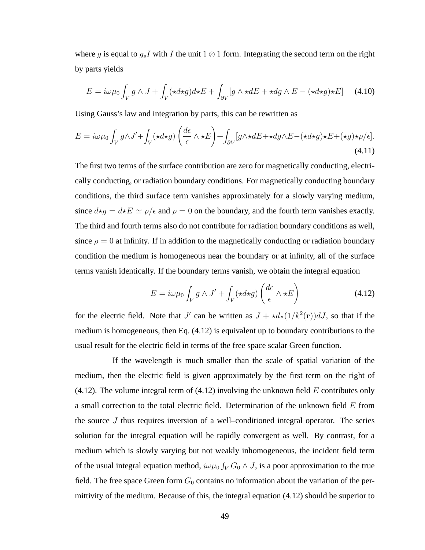where g is equal to  $g_sI$  with I the unit 1  $\otimes$  1 form. Integrating the second term on the right by parts yields

$$
E = i\omega\mu_0 \int_V g \wedge J + \int_V (\star d\star g) d\star E + \int_{\partial V} [g \wedge \star dE + \star dg \wedge E - (\star d\star g) \star E] \tag{4.10}
$$

Using Gauss's law and integration by parts, this can be rewritten as

$$
E = i\omega\mu_0 \int_V g \wedge J' + \int_V (\star d\star g) \left( \frac{d\epsilon}{\epsilon} \wedge \star E \right) + \int_{\partial V} [g \wedge \star dE + \star dg \wedge E - (\star d\star g) \star E + (\star g) \star \rho/\epsilon]. \tag{4.11}
$$

The first two terms of the surface contribution are zero for magnetically conducting, electrically conducting, or radiation boundary conditions. For magnetically conducting boundary conditions, the third surface term vanishes approximately for a slowly varying medium, since  $d \star g = d \star E \simeq \rho / \epsilon$  and  $\rho = 0$  on the boundary, and the fourth term vanishes exactly. The third and fourth terms also do not contribute for radiation boundary conditions as well, since  $\rho = 0$  at infinity. If in addition to the magnetically conducting or radiation boundary condition the medium is homogeneous near the boundary or at infinity, all of the surface terms vanish identically. If the boundary terms vanish, we obtain the integral equation

$$
E = i\omega\mu_0 \int_V g \wedge J' + \int_V (\star d\star g) \left(\frac{d\epsilon}{\epsilon} \wedge \star E\right)
$$
 (4.12)

for the electric field. Note that J' can be written as  $J + \star d \star (1/k^2(\mathbf{r})) dJ$ , so that if the medium is homogeneous, then Eq. (4.12) is equivalent up to boundary contributions to the usual result for the electric field in terms of the free space scalar Green function.

If the wavelength is much smaller than the scale of spatial variation of the medium, then the electric field is given approximately by the first term on the right of  $(4.12)$ . The volume integral term of  $(4.12)$  involving the unknown field E contributes only a small correction to the total electric field. Determination of the unknown field  $E$  from the source  $J$  thus requires inversion of a well–conditioned integral operator. The series solution for the integral equation will be rapidly convergent as well. By contrast, for a medium which is slowly varying but not weakly inhomogeneous, the incident field term of the usual integral equation method,  $i\omega\mu_0$   $\int_V G_0 \wedge J$ , is a poor approximation to the true field. The free space Green form  $G_0$  contains no information about the variation of the permittivity of the medium. Because of this, the integral equation (4.12) should be superior to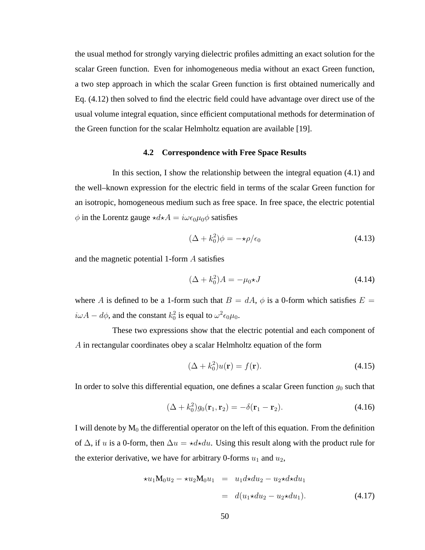the usual method for strongly varying dielectric profiles admitting an exact solution for the scalar Green function. Even for inhomogeneous media without an exact Green function, a two step approach in which the scalar Green function is first obtained numerically and Eq. (4.12) then solved to find the electric field could have advantage over direct use of the usual volume integral equation, since efficient computational methods for determination of the Green function for the scalar Helmholtz equation are available [19].

### **4.2 Correspondence with Free Space Results**

In this section, I show the relationship between the integral equation (4.1) and the well–known expression for the electric field in terms of the scalar Green function for an isotropic, homogeneous medium such as free space. In free space, the electric potential  $\phi$  in the Lorentz gauge  $\star d\star A = i\omega\epsilon_0\mu_0\phi$  satisfies

$$
(\Delta + k_0^2)\phi = -\star \rho/\epsilon_0 \tag{4.13}
$$

and the magnetic potential 1-form A satisfies

$$
(\Delta + k_0^2)A = -\mu_0 \star J \tag{4.14}
$$

where A is defined to be a 1-form such that  $B = dA$ ,  $\phi$  is a 0-form which satisfies  $E =$  $i\omega A - d\phi$ , and the constant  $k_0^2$  is equal to  $\omega^2 \epsilon_0 \mu_0$ .

These two expressions show that the electric potential and each component of A in rectangular coordinates obey a scalar Helmholtz equation of the form

$$
(\Delta + k_0^2)u(\mathbf{r}) = f(\mathbf{r}).\tag{4.15}
$$

In order to solve this differential equation, one defines a scalar Green function  $g_0$  such that

$$
(\Delta + k_0^2)g_0(\mathbf{r}_1, \mathbf{r}_2) = -\delta(\mathbf{r}_1 - \mathbf{r}_2). \tag{4.16}
$$

I will denote by  $M_0$  the differential operator on the left of this equation. From the definition of  $\Delta$ , if u is a 0-form, then  $\Delta u = \star d \star du$ . Using this result along with the product rule for the exterior derivative, we have for arbitrary 0-forms  $u_1$  and  $u_2$ ,

$$
\star u_1 \mathbf{M}_0 u_2 - \star u_2 \mathbf{M}_0 u_1 = u_1 d \star du_2 - u_2 \star d \star du_1
$$
  
= 
$$
d(u_1 \star du_2 - u_2 \star du_1).
$$
 (4.17)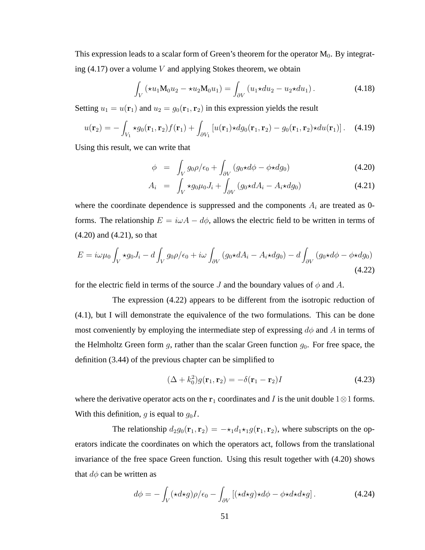This expression leads to a scalar form of Green's theorem for the operator  $M_0$ . By integrating  $(4.17)$  over a volume V and applying Stokes theorem, we obtain

$$
\int_{V} (\star u_1 \mathbf{M}_0 u_2 - \star u_2 \mathbf{M}_0 u_1) = \int_{\partial V} (u_1 \star du_2 - u_2 \star du_1).
$$
\n(4.18)

Setting  $u_1 = u(\mathbf{r}_1)$  and  $u_2 = g_0(\mathbf{r}_1, \mathbf{r}_2)$  in this expression yields the result

$$
u(\mathbf{r}_2) = -\int_{V_1} \star g_0(\mathbf{r}_1, \mathbf{r}_2) f(\mathbf{r}_1) + \int_{\partial V_1} \left[ u(\mathbf{r}_1) \star dg_0(\mathbf{r}_1, \mathbf{r}_2) - g_0(\mathbf{r}_1, \mathbf{r}_2) \star du(\mathbf{r}_1) \right]. \tag{4.19}
$$

Using this result, we can write that

$$
\phi = \int_{V} g_0 \rho / \epsilon_0 + \int_{\partial V} (g_0 \star d\phi - \phi \star dg_0) \tag{4.20}
$$

$$
A_i = \int_V \star g_0 \mu_0 J_i + \int_{\partial V} (g_0 \star dA_i - A_i \star dg_0) \tag{4.21}
$$

where the coordinate dependence is suppressed and the components  $A_i$  are treated as 0forms. The relationship  $E = i\omega A - d\phi$ , allows the electric field to be written in terms of (4.20) and (4.21), so that

$$
E = i\omega\mu_0 \int_V \star g_0 J_i - d \int_V g_0 \rho/\epsilon_0 + i\omega \int_{\partial V} (g_0 \star dA_i - A_i \star dg_0) - d \int_{\partial V} (g_0 \star d\phi - \phi \star dg_0)
$$
\n(4.22)

for the electric field in terms of the source J and the boundary values of  $\phi$  and A.

The expression (4.22) appears to be different from the isotropic reduction of (4.1), but I will demonstrate the equivalence of the two formulations. This can be done most conveniently by employing the intermediate step of expressing  $d\phi$  and A in terms of the Helmholtz Green form  $g$ , rather than the scalar Green function  $g_0$ . For free space, the definition (3.44) of the previous chapter can be simplified to

$$
(\Delta + k_0^2)g(\mathbf{r}_1, \mathbf{r}_2) = -\delta(\mathbf{r}_1 - \mathbf{r}_2)I
$$
\n(4.23)

where the derivative operator acts on the  $r_1$  coordinates and I is the unit double 1⊗1 forms. With this definition, g is equal to  $g_0I$ .

The relationship  $d_2g_0(\mathbf{r}_1, \mathbf{r}_2) = -\star_1 d_1 \star_1 g(\mathbf{r}_1, \mathbf{r}_2)$ , where subscripts on the operators indicate the coordinates on which the operators act, follows from the translational invariance of the free space Green function. Using this result together with (4.20) shows that  $d\phi$  can be written as

$$
d\phi = -\int_{V} (\star d\star g) \rho/\epsilon_0 - \int_{\partial V} \left[ (\star d\star g) \star d\phi - \phi \star d\star d\star g \right]. \tag{4.24}
$$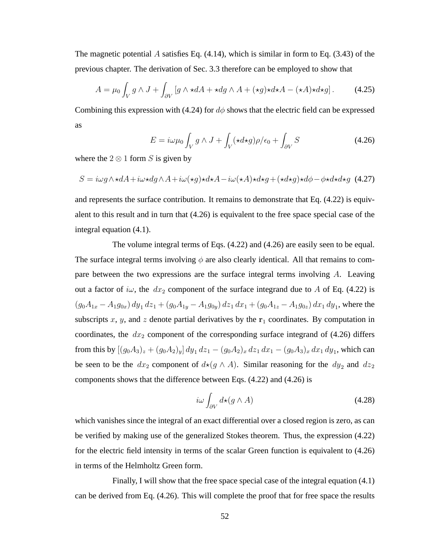The magnetic potential A satisfies Eq.  $(4.14)$ , which is similar in form to Eq.  $(3.43)$  of the previous chapter. The derivation of Sec. 3.3 therefore can be employed to show that

$$
A = \mu_0 \int_V g \wedge J + \int_{\partial V} \left[ g \wedge \star dA + \star dg \wedge A + (\star g) \star d\star A - (\star A) \star d\star g \right]. \tag{4.25}
$$

Combining this expression with (4.24) for  $d\phi$  shows that the electric field can be expressed as

$$
E = i\omega\mu_0 \int_V g \wedge J + \int_V (\star d\star g) \rho/\epsilon_0 + \int_{\partial V} S \tag{4.26}
$$

where the  $2 \otimes 1$  form S is given by

$$
S = i\omega g \wedge \star dA + i\omega \star dg \wedge A + i\omega(\star g) \star d\star A - i\omega(\star A) \star d\star g + (\star d\star g) \star d\phi - \phi \star d\star d\star g \tag{4.27}
$$

and represents the surface contribution. It remains to demonstrate that Eq.  $(4.22)$  is equivalent to this result and in turn that (4.26) is equivalent to the free space special case of the integral equation (4.1).

The volume integral terms of Eqs. (4.22) and (4.26) are easily seen to be equal. The surface integral terms involving  $\phi$  are also clearly identical. All that remains to compare between the two expressions are the surface integral terms involving A. Leaving out a factor of  $i\omega$ , the  $dx_2$  component of the surface integrand due to A of Eq. (4.22) is  $(g_0A_{1x} - A_1g_{0x}) dy_1 dz_1 + (g_0A_{1y} - A_1g_{0y}) dz_1 dx_1 + (g_0A_{1z} - A_1g_{0z}) dx_1 dy_1$ , where the subscripts x, y, and z denote partial derivatives by the  $r_1$  coordinates. By computation in coordinates, the  $dx_2$  component of the corresponding surface integrand of (4.26) differs from this by  $[(g_0 A_3)_z + (g_0 A_2)_y] dy_1 \, dz_1 - (g_0 A_2)_x \, dz_1 \, dx_1 - (g_0 A_3)_x \, dx_1 \, dy_1$ , which can be seen to be the  $dx_2$  component of  $d \star (g \wedge A)$ . Similar reasoning for the  $dy_2$  and  $dz_2$ components shows that the difference between Eqs. (4.22) and (4.26) is

$$
i\omega \int_{\partial V} d\star (g \wedge A) \tag{4.28}
$$

which vanishes since the integral of an exact differential over a closed region is zero, as can be verified by making use of the generalized Stokes theorem. Thus, the expression (4.22) for the electric field intensity in terms of the scalar Green function is equivalent to (4.26) in terms of the Helmholtz Green form.

Finally, I will show that the free space special case of the integral equation (4.1) can be derived from Eq. (4.26). This will complete the proof that for free space the results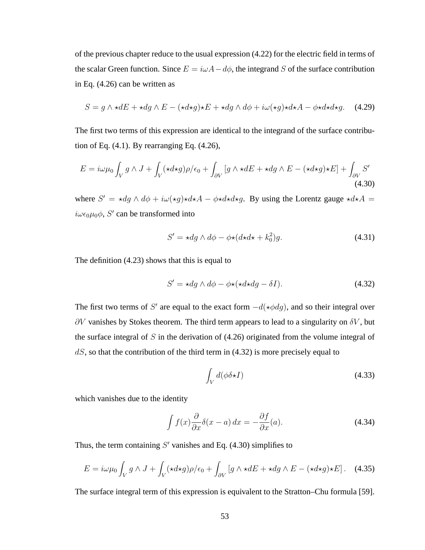of the previous chapter reduce to the usual expression (4.22) for the electric field in terms of the scalar Green function. Since  $E = i\omega A - d\phi$ , the integrand S of the surface contribution in Eq. (4.26) can be written as

$$
S = g \wedge \star dE + \star dg \wedge E - (\star d \star g) \star E + \star dg \wedge d\phi + i\omega(\star g) \star d\star A - \phi \star d\star d\star g. \tag{4.29}
$$

The first two terms of this expression are identical to the integrand of the surface contribution of Eq.  $(4.1)$ . By rearranging Eq.  $(4.26)$ ,

$$
E = i\omega\mu_0 \int_V g \wedge J + \int_V (\star d\star g) \rho/\epsilon_0 + \int_{\partial V} \left[ g \wedge \star dE + \star dg \wedge E - (\star d\star g) \star E \right] + \int_{\partial V} S' \tag{4.30}
$$

where  $S' = \star dg \wedge d\phi + i\omega(\star g)\star d\star A - \phi \star d\star d\star g$ . By using the Lorentz gauge  $\star d\star A =$  $i\omega\epsilon_0\mu_0\phi$ , S' can be transformed into

$$
S' = \star dg \wedge d\phi - \phi \star (d \star d \star + k_0^2) g. \tag{4.31}
$$

The definition (4.23) shows that this is equal to

$$
S' = \star dg \wedge d\phi - \phi \star (\star d \star dg - \delta I). \tag{4.32}
$$

The first two terms of S' are equal to the exact form  $-d(*\phi dg)$ , and so their integral over  $\partial V$  vanishes by Stokes theorem. The third term appears to lead to a singularity on  $\partial V$ , but the surface integral of  $S$  in the derivation of  $(4.26)$  originated from the volume integral of  $dS$ , so that the contribution of the third term in (4.32) is more precisely equal to

$$
\int_{V} d(\phi \delta \star I) \tag{4.33}
$$

which vanishes due to the identity

$$
\int f(x)\frac{\partial}{\partial x}\delta(x-a)\,dx = -\frac{\partial f}{\partial x}(a). \tag{4.34}
$$

Thus, the term containing  $S'$  vanishes and Eq. (4.30) simplifies to

$$
E = i\omega\mu_0 \int_V g \wedge J + \int_V (\star d\star g) \rho/\epsilon_0 + \int_{\partial V} \left[ g \wedge \star dE + \star dg \wedge E - (\star d\star g) \star E \right]. \tag{4.35}
$$

The surface integral term of this expression is equivalent to the Stratton–Chu formula [59].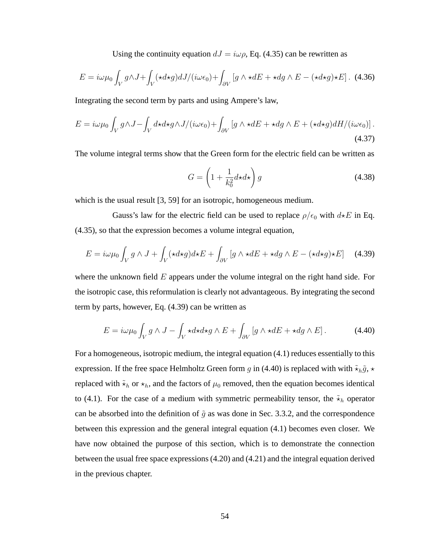Using the continuity equation  $dJ = i\omega \rho$ , Eq. (4.35) can be rewritten as

$$
E = i\omega\mu_0 \int_V g \wedge J + \int_V (\star d\star g) dJ / (i\omega\epsilon_0) + \int_{\partial V} \left[ g \wedge \star dE + \star dg \wedge E - (\star d\star g) \star E \right].
$$
 (4.36)

Integrating the second term by parts and using Ampere's law,

$$
E = i\omega\mu_0 \int_V g \wedge J - \int_V d\star d\star g \wedge J/(i\omega\epsilon_0) + \int_{\partial V} \left[ g \wedge \star dE + \star dg \wedge E + (\star d\star g) dH/(i\omega\epsilon_0) \right].
$$
\n(4.37)

The volume integral terms show that the Green form for the electric field can be written as

$$
G = \left(1 + \frac{1}{k_0^2} d \star d \star\right) g \tag{4.38}
$$

which is the usual result [3, 59] for an isotropic, homogeneous medium.

Gauss's law for the electric field can be used to replace  $\rho/\epsilon_0$  with  $d \star E$  in Eq. (4.35), so that the expression becomes a volume integral equation,

$$
E = i\omega\mu_0 \int_V g \wedge J + \int_V (\star d\star g) d\star E + \int_{\partial V} \left[ g \wedge \star dE + \star dg \wedge E - (\star d\star g) \star E \right] \tag{4.39}
$$

where the unknown field  $E$  appears under the volume integral on the right hand side. For the isotropic case, this reformulation is clearly not advantageous. By integrating the second term by parts, however, Eq. (4.39) can be written as

$$
E = i\omega\mu_0 \int_V g \wedge J - \int_V \star d\star d\star g \wedge E + \int_{\partial V} \left[ g \wedge \star dE + \star dg \wedge E \right]. \tag{4.40}
$$

For a homogeneous, isotropic medium, the integral equation (4.1) reduces essentially to this expression. If the free space Helmholtz Green form g in (4.40) is replaced with with  $\tilde{\star}_{h} \tilde{g}$ ,  $\star$ replaced with  $\tilde{\star}_h$  or  $\star_h$ , and the factors of  $\mu_0$  removed, then the equation becomes identical to (4.1). For the case of a medium with symmetric permeability tensor, the  $\tilde{\star}_h$  operator can be absorbed into the definition of  $\tilde{q}$  as was done in Sec. 3.3.2, and the correspondence between this expression and the general integral equation (4.1) becomes even closer. We have now obtained the purpose of this section, which is to demonstrate the connection between the usual free space expressions (4.20) and (4.21) and the integral equation derived in the previous chapter.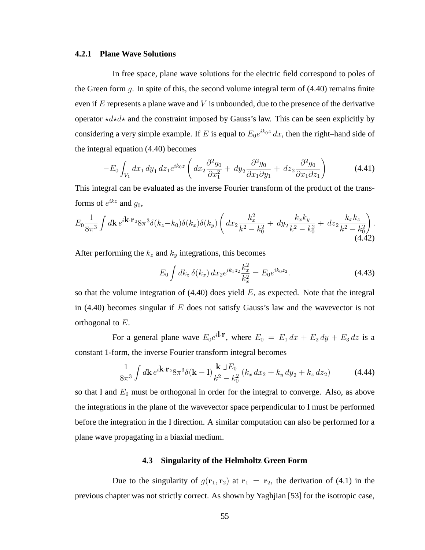### **4.2.1 Plane Wave Solutions**

In free space, plane wave solutions for the electric field correspond to poles of the Green form q. In spite of this, the second volume integral term of  $(4.40)$  remains finite even if  $E$  represents a plane wave and  $V$  is unbounded, due to the presence of the derivative operator  $\star d \star d \star$  and the constraint imposed by Gauss's law. This can be seen explicitly by considering a very simple example. If E is equal to  $E_0e^{ik_0z} dx$ , then the right–hand side of the integral equation (4.40) becomes

$$
-E_0 \int_{V_1} dx_1 dy_1 dz_1 e^{ik_0 z} \left( dx_2 \frac{\partial^2 g_0}{\partial x_1^2} + dy_2 \frac{\partial^2 g_0}{\partial x_1 \partial y_1} + dz_2 \frac{\partial^2 g_0}{\partial x_1 \partial z_1} \right) \tag{4.41}
$$

This integral can be evaluated as the inverse Fourier transform of the product of the transforms of  $e^{ikz}$  and  $g_0$ ,

$$
E_0 \frac{1}{8\pi^3} \int d\mathbf{k} \, e^{i\mathbf{k} \cdot \mathbf{r}_2} 8\pi^3 \delta(k_z - k_0) \delta(k_x) \delta(k_y) \left( dx_2 \frac{k_x^2}{k^2 - k_0^2} + dy_2 \frac{k_x k_y}{k^2 - k_0^2} + dz_2 \frac{k_x k_z}{k^2 - k_0^2} \right). \tag{4.42}
$$

After performing the  $k_z$  and  $k_y$  integrations, this becomes

$$
E_0 \int dk_z \,\delta(k_x) \, dx_2 e^{ik_z z_2} \frac{k_x^2}{k_x^2} = E_0 e^{ik_0 z_2}.\tag{4.43}
$$

so that the volume integration of  $(4.40)$  does yield  $E$ , as expected. Note that the integral in  $(4.40)$  becomes singular if E does not satisfy Gauss's law and the wavevector is not orthogonal to  $E$ .

For a general plane wave  $E_0e^{i\mathbf{l}\cdot\mathbf{r}}$ , where  $E_0 = E_1 dx + E_2 dy + E_3 dz$  is a constant 1-form, the inverse Fourier transform integral becomes

$$
\frac{1}{8\pi^3} \int d\mathbf{k} \, e^{i\mathbf{k} \cdot \mathbf{r}_2} 8\pi^3 \delta(\mathbf{k} - 1) \frac{\mathbf{k} \, \Box E_0}{k^2 - k_0^2} \left( k_x \, dx_2 + k_y \, dy_2 + k_z \, dz_2 \right) \tag{4.44}
$$

so that  $l$  and  $E_0$  must be orthogonal in order for the integral to converge. Also, as above the integrations in the plane of the wavevector space perpendicular to l must be performed before the integration in the l direction. A similar computation can also be performed for a plane wave propagating in a biaxial medium.

### **4.3 Singularity of the Helmholtz Green Form**

Due to the singularity of  $g(\mathbf{r}_1, \mathbf{r}_2)$  at  $\mathbf{r}_1 = \mathbf{r}_2$ , the derivation of (4.1) in the previous chapter was not strictly correct. As shown by Yaghjian [53] for the isotropic case,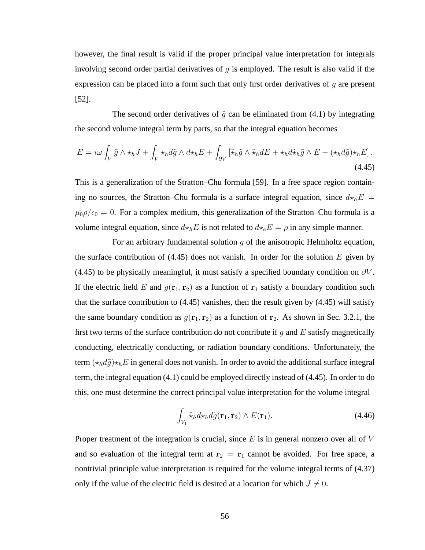however, the final result is valid if the proper principal value interpretation for integrals involving second order partial derivatives of  $q$  is employed. The result is also valid if the expression can be placed into a form such that only first order derivatives of  $q$  are present [52].

The second order derivatives of  $\tilde{g}$  can be eliminated from (4.1) by integrating the second volume integral term by parts, so that the integral equation becomes

$$
E = i\omega \int_{V} \tilde{g} \wedge \star_h J + \int_{V} \star_h d\tilde{g} \wedge d\star_h E + \int_{\partial V} \left[ \tilde{\star}_h \tilde{g} \wedge \tilde{\star}_h dE + \star_h d\tilde{\star}_h \tilde{g} \wedge E - (\star_h d\tilde{g}) \star_h E \right].
$$
\n(4.45)

This is a generalization of the Stratton–Chu formula [59]. In a free space region containing no sources, the Stratton–Chu formula is a surface integral equation, since  $d\star_hE$  =  $\mu_0 \rho/\epsilon_0 = 0$ . For a complex medium, this generalization of the Stratton–Chu formula is a volume integral equation, since  $d\star_h E$  is not related to  $d\star_e E = \rho$  in any simple manner.

For an arbitrary fundamental solution  $q$  of the anisotropic Helmholtz equation, the surface contribution of  $(4.45)$  does not vanish. In order for the solution E given by (4.45) to be physically meaningful, it must satisfy a specified boundary condition on  $\partial V$ . If the electric field E and  $g(\mathbf{r}_1, \mathbf{r}_2)$  as a function of  $\mathbf{r}_1$  satisfy a boundary condition such that the surface contribution to (4.45) vanishes, then the result given by (4.45) will satisfy the same boundary condition as  $g(\mathbf{r}_1, \mathbf{r}_2)$  as a function of  $\mathbf{r}_2$ . As shown in Sec. 3.2.1, the first two terms of the surface contribution do not contribute if  $g$  and  $E$  satisfy magnetically conducting, electrically conducting, or radiation boundary conditions. Unfortunately, the term  $(\star_h d\tilde{g})\star_h E$  in general does not vanish. In order to avoid the additional surface integral term, the integral equation (4.1) could be employed directly instead of (4.45). In order to do this, one must determine the correct principal value interpretation for the volume integral

$$
\int_{V_1} \tilde{\star}_h d\star_h d\tilde{g}(\mathbf{r}_1, \mathbf{r}_2) \wedge E(\mathbf{r}_1).
$$
\n(4.46)

Proper treatment of the integration is crucial, since  $E$  is in general nonzero over all of  $V$ and so evaluation of the integral term at  $r_2 = r_1$  cannot be avoided. For free space, a nontrivial principle value interpretation is required for the volume integral terms of (4.37) only if the value of the electric field is desired at a location for which  $J \neq 0$ .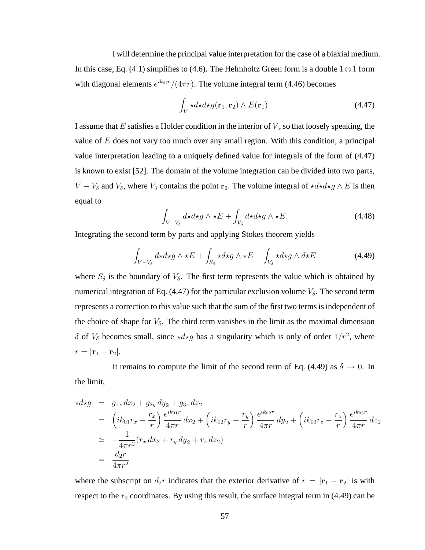I will determine the principal value interpretation for the case of a biaxial medium. In this case, Eq. (4.1) simplifies to (4.6). The Helmholtz Green form is a double  $1 \otimes 1$  form with diagonal elements  $e^{ik_{0i}r}/(4\pi r)$ . The volume integral term (4.46) becomes

$$
\int_{V} \star d\star d\star g(\mathbf{r}_1, \mathbf{r}_2) \wedge E(\mathbf{r}_1). \tag{4.47}
$$

I assume that  $E$  satisfies a Holder condition in the interior of  $V$ , so that loosely speaking, the value of  $E$  does not vary too much over any small region. With this condition, a principal value interpretation leading to a uniquely defined value for integrals of the form of (4.47) is known to exist [52]. The domain of the volume integration can be divided into two parts,  $V - V_\delta$  and  $V_\delta$ , where  $V_\delta$  contains the point r<sub>2</sub>. The volume integral of  $\star d\star d\star g \wedge E$  is then equal to

$$
\int_{V-V_{\delta}} d\star d\star g \wedge \star E + \int_{V_{\delta}} d\star d\star g \wedge \star E. \tag{4.48}
$$

Integrating the second term by parts and applying Stokes theorem yields

$$
\int_{V-V_{\delta}} d\star d\star g \wedge \star E + \int_{S_{\delta}} \star d\star g \wedge \star E - \int_{V_{\delta}} \star d\star g \wedge d\star E \tag{4.49}
$$

where  $S_{\delta}$  is the boundary of  $V_{\delta}$ . The first term represents the value which is obtained by numerical integration of Eq. (4.47) for the particular exclusion volume  $V_{\delta}$ . The second term represents a correction to this value such that the sum of the first two terms is independent of the choice of shape for  $V_{\delta}$ . The third term vanishes in the limit as the maximal dimension δ of  $V<sub>δ</sub>$  becomes small, since  $\star d \star g$  has a singularity which is only of order  $1/r<sup>2</sup>$ , where  $r = |{\bf r}_1 - {\bf r}_2|.$ 

It remains to compute the limit of the second term of Eq. (4.49) as  $\delta \rightarrow 0$ . In the limit,

$$
\star d\star g = g_{1x} dx_2 + g_{2y} dy_2 + g_{3z} dz_2
$$
  
=  $(ik_{01}r_x - \frac{r_x}{r}) \frac{e^{ik_{01}r}}{4\pi r} dx_2 + (ik_{02}r_y - \frac{r_y}{r}) \frac{e^{ik_{02}r}}{4\pi r} dy_2 + (ik_{03}r_z - \frac{r_z}{r}) \frac{e^{ik_{03}r}}{4\pi r} dz_2$   

$$
\approx -\frac{1}{4\pi r^2} (r_x dx_2 + r_y dy_2 + r_z dz_2)
$$
  
=  $\frac{d_2r}{4\pi r^2}$ 

where the subscript on  $d_2r$  indicates that the exterior derivative of  $r = |\mathbf{r}_1 - \mathbf{r}_2|$  is with respect to the  $r_2$  coordinates. By using this result, the surface integral term in (4.49) can be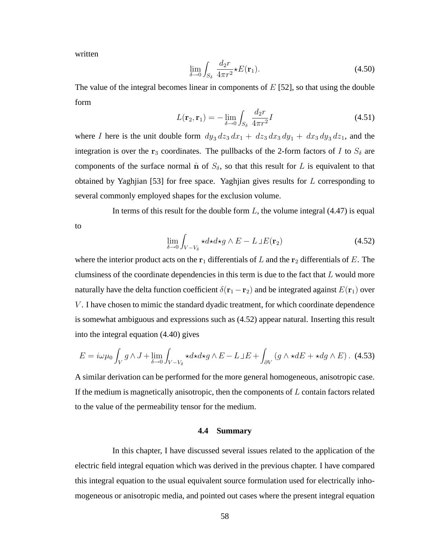written

$$
\lim_{\delta \to 0} \int_{S_{\delta}} \frac{d_2 r}{4\pi r^2} \star E(\mathbf{r}_1). \tag{4.50}
$$

The value of the integral becomes linear in components of  $E$  [52], so that using the double form

$$
L(\mathbf{r}_2, \mathbf{r}_1) = -\lim_{\delta \to 0} \int_{S_{\delta}} \frac{d_2 r}{4\pi r^2} I
$$
 (4.51)

where I here is the unit double form  $dy_3 dz_3 dx_1 + dz_3 dx_3 dy_1 + dx_3 dy_3 dz_1$ , and the integration is over the  $r_3$  coordinates. The pullbacks of the 2-form factors of I to  $S_\delta$  are components of the surface normal  $\hat{\mathbf{n}}$  of  $S_{\delta}$ , so that this result for L is equivalent to that obtained by Yaghjian [53] for free space. Yaghjian gives results for  $L$  corresponding to several commonly employed shapes for the exclusion volume.

In terms of this result for the double form  $L$ , the volume integral (4.47) is equal to

$$
\lim_{\delta \to 0} \int_{V - V_{\delta}} \star d\star d\star g \wedge E - L \sqcup E(\mathbf{r}_2)
$$
\n(4.52)

where the interior product acts on the  $r_1$  differentials of L and the  $r_2$  differentials of E. The clumsiness of the coordinate dependencies in this term is due to the fact that  $L$  would more naturally have the delta function coefficient  $\delta(\mathbf{r}_1 - \mathbf{r}_2)$  and be integrated against  $E(\mathbf{r}_1)$  over V. I have chosen to mimic the standard dyadic treatment, for which coordinate dependence is somewhat ambiguous and expressions such as (4.52) appear natural. Inserting this result into the integral equation (4.40) gives

$$
E = i\omega\mu_0 \int_V g \wedge J + \lim_{\delta \to 0} \int_{V - V_\delta} \star d\star d\star g \wedge E - L \perp E + \int_{\partial V} (g \wedge \star dE + \star dg \wedge E). \tag{4.53}
$$

A similar derivation can be performed for the more general homogeneous, anisotropic case. If the medium is magnetically anisotropic, then the components of  $L$  contain factors related to the value of the permeability tensor for the medium.

#### **4.4 Summary**

In this chapter, I have discussed several issues related to the application of the electric field integral equation which was derived in the previous chapter. I have compared this integral equation to the usual equivalent source formulation used for electrically inhomogeneous or anisotropic media, and pointed out cases where the present integral equation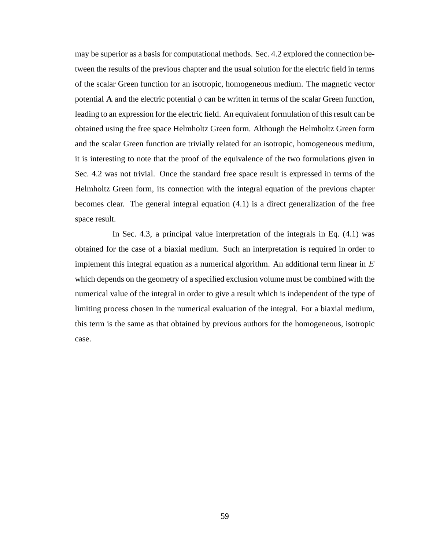may be superior as a basis for computational methods. Sec. 4.2 explored the connection between the results of the previous chapter and the usual solution for the electric field in terms of the scalar Green function for an isotropic, homogeneous medium. The magnetic vector potential A and the electric potential  $\phi$  can be written in terms of the scalar Green function, leading to an expression for the electric field. An equivalent formulation of this result can be obtained using the free space Helmholtz Green form. Although the Helmholtz Green form and the scalar Green function are trivially related for an isotropic, homogeneous medium, it is interesting to note that the proof of the equivalence of the two formulations given in Sec. 4.2 was not trivial. Once the standard free space result is expressed in terms of the Helmholtz Green form, its connection with the integral equation of the previous chapter becomes clear. The general integral equation (4.1) is a direct generalization of the free space result.

In Sec. 4.3, a principal value interpretation of the integrals in Eq. (4.1) was obtained for the case of a biaxial medium. Such an interpretation is required in order to implement this integral equation as a numerical algorithm. An additional term linear in  $E$ which depends on the geometry of a specified exclusion volume must be combined with the numerical value of the integral in order to give a result which is independent of the type of limiting process chosen in the numerical evaluation of the integral. For a biaxial medium, this term is the same as that obtained by previous authors for the homogeneous, isotropic case.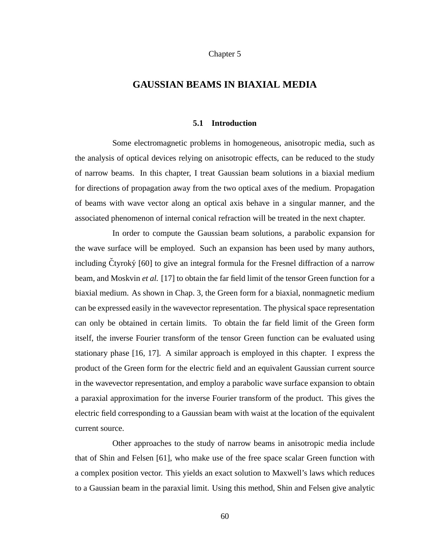### Chapter 5

# **GAUSSIAN BEAMS IN BIAXIAL MEDIA**

### **5.1 Introduction**

Some electromagnetic problems in homogeneous, anisotropic media, such as the analysis of optical devices relying on anisotropic effects, can be reduced to the study of narrow beams. In this chapter, I treat Gaussian beam solutions in a biaxial medium for directions of propagation away from the two optical axes of the medium. Propagation of beams with wave vector along an optical axis behave in a singular manner, and the associated phenomenon of internal conical refraction will be treated in the next chapter.

In order to compute the Gaussian beam solutions, a parabolic expansion for the wave surface will be employed. Such an expansion has been used by many authors, including Čtyroký [60] to give an integral formula for the Fresnel diffraction of a narrow beam, and Moskvin *et al.* [17] to obtain the far field limit of the tensor Green function for a biaxial medium. As shown in Chap. 3, the Green form for a biaxial, nonmagnetic medium can be expressed easily in the wavevector representation. The physical space representation can only be obtained in certain limits. To obtain the far field limit of the Green form itself, the inverse Fourier transform of the tensor Green function can be evaluated using stationary phase [16, 17]. A similar approach is employed in this chapter. I express the product of the Green form for the electric field and an equivalent Gaussian current source in the wavevector representation, and employ a parabolic wave surface expansion to obtain a paraxial approximation for the inverse Fourier transform of the product. This gives the electric field corresponding to a Gaussian beam with waist at the location of the equivalent current source.

Other approaches to the study of narrow beams in anisotropic media include that of Shin and Felsen [61], who make use of the free space scalar Green function with a complex position vector. This yields an exact solution to Maxwell's laws which reduces to a Gaussian beam in the paraxial limit. Using this method, Shin and Felsen give analytic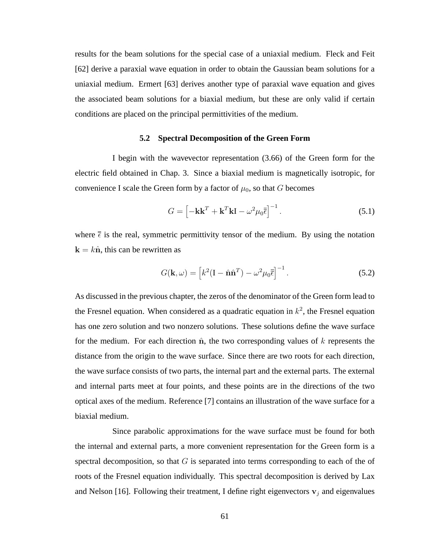results for the beam solutions for the special case of a uniaxial medium. Fleck and Feit [62] derive a paraxial wave equation in order to obtain the Gaussian beam solutions for a uniaxial medium. Ermert [63] derives another type of paraxial wave equation and gives the associated beam solutions for a biaxial medium, but these are only valid if certain conditions are placed on the principal permittivities of the medium.

### **5.2 Spectral Decomposition of the Green Form**

I begin with the wavevector representation (3.66) of the Green form for the electric field obtained in Chap. 3. Since a biaxial medium is magnetically isotropic, for convenience I scale the Green form by a factor of  $\mu_0$ , so that G becomes

$$
G = \left[ -\mathbf{k}\mathbf{k}^T + \mathbf{k}^T\mathbf{k}\mathbf{I} - \omega^2\mu_0 \overline{\overline{\epsilon}} \right]^{-1}.
$$
 (5.1)

where  $\bar{\bar{\epsilon}}$  is the real, symmetric permittivity tensor of the medium. By using the notation  $k = k\hat{n}$ , this can be rewritten as

$$
G(\mathbf{k}, \omega) = \left[k^2(\mathbf{I} - \hat{\mathbf{n}}\hat{\mathbf{n}}^T) - \omega^2 \mu_0 \overline{\overline{\epsilon}}\right]^{-1}.
$$
 (5.2)

As discussed in the previous chapter, the zeros of the denominator of the Green form lead to the Fresnel equation. When considered as a quadratic equation in  $k^2$ , the Fresnel equation has one zero solution and two nonzero solutions. These solutions define the wave surface for the medium. For each direction  $\hat{n}$ , the two corresponding values of k represents the distance from the origin to the wave surface. Since there are two roots for each direction, the wave surface consists of two parts, the internal part and the external parts. The external and internal parts meet at four points, and these points are in the directions of the two optical axes of the medium. Reference [7] contains an illustration of the wave surface for a biaxial medium.

Since parabolic approximations for the wave surface must be found for both the internal and external parts, a more convenient representation for the Green form is a spectral decomposition, so that  $G$  is separated into terms corresponding to each of the of roots of the Fresnel equation individually. This spectral decomposition is derived by Lax and Nelson [16]. Following their treatment, I define right eigenvectors  $v_j$  and eigenvalues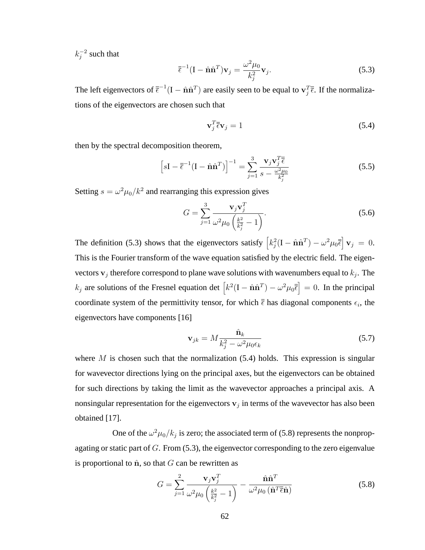$k_j^{-2}$  such that

$$
\overline{\overline{\epsilon}}^{-1}(\mathbf{I} - \hat{\mathbf{n}}\hat{\mathbf{n}}^{T})\mathbf{v}_{j} = \frac{\omega^{2}\mu_{0}}{k_{j}^{2}}\mathbf{v}_{j}.
$$
 (5.3)

The left eigenvectors of  $\bar{\epsilon}^{-1}(I - \hat{n}\hat{n}^T)$  are easily seen to be equal to  $\mathbf{v}^T_j \bar{\epsilon}$ . If the normalizations of the eigenvectors are chosen such that

$$
\mathbf{v}_j^T \overline{\overline{\epsilon}} \mathbf{v}_j = 1 \tag{5.4}
$$

then by the spectral decomposition theorem,

$$
\left[sI - \overline{\overline{\epsilon}}^{-1}(I - \hat{\mathbf{n}}\hat{\mathbf{n}}^{T})\right]^{-1} = \sum_{j=1}^{3} \frac{\mathbf{v}_{j}\mathbf{v}_{j}^{T}\overline{\overline{\epsilon}}}{s - \frac{\omega^{2}\mu_{0}}{k_{j}^{2}}}
$$
(5.5)

Setting  $s = \omega^2 \mu_0 / k^2$  and rearranging this expression gives

$$
G = \sum_{j=1}^{3} \frac{\mathbf{v}_j \mathbf{v}_j^T}{\omega^2 \mu_0 \left(\frac{k^2}{k_j^2} - 1\right)}.
$$
 (5.6)

The definition (5.3) shows that the eigenvectors satisfy  $\left[k_j^2 (I - \hat{n} \hat{n}^T) - \omega^2 \mu_0 \overline{\overline{\epsilon}}\right]$ i  $\mathbf{v}_j = 0.$ This is the Fourier transform of the wave equation satisfied by the electric field. The eigenvectors  $v_j$  therefore correspond to plane wave solutions with wavenumbers equal to  $k_j$ . The  $k_j$  are solutions of the Fresnel equation det  $\left[k^2(I - \hat{n}\hat{n}^T) - \omega^2 \mu_0 \overline{\overline{e}}\right]$ i  $= 0$ . In the principal coordinate system of the permittivity tensor, for which  $\bar{\bar{\epsilon}}$  has diagonal components  $\epsilon_i$ , the eigenvectors have components [16]

$$
\mathbf{v}_{jk} = M \frac{\hat{\mathbf{n}}_k}{k_j^2 - \omega^2 \mu_0 \epsilon_k} \tag{5.7}
$$

where  $M$  is chosen such that the normalization (5.4) holds. This expression is singular for wavevector directions lying on the principal axes, but the eigenvectors can be obtained for such directions by taking the limit as the wavevector approaches a principal axis. A nonsingular representation for the eigenvectors  $v_j$  in terms of the wavevector has also been obtained [17].

One of the  $\omega^2 \mu_0 / k_j$  is zero; the associated term of (5.8) represents the nonpropagating or static part of  $G$ . From  $(5.3)$ , the eigenvector corresponding to the zero eigenvalue is proportional to  $\hat{\mathbf{n}}$ , so that G can be rewritten as

$$
G = \sum_{j=1}^{2} \frac{\mathbf{v}_j \mathbf{v}_j^T}{\omega^2 \mu_0 \left(\frac{k^2}{k_j^2} - 1\right)} - \frac{\hat{\mathbf{n}} \hat{\mathbf{n}}^T}{\omega^2 \mu_0 \left(\hat{\mathbf{n}}^T \overline{\overline{\epsilon}} \hat{\mathbf{n}}\right)}
$$
(5.8)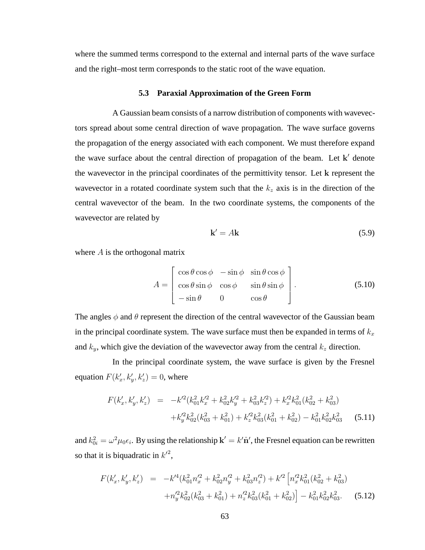where the summed terms correspond to the external and internal parts of the wave surface and the right–most term corresponds to the static root of the wave equation.

## **5.3 Paraxial Approximation of the Green Form**

A Gaussian beam consists of a narrow distribution of components with wavevectors spread about some central direction of wave propagation. The wave surface governs the propagation of the energy associated with each component. We must therefore expand the wave surface about the central direction of propagation of the beam. Let  $k'$  denote the wavevector in the principal coordinates of the permittivity tensor. Let k represent the wavevector in a rotated coordinate system such that the  $k_z$  axis is in the direction of the central wavevector of the beam. In the two coordinate systems, the components of the wavevector are related by

$$
\mathbf{k}' = A\mathbf{k} \tag{5.9}
$$

where A is the orthogonal matrix

$$
A = \begin{bmatrix} \cos \theta \cos \phi & -\sin \phi & \sin \theta \cos \phi \\ \cos \theta \sin \phi & \cos \phi & \sin \theta \sin \phi \\ -\sin \theta & 0 & \cos \theta \end{bmatrix}.
$$
 (5.10)

The angles  $\phi$  and  $\theta$  represent the direction of the central wavevector of the Gaussian beam in the principal coordinate system. The wave surface must then be expanded in terms of  $k_x$ and  $k_y$ , which give the deviation of the wavevector away from the central  $k_z$  direction.

In the principal coordinate system, the wave surface is given by the Fresnel equation  $F(k'_x, k'_y, k'_z) = 0$ , where

$$
F(k'_x, k'_y, k'_z) = -k'^2(k_{01}^2 k_x'^2 + k_{02}^2 k_y'^2 + k_{03}^2 k_z'^2) + k_x'^2 k_{01}^2 (k_{02}^2 + k_{03}^2) + k_y'^2 k_{02}^2 (k_{03}^2 + k_{01}^2) + k_z'^2 k_{03}^2 (k_{01}^2 + k_{02}^2) - k_{01}^2 k_{02}^2 k_{03}^2
$$
 (5.11)

and  $k_{0i}^2 = \omega^2 \mu_0 \epsilon_i$ . By using the relationship  $\mathbf{k}' = k' \hat{\mathbf{n}}'$ , the Fresnel equation can be rewritten so that it is biquadratic in  $k^2$ ,

$$
F(k'_x, k'_y, k'_z) = -k'^4(k_{01}^2 n_x'^2 + k_{02}^2 n_y'^2 + k_{03}^2 n_z'^2) + k'^2 \left[ n_x'^2 k_{01}^2 (k_{02}^2 + k_{03}^2) + n_y'^2 k_{02}^2 (k_{03}^2 + k_{01}^2) + n_z'^2 k_{03}^2 (k_{01}^2 + k_{02}^2) \right] - k_{01}^2 k_{02}^2 k_{03}^2.
$$
 (5.12)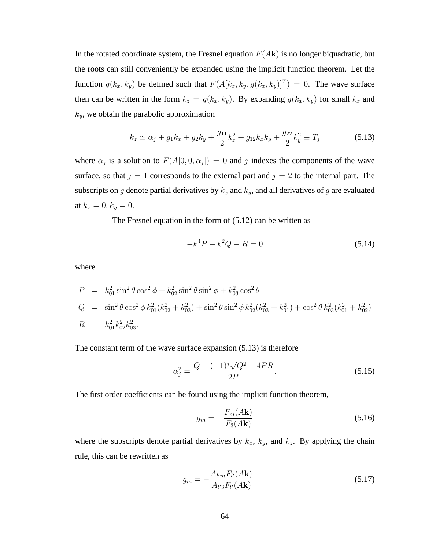In the rotated coordinate system, the Fresnel equation  $F(Ak)$  is no longer biquadratic, but the roots can still conveniently be expanded using the implicit function theorem. Let the function  $g(k_x, k_y)$  be defined such that  $F(A[k_x, k_y, g(k_x, k_y)]^T) = 0$ . The wave surface then can be written in the form  $k_z = g(k_x, k_y)$ . By expanding  $g(k_x, k_y)$  for small  $k_x$  and  $k_y$ , we obtain the parabolic approximation

$$
k_z \simeq \alpha_j + g_1 k_x + g_2 k_y + \frac{g_{11}}{2} k_x^2 + g_{12} k_x k_y + \frac{g_{22}}{2} k_y^2 \equiv T_j \tag{5.13}
$$

where  $\alpha_j$  is a solution to  $F(A[0,0,\alpha_j]) = 0$  and j indexes the components of the wave surface, so that  $j = 1$  corresponds to the external part and  $j = 2$  to the internal part. The subscripts on g denote partial derivatives by  $k_x$  and  $k_y$ , and all derivatives of g are evaluated at  $k_x = 0, k_y = 0$ .

The Fresnel equation in the form of (5.12) can be written as

$$
-k^4 P + k^2 Q - R = 0 \tag{5.14}
$$

where

$$
P = k_{01}^2 \sin^2 \theta \cos^2 \phi + k_{02}^2 \sin^2 \theta \sin^2 \phi + k_{03}^2 \cos^2 \theta
$$
  
\n
$$
Q = \sin^2 \theta \cos^2 \phi k_{01}^2 (k_{02}^2 + k_{03}^2) + \sin^2 \theta \sin^2 \phi k_{02}^2 (k_{03}^2 + k_{01}^2) + \cos^2 \theta k_{03}^2 (k_{01}^2 + k_{02}^2)
$$
  
\n
$$
R = k_{01}^2 k_{02}^2 k_{03}^2.
$$

The constant term of the wave surface expansion (5.13) is therefore

$$
\alpha_j^2 = \frac{Q - (-1)^j \sqrt{Q^2 - 4PR}}{2P}.
$$
\n(5.15)

The first order coefficients can be found using the implicit function theorem,

$$
g_m = -\frac{F_m(A\mathbf{k})}{F_3(A\mathbf{k})} \tag{5.16}
$$

where the subscripts denote partial derivatives by  $k_x$ ,  $k_y$ , and  $k_z$ . By applying the chain rule, this can be rewritten as

$$
g_m = -\frac{A_{l'm}F_{l'}(A\mathbf{k})}{A_{l'3}F_{l'}(A\mathbf{k})}
$$
\n(5.17)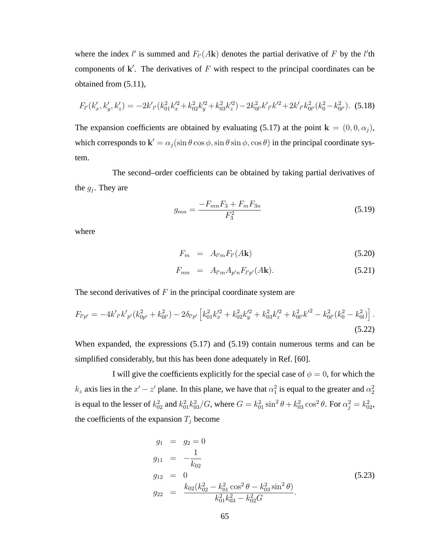where the index l' is summed and  $F_{l'}(A\mathbf{k})$  denotes the partial derivative of F by the l'th components of  $k'$ . The derivatives of F with respect to the principal coordinates can be obtained from (5.11),

$$
F_{l'}(k'_x, k'_y, k'_z) = -2k'_{l'}(k_{01}^2 k_x^{\prime 2} + k_{02}^2 k_y^{\prime 2} + k_{03}^2 k_z^{\prime 2}) - 2k_{0l'}^2 k'_{l'} k^{\prime 2} + 2k'_{l'} k_{0l'}^2 (k_0^2 - k_{0l'}^2). \tag{5.18}
$$

The expansion coefficients are obtained by evaluating (5.17) at the point  $\mathbf{k} = (0, 0, \alpha_j)$ , which corresponds to  $\mathbf{k}' = \alpha_j (\sin \theta \cos \phi, \sin \theta \sin \phi, \cos \theta)$  in the principal coordinate system.

The second–order coefficients can be obtained by taking partial derivatives of the  $g_j$ . They are

$$
g_{mn} = \frac{-F_{mn}F_3 + F_m F_{3n}}{F_3^2} \tag{5.19}
$$

where

$$
F_m = A_{l'm} F_{l'}(A\mathbf{k}) \tag{5.20}
$$

$$
F_{mn} = A_{l'm} A_{p'n} F_{l'p'}(A\mathbf{k}). \tag{5.21}
$$

The second derivatives of  $F$  in the principal coordinate system are

$$
F_{l'p'} = -4k'_{l'}k'_{p'}(k_{0p'}^2 + k_{0l'}^2) - 2\delta_{l'p'}\left[k_{01}^2k_x'^2 + k_{02}^2k_y'^2 + k_{03}^2k_z'^2 + k_{0l'}^2k'^2 - k_{0l'}^2(k_0^2 - k_{0l}^2)\right].
$$
\n(5.22)

When expanded, the expressions (5.17) and (5.19) contain numerous terms and can be simplified considerably, but this has been done adequately in Ref. [60].

I will give the coefficients explicitly for the special case of  $\phi = 0$ , for which the  $k_z$  axis lies in the  $x' - z'$  plane. In this plane, we have that  $\alpha_1^2$  is equal to the greater and  $\alpha_2^2$ is equal to the lesser of  $k_{02}^2$  and  $k_{01}^2 k_{03}^2/G$ , where  $G = k_{01}^2 \sin^2 \theta + k_{03}^2 \cos^2 \theta$ . For  $\alpha_j^2 = k_{02}^2$ , the coefficients of the expansion  $T_i$  become

$$
g_1 = g_2 = 0
$$
  
\n
$$
g_{11} = -\frac{1}{k_{02}}
$$
  
\n
$$
g_{12} = 0
$$
  
\n
$$
g_{22} = \frac{k_{02}(k_{02}^2 - k_{01}^2 \cos^2 \theta - k_{03}^2 \sin^2 \theta)}{k_{01}^2 k_{03}^2 - k_{02}^2 G}.
$$
\n(5.23)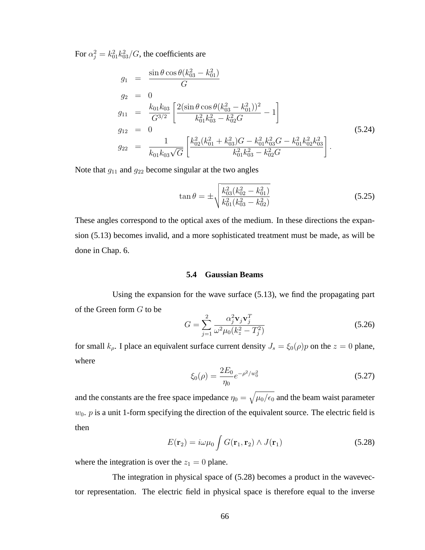For  $\alpha_j^2 = k_{01}^2 k_{03}^2/G$ , the coefficients are

$$
g_1 = \frac{\sin \theta \cos \theta (k_{03}^2 - k_{01}^2)}{G}
$$
  
\n
$$
g_2 = 0
$$
  
\n
$$
g_{11} = \frac{k_{01}k_{03}}{G^{3/2}} \left[ \frac{2(\sin \theta \cos \theta (k_{03}^2 - k_{01}^2))^2}{k_{01}^2 k_{03}^2 - k_{02}^2 G} - 1 \right]
$$
  
\n
$$
g_{12} = 0
$$
  
\n
$$
g_{22} = \frac{1}{k_{01}k_{03}\sqrt{G}} \left[ \frac{k_{02}^2(k_{01}^2 + k_{03}^2)G - k_{01}^2 k_{03}^2 G - k_{01}^2 k_{02}^2 k_{03}^2}{k_{01}^2 k_{03}^2 - k_{02}^2 G} \right].
$$
\n(5.24)

Note that  $g_{11}$  and  $g_{22}$  become singular at the two angles

$$
\tan \theta = \pm \sqrt{\frac{k_{03}^2 (k_{02}^2 - k_{01}^2)}{k_{01}^2 (k_{03}^2 - k_{02}^2)}}
$$
(5.25)

These angles correspond to the optical axes of the medium. In these directions the expansion (5.13) becomes invalid, and a more sophisticated treatment must be made, as will be done in Chap. 6.

### **5.4 Gaussian Beams**

Using the expansion for the wave surface (5.13), we find the propagating part of the Green form G to be

$$
G = \sum_{j=1}^{2} \frac{\alpha_j^2 \mathbf{v}_j \mathbf{v}_j^T}{\omega^2 \mu_0 (k_z^2 - T_j^2)}
$$
(5.26)

for small  $k_{\rho}$ . I place an equivalent surface current density  $J_s = \xi_0(\rho)p$  on the  $z = 0$  plane, where

$$
\xi_0(\rho) = \frac{2E_0}{\eta_0} e^{-\rho^2/w_0^2}
$$
\n(5.27)

and the constants are the free space impedance  $\eta_0 =$  $\mathcal{L}$  $\mu_0/\epsilon_0$  and the beam waist parameter  $w_0$ . p is a unit 1-form specifying the direction of the equivalent source. The electric field is then

$$
E(\mathbf{r}_2) = i\omega\mu_0 \int G(\mathbf{r}_1, \mathbf{r}_2) \wedge J(\mathbf{r}_1)
$$
 (5.28)

where the integration is over the  $z_1 = 0$  plane.

The integration in physical space of (5.28) becomes a product in the wavevector representation. The electric field in physical space is therefore equal to the inverse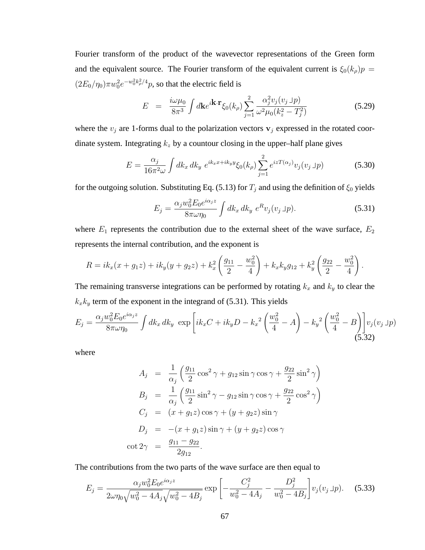Fourier transform of the product of the wavevector representations of the Green form and the equivalent source. The Fourier transform of the equivalent current is  $\xi_0(k_\rho)p =$  $(2E_0/\eta_0)\pi w_0^2 e^{-w_0^2 k_\rho^2/4}p$ , so that the electric field is

$$
E = \frac{i\omega\mu_0}{8\pi^3} \int d\mathbf{k} e^{i\mathbf{k}\cdot\mathbf{r}} \xi_0(k_\rho) \sum_{j=1}^2 \frac{\alpha_j^2 v_j(v_j \, \text{J} p)}{\omega^2 \mu_0(k_z^2 - T_j^2)} \tag{5.29}
$$

where the  $v_j$  are 1-forms dual to the polarization vectors  $v_j$  expressed in the rotated coordinate system. Integrating  $k_z$  by a countour closing in the upper–half plane gives

$$
E = \frac{\alpha_j}{16\pi^2 \omega} \int dk_x \, dk_y \, e^{ik_x x + ik_y y} \xi_0(k_\rho) \sum_{j=1}^2 e^{izT(\alpha_j)} v_j(v_j \, \exists p) \tag{5.30}
$$

for the outgoing solution. Substituting Eq. (5.13) for  $T_j$  and using the definition of  $\xi_0$  yields

$$
E_j = \frac{\alpha_j w_0^2 E_0 e^{i\alpha_j z}}{8\pi \omega \eta_0} \int dk_x dk_y e^R v_j(v_j \,\mathrm{J}p). \tag{5.31}
$$

where  $E_1$  represents the contribution due to the external sheet of the wave surface,  $E_2$ represents the internal contribution, and the exponent is

$$
R = ik_x(x + g_1 z) + ik_y(y + g_2 z) + k_x^2 \left(\frac{g_{11}}{2} - \frac{w_0^2}{4}\right) + k_x k_y g_{12} + k_y^2 \left(\frac{g_{22}}{2} - \frac{w_0^2}{4}\right).
$$

The remaining transverse integrations can be performed by rotating  $k_x$  and  $k_y$  to clear the  $k_x k_y$  term of the exponent in the integrand of (5.31). This yields

$$
E_j = \frac{\alpha_j w_0^2 E_0 e^{i\alpha_j z}}{8\pi \omega \eta_0} \int dk_x dk_y \exp\left[ik_x C + ik_y D - k_x^2 \left(\frac{w_0^2}{4} - A\right) - k_y^2 \left(\frac{w_0^2}{4} - B\right)\right] v_j(v_j \, \text{J}p) \tag{5.32}
$$

where

$$
A_j = \frac{1}{\alpha_j} \left( \frac{g_{11}}{2} \cos^2 \gamma + g_{12} \sin \gamma \cos \gamma + \frac{g_{22}}{2} \sin^2 \gamma \right)
$$
  
\n
$$
B_j = \frac{1}{\alpha_j} \left( \frac{g_{11}}{2} \sin^2 \gamma - g_{12} \sin \gamma \cos \gamma + \frac{g_{22}}{2} \cos^2 \gamma \right)
$$
  
\n
$$
C_j = (x + g_{1}z) \cos \gamma + (y + g_{2}z) \sin \gamma
$$
  
\n
$$
D_j = -(x + g_{1}z) \sin \gamma + (y + g_{2}z) \cos \gamma
$$
  
\n
$$
\cot 2\gamma = \frac{g_{11} - g_{22}}{2g_{12}}.
$$

The contributions from the two parts of the wave surface are then equal to

$$
E_j = \frac{\alpha_j w_0^2 E_0 e^{i\alpha_j z}}{2\omega \eta_0 \sqrt{w_0^2 - 4A_j} \sqrt{w_0^2 - 4B_j}} \exp\left[-\frac{C_j^2}{w_0^2 - 4A_j} - \frac{D_j^2}{w_0^2 - 4B_j}\right] v_j(v_j \,\exists p). \tag{5.33}
$$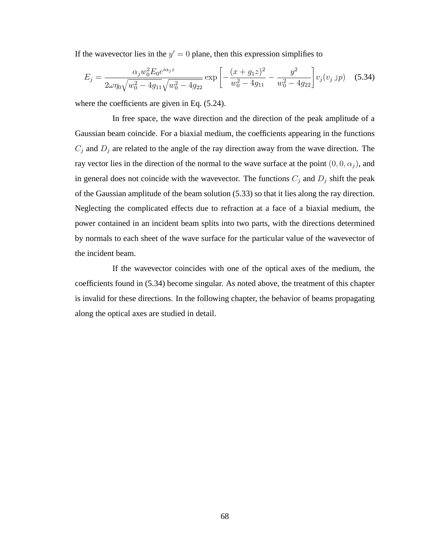If the wavevector lies in the  $y' = 0$  plane, then this expression simplifies to

$$
E_j = \frac{\alpha_j w_0^2 E_0 e^{i\alpha_j z}}{2\omega \eta_0 \sqrt{w_0^2 - 4g_{11}} \sqrt{w_0^2 - 4g_{22}}} \exp\left[ -\frac{(x + g_1 z)^2}{w_0^2 - 4g_{11}} - \frac{y^2}{w_0^2 - 4g_{22}} \right] v_j(v_j \,\lrcorner\, p) \tag{5.34}
$$

where the coefficients are given in Eq. (5.24).

In free space, the wave direction and the direction of the peak amplitude of a Gaussian beam coincide. For a biaxial medium, the coefficients appearing in the functions  $C_j$  and  $D_j$  are related to the angle of the ray direction away from the wave direction. The ray vector lies in the direction of the normal to the wave surface at the point  $(0, 0, \alpha_i)$ , and in general does not coincide with the wavevector. The functions  $C_j$  and  $D_j$  shift the peak of the Gaussian amplitude of the beam solution (5.33) so that it lies along the ray direction. Neglecting the complicated effects due to refraction at a face of a biaxial medium, the power contained in an incident beam splits into two parts, with the directions determined by normals to each sheet of the wave surface for the particular value of the wavevector of the incident beam.

If the wavevector coincides with one of the optical axes of the medium, the coefficients found in (5.34) become singular. As noted above, the treatment of this chapter is invalid for these directions. In the following chapter, the behavior of beams propagating along the optical axes are studied in detail.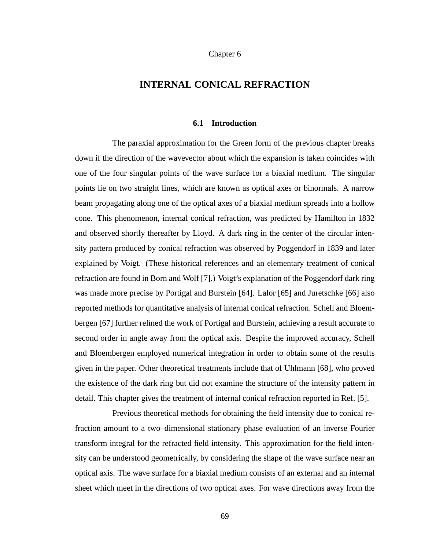### Chapter 6

# **INTERNAL CONICAL REFRACTION**

#### **6.1 Introduction**

The paraxial approximation for the Green form of the previous chapter breaks down if the direction of the wavevector about which the expansion is taken coincides with one of the four singular points of the wave surface for a biaxial medium. The singular points lie on two straight lines, which are known as optical axes or binormals. A narrow beam propagating along one of the optical axes of a biaxial medium spreads into a hollow cone. This phenomenon, internal conical refraction, was predicted by Hamilton in 1832 and observed shortly thereafter by Lloyd. A dark ring in the center of the circular intensity pattern produced by conical refraction was observed by Poggendorf in 1839 and later explained by Voigt. (These historical references and an elementary treatment of conical refraction are found in Born and Wolf [7].) Voigt's explanation of the Poggendorf dark ring was made more precise by Portigal and Burstein [64]. Lalor [65] and Juretschke [66] also reported methods for quantitative analysis of internal conical refraction. Schell and Bloembergen [67] further refined the work of Portigal and Burstein, achieving a result accurate to second order in angle away from the optical axis. Despite the improved accuracy, Schell and Bloembergen employed numerical integration in order to obtain some of the results given in the paper. Other theoretical treatments include that of Uhlmann [68], who proved the existence of the dark ring but did not examine the structure of the intensity pattern in detail. This chapter gives the treatment of internal conical refraction reported in Ref. [5].

Previous theoretical methods for obtaining the field intensity due to conical refraction amount to a two–dimensional stationary phase evaluation of an inverse Fourier transform integral for the refracted field intensity. This approximation for the field intensity can be understood geometrically, by considering the shape of the wave surface near an optical axis. The wave surface for a biaxial medium consists of an external and an internal sheet which meet in the directions of two optical axes. For wave directions away from the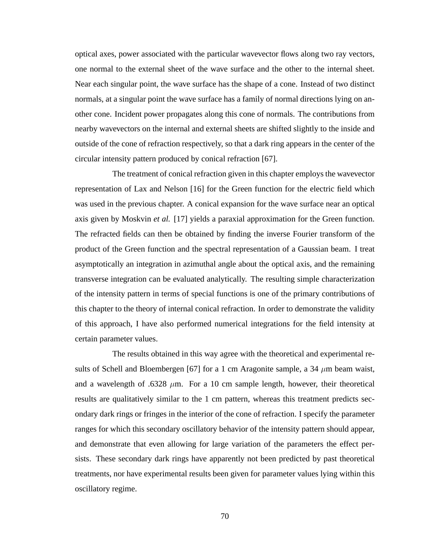optical axes, power associated with the particular wavevector flows along two ray vectors, one normal to the external sheet of the wave surface and the other to the internal sheet. Near each singular point, the wave surface has the shape of a cone. Instead of two distinct normals, at a singular point the wave surface has a family of normal directions lying on another cone. Incident power propagates along this cone of normals. The contributions from nearby wavevectors on the internal and external sheets are shifted slightly to the inside and outside of the cone of refraction respectively, so that a dark ring appears in the center of the circular intensity pattern produced by conical refraction [67].

The treatment of conical refraction given in this chapter employs the wavevector representation of Lax and Nelson [16] for the Green function for the electric field which was used in the previous chapter. A conical expansion for the wave surface near an optical axis given by Moskvin *et al.* [17] yields a paraxial approximation for the Green function. The refracted fields can then be obtained by finding the inverse Fourier transform of the product of the Green function and the spectral representation of a Gaussian beam. I treat asymptotically an integration in azimuthal angle about the optical axis, and the remaining transverse integration can be evaluated analytically. The resulting simple characterization of the intensity pattern in terms of special functions is one of the primary contributions of this chapter to the theory of internal conical refraction. In order to demonstrate the validity of this approach, I have also performed numerical integrations for the field intensity at certain parameter values.

The results obtained in this way agree with the theoretical and experimental results of Schell and Bloembergen [67] for a 1 cm Aragonite sample, a 34  $\mu$ m beam waist, and a wavelength of .6328  $\mu$ m. For a 10 cm sample length, however, their theoretical results are qualitatively similar to the 1 cm pattern, whereas this treatment predicts secondary dark rings or fringes in the interior of the cone of refraction. I specify the parameter ranges for which this secondary oscillatory behavior of the intensity pattern should appear, and demonstrate that even allowing for large variation of the parameters the effect persists. These secondary dark rings have apparently not been predicted by past theoretical treatments, nor have experimental results been given for parameter values lying within this oscillatory regime.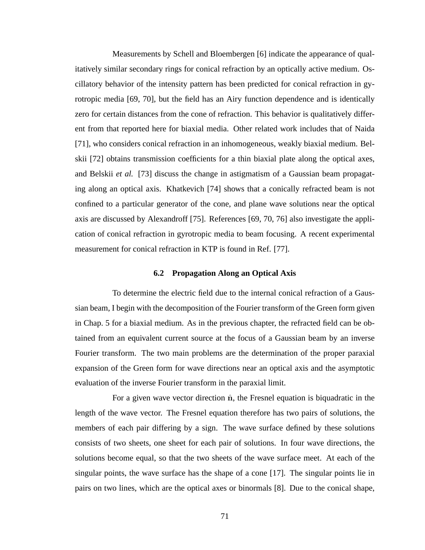Measurements by Schell and Bloembergen [6] indicate the appearance of qualitatively similar secondary rings for conical refraction by an optically active medium. Oscillatory behavior of the intensity pattern has been predicted for conical refraction in gyrotropic media [69, 70], but the field has an Airy function dependence and is identically zero for certain distances from the cone of refraction. This behavior is qualitatively different from that reported here for biaxial media. Other related work includes that of Naida [71], who considers conical refraction in an inhomogeneous, weakly biaxial medium. Belskii [72] obtains transmission coefficients for a thin biaxial plate along the optical axes, and Belskii *et al.* [73] discuss the change in astigmatism of a Gaussian beam propagating along an optical axis. Khatkevich [74] shows that a conically refracted beam is not confined to a particular generator of the cone, and plane wave solutions near the optical axis are discussed by Alexandroff [75]. References [69, 70, 76] also investigate the application of conical refraction in gyrotropic media to beam focusing. A recent experimental measurement for conical refraction in KTP is found in Ref. [77].

#### **6.2 Propagation Along an Optical Axis**

To determine the electric field due to the internal conical refraction of a Gaussian beam, I begin with the decomposition of the Fourier transform of the Green form given in Chap. 5 for a biaxial medium. As in the previous chapter, the refracted field can be obtained from an equivalent current source at the focus of a Gaussian beam by an inverse Fourier transform. The two main problems are the determination of the proper paraxial expansion of the Green form for wave directions near an optical axis and the asymptotic evaluation of the inverse Fourier transform in the paraxial limit.

For a given wave vector direction  $\hat{n}$ , the Fresnel equation is biquadratic in the length of the wave vector. The Fresnel equation therefore has two pairs of solutions, the members of each pair differing by a sign. The wave surface defined by these solutions consists of two sheets, one sheet for each pair of solutions. In four wave directions, the solutions become equal, so that the two sheets of the wave surface meet. At each of the singular points, the wave surface has the shape of a cone [17]. The singular points lie in pairs on two lines, which are the optical axes or binormals [8]. Due to the conical shape,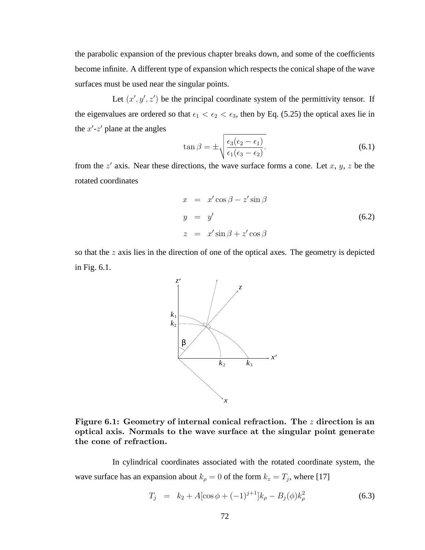the parabolic expansion of the previous chapter breaks down, and some of the coefficients become infinite. A different type of expansion which respects the conical shape of the wave surfaces must be used near the singular points.

Let  $(x', y', z')$  be the principal coordinate system of the permittivity tensor. If the eigenvalues are ordered so that  $\epsilon_1 < \epsilon_2 < \epsilon_3$ , then by Eq. (5.25) the optical axes lie in the  $x'-z'$  plane at the angles

$$
\tan \beta = \pm \sqrt{\frac{\epsilon_3(\epsilon_2 - \epsilon_1)}{\epsilon_1(\epsilon_3 - \epsilon_2)}}.
$$
\n(6.1)

from the  $z'$  axis. Near these directions, the wave surface forms a cone. Let  $x, y, z$  be the rotated coordinates

$$
x = x' \cos \beta - z' \sin \beta
$$
  
\n
$$
y = y'
$$
  
\n
$$
z = x' \sin \beta + z' \cos \beta
$$
  
\n(6.2)

so that the  $z$  axis lies in the direction of one of the optical axes. The geometry is depicted in Fig. 6.1.



Figure 6.1: Geometry of internal conical refraction. The z direction is an optical axis. Normals to the wave surface at the singular point generate the cone of refraction.

In cylindrical coordinates associated with the rotated coordinate system, the wave surface has an expansion about  $k_{\rho} = 0$  of the form  $k_z = T_j$ , where [17]

$$
T_j = k_2 + A[\cos\phi + (-1)^{j+1}]k_\rho - B_j(\phi)k_\rho^2 \tag{6.3}
$$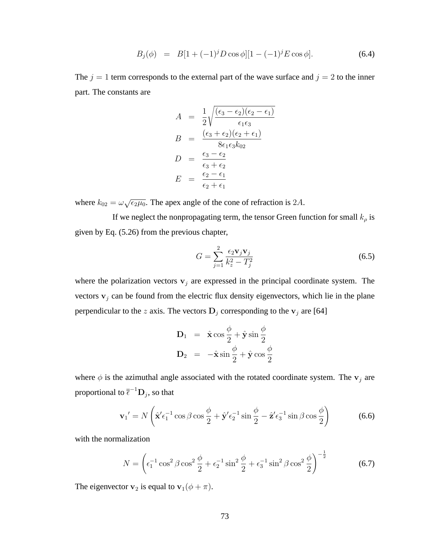$$
B_j(\phi) = B[1 + (-1)^j D \cos \phi][1 - (-1)^j E \cos \phi]. \tag{6.4}
$$

The  $j = 1$  term corresponds to the external part of the wave surface and  $j = 2$  to the inner part. The constants are

$$
A = \frac{1}{2} \sqrt{\frac{(\epsilon_3 - \epsilon_2)(\epsilon_2 - \epsilon_1)}{\epsilon_1 \epsilon_3}}
$$
  
\n
$$
B = \frac{(\epsilon_3 + \epsilon_2)(\epsilon_2 + \epsilon_1)}{8\epsilon_1 \epsilon_3 k_{02}}
$$
  
\n
$$
D = \frac{\epsilon_3 - \epsilon_2}{\epsilon_3 + \epsilon_2}
$$
  
\n
$$
E = \frac{\epsilon_2 - \epsilon_1}{\epsilon_2 + \epsilon_1}
$$

where  $k_{02} = \omega \sqrt{\epsilon_2 \mu_0}$ . The apex angle of the cone of refraction is 2A.

If we neglect the nonpropagating term, the tensor Green function for small  $k_{\rho}$  is given by Eq. (5.26) from the previous chapter,

$$
G = \sum_{j=1}^{2} \frac{\epsilon_2 \mathbf{v}_j \mathbf{v}_j}{k_z^2 - T_j^2}
$$
 (6.5)

where the polarization vectors  $v_j$  are expressed in the principal coordinate system. The vectors  $v_j$  can be found from the electric flux density eigenvectors, which lie in the plane perpendicular to the z axis. The vectors  $D_j$  corresponding to the  $v_j$  are [64]

$$
\mathbf{D}_1 = \hat{\mathbf{x}} \cos \frac{\phi}{2} + \hat{\mathbf{y}} \sin \frac{\phi}{2}
$$

$$
\mathbf{D}_2 = -\hat{\mathbf{x}} \sin \frac{\phi}{2} + \hat{\mathbf{y}} \cos \frac{\phi}{2}
$$

where  $\phi$  is the azimuthal angle associated with the rotated coordinate system. The  $v_j$  are proportional to  $\overline{\overline{\epsilon}}^{-1} \mathbf{D}_j,$  so that

$$
\mathbf{v}_1' = N \left( \hat{\mathbf{x}}' \epsilon_1^{-1} \cos \beta \cos \frac{\phi}{2} + \hat{\mathbf{y}}' \epsilon_2^{-1} \sin \frac{\phi}{2} - \hat{\mathbf{z}}' \epsilon_3^{-1} \sin \beta \cos \frac{\phi}{2} \right)
$$
(6.6)

with the normalization

$$
N = \left(\epsilon_1^{-1} \cos^2 \beta \cos^2 \frac{\phi}{2} + \epsilon_2^{-1} \sin^2 \frac{\phi}{2} + \epsilon_3^{-1} \sin^2 \beta \cos^2 \frac{\phi}{2}\right)^{-\frac{1}{2}}
$$
(6.7)

The eigenvector  $\mathbf{v}_2$  is equal to  $\mathbf{v}_1(\phi + \pi)$ .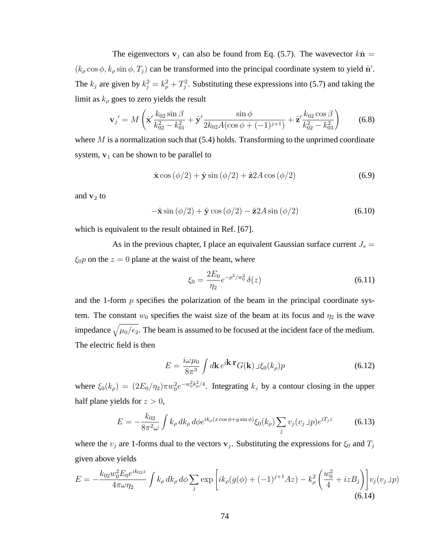The eigenvectors  $v_j$  can also be found from Eq. (5.7). The wavevector  $k\hat{n} =$  $(k_\rho \cos \phi, k_\rho \sin \phi, T_j)$  can be transformed into the principal coordinate system to yield  $\hat{\mathbf{n}}'$ . The  $k_j$  are given by  $k_j^2 = k_\rho^2 + T_j^2$ . Substituting these expressions into (5.7) and taking the limit as  $k_{\rho}$  goes to zero yields the result

$$
\mathbf{v}_{j}' = M\left(\hat{\mathbf{x}}'\frac{k_{02}\sin\beta}{k_{02}^{2} - k_{01}^{2}} + \hat{\mathbf{y}}'\frac{\sin\phi}{2k_{02}A(\cos\phi + (-1)^{j+1})} + \hat{\mathbf{z}}'\frac{k_{02}\cos\beta}{k_{02}^{2} - k_{03}^{2}}\right)
$$
(6.8)

where  $M$  is a normalization such that (5.4) holds. Transforming to the unprimed coordinate system,  $v_1$  can be shown to be parallel to

$$
\hat{\mathbf{x}}\cos\left(\phi/2\right) + \hat{\mathbf{y}}\sin\left(\phi/2\right) + \hat{\mathbf{z}}2A\cos\left(\phi/2\right) \tag{6.9}
$$

and  $v_2$  to

$$
-\hat{\mathbf{x}}\sin\left(\phi/2\right) + \hat{\mathbf{y}}\cos\left(\phi/2\right) - \hat{\mathbf{z}}2A\sin\left(\phi/2\right) \tag{6.10}
$$

which is equivalent to the result obtained in Ref. [67].

As in the previous chapter, I place an equivalent Gaussian surface current  $J_s =$  $\xi_0 p$  on the  $z = 0$  plane at the waist of the beam, where

$$
\xi_0 = \frac{2E_0}{\eta_2} e^{-\rho^2/w_0^2} \delta(z)
$$
\n(6.11)

and the 1-form  $p$  specifies the polarization of the beam in the principal coordinate system. The constant  $w_0$  specifies the waist size of the beam at its focus and  $\eta_2$  is the wave impedance  $\sqrt{\mu_0/\epsilon_2}$ . The beam is assumed to be focused at the incident face of the medium. The electric field is then

$$
E = \frac{i\omega\mu_0}{8\pi^3} \int d\mathbf{k} \, e^{i\mathbf{k} \cdot \mathbf{r}} G(\mathbf{k}) \, \mathbb{J}\xi_0(k_\rho) p \tag{6.12}
$$

where  $\xi_0(k_\rho) = (2E_0/\eta_2)\pi w_0^2 e^{-w_0^2 k_\rho^2/4}$ . Integrating  $k_z$  by a contour closing in the upper half plane yields for  $z > 0$ ,

$$
E = -\frac{k_{02}}{8\pi^2 \omega} \int k_{\rho} dk_{\rho} d\phi e^{ik_{\rho}(x\cos\phi + y\sin\phi)} \xi_0(k_{\rho}) \sum_j v_j(v_j \,\exists p) e^{iT_j z} \tag{6.13}
$$

where the  $v_j$  are 1-forms dual to the vectors  $v_j$ . Substituting the expressions for  $\xi_0$  and  $T_j$ given above yields

$$
E = -\frac{k_{02}w_0^2 E_0 e^{ik_{02}z}}{4\pi \omega \eta_2} \int k_\rho \, dk_\rho \, d\phi \sum_j \exp\left[i k_\rho (g(\phi) + (-1)^{j+1}Az) - k_\rho^2 \left(\frac{w_0^2}{4} + izB_j\right)\right] v_j(v_j \,\lrcorner\, p) \tag{6.14}
$$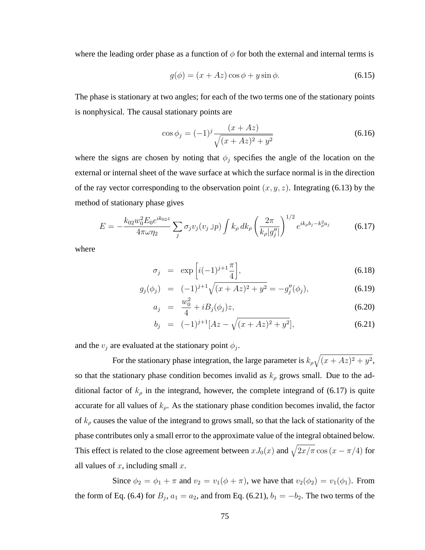where the leading order phase as a function of  $\phi$  for both the external and internal terms is

$$
g(\phi) = (x + Az)\cos\phi + y\sin\phi.
$$
 (6.15)

The phase is stationary at two angles; for each of the two terms one of the stationary points is nonphysical. The causal stationary points are

$$
\cos \phi_j = (-1)^j \frac{(x + Az)}{\sqrt{(x + Az)^2 + y^2}}
$$
(6.16)

where the signs are chosen by noting that  $\phi_j$  specifies the angle of the location on the external or internal sheet of the wave surface at which the surface normal is in the direction of the ray vector corresponding to the observation point  $(x, y, z)$ . Integrating (6.13) by the method of stationary phase gives

$$
E = -\frac{k_{02}w_0^2 E_0 e^{ik_{02}z}}{4\pi \omega \eta_2} \sum_j \sigma_j v_j (v_j \,\mathrm{J}p) \int k_\rho \, dk_\rho \left(\frac{2\pi}{k_\rho |g_j''|}\right)^{1/2} e^{ik_\rho b_j - k_\rho^2 a_j} \tag{6.17}
$$

where

$$
\sigma_j = \exp\left[i(-1)^{j+1}\frac{\pi}{4}\right],\tag{6.18}
$$

$$
g_j(\phi_j) = (-1)^{j+1} \sqrt{(x + Az)^2 + y^2} = -g''_j(\phi_j), \qquad (6.19)
$$

$$
a_j = \frac{w_0^2}{4} + iB_j(\phi_j)z,
$$
\n(6.20)

$$
b_j = (-1)^{j+1} [Az - \sqrt{(x + Az)^2 + y^2}], \tag{6.21}
$$

 $\mathcal{L}$ 

and the  $v_j$  are evaluated at the stationary point  $\phi_j$ .

For the stationary phase integration, the large parameter is  $k_{\rho}$  $(x + Az)^2 + y^2$ , so that the stationary phase condition becomes invalid as  $k<sub>\rho</sub>$  grows small. Due to the additional factor of  $k_{\rho}$  in the integrand, however, the complete integrand of (6.17) is quite accurate for all values of  $k_{\rho}$ . As the stationary phase condition becomes invalid, the factor of  $k_{\rho}$  causes the value of the integrand to grows small, so that the lack of stationarity of the phase contributes only a small error to the approximate value of the integral obtained below. This effect is related to the close agreement between  $xJ_0(x)$  and  $\sqrt{2x/\pi}$  cos  $(x - \pi/4)$  for all values of  $x$ , including small  $x$ .

Since  $\phi_2 = \phi_1 + \pi$  and  $v_2 = v_1(\phi + \pi)$ , we have that  $v_2(\phi_2) = v_1(\phi_1)$ . From the form of Eq. (6.4) for  $B_j$ ,  $a_1 = a_2$ , and from Eq. (6.21),  $b_1 = -b_2$ . The two terms of the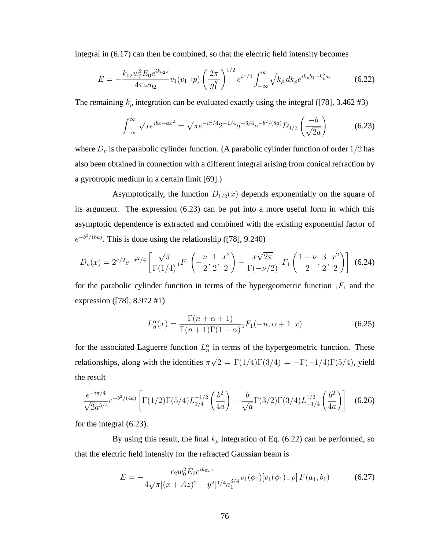integral in (6.17) can then be combined, so that the electric field intensity becomes

$$
E = -\frac{k_{02}w_0^2 E_0 e^{ik_{02}z}}{4\pi\omega\eta_2} v_1(v_1 \Box p) \left(\frac{2\pi}{|g_1''|}\right)^{1/2} e^{i\pi/4} \int_{-\infty}^{\infty} \sqrt{k_\rho} \, dk_\rho e^{ik_\rho b_1 - k_\rho^2 a_1} \tag{6.22}
$$

The remaining  $k_{\rho}$  integration can be evaluated exactly using the integral ([78], 3.462 #3)

$$
\int_{-\infty}^{\infty} \sqrt{x} e^{ibx - ax^2} = \sqrt{\pi} e^{-i\pi/4} 2^{-1/4} a^{-3/4} e^{-b^2/(8a)} D_{1/2} \left(\frac{-b}{\sqrt{2a}}\right)
$$
(6.23)

where  $D_{\nu}$  is the parabolic cylinder function. (A parabolic cylinder function of order 1/2 has also been obtained in connection with a different integral arising from conical refraction by a gyrotropic medium in a certain limit [69].)

Asymptotically, the function  $D_{1/2}(x)$  depends exponentially on the square of its argument. The expression (6.23) can be put into a more useful form in which this asymptotic dependence is extracted and combined with the existing exponential factor of  $e^{-b^2/(8a)}$ . This is done using the relationship ([78], 9.240)

$$
D_{\nu}(x) = 2^{\nu/2} e^{-x^2/4} \left[ \frac{\sqrt{\pi}}{\Gamma(1/4)} {}_1F_1\left(-\frac{\nu}{2}, \frac{1}{2}, \frac{x^2}{2}\right) - \frac{x\sqrt{2\pi}}{\Gamma(-\nu/2)} {}_1F_1\left(\frac{1-\nu}{2}, \frac{3}{2}, \frac{x^2}{2}\right) \right] \tag{6.24}
$$

for the parabolic cylinder function in terms of the hypergeometric function  $_1F_1$  and the expression ([78], 8.972 #1)

$$
L_n^{\alpha}(x) = \frac{\Gamma(n+\alpha+1)}{\Gamma(n+1)\Gamma(1-\alpha)} {}_1F_1(-n,\alpha+1,x) \tag{6.25}
$$

for the associated Laguerre function  $L_n^{\alpha}$  in terms of the hypergeometric function. These relationships, along with the identities  $\pi$ √  $\overline{2} = \Gamma(1/4)\Gamma(3/4) = -\Gamma(-1/4)\Gamma(5/4)$ , yield the result

$$
\frac{e^{-i\pi/4}}{\sqrt{2}a^{3/4}}e^{-b^2/(4a)}\left[\Gamma(1/2)\Gamma(5/4)L_{1/4}^{-1/2}\left(\frac{b^2}{4a}\right)-\frac{b}{\sqrt{a}}\Gamma(3/2)\Gamma(3/4)L_{-1/4}^{1/2}\left(\frac{b^2}{4a}\right)\right]
$$
(6.26)

for the integral (6.23).

By using this result, the final  $k_\rho$  integration of Eq. (6.22) can be performed, so that the electric field intensity for the refracted Gaussian beam is

$$
E = -\frac{\epsilon_2 w_0^2 E_0 e^{ik_0 z}}{4\sqrt{\pi}[(x + Az)^2 + y^2]^{1/4} a_1^{3/4}} v_1(\phi_1) [v_1(\phi_1) \lrcorner p] F(a_1, b_1)
$$
(6.27)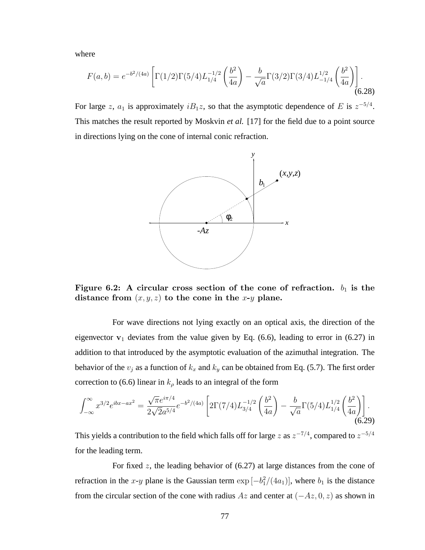where

$$
F(a,b) = e^{-b^2/(4a)} \left[ \Gamma(1/2) \Gamma(5/4) L_{1/4}^{-1/2} \left( \frac{b^2}{4a} \right) - \frac{b}{\sqrt{a}} \Gamma(3/2) \Gamma(3/4) L_{-1/4}^{1/2} \left( \frac{b^2}{4a} \right) \right].
$$
\n(6.28)

For large z,  $a_1$  is approximately  $iB_1z$ , so that the asymptotic dependence of E is  $z^{-5/4}$ . This matches the result reported by Moskvin *et al.* [17] for the field due to a point source in directions lying on the cone of internal conic refraction.



Figure 6.2: A circular cross section of the cone of refraction.  $b_1$  is the distance from  $(x, y, z)$  to the cone in the x-y plane.

For wave directions not lying exactly on an optical axis, the direction of the eigenvector  $v_1$  deviates from the value given by Eq. (6.6), leading to error in (6.27) in addition to that introduced by the asymptotic evaluation of the azimuthal integration. The behavior of the  $v_j$  as a function of  $k_x$  and  $k_y$  can be obtained from Eq. (5.7). The first order correction to (6.6) linear in  $k_{\rho}$  leads to an integral of the form

$$
\int_{-\infty}^{\infty} x^{3/2} e^{ibx - ax^2} = \frac{\sqrt{\pi} e^{i\pi/4}}{2\sqrt{2}a^{5/4}} e^{-b^2/(4a)} \left[ 2\Gamma(7/4) L_{3/4}^{-1/2} \left( \frac{b^2}{4a} \right) - \frac{b}{\sqrt{a}} \Gamma(5/4) L_{1/4}^{1/2} \left( \frac{b^2}{4a} \right) \right].
$$
\n(6.29)

This yields a contribution to the field which falls off for large z as  $z^{-7/4}$ , compared to  $z^{-5/4}$ for the leading term.

For fixed  $z$ , the leading behavior of (6.27) at large distances from the cone of refraction in the x-y plane is the Gaussian term  $\exp[-b_1^2/(4a_1)]$ , where  $b_1$  is the distance from the circular section of the cone with radius Az and center at  $(-Az, 0, z)$  as shown in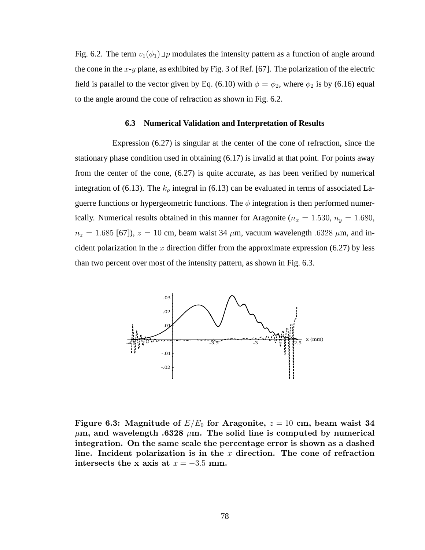Fig. 6.2. The term  $v_1(\phi_1) \perp p$  modulates the intensity pattern as a function of angle around the cone in the  $x-y$  plane, as exhibited by Fig. 3 of Ref. [67]. The polarization of the electric field is parallel to the vector given by Eq. (6.10) with  $\phi = \phi_2$ , where  $\phi_2$  is by (6.16) equal to the angle around the cone of refraction as shown in Fig. 6.2.

#### **6.3 Numerical Validation and Interpretation of Results**

Expression (6.27) is singular at the center of the cone of refraction, since the stationary phase condition used in obtaining (6.17) is invalid at that point. For points away from the center of the cone, (6.27) is quite accurate, as has been verified by numerical integration of (6.13). The  $k_{\rho}$  integral in (6.13) can be evaluated in terms of associated Laguerre functions or hypergeometric functions. The  $\phi$  integration is then performed numerically. Numerical results obtained in this manner for Aragonite ( $n_x = 1.530$ ,  $n_y = 1.680$ ,  $n_z = 1.685$  [67]),  $z = 10$  cm, beam waist 34  $\mu$ m, vacuum wavelength .6328  $\mu$ m, and incident polarization in the  $x$  direction differ from the approximate expression (6.27) by less than two percent over most of the intensity pattern, as shown in Fig. 6.3.



Figure 6.3: Magnitude of  $E/E_0$  for Aragonite,  $z = 10$  cm, beam waist 34  $\mu$ m, and wavelength .6328  $\mu$ m. The solid line is computed by numerical integration. On the same scale the percentage error is shown as a dashed line. Incident polarization is in the  $x$  direction. The cone of refraction intersects the x axis at  $x = -3.5$  mm.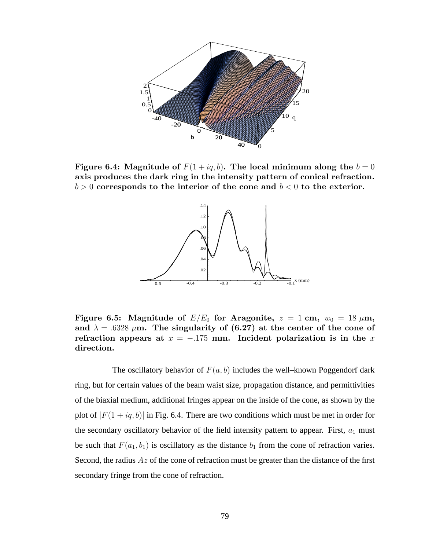

Figure 6.4: Magnitude of  $F(1+iq, b)$ . The local minimum along the  $b = 0$ axis produces the dark ring in the intensity pattern of conical refraction.  $b > 0$  corresponds to the interior of the cone and  $b < 0$  to the exterior.



Figure 6.5: Magnitude of  $E/E_0$  for Aragonite,  $z = 1$  cm,  $w_0 = 18 \mu m$ , and  $\lambda = .6328 \mu m$ . The singularity of (6.27) at the center of the cone of refraction appears at  $x = -0.175$  mm. Incident polarization is in the x direction.

The oscillatory behavior of  $F(a, b)$  includes the well–known Poggendorf dark ring, but for certain values of the beam waist size, propagation distance, and permittivities of the biaxial medium, additional fringes appear on the inside of the cone, as shown by the plot of  $|F(1 + iq, b)|$  in Fig. 6.4. There are two conditions which must be met in order for the secondary oscillatory behavior of the field intensity pattern to appear. First,  $a_1$  must be such that  $F(a_1, b_1)$  is oscillatory as the distance  $b_1$  from the cone of refraction varies. Second, the radius  $Az$  of the cone of refraction must be greater than the distance of the first secondary fringe from the cone of refraction.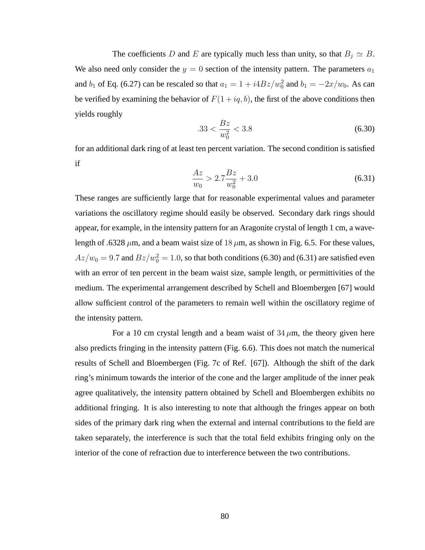The coefficients D and E are typically much less than unity, so that  $B_j \simeq B$ . We also need only consider the  $y = 0$  section of the intensity pattern. The parameters  $a_1$ and  $b_1$  of Eq. (6.27) can be rescaled so that  $a_1 = 1 + i4Bz/w_0^2$  and  $b_1 = -2x/w_0$ . As can be verified by examining the behavior of  $F(1 + iq, b)$ , the first of the above conditions then yields roughly

$$
.33 < \frac{Bz}{w_0^2} < 3.8 \tag{6.30}
$$

for an additional dark ring of at least ten percent variation. The second condition is satisfied if

$$
\frac{Az}{w_0} > 2.7 \frac{Bz}{w_0^2} + 3.0\tag{6.31}
$$

These ranges are sufficiently large that for reasonable experimental values and parameter variations the oscillatory regime should easily be observed. Secondary dark rings should appear, for example, in the intensity pattern for an Aragonite crystal of length 1 cm, a wavelength of .6328  $\mu$ m, and a beam waist size of 18  $\mu$ m, as shown in Fig. 6.5. For these values,  $Az/w_0 = 9.7$  and  $Bz/w_0^2 = 1.0$ , so that both conditions (6.30) and (6.31) are satisfied even with an error of ten percent in the beam waist size, sample length, or permittivities of the medium. The experimental arrangement described by Schell and Bloembergen [67] would allow sufficient control of the parameters to remain well within the oscillatory regime of the intensity pattern.

For a 10 cm crystal length and a beam waist of  $34 \mu m$ , the theory given here also predicts fringing in the intensity pattern (Fig. 6.6). This does not match the numerical results of Schell and Bloembergen (Fig. 7c of Ref. [67]). Although the shift of the dark ring's minimum towards the interior of the cone and the larger amplitude of the inner peak agree qualitatively, the intensity pattern obtained by Schell and Bloembergen exhibits no additional fringing. It is also interesting to note that although the fringes appear on both sides of the primary dark ring when the external and internal contributions to the field are taken separately, the interference is such that the total field exhibits fringing only on the interior of the cone of refraction due to interference between the two contributions.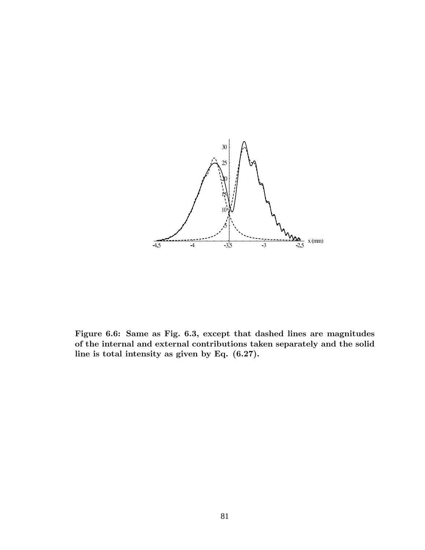

Figure 6.6: Same as Fig. 6.3, except that dashed lines are magnitudes of the internal and external contributions taken separately and the solid line is total intensity as given by Eq. (6.27).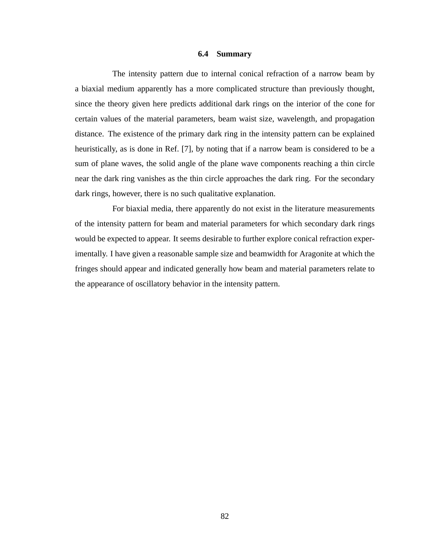### **6.4 Summary**

The intensity pattern due to internal conical refraction of a narrow beam by a biaxial medium apparently has a more complicated structure than previously thought, since the theory given here predicts additional dark rings on the interior of the cone for certain values of the material parameters, beam waist size, wavelength, and propagation distance. The existence of the primary dark ring in the intensity pattern can be explained heuristically, as is done in Ref. [7], by noting that if a narrow beam is considered to be a sum of plane waves, the solid angle of the plane wave components reaching a thin circle near the dark ring vanishes as the thin circle approaches the dark ring. For the secondary dark rings, however, there is no such qualitative explanation.

For biaxial media, there apparently do not exist in the literature measurements of the intensity pattern for beam and material parameters for which secondary dark rings would be expected to appear. It seems desirable to further explore conical refraction experimentally. I have given a reasonable sample size and beamwidth for Aragonite at which the fringes should appear and indicated generally how beam and material parameters relate to the appearance of oscillatory behavior in the intensity pattern.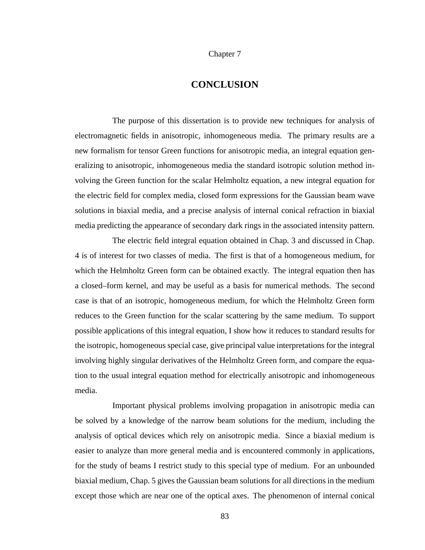Chapter 7

# **CONCLUSION**

The purpose of this dissertation is to provide new techniques for analysis of electromagnetic fields in anisotropic, inhomogeneous media. The primary results are a new formalism for tensor Green functions for anisotropic media, an integral equation generalizing to anisotropic, inhomogeneous media the standard isotropic solution method involving the Green function for the scalar Helmholtz equation, a new integral equation for the electric field for complex media, closed form expressions for the Gaussian beam wave solutions in biaxial media, and a precise analysis of internal conical refraction in biaxial media predicting the appearance of secondary dark rings in the associated intensity pattern.

The electric field integral equation obtained in Chap. 3 and discussed in Chap. 4 is of interest for two classes of media. The first is that of a homogeneous medium, for which the Helmholtz Green form can be obtained exactly. The integral equation then has a closed–form kernel, and may be useful as a basis for numerical methods. The second case is that of an isotropic, homogeneous medium, for which the Helmholtz Green form reduces to the Green function for the scalar scattering by the same medium. To support possible applications of this integral equation, I show how it reduces to standard results for the isotropic, homogeneous special case, give principal value interpretations for the integral involving highly singular derivatives of the Helmholtz Green form, and compare the equation to the usual integral equation method for electrically anisotropic and inhomogeneous media.

Important physical problems involving propagation in anisotropic media can be solved by a knowledge of the narrow beam solutions for the medium, including the analysis of optical devices which rely on anisotropic media. Since a biaxial medium is easier to analyze than more general media and is encountered commonly in applications, for the study of beams I restrict study to this special type of medium. For an unbounded biaxial medium, Chap. 5 gives the Gaussian beam solutions for all directions in the medium except those which are near one of the optical axes. The phenomenon of internal conical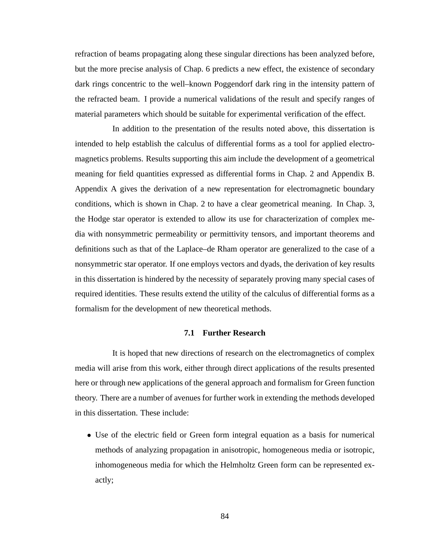refraction of beams propagating along these singular directions has been analyzed before, but the more precise analysis of Chap. 6 predicts a new effect, the existence of secondary dark rings concentric to the well–known Poggendorf dark ring in the intensity pattern of the refracted beam. I provide a numerical validations of the result and specify ranges of material parameters which should be suitable for experimental verification of the effect.

In addition to the presentation of the results noted above, this dissertation is intended to help establish the calculus of differential forms as a tool for applied electromagnetics problems. Results supporting this aim include the development of a geometrical meaning for field quantities expressed as differential forms in Chap. 2 and Appendix B. Appendix A gives the derivation of a new representation for electromagnetic boundary conditions, which is shown in Chap. 2 to have a clear geometrical meaning. In Chap. 3, the Hodge star operator is extended to allow its use for characterization of complex media with nonsymmetric permeability or permittivity tensors, and important theorems and definitions such as that of the Laplace–de Rham operator are generalized to the case of a nonsymmetric star operator. If one employs vectors and dyads, the derivation of key results in this dissertation is hindered by the necessity of separately proving many special cases of required identities. These results extend the utility of the calculus of differential forms as a formalism for the development of new theoretical methods.

### **7.1 Further Research**

It is hoped that new directions of research on the electromagnetics of complex media will arise from this work, either through direct applications of the results presented here or through new applications of the general approach and formalism for Green function theory. There are a number of avenues for further work in extending the methods developed in this dissertation. These include:

• Use of the electric field or Green form integral equation as a basis for numerical methods of analyzing propagation in anisotropic, homogeneous media or isotropic, inhomogeneous media for which the Helmholtz Green form can be represented exactly;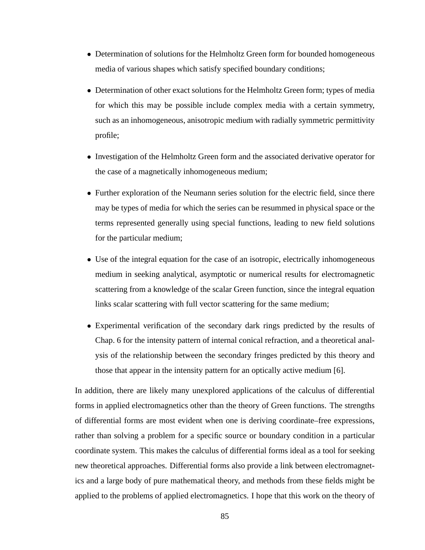- Determination of solutions for the Helmholtz Green form for bounded homogeneous media of various shapes which satisfy specified boundary conditions;
- Determination of other exact solutions for the Helmholtz Green form; types of media for which this may be possible include complex media with a certain symmetry, such as an inhomogeneous, anisotropic medium with radially symmetric permittivity profile;
- Investigation of the Helmholtz Green form and the associated derivative operator for the case of a magnetically inhomogeneous medium;
- Further exploration of the Neumann series solution for the electric field, since there may be types of media for which the series can be resummed in physical space or the terms represented generally using special functions, leading to new field solutions for the particular medium;
- Use of the integral equation for the case of an isotropic, electrically inhomogeneous medium in seeking analytical, asymptotic or numerical results for electromagnetic scattering from a knowledge of the scalar Green function, since the integral equation links scalar scattering with full vector scattering for the same medium;
- Experimental verification of the secondary dark rings predicted by the results of Chap. 6 for the intensity pattern of internal conical refraction, and a theoretical analysis of the relationship between the secondary fringes predicted by this theory and those that appear in the intensity pattern for an optically active medium [6].

In addition, there are likely many unexplored applications of the calculus of differential forms in applied electromagnetics other than the theory of Green functions. The strengths of differential forms are most evident when one is deriving coordinate–free expressions, rather than solving a problem for a specific source or boundary condition in a particular coordinate system. This makes the calculus of differential forms ideal as a tool for seeking new theoretical approaches. Differential forms also provide a link between electromagnetics and a large body of pure mathematical theory, and methods from these fields might be applied to the problems of applied electromagnetics. I hope that this work on the theory of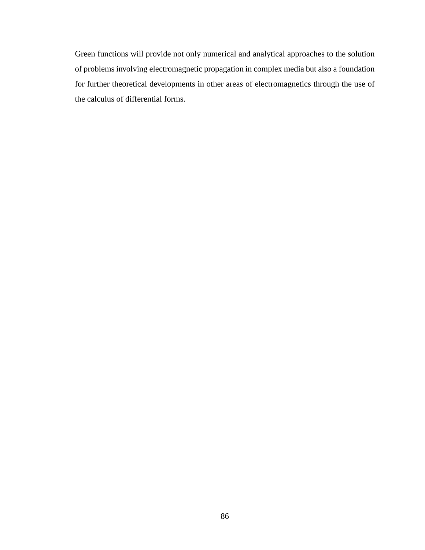Green functions will provide not only numerical and analytical approaches to the solution of problems involving electromagnetic propagation in complex media but also a foundation for further theoretical developments in other areas of electromagnetics through the use of the calculus of differential forms.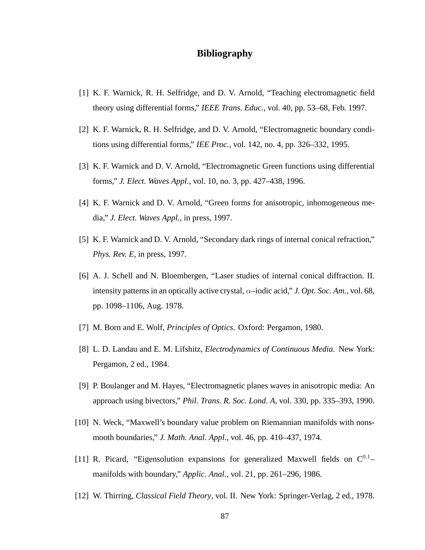# **Bibliography**

- [1] K. F. Warnick, R. H. Selfridge, and D. V. Arnold, "Teaching electromagnetic field theory using differential forms," *IEEE Trans. Educ.*, vol. 40, pp. 53–68, Feb. 1997.
- [2] K. F. Warnick, R. H. Selfridge, and D. V. Arnold, "Electromagnetic boundary conditions using differential forms," *IEE Proc.*, vol. 142, no. 4, pp. 326–332, 1995.
- [3] K. F. Warnick and D. V. Arnold, "Electromagnetic Green functions using differential forms," *J. Elect. Waves Appl.*, vol. 10, no. 3, pp. 427–438, 1996.
- [4] K. F. Warnick and D. V. Arnold, "Green forms for anisotropic, inhomogeneous media," *J. Elect. Waves Appl.*, in press, 1997.
- [5] K. F. Warnick and D. V. Arnold, "Secondary dark rings of internal conical refraction," *Phys. Rev. E*, in press, 1997.
- [6] A. J. Schell and N. Bloembergen, "Laser studies of internal conical diffraction. II. intensity patterns in an optically active crystal,  $\alpha$ –iodic acid," *J. Opt. Soc. Am.*, vol. 68, pp. 1098–1106, Aug. 1978.
- [7] M. Born and E. Wolf, *Principles of Optics*. Oxford: Pergamon, 1980.
- [8] L. D. Landau and E. M. Lifshitz, *Electrodynamics of Continuous Media*. New York: Pergamon, 2 ed., 1984.
- [9] P. Boulanger and M. Hayes, "Electromagnetic planes waves in anisotropic media: An approach using bivectors," *Phil. Trans. R. Soc. Lond. A*, vol. 330, pp. 335–393, 1990.
- [10] N. Weck, "Maxwell's boundary value problem on Riemannian manifolds with nonsmooth boundaries," *J. Math. Anal. Appl.*, vol. 46, pp. 410–437, 1974.
- [11] R. Picard, "Eigensolution expansions for generalized Maxwell fields on  $\mathbb{C}^{0,1}$ manifolds with boundary," *Applic. Anal.*, vol. 21, pp. 261–296, 1986.
- [12] W. Thirring, *Classical Field Theory*, vol. II. New York: Springer-Verlag, 2 ed., 1978.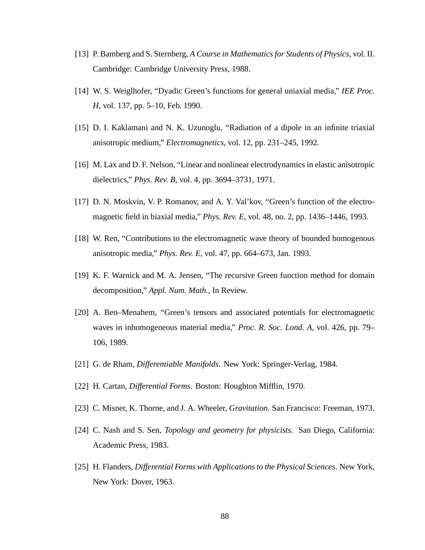- [13] P. Bamberg and S. Sternberg, *A Course in Mathematics for Students of Physics*, vol. II. Cambridge: Cambridge University Press, 1988.
- [14] W. S. Weiglhofer, "Dyadic Green's functions for general uniaxial media," *IEE Proc. H*, vol. 137, pp. 5–10, Feb. 1990.
- [15] D. I. Kaklamani and N. K. Uzunoglu, "Radiation of a dipole in an infinite triaxial anisotropic medium," *Electromagnetics*, vol. 12, pp. 231–245, 1992.
- [16] M. Lax and D. F. Nelson, "Linear and nonlinear electrodynamics in elastic anisotropic dielectrics," *Phys. Rev. B*, vol. 4, pp. 3694–3731, 1971.
- [17] D. N. Moskvin, V. P. Romanov, and A. Y. Val'kov, "Green's function of the electromagnetic field in biaxial media," *Phys. Rev. E*, vol. 48, no. 2, pp. 1436–1446, 1993.
- [18] W. Ren, "Contributions to the electromagnetic wave theory of bounded homogenous anisotropic media," *Phys. Rev. E*, vol. 47, pp. 664–673, Jan. 1993.
- [19] K. F. Warnick and M. A. Jensen, "The recursive Green function method for domain decomposition," *Appl. Num. Math.*, In Review.
- [20] A. Ben–Menahem, "Green's tensors and associated potentials for electromagnetic waves in inhomogeneous material media," *Proc. R. Soc. Lond. A*, vol. 426, pp. 79– 106, 1989.
- [21] G. de Rham, *Differentiable Manifolds*. New York: Springer-Verlag, 1984.
- [22] H. Cartan, *Differential Forms*. Boston: Houghton Mifflin, 1970.
- [23] C. Misner, K. Thorne, and J. A. Wheeler, *Gravitation*. San Francisco: Freeman, 1973.
- [24] C. Nash and S. Sen, *Topology and geometry for physicists*. San Diego, California: Academic Press, 1983.
- [25] H. Flanders, *Differential Forms with Applications to the Physical Sciences*. New York, New York: Dover, 1963.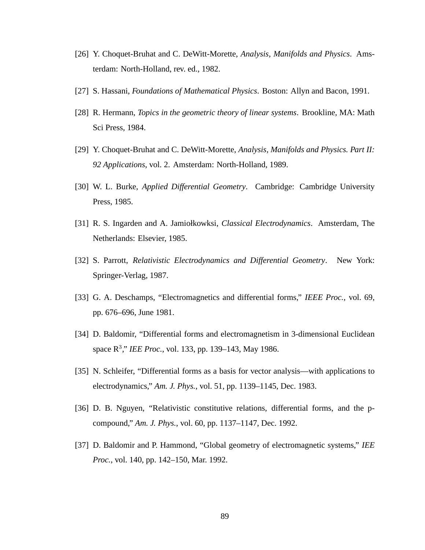- [26] Y. Choquet-Bruhat and C. DeWitt-Morette, *Analysis, Manifolds and Physics*. Amsterdam: North-Holland, rev. ed., 1982.
- [27] S. Hassani, *Foundations of Mathematical Physics*. Boston: Allyn and Bacon, 1991.
- [28] R. Hermann, *Topics in the geometric theory of linear systems*. Brookline, MA: Math Sci Press, 1984.
- [29] Y. Choquet-Bruhat and C. DeWitt-Morette, *Analysis, Manifolds and Physics. Part II: 92 Applications*, vol. 2. Amsterdam: North-Holland, 1989.
- [30] W. L. Burke, *Applied Differential Geometry*. Cambridge: Cambridge University Press, 1985.
- [31] R. S. Ingarden and A. Jamiołkowksi, *Classical Electrodynamics*. Amsterdam, The Netherlands: Elsevier, 1985.
- [32] S. Parrott, *Relativistic Electrodynamics and Differential Geometry*. New York: Springer-Verlag, 1987.
- [33] G. A. Deschamps, "Electromagnetics and differential forms," *IEEE Proc.*, vol. 69, pp. 676–696, June 1981.
- [34] D. Baldomir, "Differential forms and electromagnetism in 3-dimensional Euclidean space R<sup>3</sup> ," *IEE Proc.*, vol. 133, pp. 139–143, May 1986.
- [35] N. Schleifer, "Differential forms as a basis for vector analysis—with applications to electrodynamics," *Am. J. Phys.*, vol. 51, pp. 1139–1145, Dec. 1983.
- [36] D. B. Nguyen, "Relativistic constitutive relations, differential forms, and the pcompound," *Am. J. Phys.*, vol. 60, pp. 1137–1147, Dec. 1992.
- [37] D. Baldomir and P. Hammond, "Global geometry of electromagnetic systems," *IEE Proc.*, vol. 140, pp. 142–150, Mar. 1992.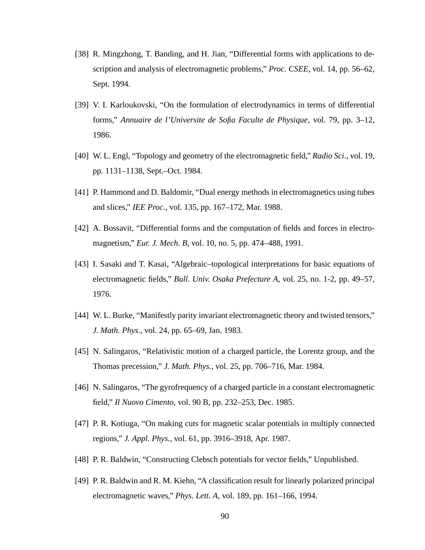- [38] R. Mingzhong, T. Banding, and H. Jian, "Differential forms with applications to description and analysis of electromagnetic problems," *Proc. CSEE*, vol. 14, pp. 56–62, Sept. 1994.
- [39] V. I. Karloukovski, "On the formulation of electrodynamics in terms of differential forms," *Annuaire de l'Universite de Sofia Faculte de Physique*, vol. 79, pp. 3–12, 1986.
- [40] W. L. Engl, "Topology and geometry of the electromagnetic field," *Radio Sci.*, vol. 19, pp. 1131–1138, Sept.–Oct. 1984.
- [41] P. Hammond and D. Baldomir, "Dual energy methods in electromagnetics using tubes and slices," *IEE Proc.*, vol. 135, pp. 167–172, Mar. 1988.
- [42] A. Bossavit, "Differential forms and the computation of fields and forces in electromagnetism," *Eur. J. Mech. B*, vol. 10, no. 5, pp. 474–488, 1991.
- [43] I. Sasaki and T. Kasai, "Algebraic–topological interpretations for basic equations of electromagnetic fields," *Bull. Univ. Osaka Prefecture A*, vol. 25, no. 1-2, pp. 49–57, 1976.
- [44] W. L. Burke, "Manifestly parity invariant electromagnetic theory and twisted tensors," *J. Math. Phys.*, vol. 24, pp. 65–69, Jan. 1983.
- [45] N. Salingaros, "Relativistic motion of a charged particle, the Lorentz group, and the Thomas precession," *J. Math. Phys.*, vol. 25, pp. 706–716, Mar. 1984.
- [46] N. Salingaros, "The gyrofrequency of a charged particle in a constant electromagnetic field," *Il Nuovo Cimento*, vol. 90 B, pp. 232–253, Dec. 1985.
- [47] P. R. Kotiuga, "On making cuts for magnetic scalar potentials in multiply connected regions," *J. Appl. Phys.*, vol. 61, pp. 3916–3918, Apr. 1987.
- [48] P. R. Baldwin, "Constructing Clebsch potentials for vector fields," Unpublished.
- [49] P. R. Baldwin and R. M. Kiehn, "A classification result for linearly polarized principal electromagnetic waves," *Phys. Lett. A*, vol. 189, pp. 161–166, 1994.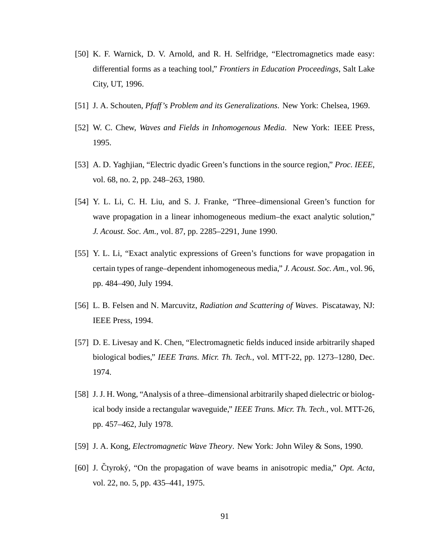- [50] K. F. Warnick, D. V. Arnold, and R. H. Selfridge, "Electromagnetics made easy: differential forms as a teaching tool," *Frontiers in Education Proceedings*, Salt Lake City, UT, 1996.
- [51] J. A. Schouten, *Pfaff's Problem and its Generalizations*. New York: Chelsea, 1969.
- [52] W. C. Chew, *Waves and Fields in Inhomogenous Media*. New York: IEEE Press, 1995.
- [53] A. D. Yaghjian, "Electric dyadic Green's functions in the source region," *Proc. IEEE*, vol. 68, no. 2, pp. 248–263, 1980.
- [54] Y. L. Li, C. H. Liu, and S. J. Franke, "Three–dimensional Green's function for wave propagation in a linear inhomogeneous medium–the exact analytic solution," *J. Acoust. Soc. Am.*, vol. 87, pp. 2285–2291, June 1990.
- [55] Y. L. Li, "Exact analytic expressions of Green's functions for wave propagation in certain types of range–dependent inhomogeneous media," *J. Acoust. Soc. Am.*, vol. 96, pp. 484–490, July 1994.
- [56] L. B. Felsen and N. Marcuvitz, *Radiation and Scattering of Waves*. Piscataway, NJ: IEEE Press, 1994.
- [57] D. E. Livesay and K. Chen, "Electromagnetic fields induced inside arbitrarily shaped biological bodies," *IEEE Trans. Micr. Th. Tech.*, vol. MTT-22, pp. 1273–1280, Dec. 1974.
- [58] J. J. H. Wong, "Analysis of a three–dimensional arbitrarily shaped dielectric or biological body inside a rectangular waveguide," *IEEE Trans. Micr. Th. Tech.*, vol. MTT-26, pp. 457–462, July 1978.
- [59] J. A. Kong, *Electromagnetic Wave Theory*. New York: John Wiley & Sons, 1990.
- [60] J. Ctyroký, "On the propagation of wave beams in anisotropic media," *Opt. Acta*, vol. 22, no. 5, pp. 435–441, 1975.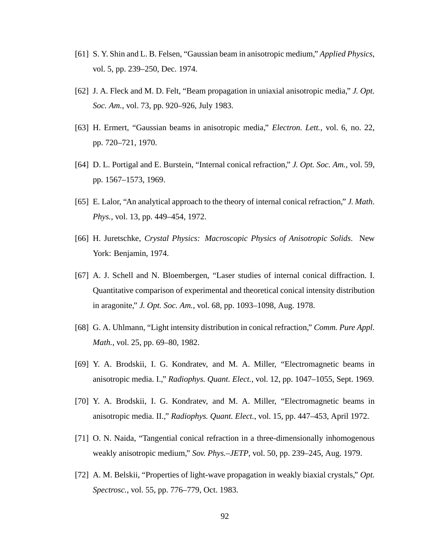- [61] S. Y. Shin and L. B. Felsen, "Gaussian beam in anisotropic medium," *Applied Physics*, vol. 5, pp. 239–250, Dec. 1974.
- [62] J. A. Fleck and M. D. Felt, "Beam propagation in uniaxial anisotropic media," *J. Opt. Soc. Am.*, vol. 73, pp. 920–926, July 1983.
- [63] H. Ermert, "Gaussian beams in anisotropic media," *Electron. Lett.*, vol. 6, no. 22, pp. 720–721, 1970.
- [64] D. L. Portigal and E. Burstein, "Internal conical refraction," *J. Opt. Soc. Am.*, vol. 59, pp. 1567–1573, 1969.
- [65] E. Lalor, "An analytical approach to the theory of internal conical refraction," *J. Math. Phys.*, vol. 13, pp. 449–454, 1972.
- [66] H. Juretschke, *Crystal Physics: Macroscopic Physics of Anisotropic Solids*. New York: Benjamin, 1974.
- [67] A. J. Schell and N. Bloembergen, "Laser studies of internal conical diffraction. I. Quantitative comparison of experimental and theoretical conical intensity distribution in aragonite," *J. Opt. Soc. Am.*, vol. 68, pp. 1093–1098, Aug. 1978.
- [68] G. A. Uhlmann, "Light intensity distribution in conical refraction," *Comm. Pure Appl. Math.*, vol. 25, pp. 69–80, 1982.
- [69] Y. A. Brodskii, I. G. Kondratev, and M. A. Miller, "Electromagnetic beams in anisotropic media. I.," *Radiophys. Quant. Elect.*, vol. 12, pp. 1047–1055, Sept. 1969.
- [70] Y. A. Brodskii, I. G. Kondratev, and M. A. Miller, "Electromagnetic beams in anisotropic media. II.," *Radiophys. Quant. Elect.*, vol. 15, pp. 447–453, April 1972.
- [71] O. N. Naida, "Tangential conical refraction in a three-dimensionally inhomogenous weakly anisotropic medium," *Sov. Phys.–JETP*, vol. 50, pp. 239–245, Aug. 1979.
- [72] A. M. Belskii, "Properties of light-wave propagation in weakly biaxial crystals," *Opt. Spectrosc.*, vol. 55, pp. 776–779, Oct. 1983.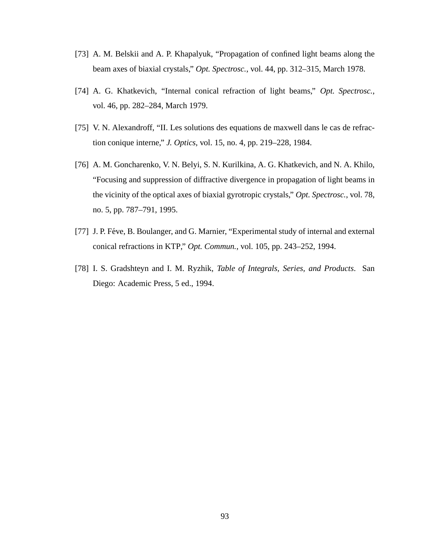- [73] A. M. Belskii and A. P. Khapalyuk, "Propagation of confined light beams along the beam axes of biaxial crystals," *Opt. Spectrosc.*, vol. 44, pp. 312–315, March 1978.
- [74] A. G. Khatkevich, "Internal conical refraction of light beams," *Opt. Spectrosc.*, vol. 46, pp. 282–284, March 1979.
- [75] V. N. Alexandroff, "II. Les solutions des equations de maxwell dans le cas de refraction conique interne," *J. Optics*, vol. 15, no. 4, pp. 219–228, 1984.
- [76] A. M. Goncharenko, V. N. Belyi, S. N. Kurilkina, A. G. Khatkevich, and N. A. Khilo, "Focusing and suppression of diffractive divergence in propagation of light beams in the vicinity of the optical axes of biaxial gyrotropic crystals," *Opt. Spectrosc.*, vol. 78, no. 5, pp. 787–791, 1995.
- [77] J. P. Féve, B. Boulanger, and G. Marnier, "Experimental study of internal and external conical refractions in KTP," *Opt. Commun.*, vol. 105, pp. 243–252, 1994.
- [78] I. S. Gradshteyn and I. M. Ryzhik, *Table of Integrals, Series, and Products*. San Diego: Academic Press, 5 ed., 1994.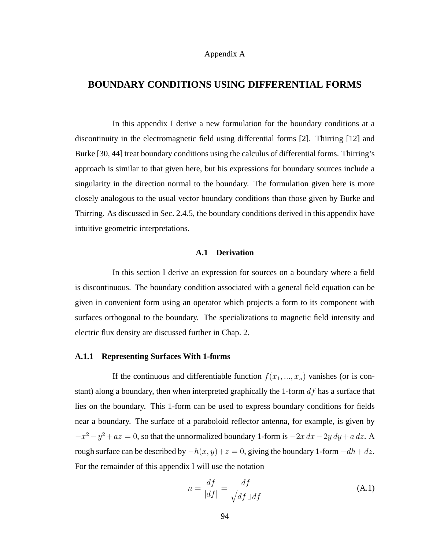# Appendix A

# **BOUNDARY CONDITIONS USING DIFFERENTIAL FORMS**

In this appendix I derive a new formulation for the boundary conditions at a discontinuity in the electromagnetic field using differential forms [2]. Thirring [12] and Burke [30, 44] treat boundary conditions using the calculus of differential forms. Thirring's approach is similar to that given here, but his expressions for boundary sources include a singularity in the direction normal to the boundary. The formulation given here is more closely analogous to the usual vector boundary conditions than those given by Burke and Thirring. As discussed in Sec. 2.4.5, the boundary conditions derived in this appendix have intuitive geometric interpretations.

## **A.1 Derivation**

In this section I derive an expression for sources on a boundary where a field is discontinuous. The boundary condition associated with a general field equation can be given in convenient form using an operator which projects a form to its component with surfaces orthogonal to the boundary. The specializations to magnetic field intensity and electric flux density are discussed further in Chap. 2.

## **A.1.1 Representing Surfaces With 1-forms**

If the continuous and differentiable function  $f(x_1, ..., x_n)$  vanishes (or is constant) along a boundary, then when interpreted graphically the 1-form  $df$  has a surface that lies on the boundary. This 1-form can be used to express boundary conditions for fields near a boundary. The surface of a paraboloid reflector antenna, for example, is given by  $-x^2-y^2+az=0$ , so that the unnormalized boundary 1-form is  $-2x dx-2y dy+a dz$ . A rough surface can be described by  $-h(x, y)+z = 0$ , giving the boundary 1-form  $-dh+ dz$ . For the remainder of this appendix I will use the notation

$$
n = \frac{df}{|df|} = \frac{df}{\sqrt{df \lrcorner df}}
$$
\n(A.1)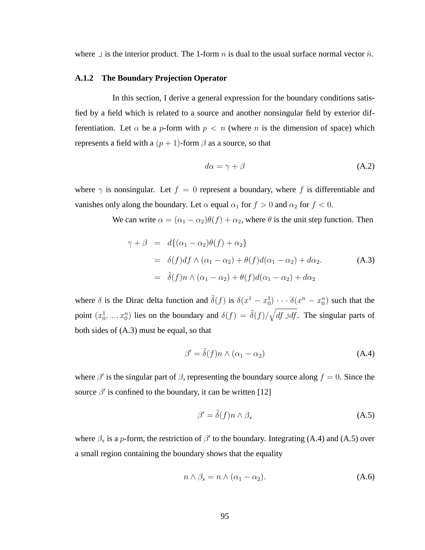where  $\perp$  is the interior product. The 1-form n is dual to the usual surface normal vector  $\hat{n}$ .

# **A.1.2 The Boundary Projection Operator**

In this section, I derive a general expression for the boundary conditions satisfied by a field which is related to a source and another nonsingular field by exterior differentiation. Let  $\alpha$  be a p-form with  $p < n$  (where n is the dimension of space) which represents a field with a  $(p + 1)$ -form  $\beta$  as a source, so that

$$
d\alpha = \gamma + \beta \tag{A.2}
$$

where  $\gamma$  is nonsingular. Let  $f = 0$  represent a boundary, where f is differentiable and vanishes only along the boundary. Let  $\alpha$  equal  $\alpha_1$  for  $f > 0$  and  $\alpha_2$  for  $f < 0$ .

We can write  $\alpha = (\alpha_1 - \alpha_2)\theta(f) + \alpha_2$ , where  $\theta$  is the unit step function. Then

$$
\gamma + \beta = d\{(\alpha_1 - \alpha_2)\theta(f) + \alpha_2\}
$$
  
=  $\delta(f)df \wedge (\alpha_1 - \alpha_2) + \theta(f)d(\alpha_1 - \alpha_2) + d\alpha_2.$  (A.3)  
=  $\tilde{\delta}(f)n \wedge (\alpha_1 - \alpha_2) + \theta(f)d(\alpha_1 - \alpha_2) + d\alpha_2$ 

where  $\delta$  is the Dirac delta function and  $\tilde{\delta}(f)$  is  $\delta(x^1 - x_0^1) \cdots \delta(x^n - x_0^n)$  such that the point  $(x_0^1, ..., x_0^n)$  lies on the boundary and  $\delta(f) = \tilde{\delta}(f)/\sqrt{df}$   $\Box df$ . The singular parts of  $^{\prime}$  , both sides of (A.3) must be equal, so that

$$
\beta' = \tilde{\delta}(f)n \wedge (\alpha_1 - \alpha_2) \tag{A.4}
$$

where  $\beta'$  is the singular part of  $\beta$ , representing the boundary source along  $f = 0$ . Since the source  $\beta'$  is confined to the boundary, it can be written [12]

$$
\beta' = \tilde{\delta}(f)n \wedge \beta_s \tag{A.5}
$$

where  $\beta_s$  is a p-form, the restriction of  $\beta'$  to the boundary. Integrating (A.4) and (A.5) over a small region containing the boundary shows that the equality

$$
n \wedge \beta_s = n \wedge (\alpha_1 - \alpha_2). \tag{A.6}
$$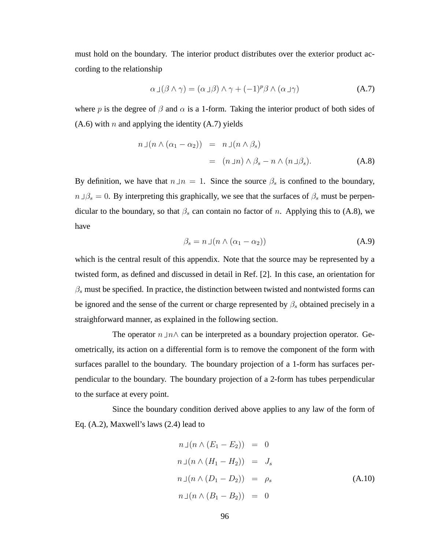must hold on the boundary. The interior product distributes over the exterior product according to the relationship

$$
\alpha \sqcup (\beta \wedge \gamma) = (\alpha \sqcup \beta) \wedge \gamma + (-1)^p \beta \wedge (\alpha \sqcup \gamma) \tag{A.7}
$$

where p is the degree of  $\beta$  and  $\alpha$  is a 1-form. Taking the interior product of both sides of  $(A.6)$  with *n* and applying the identity  $(A.7)$  yields

$$
n \Box (n \land (\alpha_1 - \alpha_2)) = n \Box (n \land \beta_s)
$$
  
= 
$$
(n \Box n) \land \beta_s - n \land (n \Box \beta_s).
$$
 (A.8)

By definition, we have that  $n \ln n = 1$ . Since the source  $\beta_s$  is confined to the boundary,  $n \Box \beta_s = 0$ . By interpreting this graphically, we see that the surfaces of  $\beta_s$  must be perpendicular to the boundary, so that  $\beta_s$  can contain no factor of n. Applying this to (A.8), we have

$$
\beta_s = n \, \Box (n \wedge (\alpha_1 - \alpha_2)) \tag{A.9}
$$

which is the central result of this appendix. Note that the source may be represented by a twisted form, as defined and discussed in detail in Ref. [2]. In this case, an orientation for  $\beta_s$  must be specified. In practice, the distinction between twisted and nontwisted forms can be ignored and the sense of the current or charge represented by  $\beta_s$  obtained precisely in a straighforward manner, as explained in the following section.

The operator  $n \ln \wedge$  can be interpreted as a boundary projection operator. Geometrically, its action on a differential form is to remove the component of the form with surfaces parallel to the boundary. The boundary projection of a 1-form has surfaces perpendicular to the boundary. The boundary projection of a 2-form has tubes perpendicular to the surface at every point.

Since the boundary condition derived above applies to any law of the form of Eq. (A.2), Maxwell's laws (2.4) lead to

$$
n \mathop{\perp} (n \wedge (E_1 - E_2)) = 0
$$
  
\n
$$
n \mathop{\perp} (n \wedge (H_1 - H_2)) = J_s
$$
  
\n
$$
n \mathop{\perp} (n \wedge (D_1 - D_2)) = \rho_s
$$
  
\n
$$
n \mathop{\perp} (n \wedge (B_1 - B_2)) = 0
$$
  
\n(A.10)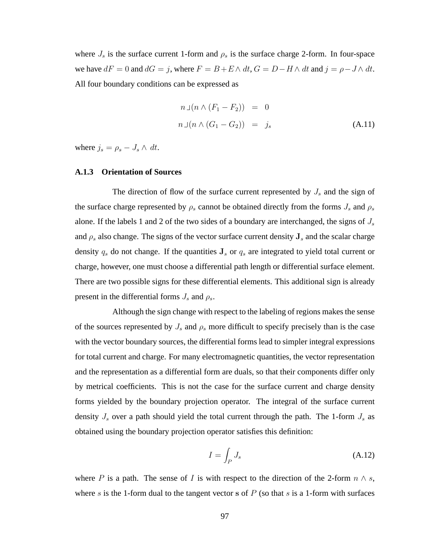where  $J_s$  is the surface current 1-form and  $\rho_s$  is the surface charge 2-form. In four-space we have  $dF = 0$  and  $dG = j$ , where  $F = B + E \wedge dt$ ,  $G = D - H \wedge dt$  and  $j = \rho - J \wedge dt$ . All four boundary conditions can be expressed as

$$
n \mathop{\perp} (n \wedge (F_1 - F_2)) = 0
$$
  

$$
n \mathop{\perp} (n \wedge (G_1 - G_2)) = j_s
$$
 (A.11)

where  $j_s = \rho_s - J_s \wedge dt$ .

## **A.1.3 Orientation of Sources**

The direction of flow of the surface current represented by  $J_s$  and the sign of the surface charge represented by  $\rho_s$  cannot be obtained directly from the forms  $J_s$  and  $\rho_s$ alone. If the labels 1 and 2 of the two sides of a boundary are interchanged, the signs of  $J_s$ and  $\rho_s$  also change. The signs of the vector surface current density  $J_s$  and the scalar charge density  $q_s$  do not change. If the quantities  $\mathbf{J}_s$  or  $q_s$  are integrated to yield total current or charge, however, one must choose a differential path length or differential surface element. There are two possible signs for these differential elements. This additional sign is already present in the differential forms  $J_s$  and  $\rho_s$ .

Although the sign change with respect to the labeling of regions makes the sense of the sources represented by  $J_s$  and  $\rho_s$  more difficult to specify precisely than is the case with the vector boundary sources, the differential forms lead to simpler integral expressions for total current and charge. For many electromagnetic quantities, the vector representation and the representation as a differential form are duals, so that their components differ only by metrical coefficients. This is not the case for the surface current and charge density forms yielded by the boundary projection operator. The integral of the surface current density  $J_s$  over a path should yield the total current through the path. The 1-form  $J_s$  as obtained using the boundary projection operator satisfies this definition:

$$
I = \int_{P} J_s \tag{A.12}
$$

where P is a path. The sense of I is with respect to the direction of the 2-form  $n \wedge s$ , where s is the 1-form dual to the tangent vector s of  $P$  (so that s is a 1-form with surfaces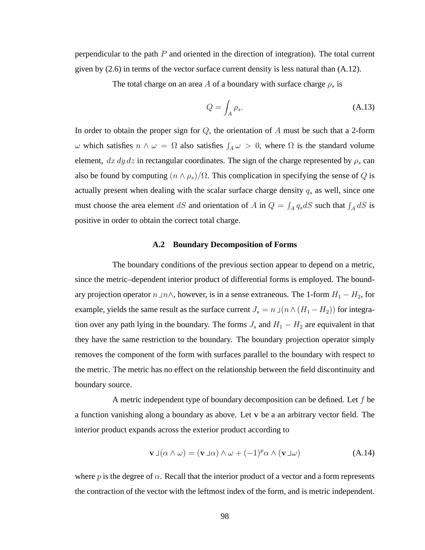perpendicular to the path  $P$  and oriented in the direction of integration). The total current given by (2.6) in terms of the vector surface current density is less natural than (A.12).

The total charge on an area A of a boundary with surface charge  $\rho_s$  is

$$
Q = \int_{A} \rho_s. \tag{A.13}
$$

In order to obtain the proper sign for  $Q$ , the orientation of  $A$  must be such that a 2-form  $ω$  which satisfies  $n \wedge ω = Ω$  also satisfies  $\int_A ω > 0$ , where  $Ω$  is the standard volume element,  $dx dy dz$  in rectangular coordinates. The sign of the charge represented by  $\rho_s$  can also be found by computing  $(n \wedge \rho_s)/\Omega$ . This complication in specifying the sense of Q is actually present when dealing with the scalar surface charge density  $q_s$  as well, since one must choose the area element dS and orientation of A in  $Q = \int_A q_s dS$  such that  $\int_A dS$  is positive in order to obtain the correct total charge.

# **A.2 Boundary Decomposition of Forms**

The boundary conditions of the previous section appear to depend on a metric, since the metric–dependent interior product of differential forms is employed. The boundary projection operator  $n \, \exists n \land$ , however, is in a sense extraneous. The 1-form  $H_1 - H_2$ , for example, yields the same result as the surface current  $J_s = n \ln(n \wedge (H_1 - H_2))$  for integration over any path lying in the boundary. The forms  $J_s$  and  $H_1 - H_2$  are equivalent in that they have the same restriction to the boundary. The boundary projection operator simply removes the component of the form with surfaces parallel to the boundary with respect to the metric. The metric has no effect on the relationship between the field discontinuity and boundary source.

A metric independent type of boundary decomposition can be defined. Let  $f$  be a function vanishing along a boundary as above. Let v be a an arbitrary vector field. The interior product expands across the exterior product according to

$$
\mathbf{v}\,\lrcorner\,(\alpha\wedge\omega) = (\mathbf{v}\,\lrcorner\,\alpha)\wedge\omega + (-1)^p\alpha\wedge(\mathbf{v}\,\lrcorner\,\omega) \tag{A.14}
$$

where p is the degree of  $\alpha$ . Recall that the interior product of a vector and a form represents the contraction of the vector with the leftmost index of the form, and is metric independent.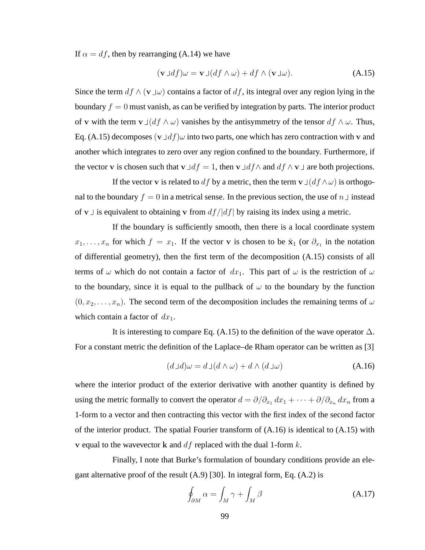If  $\alpha = df$ , then by rearranging (A.14) we have

$$
(\mathbf{v} \,\exists \, df)\omega = \mathbf{v} \,\exists \, (df \wedge \omega) + df \wedge (\mathbf{v} \,\exists \omega). \tag{A.15}
$$

Since the term  $df \wedge (\mathbf{v} \, \lrcorner \omega)$  contains a factor of  $df$ , its integral over any region lying in the boundary  $f = 0$  must vanish, as can be verified by integration by parts. The interior product of v with the term v  $\Box(df \wedge \omega)$  vanishes by the antisymmetry of the tensor  $df \wedge \omega$ . Thus, Eq. (A.15) decomposes  $(v \text{ } \text{ } \text{ } d f)\omega$  into two parts, one which has zero contraction with v and another which integrates to zero over any region confined to the boundary. Furthermore, if the vector v is chosen such that v  $\exists df = 1$ , then v  $\exists df \wedge \text{ and } df \wedge \text{v} \perp$  are both projections.

If the vector v is related to df by a metric, then the term v  $\Box(df \wedge \omega)$  is orthogonal to the boundary  $f = 0$  in a metrical sense. In the previous section, the use of  $n \perp$  instead of  $\mathbf{v} \perp$  is equivalent to obtaining v from  $df/|df|$  by raising its index using a metric.

If the boundary is sufficiently smooth, then there is a local coordinate system  $x_1, \ldots, x_n$  for which  $f = x_1$ . If the vector v is chosen to be  $\hat{\mathbf{x}}_1$  (or  $\partial_{x_1}$  in the notation of differential geometry), then the first term of the decomposition (A.15) consists of all terms of  $\omega$  which do not contain a factor of  $dx_1$ . This part of  $\omega$  is the restriction of  $\omega$ to the boundary, since it is equal to the pullback of  $\omega$  to the boundary by the function  $(0, x_2, \ldots, x_n)$ . The second term of the decomposition includes the remaining terms of  $\omega$ which contain a factor of  $dx_1$ .

It is interesting to compare Eq. (A.15) to the definition of the wave operator  $\Delta$ . For a constant metric the definition of the Laplace–de Rham operator can be written as [3]

$$
(d \Box d)\omega = d \Box (d \land \omega) + d \land (d \Box \omega) \tag{A.16}
$$

where the interior product of the exterior derivative with another quantity is defined by using the metric formally to convert the operator  $d = \partial/\partial_{x_1} dx_1 + \cdots + \partial/\partial_{x_n} dx_n$  from a 1-form to a vector and then contracting this vector with the first index of the second factor of the interior product. The spatial Fourier transform of  $(A.16)$  is identical to  $(A.15)$  with v equal to the wavevector k and  $df$  replaced with the dual 1-form  $k$ .

Finally, I note that Burke's formulation of boundary conditions provide an elegant alternative proof of the result  $(A.9)$  [30]. In integral form, Eq.  $(A.2)$  is

$$
\oint_{\partial M} \alpha = \int_M \gamma + \int_M \beta \tag{A.17}
$$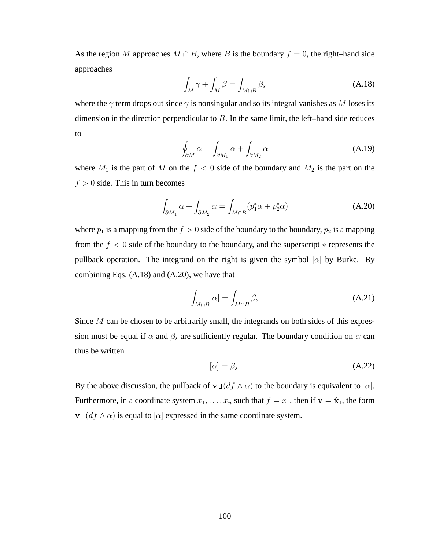As the region M approaches  $M \cap B$ , where B is the boundary  $f = 0$ , the right–hand side approaches

$$
\int_{M} \gamma + \int_{M} \beta = \int_{M \cap B} \beta_{s} \tag{A.18}
$$

where the  $\gamma$  term drops out since  $\gamma$  is nonsingular and so its integral vanishes as M loses its dimension in the direction perpendicular to  $B$ . In the same limit, the left–hand side reduces to

$$
\oint_{\partial M} \alpha = \int_{\partial M_1} \alpha + \int_{\partial M_2} \alpha \tag{A.19}
$$

where  $M_1$  is the part of M on the  $f < 0$  side of the boundary and  $M_2$  is the part on the  $f > 0$  side. This in turn becomes

$$
\int_{\partial M_1} \alpha + \int_{\partial M_2} \alpha = \int_{M \cap B} (p_1^* \alpha + p_2^* \alpha) \tag{A.20}
$$

where  $p_1$  is a mapping from the  $f > 0$  side of the boundary to the boundary,  $p_2$  is a mapping from the  $f < 0$  side of the boundary to the boundary, and the superscript  $*$  represents the pullback operation. The integrand on the right is given the symbol  $[\alpha]$  by Burke. By combining Eqs. (A.18) and (A.20), we have that

$$
\int_{M \cap B} [\alpha] = \int_{M \cap B} \beta_s \tag{A.21}
$$

Since  $M$  can be chosen to be arbitrarily small, the integrands on both sides of this expression must be equal if  $\alpha$  and  $\beta_s$  are sufficiently regular. The boundary condition on  $\alpha$  can thus be written

$$
[\alpha] = \beta_s. \tag{A.22}
$$

By the above discussion, the pullback of  $\mathbf{v} \,\lrcorner\, (df \wedge \alpha)$  to the boundary is equivalent to [ $\alpha$ ]. Furthermore, in a coordinate system  $x_1, \ldots, x_n$  such that  $f = x_1$ , then if  $\mathbf{v} = \hat{\mathbf{x}}_1$ , the form  $\mathbf{v} \,\lrcorner\,(df \wedge \alpha)$  is equal to  $\lceil \alpha \rceil$  expressed in the same coordinate system.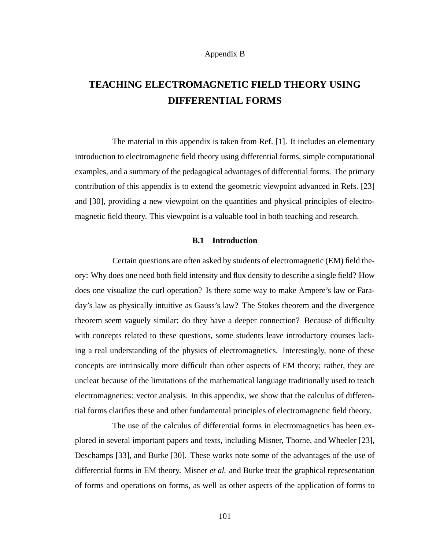# Appendix B

# **TEACHING ELECTROMAGNETIC FIELD THEORY USING DIFFERENTIAL FORMS**

The material in this appendix is taken from Ref. [1]. It includes an elementary introduction to electromagnetic field theory using differential forms, simple computational examples, and a summary of the pedagogical advantages of differential forms. The primary contribution of this appendix is to extend the geometric viewpoint advanced in Refs. [23] and [30], providing a new viewpoint on the quantities and physical principles of electromagnetic field theory. This viewpoint is a valuable tool in both teaching and research.

# **B.1 Introduction**

Certain questions are often asked by students of electromagnetic (EM) field theory: Why does one need both field intensity and flux density to describe a single field? How does one visualize the curl operation? Is there some way to make Ampere's law or Faraday's law as physically intuitive as Gauss's law? The Stokes theorem and the divergence theorem seem vaguely similar; do they have a deeper connection? Because of difficulty with concepts related to these questions, some students leave introductory courses lacking a real understanding of the physics of electromagnetics. Interestingly, none of these concepts are intrinsically more difficult than other aspects of EM theory; rather, they are unclear because of the limitations of the mathematical language traditionally used to teach electromagnetics: vector analysis. In this appendix, we show that the calculus of differential forms clarifies these and other fundamental principles of electromagnetic field theory.

The use of the calculus of differential forms in electromagnetics has been explored in several important papers and texts, including Misner, Thorne, and Wheeler [23], Deschamps [33], and Burke [30]. These works note some of the advantages of the use of differential forms in EM theory. Misner *et al.* and Burke treat the graphical representation of forms and operations on forms, as well as other aspects of the application of forms to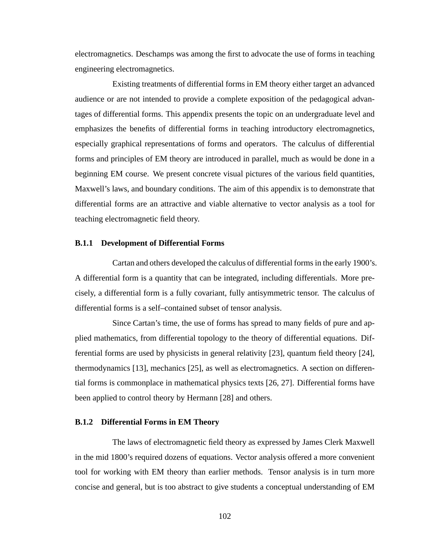electromagnetics. Deschamps was among the first to advocate the use of forms in teaching engineering electromagnetics.

Existing treatments of differential forms in EM theory either target an advanced audience or are not intended to provide a complete exposition of the pedagogical advantages of differential forms. This appendix presents the topic on an undergraduate level and emphasizes the benefits of differential forms in teaching introductory electromagnetics, especially graphical representations of forms and operators. The calculus of differential forms and principles of EM theory are introduced in parallel, much as would be done in a beginning EM course. We present concrete visual pictures of the various field quantities, Maxwell's laws, and boundary conditions. The aim of this appendix is to demonstrate that differential forms are an attractive and viable alternative to vector analysis as a tool for teaching electromagnetic field theory.

#### **B.1.1 Development of Differential Forms**

Cartan and others developed the calculus of differential forms in the early 1900's. A differential form is a quantity that can be integrated, including differentials. More precisely, a differential form is a fully covariant, fully antisymmetric tensor. The calculus of differential forms is a self–contained subset of tensor analysis.

Since Cartan's time, the use of forms has spread to many fields of pure and applied mathematics, from differential topology to the theory of differential equations. Differential forms are used by physicists in general relativity [23], quantum field theory [24], thermodynamics [13], mechanics [25], as well as electromagnetics. A section on differential forms is commonplace in mathematical physics texts [26, 27]. Differential forms have been applied to control theory by Hermann [28] and others.

# **B.1.2 Differential Forms in EM Theory**

The laws of electromagnetic field theory as expressed by James Clerk Maxwell in the mid 1800's required dozens of equations. Vector analysis offered a more convenient tool for working with EM theory than earlier methods. Tensor analysis is in turn more concise and general, but is too abstract to give students a conceptual understanding of EM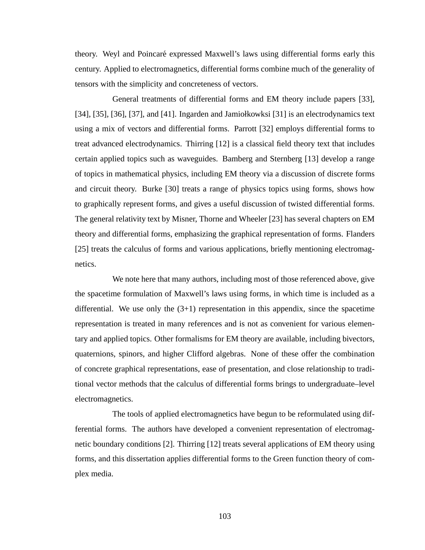theory. Weyl and Poincaré expressed Maxwell's laws using differential forms early this century. Applied to electromagnetics, differential forms combine much of the generality of tensors with the simplicity and concreteness of vectors.

General treatments of differential forms and EM theory include papers [33], [34], [35], [36], [37], and [41]. Ingarden and Jamiołkowksi [31] is an electrodynamics text using a mix of vectors and differential forms. Parrott [32] employs differential forms to treat advanced electrodynamics. Thirring [12] is a classical field theory text that includes certain applied topics such as waveguides. Bamberg and Sternberg [13] develop a range of topics in mathematical physics, including EM theory via a discussion of discrete forms and circuit theory. Burke [30] treats a range of physics topics using forms, shows how to graphically represent forms, and gives a useful discussion of twisted differential forms. The general relativity text by Misner, Thorne and Wheeler [23] has several chapters on EM theory and differential forms, emphasizing the graphical representation of forms. Flanders [25] treats the calculus of forms and various applications, briefly mentioning electromagnetics.

We note here that many authors, including most of those referenced above, give the spacetime formulation of Maxwell's laws using forms, in which time is included as a differential. We use only the  $(3+1)$  representation in this appendix, since the spacetime representation is treated in many references and is not as convenient for various elementary and applied topics. Other formalisms for EM theory are available, including bivectors, quaternions, spinors, and higher Clifford algebras. None of these offer the combination of concrete graphical representations, ease of presentation, and close relationship to traditional vector methods that the calculus of differential forms brings to undergraduate–level electromagnetics.

The tools of applied electromagnetics have begun to be reformulated using differential forms. The authors have developed a convenient representation of electromagnetic boundary conditions [2]. Thirring [12] treats several applications of EM theory using forms, and this dissertation applies differential forms to the Green function theory of complex media.

103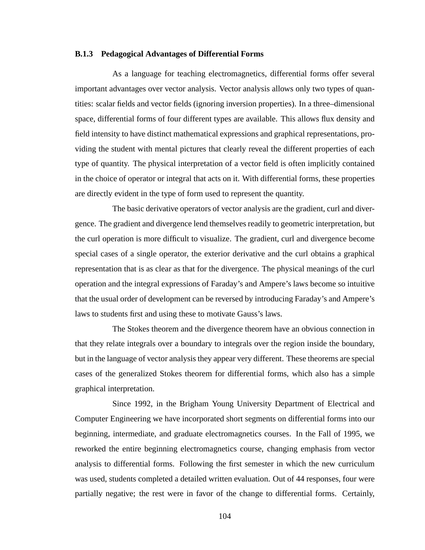### **B.1.3 Pedagogical Advantages of Differential Forms**

As a language for teaching electromagnetics, differential forms offer several important advantages over vector analysis. Vector analysis allows only two types of quantities: scalar fields and vector fields (ignoring inversion properties). In a three–dimensional space, differential forms of four different types are available. This allows flux density and field intensity to have distinct mathematical expressions and graphical representations, providing the student with mental pictures that clearly reveal the different properties of each type of quantity. The physical interpretation of a vector field is often implicitly contained in the choice of operator or integral that acts on it. With differential forms, these properties are directly evident in the type of form used to represent the quantity.

The basic derivative operators of vector analysis are the gradient, curl and divergence. The gradient and divergence lend themselves readily to geometric interpretation, but the curl operation is more difficult to visualize. The gradient, curl and divergence become special cases of a single operator, the exterior derivative and the curl obtains a graphical representation that is as clear as that for the divergence. The physical meanings of the curl operation and the integral expressions of Faraday's and Ampere's laws become so intuitive that the usual order of development can be reversed by introducing Faraday's and Ampere's laws to students first and using these to motivate Gauss's laws.

The Stokes theorem and the divergence theorem have an obvious connection in that they relate integrals over a boundary to integrals over the region inside the boundary, but in the language of vector analysis they appear very different. These theorems are special cases of the generalized Stokes theorem for differential forms, which also has a simple graphical interpretation.

Since 1992, in the Brigham Young University Department of Electrical and Computer Engineering we have incorporated short segments on differential forms into our beginning, intermediate, and graduate electromagnetics courses. In the Fall of 1995, we reworked the entire beginning electromagnetics course, changing emphasis from vector analysis to differential forms. Following the first semester in which the new curriculum was used, students completed a detailed written evaluation. Out of 44 responses, four were partially negative; the rest were in favor of the change to differential forms. Certainly,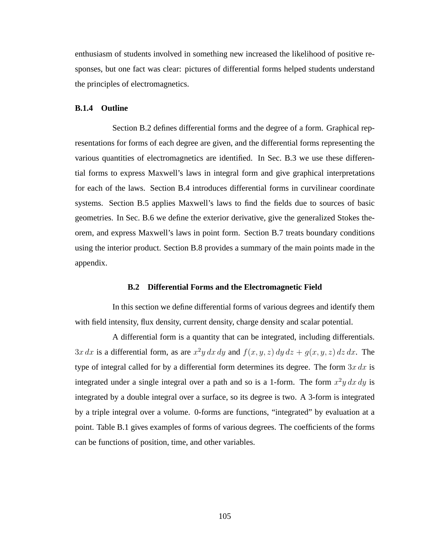enthusiasm of students involved in something new increased the likelihood of positive responses, but one fact was clear: pictures of differential forms helped students understand the principles of electromagnetics.

## **B.1.4 Outline**

Section B.2 defines differential forms and the degree of a form. Graphical representations for forms of each degree are given, and the differential forms representing the various quantities of electromagnetics are identified. In Sec. B.3 we use these differential forms to express Maxwell's laws in integral form and give graphical interpretations for each of the laws. Section B.4 introduces differential forms in curvilinear coordinate systems. Section B.5 applies Maxwell's laws to find the fields due to sources of basic geometries. In Sec. B.6 we define the exterior derivative, give the generalized Stokes theorem, and express Maxwell's laws in point form. Section B.7 treats boundary conditions using the interior product. Section B.8 provides a summary of the main points made in the appendix.

### **B.2 Differential Forms and the Electromagnetic Field**

In this section we define differential forms of various degrees and identify them with field intensity, flux density, current density, charge density and scalar potential.

A differential form is a quantity that can be integrated, including differentials.  $3x dx$  is a differential form, as are  $x^2y dx dy$  and  $f(x, y, z) dy dz + g(x, y, z) dz dx$ . The type of integral called for by a differential form determines its degree. The form  $3x dx$  is integrated under a single integral over a path and so is a 1-form. The form  $x^2y dx dy$  is integrated by a double integral over a surface, so its degree is two. A 3-form is integrated by a triple integral over a volume. 0-forms are functions, "integrated" by evaluation at a point. Table B.1 gives examples of forms of various degrees. The coefficients of the forms can be functions of position, time, and other variables.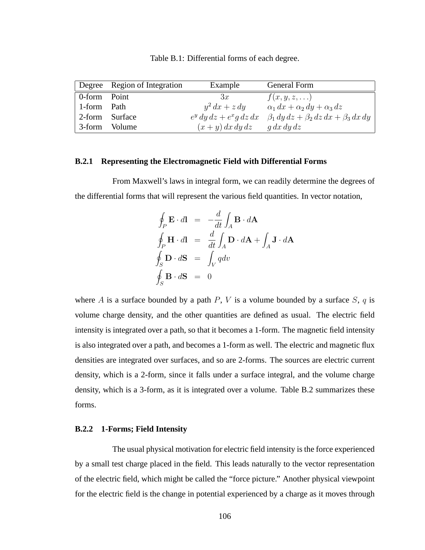Degree Region of Integration Example General Form 0-form Point  $3x$   $f(x, y, z, ...)$ 1-form Path  $y^2 dx + z dy$  $\alpha_1 dx + \alpha_2 dy + \alpha_3 dz$ 2-form Surface <sup>y</sup> dy  $dz + e^x$  $\beta_1 dy dz + \beta_2 dz dx + \beta_3 dx dy$ 3-form Volume  $(x + y) dx dy dz$  g dx dy dz

Table B.1: Differential forms of each degree.

# **B.2.1 Representing the Electromagnetic Field with Differential Forms**

From Maxwell's laws in integral form, we can readily determine the degrees of the differential forms that will represent the various field quantities. In vector notation,

$$
\oint_{P} \mathbf{E} \cdot d\mathbf{l} = -\frac{d}{dt} \int_{A} \mathbf{B} \cdot d\mathbf{A}
$$
\n
$$
\oint_{P} \mathbf{H} \cdot d\mathbf{l} = \frac{d}{dt} \int_{A} \mathbf{D} \cdot d\mathbf{A} + \int_{A} \mathbf{J} \cdot d\mathbf{A}
$$
\n
$$
\oint_{S} \mathbf{D} \cdot d\mathbf{S} = \int_{V} q dv
$$
\n
$$
\oint_{S} \mathbf{B} \cdot d\mathbf{S} = 0
$$

where A is a surface bounded by a path  $P$ , V is a volume bounded by a surface  $S$ , q is volume charge density, and the other quantities are defined as usual. The electric field intensity is integrated over a path, so that it becomes a 1-form. The magnetic field intensity is also integrated over a path, and becomes a 1-form as well. The electric and magnetic flux densities are integrated over surfaces, and so are 2-forms. The sources are electric current density, which is a 2-form, since it falls under a surface integral, and the volume charge density, which is a 3-form, as it is integrated over a volume. Table B.2 summarizes these forms.

# **B.2.2 1-Forms; Field Intensity**

The usual physical motivation for electric field intensity is the force experienced by a small test charge placed in the field. This leads naturally to the vector representation of the electric field, which might be called the "force picture." Another physical viewpoint for the electric field is the change in potential experienced by a charge as it moves through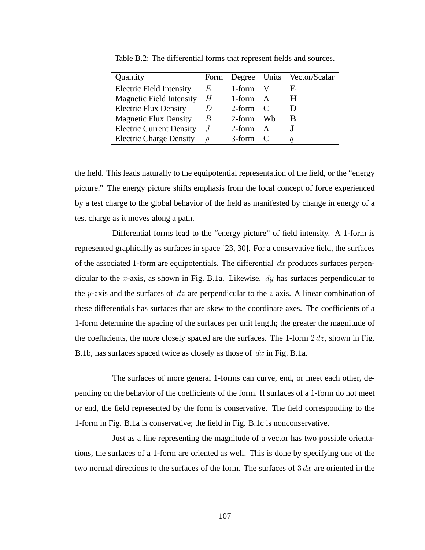| Quantity                        | Form           |           |              | Degree Units Vector/Scalar |
|---------------------------------|----------------|-----------|--------------|----------------------------|
| <b>Electric Field Intensity</b> | E              | 1-form    | $\vee$       | E                          |
| <b>Magnetic Field Intensity</b> | Н              | 1-form    | A            | H                          |
| <b>Electric Flux Density</b>    | $\iota$        | 2-form    |              | Ð                          |
| <b>Magnetic Flux Density</b>    | B              | 2-form    | Wh           | В                          |
| <b>Electric Current Density</b> | $\overline{J}$ | $2$ -form | $\mathsf{A}$ |                            |
| <b>Electric Charge Density</b>  | $\Omega$       | 3-form    |              |                            |

Table B.2: The differential forms that represent fields and sources.

the field. This leads naturally to the equipotential representation of the field, or the "energy picture." The energy picture shifts emphasis from the local concept of force experienced by a test charge to the global behavior of the field as manifested by change in energy of a test charge as it moves along a path.

Differential forms lead to the "energy picture" of field intensity. A 1-form is represented graphically as surfaces in space [23, 30]. For a conservative field, the surfaces of the associated 1-form are equipotentials. The differential  $dx$  produces surfaces perpendicular to the x-axis, as shown in Fig. B.1a. Likewise,  $dy$  has surfaces perpendicular to the y-axis and the surfaces of  $dz$  are perpendicular to the z axis. A linear combination of these differentials has surfaces that are skew to the coordinate axes. The coefficients of a 1-form determine the spacing of the surfaces per unit length; the greater the magnitude of the coefficients, the more closely spaced are the surfaces. The 1-form  $2 dz$ , shown in Fig. B.1b, has surfaces spaced twice as closely as those of  $dx$  in Fig. B.1a.

The surfaces of more general 1-forms can curve, end, or meet each other, depending on the behavior of the coefficients of the form. If surfaces of a 1-form do not meet or end, the field represented by the form is conservative. The field corresponding to the 1-form in Fig. B.1a is conservative; the field in Fig. B.1c is nonconservative.

Just as a line representing the magnitude of a vector has two possible orientations, the surfaces of a 1-form are oriented as well. This is done by specifying one of the two normal directions to the surfaces of the form. The surfaces of  $3 dx$  are oriented in the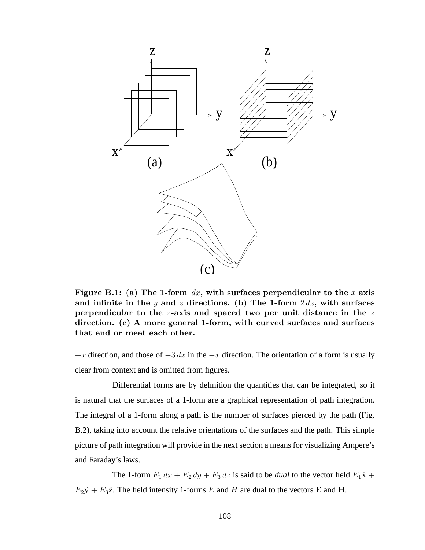

Figure B.1: (a) The 1-form  $dx$ , with surfaces perpendicular to the x axis and infinite in the y and z directions. (b) The 1-form  $2 dz$ , with surfaces perpendicular to the  $z$ -axis and spaced two per unit distance in the  $z$ direction. (c) A more general 1-form, with curved surfaces and surfaces that end or meet each other.

 $+x$  direction, and those of  $-3 dx$  in the  $-x$  direction. The orientation of a form is usually clear from context and is omitted from figures.

Differential forms are by definition the quantities that can be integrated, so it is natural that the surfaces of a 1-form are a graphical representation of path integration. The integral of a 1-form along a path is the number of surfaces pierced by the path (Fig. B.2), taking into account the relative orientations of the surfaces and the path. This simple picture of path integration will provide in the next section a means for visualizing Ampere's and Faraday's laws.

The 1-form  $E_1 dx + E_2 dy + E_3 dz$  is said to be *dual* to the vector field  $E_1\hat{\mathbf{x}} +$  $E_2\hat{\mathbf{y}} + E_3\hat{\mathbf{z}}$ . The field intensity 1-forms E and H are dual to the vectors E and H.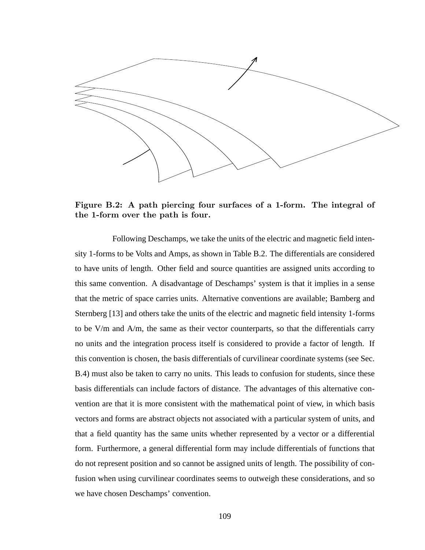

Figure B.2: A path piercing four surfaces of a 1-form. The integral of the 1-form over the path is four.

Following Deschamps, we take the units of the electric and magnetic field intensity 1-forms to be Volts and Amps, as shown in Table B.2. The differentials are considered to have units of length. Other field and source quantities are assigned units according to this same convention. A disadvantage of Deschamps' system is that it implies in a sense that the metric of space carries units. Alternative conventions are available; Bamberg and Sternberg [13] and others take the units of the electric and magnetic field intensity 1-forms to be V/m and A/m, the same as their vector counterparts, so that the differentials carry no units and the integration process itself is considered to provide a factor of length. If this convention is chosen, the basis differentials of curvilinear coordinate systems (see Sec. B.4) must also be taken to carry no units. This leads to confusion for students, since these basis differentials can include factors of distance. The advantages of this alternative convention are that it is more consistent with the mathematical point of view, in which basis vectors and forms are abstract objects not associated with a particular system of units, and that a field quantity has the same units whether represented by a vector or a differential form. Furthermore, a general differential form may include differentials of functions that do not represent position and so cannot be assigned units of length. The possibility of confusion when using curvilinear coordinates seems to outweigh these considerations, and so we have chosen Deschamps' convention.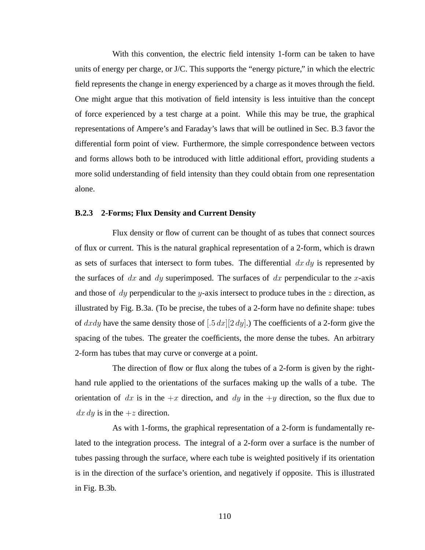With this convention, the electric field intensity 1-form can be taken to have units of energy per charge, or J/C. This supports the "energy picture," in which the electric field represents the change in energy experienced by a charge as it moves through the field. One might argue that this motivation of field intensity is less intuitive than the concept of force experienced by a test charge at a point. While this may be true, the graphical representations of Ampere's and Faraday's laws that will be outlined in Sec. B.3 favor the differential form point of view. Furthermore, the simple correspondence between vectors and forms allows both to be introduced with little additional effort, providing students a more solid understanding of field intensity than they could obtain from one representation alone.

### **B.2.3 2-Forms; Flux Density and Current Density**

Flux density or flow of current can be thought of as tubes that connect sources of flux or current. This is the natural graphical representation of a 2-form, which is drawn as sets of surfaces that intersect to form tubes. The differential  $dx dy$  is represented by the surfaces of dx and dy superimposed. The surfaces of dx perpendicular to the x-axis and those of dy perpendicular to the y-axis intersect to produce tubes in the z direction, as illustrated by Fig. B.3a. (To be precise, the tubes of a 2-form have no definite shape: tubes of dxdy have the same density those of [.5 dx][2 dy].) The coefficients of a 2-form give the spacing of the tubes. The greater the coefficients, the more dense the tubes. An arbitrary 2-form has tubes that may curve or converge at a point.

The direction of flow or flux along the tubes of a 2-form is given by the righthand rule applied to the orientations of the surfaces making up the walls of a tube. The orientation of dx is in the  $+x$  direction, and dy in the  $+y$  direction, so the flux due to  $dx dy$  is in the  $+z$  direction.

As with 1-forms, the graphical representation of a 2-form is fundamentally related to the integration process. The integral of a 2-form over a surface is the number of tubes passing through the surface, where each tube is weighted positively if its orientation is in the direction of the surface's oriention, and negatively if opposite. This is illustrated in Fig. B.3b.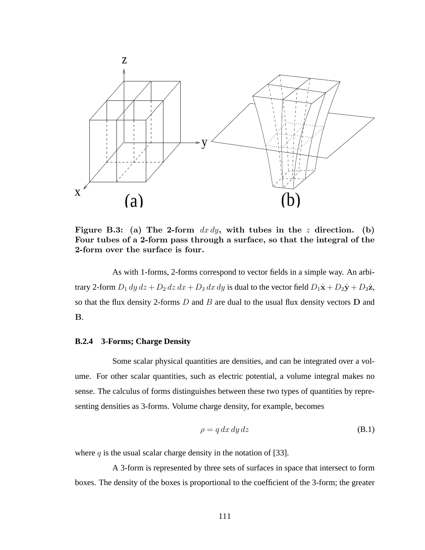

Figure B.3: (a) The 2-form  $dx dy$ , with tubes in the z direction. (b) Four tubes of a 2-form pass through a surface, so that the integral of the 2-form over the surface is four.

As with 1-forms, 2-forms correspond to vector fields in a simple way. An arbitrary 2-form  $D_1 dy dz + D_2 dz dx + D_3 dx dy$  is dual to the vector field  $D_1\hat{\mathbf{x}} + D_2\hat{\mathbf{y}} + D_3\hat{\mathbf{z}}$ , so that the flux density 2-forms  $D$  and  $B$  are dual to the usual flux density vectors  $D$  and B.

# **B.2.4 3-Forms; Charge Density**

Some scalar physical quantities are densities, and can be integrated over a volume. For other scalar quantities, such as electric potential, a volume integral makes no sense. The calculus of forms distinguishes between these two types of quantities by representing densities as 3-forms. Volume charge density, for example, becomes

$$
\rho = q \, dx \, dy \, dz \tag{B.1}
$$

where q is the usual scalar charge density in the notation of [33].

A 3-form is represented by three sets of surfaces in space that intersect to form boxes. The density of the boxes is proportional to the coefficient of the 3-form; the greater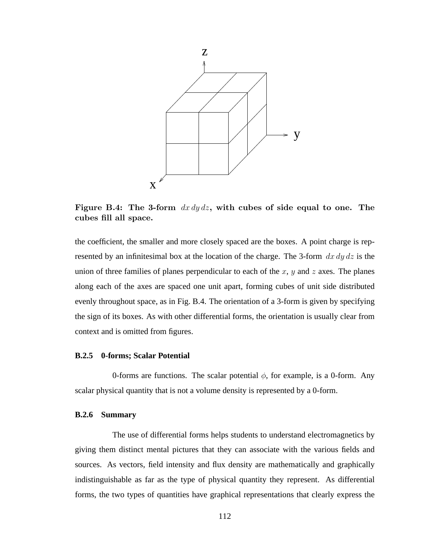

Figure B.4: The 3-form  $dx dy dz$ , with cubes of side equal to one. The cubes fill all space.

the coefficient, the smaller and more closely spaced are the boxes. A point charge is represented by an infinitesimal box at the location of the charge. The 3-form  $dx dy dz$  is the union of three families of planes perpendicular to each of the x, y and z axes. The planes along each of the axes are spaced one unit apart, forming cubes of unit side distributed evenly throughout space, as in Fig. B.4. The orientation of a 3-form is given by specifying the sign of its boxes. As with other differential forms, the orientation is usually clear from context and is omitted from figures.

# **B.2.5 0-forms; Scalar Potential**

0-forms are functions. The scalar potential  $\phi$ , for example, is a 0-form. Any scalar physical quantity that is not a volume density is represented by a 0-form.

# **B.2.6 Summary**

The use of differential forms helps students to understand electromagnetics by giving them distinct mental pictures that they can associate with the various fields and sources. As vectors, field intensity and flux density are mathematically and graphically indistinguishable as far as the type of physical quantity they represent. As differential forms, the two types of quantities have graphical representations that clearly express the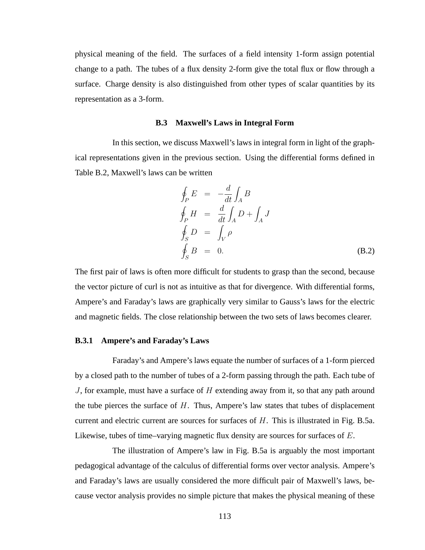physical meaning of the field. The surfaces of a field intensity 1-form assign potential change to a path. The tubes of a flux density 2-form give the total flux or flow through a surface. Charge density is also distinguished from other types of scalar quantities by its representation as a 3-form.

### **B.3 Maxwell's Laws in Integral Form**

In this section, we discuss Maxwell's laws in integral form in light of the graphical representations given in the previous section. Using the differential forms defined in Table B.2, Maxwell's laws can be written

$$
\oint_{P} E = -\frac{d}{dt} \int_{A} B
$$
\n
$$
\oint_{P} H = \frac{d}{dt} \int_{A} D + \int_{A} J
$$
\n
$$
\oint_{S} D = \int_{V} \rho
$$
\n
$$
\oint_{S} B = 0.
$$
\n(B.2)

The first pair of laws is often more difficult for students to grasp than the second, because the vector picture of curl is not as intuitive as that for divergence. With differential forms, Ampere's and Faraday's laws are graphically very similar to Gauss's laws for the electric and magnetic fields. The close relationship between the two sets of laws becomes clearer.

### **B.3.1 Ampere's and Faraday's Laws**

Faraday's and Ampere's laws equate the number of surfaces of a 1-form pierced by a closed path to the number of tubes of a 2-form passing through the path. Each tube of  $J$ , for example, must have a surface of  $H$  extending away from it, so that any path around the tube pierces the surface of  $H$ . Thus, Ampere's law states that tubes of displacement current and electric current are sources for surfaces of  $H$ . This is illustrated in Fig. B.5a. Likewise, tubes of time–varying magnetic flux density are sources for surfaces of E.

The illustration of Ampere's law in Fig. B.5a is arguably the most important pedagogical advantage of the calculus of differential forms over vector analysis. Ampere's and Faraday's laws are usually considered the more difficult pair of Maxwell's laws, because vector analysis provides no simple picture that makes the physical meaning of these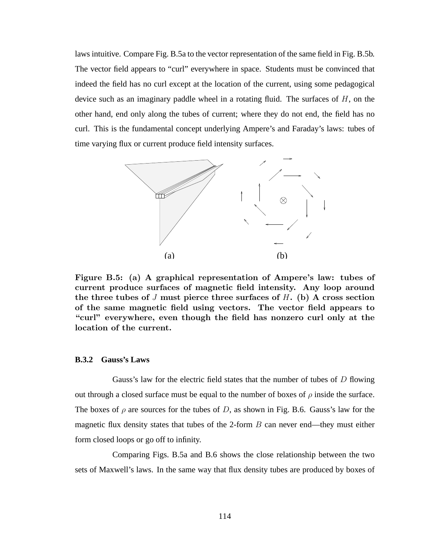laws intuitive. Compare Fig. B.5a to the vector representation of the same field in Fig. B.5b. The vector field appears to "curl" everywhere in space. Students must be convinced that indeed the field has no curl except at the location of the current, using some pedagogical device such as an imaginary paddle wheel in a rotating fluid. The surfaces of  $H$ , on the other hand, end only along the tubes of current; where they do not end, the field has no curl. This is the fundamental concept underlying Ampere's and Faraday's laws: tubes of time varying flux or current produce field intensity surfaces.



Figure B.5: (a) A graphical representation of Ampere's law: tubes of current produce surfaces of magnetic field intensity. Any loop around the three tubes of  $J$  must pierce three surfaces of  $H$ . (b) A cross section of the same magnetic field using vectors. The vector field appears to "curl" everywhere, even though the field has nonzero curl only at the location of the current.

## **B.3.2 Gauss's Laws**

Gauss's law for the electric field states that the number of tubes of  $D$  flowing out through a closed surface must be equal to the number of boxes of  $\rho$  inside the surface. The boxes of  $\rho$  are sources for the tubes of D, as shown in Fig. B.6. Gauss's law for the magnetic flux density states that tubes of the 2-form  $B$  can never end—they must either form closed loops or go off to infinity.

Comparing Figs. B.5a and B.6 shows the close relationship between the two sets of Maxwell's laws. In the same way that flux density tubes are produced by boxes of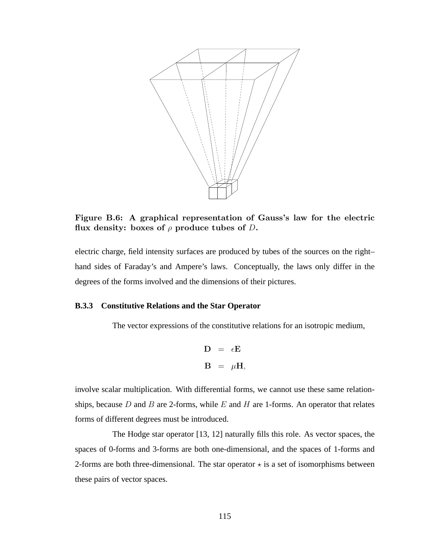

Figure B.6: A graphical representation of Gauss's law for the electric flux density: boxes of  $\rho$  produce tubes of D.

electric charge, field intensity surfaces are produced by tubes of the sources on the right– hand sides of Faraday's and Ampere's laws. Conceptually, the laws only differ in the degrees of the forms involved and the dimensions of their pictures.

# **B.3.3 Constitutive Relations and the Star Operator**

The vector expressions of the constitutive relations for an isotropic medium,

$$
\mathbf{D} = \epsilon \mathbf{E}
$$

$$
\mathbf{B} = \mu \mathbf{H},
$$

involve scalar multiplication. With differential forms, we cannot use these same relationships, because  $D$  and  $B$  are 2-forms, while  $E$  and  $H$  are 1-forms. An operator that relates forms of different degrees must be introduced.

The Hodge star operator [13, 12] naturally fills this role. As vector spaces, the spaces of 0-forms and 3-forms are both one-dimensional, and the spaces of 1-forms and 2-forms are both three-dimensional. The star operator  $\star$  is a set of isomorphisms between these pairs of vector spaces.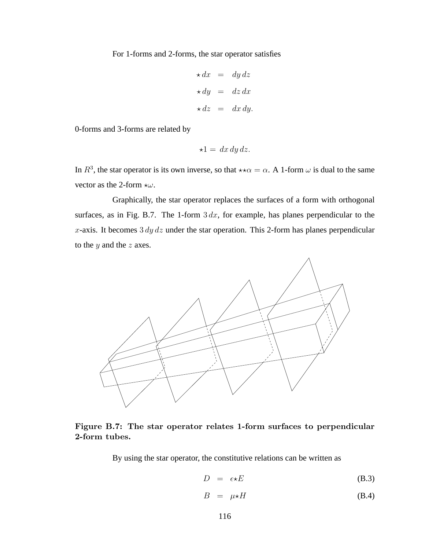For 1-forms and 2-forms, the star operator satisfies

$$
\star dx = dy dz
$$
  

$$
\star dy = dz dx
$$
  

$$
\star dz = dx dy.
$$

0-forms and 3-forms are related by

$$
\star 1 = dx\,dy\,dz.
$$

In  $R^3$ , the star operator is its own inverse, so that  $\star \star \alpha = \alpha$ . A 1-form  $\omega$  is dual to the same vector as the 2-form  $\star \omega$ .

Graphically, the star operator replaces the surfaces of a form with orthogonal surfaces, as in Fig. B.7. The 1-form  $3 dx$ , for example, has planes perpendicular to the x-axis. It becomes  $3 \frac{dy}{dx}$  under the star operation. This 2-form has planes perpendicular to the  $y$  and the  $z$  axes.



# Figure B.7: The star operator relates 1-form surfaces to perpendicular 2-form tubes.

By using the star operator, the constitutive relations can be written as

$$
D = \epsilon \star E \tag{B.3}
$$

$$
B = \mu \star H \tag{B.4}
$$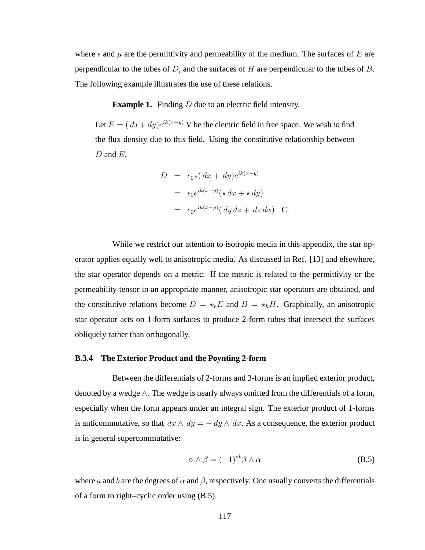where  $\epsilon$  and  $\mu$  are the permittivity and permeability of the medium. The surfaces of E are perpendicular to the tubes of  $D$ , and the surfaces of  $H$  are perpendicular to the tubes of  $B$ . The following example illustrates the use of these relations.

**Example 1.** Finding D due to an electric field intensity.

Let  $E = (dx + dy)e^{ik(x-y)}$  V be the electric field in free space. We wish to find the flux density due to this field. Using the constitutive relationship between  $D$  and  $E$ ,

$$
D = \epsilon_0 \star (dx + dy)e^{ik(x-y)}
$$
  
=  $\epsilon_0 e^{ik(x-y)} (\star dx + \star dy)$   
=  $\epsilon_0 e^{ik(x-y)} (dy dz + dz dx)$  C.

While we restrict our attention to isotropic media in this appendix, the star operator applies equally well to anisotropic media. As discussed in Ref. [13] and elsewhere, the star operator depends on a metric. If the metric is related to the permittivity or the permeability tensor in an appropriate manner, anisotropic star operators are obtained, and the constitutive relations become  $D = \star_e E$  and  $B = \star_h H$ . Graphically, an anisotropic star operator acts on 1-form surfaces to produce 2-form tubes that intersect the surfaces obliquely rather than orthogonally.

#### **B.3.4 The Exterior Product and the Poynting 2-form**

Between the differentials of 2-forms and 3-forms is an implied exterior product, denoted by a wedge ∧. The wedge is nearly always omitted from the differentials of a form, especially when the form appears under an integral sign. The exterior product of 1-forms is anticommutative, so that  $dx \wedge dy = - dy \wedge dx$ . As a consequence, the exterior product is in general supercommutative:

$$
\alpha \wedge \beta = (-1)^{ab} \beta \wedge \alpha \tag{B.5}
$$

where a and b are the degrees of  $\alpha$  and  $\beta$ , respectively. One usually converts the differentials of a form to right–cyclic order using (B.5).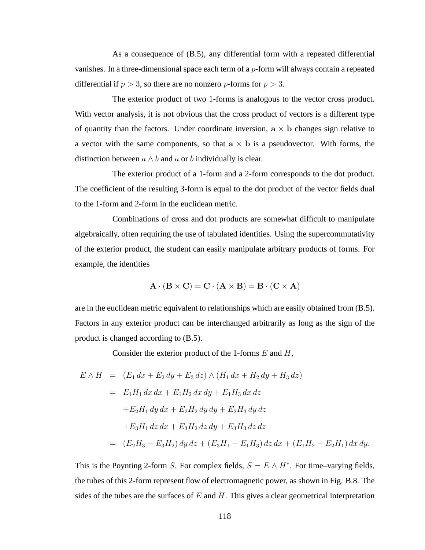As a consequence of (B.5), any differential form with a repeated differential vanishes. In a three-dimensional space each term of a p-form will always contain a repeated differential if  $p > 3$ , so there are no nonzero *p*-forms for  $p > 3$ .

The exterior product of two 1-forms is analogous to the vector cross product. With vector analysis, it is not obvious that the cross product of vectors is a different type of quantity than the factors. Under coordinate inversion,  $a \times b$  changes sign relative to a vector with the same components, so that  $a \times b$  is a pseudovector. With forms, the distinction between  $a \wedge b$  and  $a$  or  $b$  individually is clear.

The exterior product of a 1-form and a 2-form corresponds to the dot product. The coefficient of the resulting 3-form is equal to the dot product of the vector fields dual to the 1-form and 2-form in the euclidean metric.

Combinations of cross and dot products are somewhat difficult to manipulate algebraically, often requiring the use of tabulated identities. Using the supercommutativity of the exterior product, the student can easily manipulate arbitrary products of forms. For example, the identities

$$
\mathbf{A}\cdot(\mathbf{B}\times\mathbf{C})=\mathbf{C}\cdot(\mathbf{A}\times\mathbf{B})=\mathbf{B}\cdot(\mathbf{C}\times\mathbf{A})
$$

are in the euclidean metric equivalent to relationships which are easily obtained from (B.5). Factors in any exterior product can be interchanged arbitrarily as long as the sign of the product is changed according to (B.5).

Consider the exterior product of the 1-forms  $E$  and  $H$ ,

$$
E \wedge H = (E_1 dx + E_2 dy + E_3 dz) \wedge (H_1 dx + H_2 dy + H_3 dz)
$$
  
=  $E_1 H_1 dx dx + E_1 H_2 dx dy + E_1 H_3 dx dz$   
+ $E_2 H_1 dy dx + E_2 H_2 dy dy + E_2 H_3 dy dz$   
+ $E_3 H_1 dz dx + E_3 H_2 dz dy + E_3 H_3 dz dz$   
=  $(E_2 H_3 - E_3 H_2) dy dz + (E_3 H_1 - E_1 H_3) dz dx + (E_1 H_2 - E_2 H_1) dx dy.$ 

This is the Poynting 2-form S. For complex fields,  $S = E \wedge H^*$ . For time–varying fields, the tubes of this 2-form represent flow of electromagnetic power, as shown in Fig. B.8. The sides of the tubes are the surfaces of  $E$  and  $H$ . This gives a clear geometrical interpretation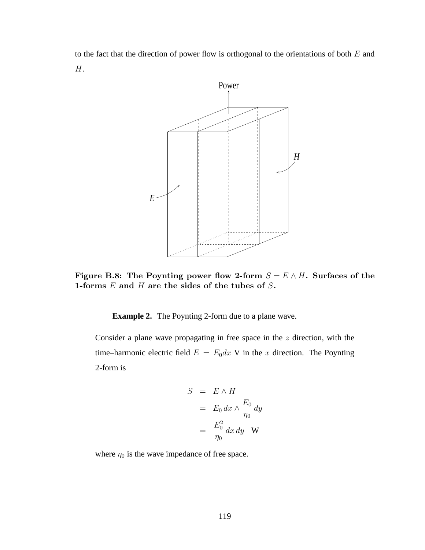to the fact that the direction of power flow is orthogonal to the orientations of both  $E$  and H.



Figure B.8: The Poynting power flow 2-form  $S = E \wedge H$ . Surfaces of the 1-forms  $E$  and  $H$  are the sides of the tubes of  $S$ .

**Example 2.** The Poynting 2-form due to a plane wave.

Consider a plane wave propagating in free space in the  $z$  direction, with the time–harmonic electric field  $E = E_0 dx$  V in the x direction. The Poynting 2-form is

$$
S = E \wedge H
$$
  
=  $E_0 dx \wedge \frac{E_0}{\eta_0} dy$   
=  $\frac{E_0^2}{\eta_0} dx dy$  W

where  $\eta_0$  is the wave impedance of free space.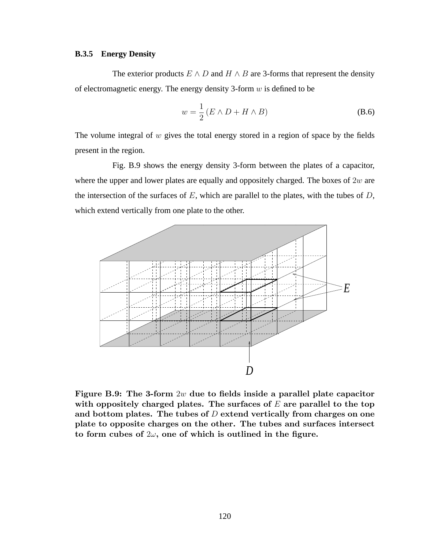# **B.3.5 Energy Density**

The exterior products  $E \wedge D$  and  $H \wedge B$  are 3-forms that represent the density of electromagnetic energy. The energy density 3-form  $w$  is defined to be

$$
w = \frac{1}{2} \left( E \wedge D + H \wedge B \right) \tag{B.6}
$$

The volume integral of  $w$  gives the total energy stored in a region of space by the fields present in the region.

Fig. B.9 shows the energy density 3-form between the plates of a capacitor, where the upper and lower plates are equally and oppositely charged. The boxes of  $2w$  are the intersection of the surfaces of  $E$ , which are parallel to the plates, with the tubes of  $D$ , which extend vertically from one plate to the other.



Figure B.9: The 3-form 2w due to fields inside a parallel plate capacitor with oppositely charged plates. The surfaces of  $E$  are parallel to the top and bottom plates. The tubes of  $D$  extend vertically from charges on one plate to opposite charges on the other. The tubes and surfaces intersect to form cubes of  $2\omega$ , one of which is outlined in the figure.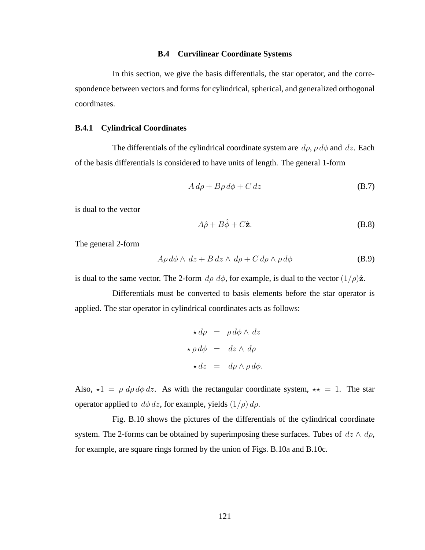### **B.4 Curvilinear Coordinate Systems**

In this section, we give the basis differentials, the star operator, and the correspondence between vectors and forms for cylindrical, spherical, and generalized orthogonal coordinates.

# **B.4.1 Cylindrical Coordinates**

The differentials of the cylindrical coordinate system are  $d\rho$ ,  $\rho d\phi$  and dz. Each of the basis differentials is considered to have units of length. The general 1-form

$$
A d\rho + B\rho d\phi + C dz \tag{B.7}
$$

is dual to the vector

$$
A\hat{\rho} + B\hat{\phi} + C\hat{\mathbf{z}}.\tag{B.8}
$$

The general 2-form

$$
A\rho \, d\phi \wedge dz + B \, dz \wedge d\rho + C \, d\rho \wedge \rho \, d\phi \tag{B.9}
$$

is dual to the same vector. The 2-form  $d\rho \, d\phi$ , for example, is dual to the vector  $(1/\rho)\hat{z}$ .

Differentials must be converted to basis elements before the star operator is applied. The star operator in cylindrical coordinates acts as follows:

$$
\star d\rho = \rho d\phi \wedge dz
$$
  

$$
\star \rho d\phi = dz \wedge d\rho
$$
  

$$
\star dz = d\rho \wedge \rho d\phi.
$$

Also,  $\star 1 = \rho \, d\rho \, d\phi \, dz$ . As with the rectangular coordinate system,  $\star \star = 1$ . The star operator applied to  $d\phi dz$ , for example, yields  $(1/\rho) d\rho$ .

Fig. B.10 shows the pictures of the differentials of the cylindrical coordinate system. The 2-forms can be obtained by superimposing these surfaces. Tubes of  $dz \wedge d\rho$ , for example, are square rings formed by the union of Figs. B.10a and B.10c.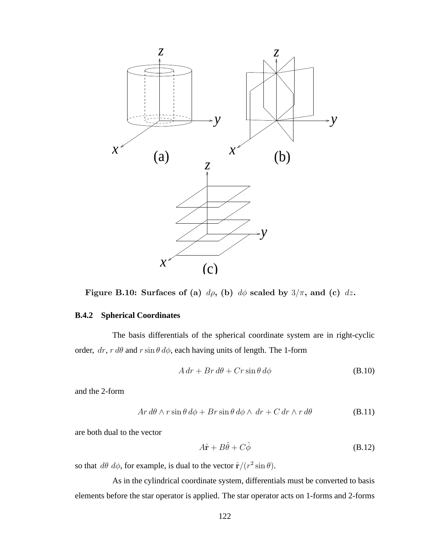

Figure B.10: Surfaces of (a)  $d\rho$ , (b)  $d\phi$  scaled by  $3/\pi$ , and (c) dz.

# **B.4.2 Spherical Coordinates**

The basis differentials of the spherical coordinate system are in right-cyclic order,  $dr$ ,  $r d\theta$  and  $r \sin \theta d\phi$ , each having units of length. The 1-form

$$
A dr + Br d\theta + Cr \sin \theta d\phi \tag{B.10}
$$

and the 2-form

$$
Ar\,d\theta \wedge r\sin\theta\,d\phi + Br\sin\theta\,d\phi \wedge dr + C\,dr \wedge r\,d\theta \tag{B.11}
$$

are both dual to the vector

$$
A\hat{\mathbf{r}} + B\hat{\theta} + C\hat{\phi} \tag{B.12}
$$

so that  $d\theta$  d $\phi$ , for example, is dual to the vector  $\hat{\mathbf{r}}/(r^2 \sin \theta)$ .

As in the cylindrical coordinate system, differentials must be converted to basis elements before the star operator is applied. The star operator acts on 1-forms and 2-forms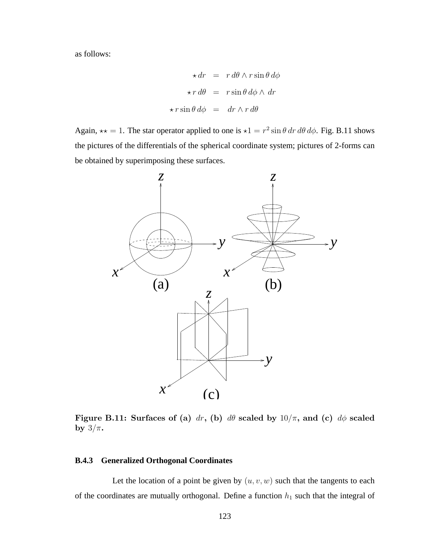as follows:

$$
\star dr = r d\theta \wedge r \sin \theta d\phi
$$

$$
\star r d\theta = r \sin \theta d\phi \wedge dr
$$

$$
\star r \sin \theta d\phi = dr \wedge r d\theta
$$

Again,  $\star\star = 1$ . The star operator applied to one is  $\star 1 = r^2 \sin \theta \, dr \, d\theta \, d\phi$ . Fig. B.11 shows the pictures of the differentials of the spherical coordinate system; pictures of 2-forms can be obtained by superimposing these surfaces.



Figure B.11: Surfaces of (a) dr, (b) dθ scaled by  $10/\pi$ , and (c) d $\phi$  scaled by  $3/\pi$ .

# **B.4.3 Generalized Orthogonal Coordinates**

Let the location of a point be given by  $(u, v, w)$  such that the tangents to each of the coordinates are mutually orthogonal. Define a function  $h_1$  such that the integral of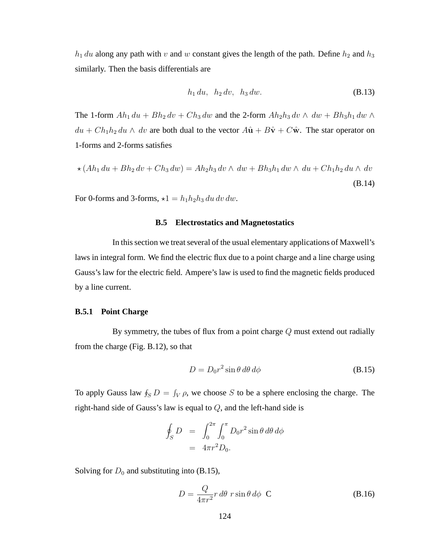$h_1 du$  along any path with v and w constant gives the length of the path. Define  $h_2$  and  $h_3$ similarly. Then the basis differentials are

$$
h_1 du, h_2 dv, h_3 dw.
$$
 (B.13)

The 1-form  $Ah_1 du + Bh_2 dv + Ch_3 dw$  and the 2-form  $Ah_2h_3 dv \wedge dw + Bh_3h_1 dw \wedge dw$  $du + Ch_1h_2 du \wedge dv$  are both dual to the vector  $A\hat{u} + B\hat{v} + C\hat{w}$ . The star operator on 1-forms and 2-forms satisfies

$$
\star (Ah_1 du + Bh_2 dv + Ch_3 dw) = Ah_2h_3 dv \wedge dw + Bh_3h_1 dw \wedge du + Ch_1h_2 du \wedge dv
$$
\n(B.14)

For 0-forms and 3-forms,  $\star 1 = h_1 h_2 h_3 du dv dw$ .

# **B.5 Electrostatics and Magnetostatics**

In this section we treat several of the usual elementary applications of Maxwell's laws in integral form. We find the electric flux due to a point charge and a line charge using Gauss's law for the electric field. Ampere's law is used to find the magnetic fields produced by a line current.

#### **B.5.1 Point Charge**

By symmetry, the tubes of flux from a point charge Q must extend out radially from the charge (Fig. B.12), so that

$$
D = D_0 r^2 \sin \theta \, d\theta \, d\phi \tag{B.15}
$$

To apply Gauss law  $\oint_S D = \int$  $\hat{V}_V$ , we choose S to be a sphere enclosing the charge. The right-hand side of Gauss's law is equal to  $Q$ , and the left-hand side is

$$
\oint_{S} D = \int_{0}^{2\pi} \int_{0}^{\pi} D_{0} r^{2} \sin \theta d\theta d\phi
$$

$$
= 4\pi r^{2} D_{0}.
$$

Solving for  $D_0$  and substituting into (B.15),

$$
D = \frac{Q}{4\pi r^2} r \, d\theta \, r \sin\theta \, d\phi \, C \tag{B.16}
$$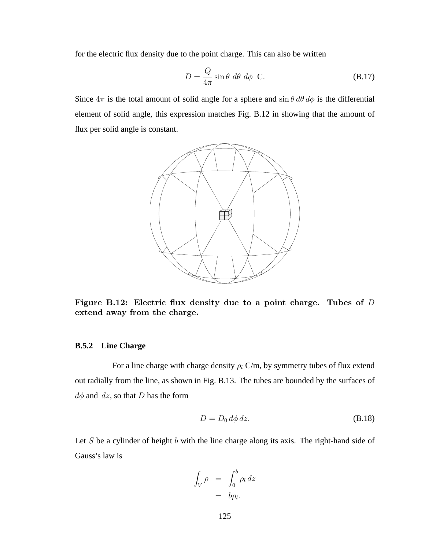for the electric flux density due to the point charge. This can also be written

$$
D = \frac{Q}{4\pi} \sin \theta \, d\theta \, d\phi \, C. \tag{B.17}
$$

Since  $4\pi$  is the total amount of solid angle for a sphere and  $\sin \theta d\theta d\phi$  is the differential element of solid angle, this expression matches Fig. B.12 in showing that the amount of flux per solid angle is constant.



Figure B.12: Electric flux density due to a point charge. Tubes of D extend away from the charge.

# **B.5.2 Line Charge**

For a line charge with charge density  $\rho_l$  C/m, by symmetry tubes of flux extend out radially from the line, as shown in Fig. B.13. The tubes are bounded by the surfaces of  $d\phi$  and dz, so that D has the form

$$
D = D_0 d\phi dz. \tag{B.18}
$$

Let  $S$  be a cylinder of height  $b$  with the line charge along its axis. The right-hand side of Gauss's law is

$$
\int_{V} \rho = \int_{0}^{b} \rho_{l} dz
$$

$$
= b\rho_{l}.
$$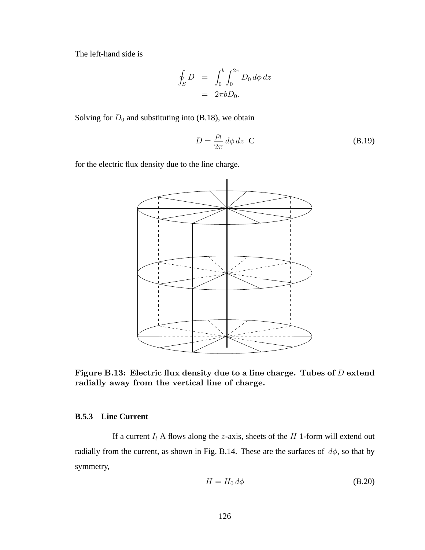The left-hand side is

$$
\oint_{S} D = \int_{0}^{b} \int_{0}^{2\pi} D_0 d\phi dz
$$
\n
$$
= 2\pi b D_0.
$$

Solving for  $D_0$  and substituting into (B.18), we obtain

$$
D = \frac{\rho_l}{2\pi} d\phi \, dz \quad \mathbf{C} \tag{B.19}
$$

for the electric flux density due to the line charge.



Figure B.13: Electric flux density due to a line charge. Tubes of D extend radially away from the vertical line of charge.

# **B.5.3 Line Current**

If a current  $I_l$  A flows along the z-axis, sheets of the  $H$  1-form will extend out radially from the current, as shown in Fig. B.14. These are the surfaces of  $d\phi$ , so that by symmetry,

$$
H = H_0 \, d\phi \tag{B.20}
$$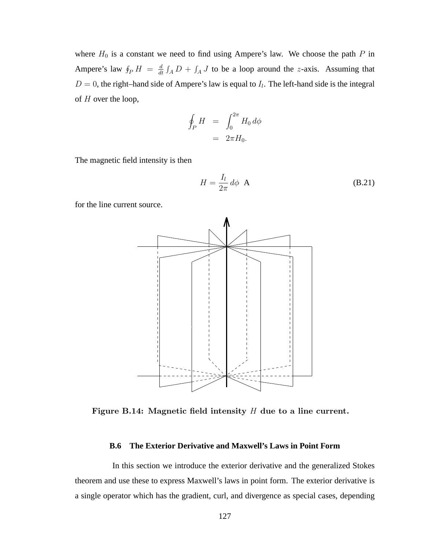where  $H_0$  is a constant we need to find using Ampere's law. We choose the path  $P$  in Ampere's law  $\oint_P H = \frac{d}{dt}$ dt  $\int_A D + \int_A J$  to be a loop around the z-axis. Assuming that  $D = 0$ , the right–hand side of Ampere's law is equal to  $I_l$ . The left-hand side is the integral of  $H$  over the loop,

$$
\oint_P H = \int_0^{2\pi} H_0 d\phi
$$
  
=  $2\pi H_0$ .

The magnetic field intensity is then

$$
H = \frac{I_l}{2\pi} d\phi \text{ A}
$$
 (B.21)

for the line current source.



Figure B.14: Magnetic field intensity  $H$  due to a line current.

### **B.6 The Exterior Derivative and Maxwell's Laws in Point Form**

In this section we introduce the exterior derivative and the generalized Stokes theorem and use these to express Maxwell's laws in point form. The exterior derivative is a single operator which has the gradient, curl, and divergence as special cases, depending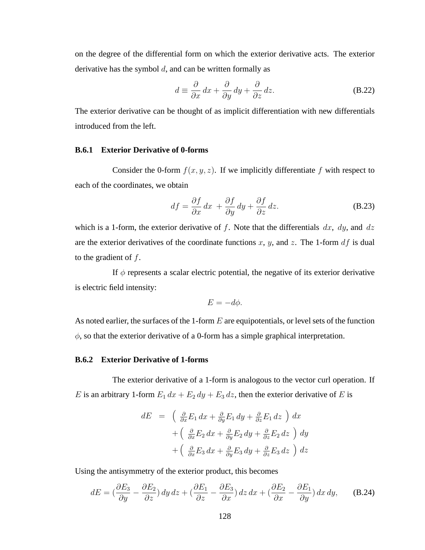on the degree of the differential form on which the exterior derivative acts. The exterior derivative has the symbol  $d$ , and can be written formally as

$$
d \equiv \frac{\partial}{\partial x} dx + \frac{\partial}{\partial y} dy + \frac{\partial}{\partial z} dz.
$$
 (B.22)

The exterior derivative can be thought of as implicit differentiation with new differentials introduced from the left.

# **B.6.1 Exterior Derivative of 0-forms**

Consider the 0-form  $f(x, y, z)$ . If we implicitly differentiate f with respect to each of the coordinates, we obtain

$$
df = \frac{\partial f}{\partial x} dx + \frac{\partial f}{\partial y} dy + \frac{\partial f}{\partial z} dz.
$$
 (B.23)

which is a 1-form, the exterior derivative of f. Note that the differentials dx, dy, and dz are the exterior derivatives of the coordinate functions x, y, and z. The 1-form  $df$  is dual to the gradient of  $f$ .

If  $\phi$  represents a scalar electric potential, the negative of its exterior derivative is electric field intensity:

$$
E = -d\phi.
$$

As noted earlier, the surfaces of the 1-form  $E$  are equipotentials, or level sets of the function  $\phi$ , so that the exterior derivative of a 0-form has a simple graphical interpretation.

# **B.6.2 Exterior Derivative of 1-forms**

The exterior derivative of a 1-form is analogous to the vector curl operation. If E is an arbitrary 1-form  $E_1 dx + E_2 dy + E_3 dz$ , then the exterior derivative of E is

$$
dE = \left(\frac{\partial}{\partial x}E_1 dx + \frac{\partial}{\partial y}E_1 dy + \frac{\partial}{\partial z}E_1 dz\right) dx
$$

$$
+ \left(\frac{\partial}{\partial x}E_2 dx + \frac{\partial}{\partial y}E_2 dy + \frac{\partial}{\partial z}E_2 dz\right) dy
$$

$$
+ \left(\frac{\partial}{\partial x}E_3 dx + \frac{\partial}{\partial y}E_3 dy + \frac{\partial}{\partial z}E_3 dz\right) dz
$$

Using the antisymmetry of the exterior product, this becomes

$$
dE = \left(\frac{\partial E_3}{\partial y} - \frac{\partial E_2}{\partial z}\right)dy\,dz + \left(\frac{\partial E_1}{\partial z} - \frac{\partial E_3}{\partial x}\right)dz\,dx + \left(\frac{\partial E_2}{\partial x} - \frac{\partial E_1}{\partial y}\right)dx\,dy,\tag{B.24}
$$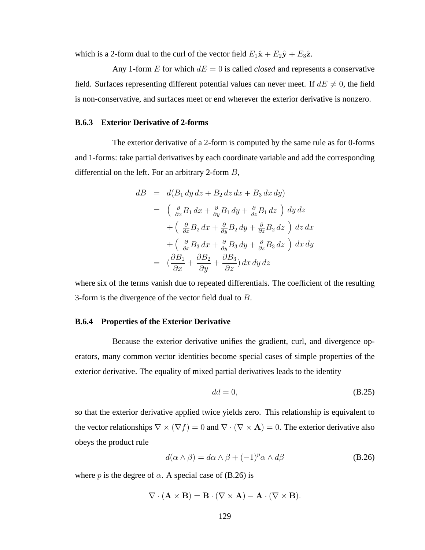which is a 2-form dual to the curl of the vector field  $E_1\hat{\mathbf{x}} + E_2\hat{\mathbf{y}} + E_3\hat{\mathbf{z}}$ .

Any 1-form  $E$  for which  $dE = 0$  is called *closed* and represents a conservative field. Surfaces representing different potential values can never meet. If  $dE \neq 0$ , the field is non-conservative, and surfaces meet or end wherever the exterior derivative is nonzero.

# **B.6.3 Exterior Derivative of 2-forms**

The exterior derivative of a 2-form is computed by the same rule as for 0-forms and 1-forms: take partial derivatives by each coordinate variable and add the corresponding differential on the left. For an arbitrary 2-form  $B$ ,

$$
dB = d(B_1 dy dz + B_2 dz dx + B_3 dx dy)
$$
  
\n
$$
= \left(\frac{\partial}{\partial x} B_1 dx + \frac{\partial}{\partial y} B_1 dy + \frac{\partial}{\partial z} B_1 dz\right) dy dz
$$
  
\n
$$
+ \left(\frac{\partial}{\partial x} B_2 dx + \frac{\partial}{\partial y} B_2 dy + \frac{\partial}{\partial z} B_2 dz\right) dz dx
$$
  
\n
$$
+ \left(\frac{\partial}{\partial x} B_3 dx + \frac{\partial}{\partial y} B_3 dy + \frac{\partial}{\partial z} B_3 dz\right) dx dy
$$
  
\n
$$
= \left(\frac{\partial B_1}{\partial x} + \frac{\partial B_2}{\partial y} + \frac{\partial B_3}{\partial z}\right) dx dy dz
$$

where six of the terms vanish due to repeated differentials. The coefficient of the resulting 3-form is the divergence of the vector field dual to  $B$ .

### **B.6.4 Properties of the Exterior Derivative**

Because the exterior derivative unifies the gradient, curl, and divergence operators, many common vector identities become special cases of simple properties of the exterior derivative. The equality of mixed partial derivatives leads to the identity

$$
dd = 0,\t\t(B.25)
$$

so that the exterior derivative applied twice yields zero. This relationship is equivalent to the vector relationships  $\nabla \times (\nabla f) = 0$  and  $\nabla \cdot (\nabla \times \mathbf{A}) = 0$ . The exterior derivative also obeys the product rule

$$
d(\alpha \wedge \beta) = d\alpha \wedge \beta + (-1)^p \alpha \wedge d\beta \tag{B.26}
$$

where p is the degree of  $\alpha$ . A special case of (B.26) is

$$
\nabla \cdot (\mathbf{A} \times \mathbf{B}) = \mathbf{B} \cdot (\nabla \times \mathbf{A}) - \mathbf{A} \cdot (\nabla \times \mathbf{B}).
$$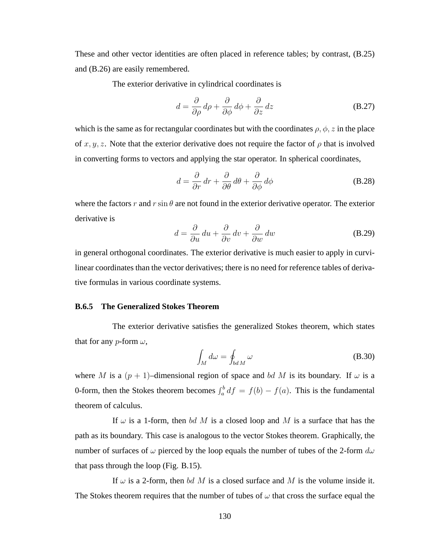These and other vector identities are often placed in reference tables; by contrast, (B.25) and (B.26) are easily remembered.

The exterior derivative in cylindrical coordinates is

$$
d = \frac{\partial}{\partial \rho} d\rho + \frac{\partial}{\partial \phi} d\phi + \frac{\partial}{\partial z} dz
$$
 (B.27)

which is the same as for rectangular coordinates but with the coordinates  $\rho$ ,  $\phi$ , z in the place of x, y, z. Note that the exterior derivative does not require the factor of  $\rho$  that is involved in converting forms to vectors and applying the star operator. In spherical coordinates,

$$
d = \frac{\partial}{\partial r} dr + \frac{\partial}{\partial \theta} d\theta + \frac{\partial}{\partial \phi} d\phi
$$
 (B.28)

where the factors r and r sin  $\theta$  are not found in the exterior derivative operator. The exterior derivative is

$$
d = \frac{\partial}{\partial u} du + \frac{\partial}{\partial v} dv + \frac{\partial}{\partial w} dw
$$
 (B.29)

in general orthogonal coordinates. The exterior derivative is much easier to apply in curvilinear coordinates than the vector derivatives; there is no need for reference tables of derivative formulas in various coordinate systems.

### **B.6.5 The Generalized Stokes Theorem**

The exterior derivative satisfies the generalized Stokes theorem, which states that for any *p*-form  $\omega$ ,

$$
\int_{M} d\omega = \oint_{bd M} \omega \tag{B.30}
$$

where M is a  $(p + 1)$ –dimensional region of space and bd M is its boundary. If  $\omega$  is a 0-form, then the Stokes theorem becomes  $\int_a^b df = f(b) - f(a)$ . This is the fundamental theorem of calculus.

If  $\omega$  is a 1-form, then bd M is a closed loop and M is a surface that has the path as its boundary. This case is analogous to the vector Stokes theorem. Graphically, the number of surfaces of  $\omega$  pierced by the loop equals the number of tubes of the 2-form  $d\omega$ that pass through the loop (Fig. B.15).

If  $\omega$  is a 2-form, then bd M is a closed surface and M is the volume inside it. The Stokes theorem requires that the number of tubes of  $\omega$  that cross the surface equal the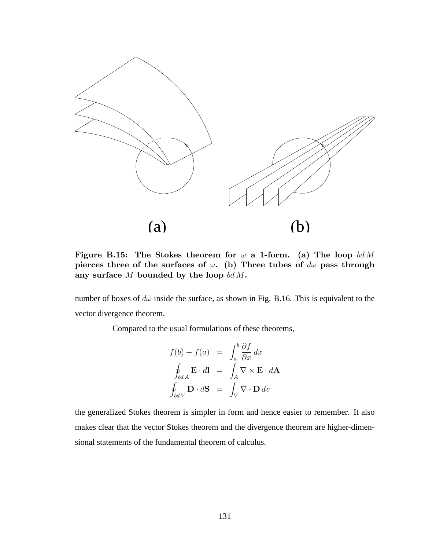

Figure B.15: The Stokes theorem for  $\omega$  a 1-form. (a) The loop bd M pierces three of the surfaces of  $\omega$ . (b) Three tubes of  $d\omega$  pass through any surface  $M$  bounded by the loop  $bd M$ .

number of boxes of  $d\omega$  inside the surface, as shown in Fig. B.16. This is equivalent to the vector divergence theorem.

Compared to the usual formulations of these theorems,

$$
f(b) - f(a) = \int_{a}^{b} \frac{\partial f}{\partial x} dx
$$
  

$$
\oint_{bdA} \mathbf{E} \cdot d\mathbf{l} = \int_{A} \nabla \times \mathbf{E} \cdot d\mathbf{A}
$$
  

$$
\oint_{bdV} \mathbf{D} \cdot d\mathbf{S} = \int_{V} \nabla \cdot \mathbf{D} dv
$$

the generalized Stokes theorem is simpler in form and hence easier to remember. It also makes clear that the vector Stokes theorem and the divergence theorem are higher-dimensional statements of the fundamental theorem of calculus.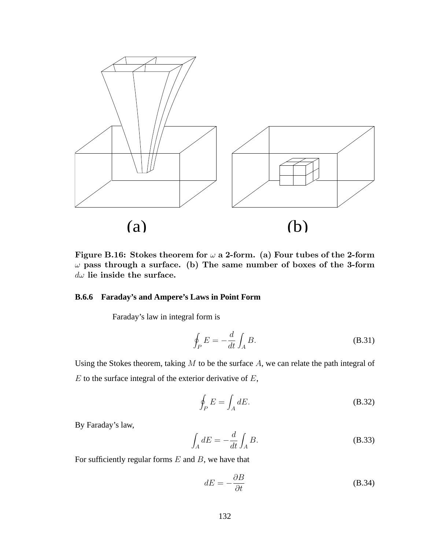

Figure B.16: Stokes theorem for  $\omega$  a 2-form. (a) Four tubes of the 2-form  $\omega$  pass through a surface. (b) The same number of boxes of the 3-form  $d\omega$  lie inside the surface.

# **B.6.6 Faraday's and Ampere's Laws in Point Form**

Faraday's law in integral form is

$$
\oint_{P} E = -\frac{d}{dt} \int_{A} B.
$$
\n(B.31)

Using the Stokes theorem, taking  $M$  to be the surface  $A$ , we can relate the path integral of  $E$  to the surface integral of the exterior derivative of  $E$ ,

$$
\oint_{P} E = \int_{A} dE. \tag{B.32}
$$

By Faraday's law,

$$
\int_{A} dE = -\frac{d}{dt} \int_{A} B.
$$
\n(B.33)

For sufficiently regular forms  $E$  and  $B$ , we have that

$$
dE = -\frac{\partial B}{\partial t} \tag{B.34}
$$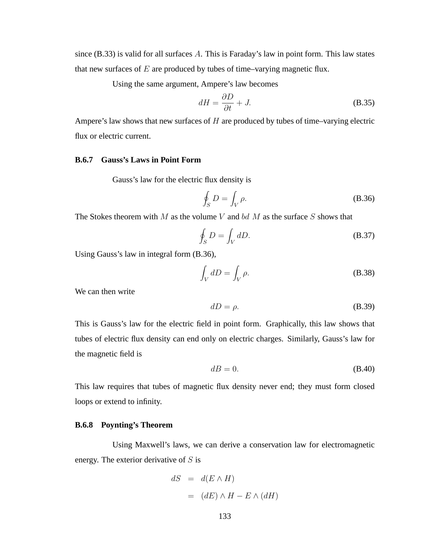since  $(B.33)$  is valid for all surfaces A. This is Faraday's law in point form. This law states that new surfaces of  $E$  are produced by tubes of time–varying magnetic flux.

Using the same argument, Ampere's law becomes

$$
dH = \frac{\partial D}{\partial t} + J.
$$
 (B.35)

Ampere's law shows that new surfaces of  $H$  are produced by tubes of time–varying electric flux or electric current.

# **B.6.7 Gauss's Laws in Point Form**

Gauss's law for the electric flux density is

$$
\oint_{S} D = \int_{V} \rho. \tag{B.36}
$$

The Stokes theorem with M as the volume V and bd M as the surface S shows that

$$
\oint_{S} D = \int_{V} dD. \tag{B.37}
$$

Using Gauss's law in integral form (B.36),

$$
\int_{V} dD = \int_{V} \rho. \tag{B.38}
$$

We can then write

$$
dD = \rho. \tag{B.39}
$$

This is Gauss's law for the electric field in point form. Graphically, this law shows that tubes of electric flux density can end only on electric charges. Similarly, Gauss's law for the magnetic field is

$$
dB = 0.\t\t(B.40)
$$

This law requires that tubes of magnetic flux density never end; they must form closed loops or extend to infinity.

#### **B.6.8 Poynting's Theorem**

Using Maxwell's laws, we can derive a conservation law for electromagnetic energy. The exterior derivative of  $S$  is

$$
dS = d(E \wedge H)
$$
  
=  $(dE) \wedge H - E \wedge (dH)$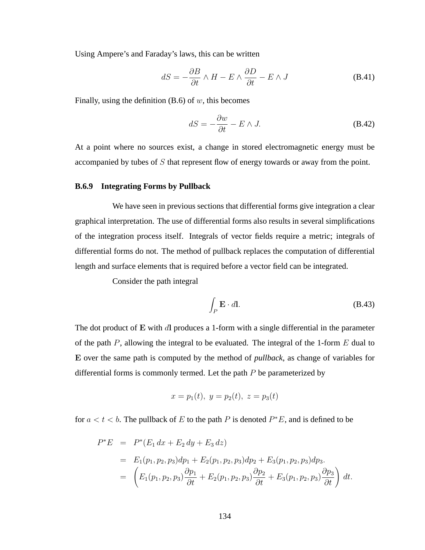Using Ampere's and Faraday's laws, this can be written

$$
dS = -\frac{\partial B}{\partial t} \wedge H - E \wedge \frac{\partial D}{\partial t} - E \wedge J \tag{B.41}
$$

Finally, using the definition  $(B.6)$  of w, this becomes

$$
dS = -\frac{\partial w}{\partial t} - E \wedge J. \tag{B.42}
$$

At a point where no sources exist, a change in stored electromagnetic energy must be accompanied by tubes of S that represent flow of energy towards or away from the point.

#### **B.6.9 Integrating Forms by Pullback**

We have seen in previous sections that differential forms give integration a clear graphical interpretation. The use of differential forms also results in several simplifications of the integration process itself. Integrals of vector fields require a metric; integrals of differential forms do not. The method of pullback replaces the computation of differential length and surface elements that is required before a vector field can be integrated.

Consider the path integral

$$
\int_{P} \mathbf{E} \cdot d\mathbf{l}.\tag{B.43}
$$

The dot product of  $E$  with  $d$ l produces a 1-form with a single differential in the parameter of the path  $P$ , allowing the integral to be evaluated. The integral of the 1-form  $E$  dual to E over the same path is computed by the method of *pullback*, as change of variables for differential forms is commonly termed. Let the path  $P$  be parameterized by

$$
x = p_1(t), \ y = p_2(t), \ z = p_3(t)
$$

for  $a < t < b$ . The pullback of E to the path P is denoted  $P^*E$ , and is defined to be

$$
P^*E = P^*(E_1 dx + E_2 dy + E_3 dz)
$$
  
=  $E_1(p_1, p_2, p_3)dp_1 + E_2(p_1, p_2, p_3)dp_2 + E_3(p_1, p_2, p_3)dp_3.$   
=  $\left(E_1(p_1, p_2, p_3)\frac{\partial p_1}{\partial t} + E_2(p_1, p_2, p_3)\frac{\partial p_2}{\partial t} + E_3(p_1, p_2, p_3)\frac{\partial p_3}{\partial t}\right) dt.$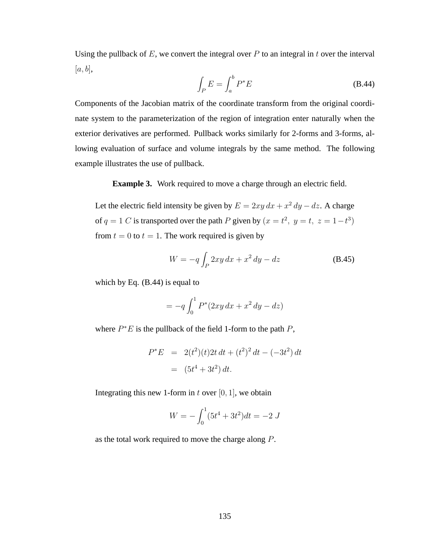Using the pullback of  $E$ , we convert the integral over  $P$  to an integral in  $t$  over the interval  $[a, b],$ 

$$
\int_{P} E = \int_{a}^{b} P^* E \tag{B.44}
$$

Components of the Jacobian matrix of the coordinate transform from the original coordinate system to the parameterization of the region of integration enter naturally when the exterior derivatives are performed. Pullback works similarly for 2-forms and 3-forms, allowing evaluation of surface and volume integrals by the same method. The following example illustrates the use of pullback.

**Example 3.** Work required to move a charge through an electric field.

Let the electric field intensity be given by  $E = 2xy dx + x^2 dy - dz$ . A charge of  $q = 1$  C is transported over the path P given by  $(x = t^2, y = t, z = 1-t^3)$ from  $t = 0$  to  $t = 1$ . The work required is given by

$$
W = -q \int_{P} 2xy \, dx + x^2 \, dy - dz \tag{B.45}
$$

which by Eq. (B.44) is equal to

$$
= -q \int_0^1 P^*(2xy \, dx + x^2 \, dy - dz)
$$

where  $P^*E$  is the pullback of the field 1-form to the path  $P$ ,

$$
P^*E = 2(t^2)(t)2t dt + (t^2)^2 dt - (-3t^2) dt
$$
  
= 
$$
(5t^4 + 3t^2) dt.
$$

Integrating this new 1-form in t over  $[0, 1]$ , we obtain

$$
W = -\int_0^1 (5t^4 + 3t^2)dt = -2 J
$$

as the total work required to move the charge along P.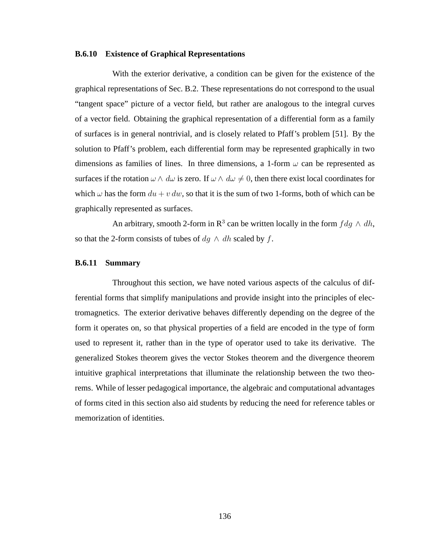### **B.6.10 Existence of Graphical Representations**

With the exterior derivative, a condition can be given for the existence of the graphical representations of Sec. B.2. These representations do not correspond to the usual "tangent space" picture of a vector field, but rather are analogous to the integral curves of a vector field. Obtaining the graphical representation of a differential form as a family of surfaces is in general nontrivial, and is closely related to Pfaff's problem [51]. By the solution to Pfaff's problem, each differential form may be represented graphically in two dimensions as families of lines. In three dimensions, a 1-form  $\omega$  can be represented as surfaces if the rotation  $\omega \wedge d\omega$  is zero. If  $\omega \wedge d\omega \neq 0$ , then there exist local coordinates for which  $\omega$  has the form  $du + v dw$ , so that it is the sum of two 1-forms, both of which can be graphically represented as surfaces.

An arbitrary, smooth 2-form in R<sup>3</sup> can be written locally in the form  $fdg \wedge dh$ , so that the 2-form consists of tubes of  $dg \wedge dh$  scaled by f.

# **B.6.11 Summary**

Throughout this section, we have noted various aspects of the calculus of differential forms that simplify manipulations and provide insight into the principles of electromagnetics. The exterior derivative behaves differently depending on the degree of the form it operates on, so that physical properties of a field are encoded in the type of form used to represent it, rather than in the type of operator used to take its derivative. The generalized Stokes theorem gives the vector Stokes theorem and the divergence theorem intuitive graphical interpretations that illuminate the relationship between the two theorems. While of lesser pedagogical importance, the algebraic and computational advantages of forms cited in this section also aid students by reducing the need for reference tables or memorization of identities.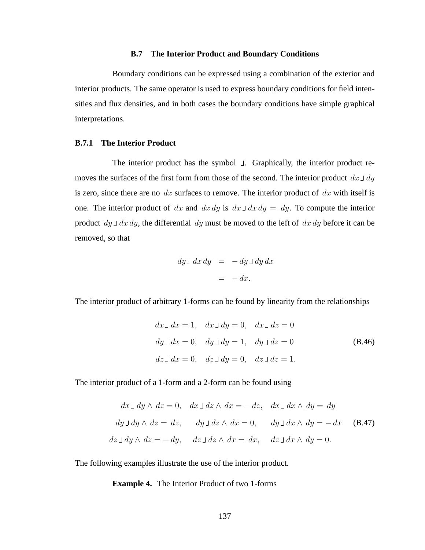#### **B.7 The Interior Product and Boundary Conditions**

Boundary conditions can be expressed using a combination of the exterior and interior products. The same operator is used to express boundary conditions for field intensities and flux densities, and in both cases the boundary conditions have simple graphical interpretations.

# **B.7.1 The Interior Product**

The interior product has the symbol  $\perp$ . Graphically, the interior product removes the surfaces of the first form from those of the second. The interior product  $dx \perp dy$ is zero, since there are no  $dx$  surfaces to remove. The interior product of  $dx$  with itself is one. The interior product of dx and dx dy is  $dx \perp dx dy = dy$ . To compute the interior product  $dy \perp dx dy$ , the differential dy must be moved to the left of dx dy before it can be removed, so that

$$
dy \perp dx dy = -dy \perp dy dx
$$

$$
= -dx.
$$

The interior product of arbitrary 1-forms can be found by linearity from the relationships

$$
dx \perp dx = 1, \quad dx \perp dy = 0, \quad dx \perp dz = 0
$$
  
\n
$$
dy \perp dx = 0, \quad dy \perp dy = 1, \quad dy \perp dz = 0
$$
  
\n
$$
dz \perp dx = 0, \quad dz \perp dy = 0, \quad dz \perp dz = 1.
$$
  
\n(B.46)

The interior product of a 1-form and a 2-form can be found using

$$
dx \perp dy \wedge dz = 0, \quad dx \perp dz \wedge dx = -dz, \quad dx \perp dx \wedge dy = dy
$$
  

$$
dy \perp dy \wedge dz = dz, \quad dy \perp dz \wedge dx = 0, \quad dy \perp dx \wedge dy = -dx \quad (B.47)
$$
  

$$
dz \perp dy \wedge dz = -dy, \quad dz \perp dz \wedge dx = dx, \quad dz \perp dx \wedge dy = 0.
$$

The following examples illustrate the use of the interior product.

**Example 4.** The Interior Product of two 1-forms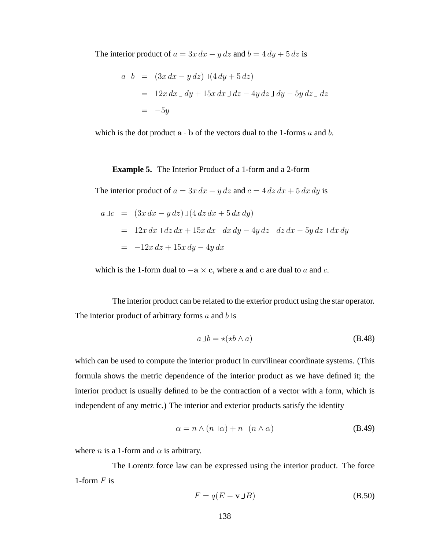The interior product of  $a = 3x dx - y dz$  and  $b = 4 dy + 5 dz$  is

$$
a \exists b = (3x dx - y dz) \exists (4 dy + 5 dz)
$$
  
= 12x dx \exists dy + 15x dx \exists dz - 4y dz \exists dy - 5y dz \exists dz  
= -5y

which is the dot product  $\mathbf{a} \cdot \mathbf{b}$  of the vectors dual to the 1-forms a and b.

**Example 5.** The Interior Product of a 1-form and a 2-form

The interior product of  $a = 3x dx - y dz$  and  $c = 4 dz dx + 5 dx dy$  is

$$
a \,\exists c = (3x \, dx - y \, dz) \,\exists (4 \, dz \, dx + 5 \, dx \, dy)
$$
  
= 12x dx \,\exists dz \, dx + 15x dx \,\exists dx \, dy - 4y dz \,\exists dz \, dx - 5y dz \,\exists dx \, dy  
= -12x dz + 15x dy - 4y dx

which is the 1-form dual to  $-a \times c$ , where a and c are dual to a and c.

The interior product can be related to the exterior product using the star operator. The interior product of arbitrary forms  $a$  and  $b$  is

$$
a \,\exists b = \star (\star b \land a) \tag{B.48}
$$

which can be used to compute the interior product in curvilinear coordinate systems. (This formula shows the metric dependence of the interior product as we have defined it; the interior product is usually defined to be the contraction of a vector with a form, which is independent of any metric.) The interior and exterior products satisfy the identity

$$
\alpha = n \wedge (n \sqcup \alpha) + n \sqcup (n \wedge \alpha) \tag{B.49}
$$

where *n* is a 1-form and  $\alpha$  is arbitrary.

The Lorentz force law can be expressed using the interior product. The force 1-form  $F$  is

$$
F = q(E - \mathbf{v} \,\lrcorner\, B) \tag{B.50}
$$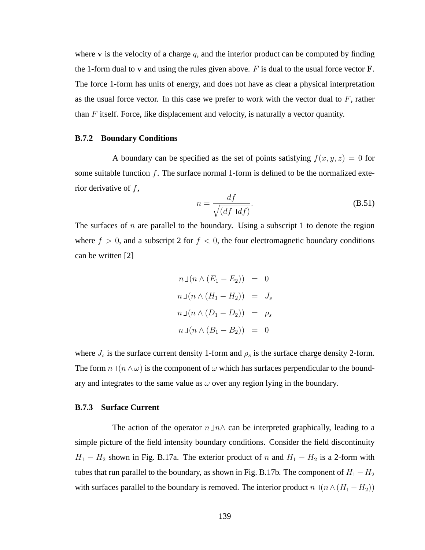where  $\bf{v}$  is the velocity of a charge q, and the interior product can be computed by finding the 1-form dual to v and using the rules given above.  $F$  is dual to the usual force vector  $\mathbf{F}$ . The force 1-form has units of energy, and does not have as clear a physical interpretation as the usual force vector. In this case we prefer to work with the vector dual to  $F$ , rather than  $F$  itself. Force, like displacement and velocity, is naturally a vector quantity.

### **B.7.2 Boundary Conditions**

A boundary can be specified as the set of points satisfying  $f(x, y, z) = 0$  for some suitable function  $f$ . The surface normal 1-form is defined to be the normalized exterior derivative of  $f$ ,

$$
n = \frac{df}{\sqrt{(df \sqcup df)}}.\tag{B.51}
$$

The surfaces of  $n$  are parallel to the boundary. Using a subscript 1 to denote the region where  $f > 0$ , and a subscript 2 for  $f < 0$ , the four electromagnetic boundary conditions can be written [2]

$$
n \Box (n \land (E_1 - E_2)) = 0
$$
  
\n
$$
n \Box (n \land (H_1 - H_2)) = J_s
$$
  
\n
$$
n \Box (n \land (D_1 - D_2)) = \rho_s
$$
  
\n
$$
n \Box (n \land (B_1 - B_2)) = 0
$$

where  $J_s$  is the surface current density 1-form and  $\rho_s$  is the surface charge density 2-form. The form  $n \triangleleft (n \wedge \omega)$  is the component of  $\omega$  which has surfaces perpendicular to the boundary and integrates to the same value as  $\omega$  over any region lying in the boundary.

#### **B.7.3 Surface Current**

The action of the operator  $n \ln \wedge$  can be interpreted graphically, leading to a simple picture of the field intensity boundary conditions. Consider the field discontinuity  $H_1 - H_2$  shown in Fig. B.17a. The exterior product of n and  $H_1 - H_2$  is a 2-form with tubes that run parallel to the boundary, as shown in Fig. B.17b. The component of  $H_1 - H_2$ with surfaces parallel to the boundary is removed. The interior product  $n \ln (n \ln (H_1 - H_2))$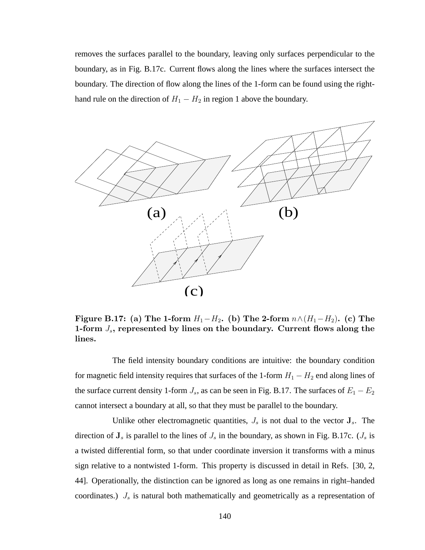removes the surfaces parallel to the boundary, leaving only surfaces perpendicular to the boundary, as in Fig. B.17c. Current flows along the lines where the surfaces intersect the boundary. The direction of flow along the lines of the 1-form can be found using the righthand rule on the direction of  $H_1 - H_2$  in region 1 above the boundary.



Figure B.17: (a) The 1-form  $H_1 - H_2$ . (b) The 2-form  $n \wedge (H_1 - H_2)$ . (c) The 1-form  $J_s$ , represented by lines on the boundary. Current flows along the lines.

The field intensity boundary conditions are intuitive: the boundary condition for magnetic field intensity requires that surfaces of the 1-form  $H_1 - H_2$  end along lines of the surface current density 1-form  $J_s$ , as can be seen in Fig. B.17. The surfaces of  $E_1 - E_2$ cannot intersect a boundary at all, so that they must be parallel to the boundary.

Unlike other electromagnetic quantities,  $J_s$  is not dual to the vector  $J_s$ . The direction of  $J_s$  is parallel to the lines of  $J_s$  in the boundary, as shown in Fig. B.17c. ( $J_s$  is a twisted differential form, so that under coordinate inversion it transforms with a minus sign relative to a nontwisted 1-form. This property is discussed in detail in Refs. [30, 2, 44]. Operationally, the distinction can be ignored as long as one remains in right–handed coordinates.)  $J_s$  is natural both mathematically and geometrically as a representation of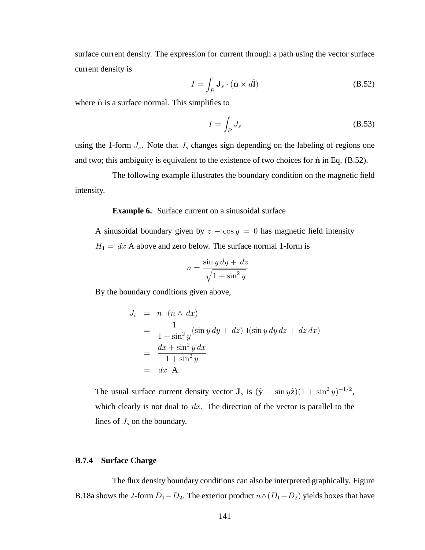surface current density. The expression for current through a path using the vector surface current density is

$$
I = \int_{P} \mathbf{J}_s \cdot (\hat{\mathbf{n}} \times d\hat{\mathbf{l}})
$$
 (B.52)

where  $\hat{n}$  is a surface normal. This simplifies to

$$
I = \int_{P} J_s \tag{B.53}
$$

using the 1-form  $J_s$ . Note that  $J_s$  changes sign depending on the labeling of regions one and two; this ambiguity is equivalent to the existence of two choices for  $\hat{n}$  in Eq. (B.52).

The following example illustrates the boundary condition on the magnetic field intensity.

# **Example 6.** Surface current on a sinusoidal surface

A sinusoidal boundary given by  $z - \cos y = 0$  has magnetic field intensity  $H_1 = dx$  A above and zero below. The surface normal 1-form is

$$
n = \frac{\sin y \, dy + dz}{\sqrt{1 + \sin^2 y}}
$$

By the boundary conditions given above,

$$
J_s = n \ln(n \wedge dx)
$$
  
= 
$$
\frac{1}{1 + \sin^2 y} (\sin y \, dy + dz) \ln(y \, dy \, dz + dz \, dx)
$$
  
= 
$$
\frac{dx + \sin^2 y \, dx}{1 + \sin^2 y}
$$
  
= dx A.

The usual surface current density vector  $J_s$  is  $(\hat{y} - \sin y\hat{z})(1 + \sin^2 y)^{-1/2}$ , which clearly is not dual to  $dx$ . The direction of the vector is parallel to the lines of  $J_s$  on the boundary.

# **B.7.4 Surface Charge**

The flux density boundary conditions can also be interpreted graphically. Figure B.18a shows the 2-form  $D_1 - D_2$ . The exterior product  $n \wedge (D_1 - D_2)$  yields boxes that have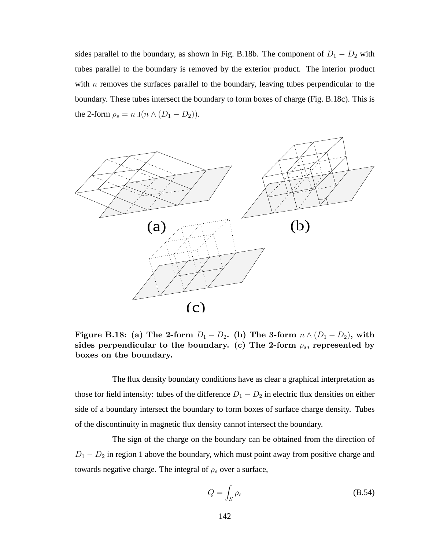sides parallel to the boundary, as shown in Fig. B.18b. The component of  $D_1 - D_2$  with tubes parallel to the boundary is removed by the exterior product. The interior product with  $n$  removes the surfaces parallel to the boundary, leaving tubes perpendicular to the boundary. These tubes intersect the boundary to form boxes of charge (Fig. B.18c). This is the 2-form  $\rho_s = n \, \mathsf{J}(n \wedge (D_1 - D_2)).$ 



Figure B.18: (a) The 2-form  $D_1 - D_2$ . (b) The 3-form  $n \wedge (D_1 - D_2)$ , with sides perpendicular to the boundary. (c) The 2-form  $\rho_s$ , represented by boxes on the boundary.

The flux density boundary conditions have as clear a graphical interpretation as those for field intensity: tubes of the difference  $D_1 - D_2$  in electric flux densities on either side of a boundary intersect the boundary to form boxes of surface charge density. Tubes of the discontinuity in magnetic flux density cannot intersect the boundary.

The sign of the charge on the boundary can be obtained from the direction of  $D_1 - D_2$  in region 1 above the boundary, which must point away from positive charge and towards negative charge. The integral of  $\rho_s$  over a surface,

$$
Q = \int_{S} \rho_s \tag{B.54}
$$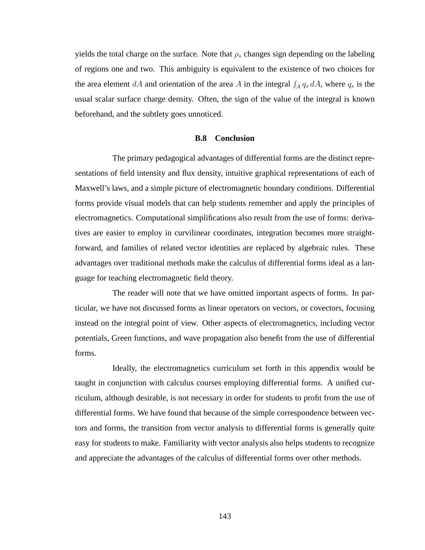yields the total charge on the surface. Note that  $\rho_s$  changes sign depending on the labeling of regions one and two. This ambiguity is equivalent to the existence of two choices for the area element dA and orientation of the area A in the integral  $\int_A q_s dA$ , where  $q_s$  is the usual scalar surface charge density. Often, the sign of the value of the integral is known beforehand, and the subtlety goes unnoticed.

# **B.8 Conclusion**

The primary pedagogical advantages of differential forms are the distinct representations of field intensity and flux density, intuitive graphical representations of each of Maxwell's laws, and a simple picture of electromagnetic boundary conditions. Differential forms provide visual models that can help students remember and apply the principles of electromagnetics. Computational simplifications also result from the use of forms: derivatives are easier to employ in curvilinear coordinates, integration becomes more straightforward, and families of related vector identities are replaced by algebraic rules. These advantages over traditional methods make the calculus of differential forms ideal as a language for teaching electromagnetic field theory.

The reader will note that we have omitted important aspects of forms. In particular, we have not discussed forms as linear operators on vectors, or covectors, focusing instead on the integral point of view. Other aspects of electromagnetics, including vector potentials, Green functions, and wave propagation also benefit from the use of differential forms.

Ideally, the electromagnetics curriculum set forth in this appendix would be taught in conjunction with calculus courses employing differential forms. A unified curriculum, although desirable, is not necessary in order for students to profit from the use of differential forms. We have found that because of the simple correspondence between vectors and forms, the transition from vector analysis to differential forms is generally quite easy for students to make. Familiarity with vector analysis also helps students to recognize and appreciate the advantages of the calculus of differential forms over other methods.